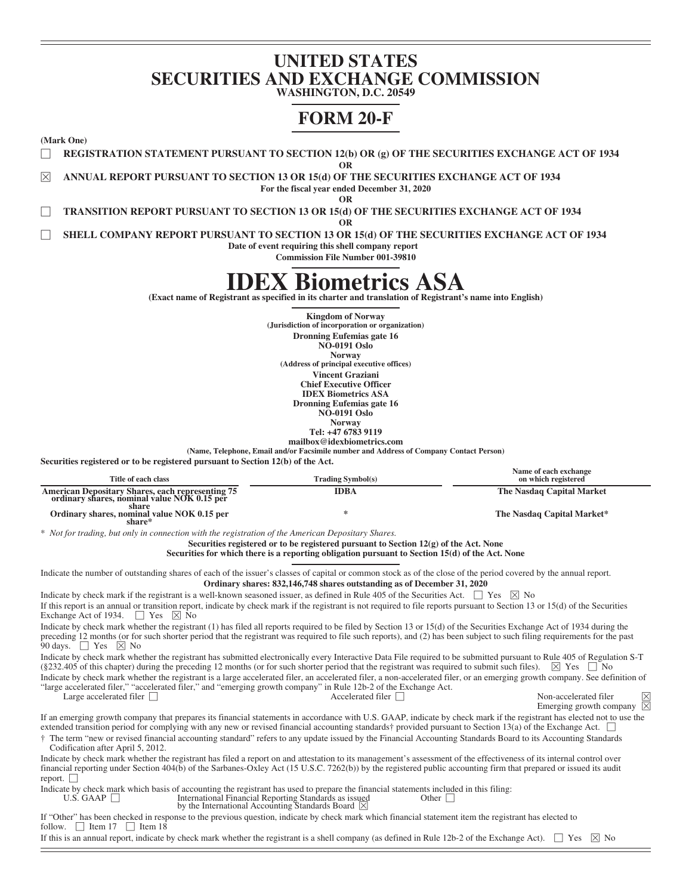# **UNITED STATES SECURITIES AND EXCHANGE COMMISSION**

**WASHINGTON, D.C. 20549**

# **FORM 20-F**

**(Mark One)**

' **REGISTRATION STATEMENT PURSUANT TO SECTION 12(b) OR (g) OF THE SECURITIES EXCHANGE ACT OF 1934**

**OR**

È **ANNUAL REPORT PURSUANT TO SECTION 13 OR 15(d) OF THE SECURITIES EXCHANGE ACT OF 1934 For the fiscal year ended December 31, 2020**

**OR**

' **TRANSITION REPORT PURSUANT TO SECTION 13 OR 15(d) OF THE SECURITIES EXCHANGE ACT OF 1934**

**OR**

' **SHELL COMPANY REPORT PURSUANT TO SECTION 13 OR 15(d) OF THE SECURITIES EXCHANGE ACT OF 1934**

**Date of event requiring this shell company report**

**Commission File Number 001-39810**

# **Biometrics A**

**(Exact name of Registrant as specified in its charter and translation of Registrant's name into English)**

**Kingdom of Norway (Jurisdiction of incorporation or organization) Dronning Eufemias gate 16 NO-0191 Oslo Norway (Address of principal executive offices) Vincent Graziani Chief Executive Officer IDEX Biometrics ASA Dronning Eufemias gate 16 NO-0191 Oslo Norway Tel: +47 6783 9119 mailbox@idexbiometrics.com**

**(Name, Telephone, Email and/or Facsimile number and Address of Company Contact Person)**

**Securities registered or to be registered pursuant to Section 12(b) of the Act.**

| Title of each class                                                                                    | <b>Trading Symbol(s)</b> | Name of each exchange<br>on which registered |
|--------------------------------------------------------------------------------------------------------|--------------------------|----------------------------------------------|
| <b>American Depositary Shares, each representing 75</b><br>ordinary shares, nominal value NOK 0.15 per | <b>IDBA</b>              | <b>The Nasdaq Capital Market</b>             |
| Ordinary shares, nominal value NOK 0.15 per<br>share*                                                  |                          | The Nasdaq Capital Market*                   |

*\* Not for trading, but only in connection with the registration of the American Depositary Shares.*

**Securities registered or to be registered pursuant to Section 12(g) of the Act. None**

**Securities for which there is a reporting obligation pursuant to Section 15(d) of the Act. None**

Indicate the number of outstanding shares of each of the issuer's classes of capital or common stock as of the close of the period covered by the annual report. **Ordinary shares: 832,146,748 shares outstanding as of December 31, 2020**

Indicate by check mark if the registrant is a well-known seasoned issuer, as defined in Rule 405 of the Securities Act.  $\Box$  Yes  $\boxtimes$  No

If this report is an annual or transition report, indicate by check mark if the registrant is not required to file reports pursuant to Section 13 or 15(d) of the Securities Exchange Act of 1934.  $\Box$  Yes  $\boxtimes$  No

Indicate by check mark whether the registrant (1) has filed all reports required to be filed by Section 13 or 15(d) of the Securities Exchange Act of 1934 during the preceding 12 months (or for such shorter period that the registrant was required to file such reports), and (2) has been subject to such filing requirements for the past 90 days.  $\Box$  Yes  $\boxtimes$  No

Indicate by check mark whether the registrant has submitted electronically every Interactive Data File required to be submitted pursuant to Rule 405 of Regulation S-T (§232.405 of this chapter) during the preceding 12 months (or for such shorter period that the registrant was required to submit such files).  $\boxtimes$  Yes  $\Box$  No Indicate by check mark whether the registrant is a large accelerated filer, an accelerated filer, a non-accelerated filer, or an emerging growth company. See definition of

Uarge accelerated filer," "accelerated filer," and "emerging growth company" in Rule 12b-2 of the Exchange Act.<br>
Accelerated filer □ Non-accelerated filer △ Accelerated filer △ Accelerated filer △ Non-accelerated filer △

Emerging growth company  $\overline{\mathsf{X}}$ 

If an emerging growth company that prepares its financial statements in accordance with U.S. GAAP, indicate by check mark if the registrant has elected not to use the extended transition period for complying with any new or revised financial accounting standards† provided pursuant to Section 13(a) of the Exchange Act.  $\square$ 

† The term "new or revised financial accounting standard" refers to any update issued by the Financial Accounting Standards Board to its Accounting Standards Codification after April 5, 2012.

Indicate by check mark whether the registrant has filed a report on and attestation to its management's assessment of the effectiveness of its internal control over financial reporting under Section 404(b) of the Sarbanes-Oxley Act (15 U.S.C. 7262(b)) by the registered public accounting firm that prepared or issued its audit report.  $\Box$ 

Indicate by check mark which basis of accounting the registrant has used to prepare the financial statements included in this filing:<br>U.S. GAAP  $\Box$  International Financial Reporting Standards as issued Other  $\Box$ 

U.S. GAAP  $\Box$  International Financial Reporting Standards as issued by the International Accounting Standards Board  $\boxtimes$ 

If "Other" has been checked in response to the previous question, indicate by check mark which financial statement item the registrant has elected to follow.  $\Box$  Item 17  $\Box$  Item 18

If this is an annual report, indicate by check mark whether the registrant is a shell company (as defined in Rule 12b-2 of the Exchange Act).  $\Box$  Yes  $\boxtimes$  No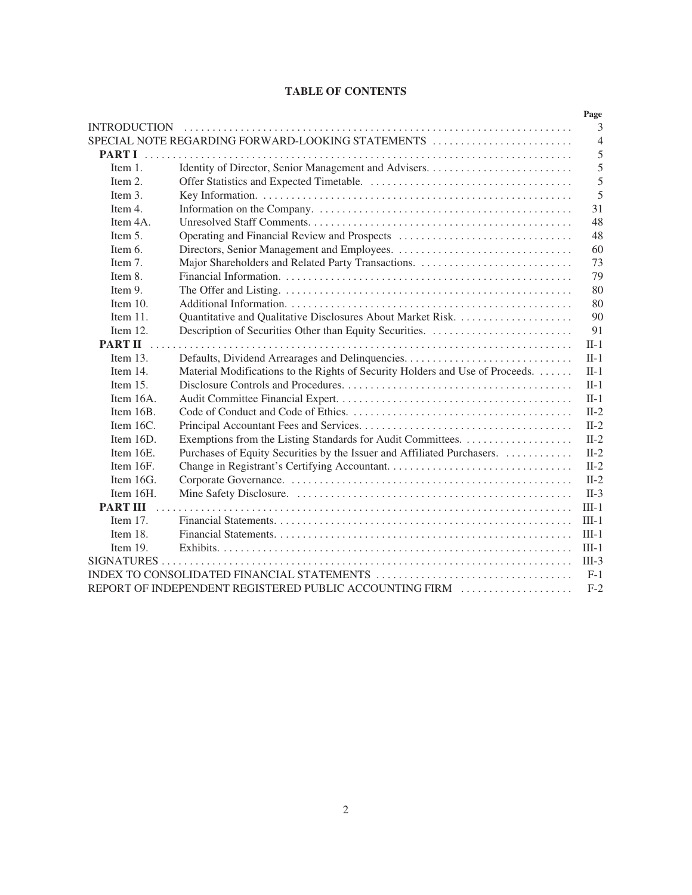|                     |                                                                               | Page           |
|---------------------|-------------------------------------------------------------------------------|----------------|
| <b>INTRODUCTION</b> |                                                                               | 3              |
|                     | SPECIAL NOTE REGARDING FORWARD-LOOKING STATEMENTS                             | $\overline{4}$ |
|                     |                                                                               | 5              |
| Item 1.             |                                                                               | 5              |
| Item 2.             |                                                                               | 5              |
| Item 3.             |                                                                               | 5              |
| Item 4.             |                                                                               | 31             |
| Item 4A.            |                                                                               | 48             |
| Item $5$ .          | Operating and Financial Review and Prospects                                  | 48             |
| Item 6.             |                                                                               | 60             |
| Item 7.             |                                                                               | 73             |
| Item 8.             |                                                                               | 79             |
| Item 9.             |                                                                               | 80             |
| Item $10$ .         |                                                                               | 80             |
| Item 11.            | Quantitative and Qualitative Disclosures About Market Risk.                   | 90             |
| Item 12.            | Description of Securities Other than Equity Securities.                       | 91             |
| <b>PART II</b>      |                                                                               | $II-1$         |
| Item $13$ .         | Defaults, Dividend Arrearages and Delinquencies                               | $II-1$         |
| Item 14.            | Material Modifications to the Rights of Security Holders and Use of Proceeds. | $II-1$         |
| Item $15$ .         |                                                                               | $II-1$         |
| Item 16A.           |                                                                               | $II-1$         |
| Item 16B.           |                                                                               | $II-2$         |
| Item $16C$ .        |                                                                               | $II-2$         |
| Item 16D.           |                                                                               | $II-2$         |
| Item 16E.           | Purchases of Equity Securities by the Issuer and Affiliated Purchasers.       | $II-2$         |
| Item 16F.           |                                                                               | $II-2$         |
| Item 16G.           |                                                                               | $II-2$         |
| Item 16H.           |                                                                               | $II-3$         |
| <b>PART III</b>     |                                                                               | $III-1$        |
| Item 17.            |                                                                               | $III-1$        |
| Item 18.            |                                                                               | $III-1$        |
| Item $19$ .         |                                                                               | $III-1$        |
|                     |                                                                               |                |
|                     |                                                                               |                |
|                     | REPORT OF INDEPENDENT REGISTERED PUBLIC ACCOUNTING FIRM                       | $F-2$          |

# **TABLE OF CONTENTS**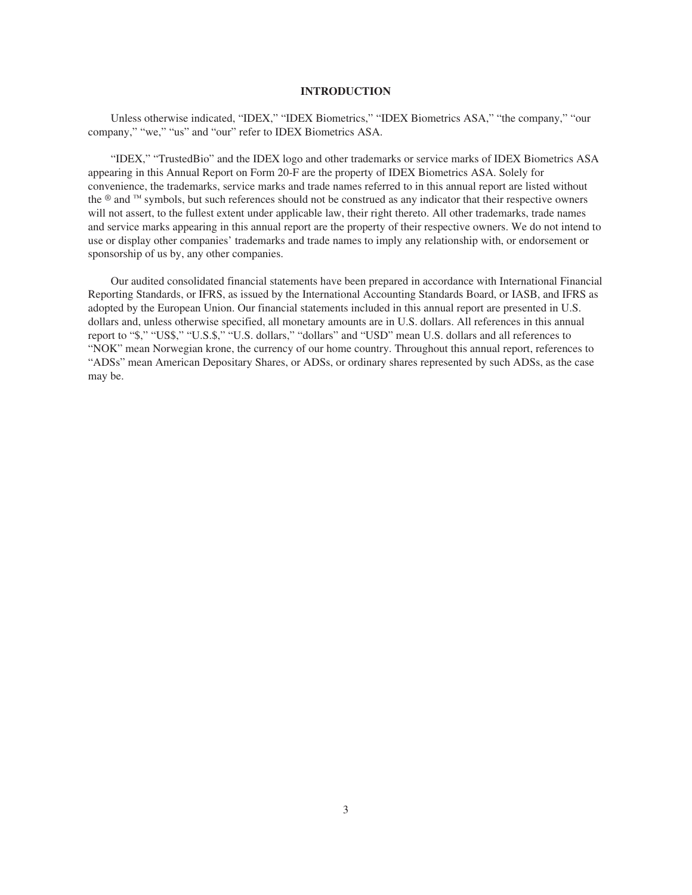#### **INTRODUCTION**

Unless otherwise indicated, "IDEX," "IDEX Biometrics," "IDEX Biometrics ASA," "the company," "our company," "we," "us" and "our" refer to IDEX Biometrics ASA.

"IDEX," "TrustedBio" and the IDEX logo and other trademarks or service marks of IDEX Biometrics ASA appearing in this Annual Report on Form 20-F are the property of IDEX Biometrics ASA. Solely for convenience, the trademarks, service marks and trade names referred to in this annual report are listed without the ® and ™ symbols, but such references should not be construed as any indicator that their respective owners will not assert, to the fullest extent under applicable law, their right thereto. All other trademarks, trade names and service marks appearing in this annual report are the property of their respective owners. We do not intend to use or display other companies' trademarks and trade names to imply any relationship with, or endorsement or sponsorship of us by, any other companies.

Our audited consolidated financial statements have been prepared in accordance with International Financial Reporting Standards, or IFRS, as issued by the International Accounting Standards Board, or IASB, and IFRS as adopted by the European Union. Our financial statements included in this annual report are presented in U.S. dollars and, unless otherwise specified, all monetary amounts are in U.S. dollars. All references in this annual report to "\$," "US\$," "U.S.\$," "U.S. dollars," "dollars" and "USD" mean U.S. dollars and all references to "NOK" mean Norwegian krone, the currency of our home country. Throughout this annual report, references to "ADSs" mean American Depositary Shares, or ADSs, or ordinary shares represented by such ADSs, as the case may be.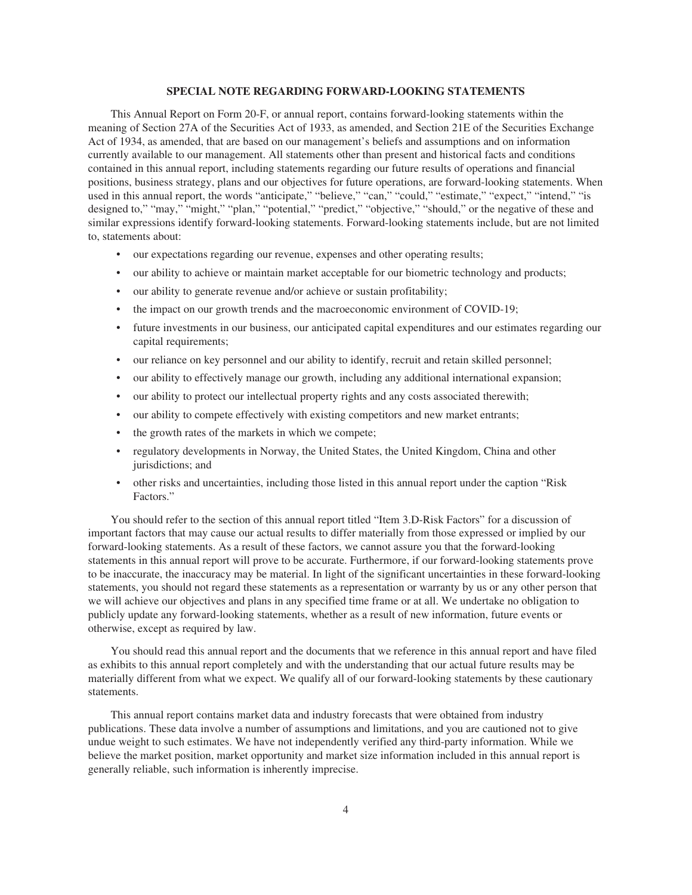#### **SPECIAL NOTE REGARDING FORWARD-LOOKING STATEMENTS**

This Annual Report on Form 20-F, or annual report, contains forward-looking statements within the meaning of Section 27A of the Securities Act of 1933, as amended, and Section 21E of the Securities Exchange Act of 1934, as amended, that are based on our management's beliefs and assumptions and on information currently available to our management. All statements other than present and historical facts and conditions contained in this annual report, including statements regarding our future results of operations and financial positions, business strategy, plans and our objectives for future operations, are forward-looking statements. When used in this annual report, the words "anticipate," "believe," "can," "could," "estimate," "expect," "intend," "is designed to," "may," "might," "plan," "potential," "predict," "objective," "should," or the negative of these and similar expressions identify forward-looking statements. Forward-looking statements include, but are not limited to, statements about:

- our expectations regarding our revenue, expenses and other operating results;
- our ability to achieve or maintain market acceptable for our biometric technology and products;
- our ability to generate revenue and/or achieve or sustain profitability;
- the impact on our growth trends and the macroeconomic environment of COVID-19;
- future investments in our business, our anticipated capital expenditures and our estimates regarding our capital requirements;
- our reliance on key personnel and our ability to identify, recruit and retain skilled personnel;
- our ability to effectively manage our growth, including any additional international expansion;
- our ability to protect our intellectual property rights and any costs associated therewith;
- our ability to compete effectively with existing competitors and new market entrants;
- the growth rates of the markets in which we compete;
- regulatory developments in Norway, the United States, the United Kingdom, China and other jurisdictions; and
- other risks and uncertainties, including those listed in this annual report under the caption "Risk Factors."

You should refer to the section of this annual report titled "Item 3.D-Risk Factors" for a discussion of important factors that may cause our actual results to differ materially from those expressed or implied by our forward-looking statements. As a result of these factors, we cannot assure you that the forward-looking statements in this annual report will prove to be accurate. Furthermore, if our forward-looking statements prove to be inaccurate, the inaccuracy may be material. In light of the significant uncertainties in these forward-looking statements, you should not regard these statements as a representation or warranty by us or any other person that we will achieve our objectives and plans in any specified time frame or at all. We undertake no obligation to publicly update any forward-looking statements, whether as a result of new information, future events or otherwise, except as required by law.

You should read this annual report and the documents that we reference in this annual report and have filed as exhibits to this annual report completely and with the understanding that our actual future results may be materially different from what we expect. We qualify all of our forward-looking statements by these cautionary statements.

This annual report contains market data and industry forecasts that were obtained from industry publications. These data involve a number of assumptions and limitations, and you are cautioned not to give undue weight to such estimates. We have not independently verified any third-party information. While we believe the market position, market opportunity and market size information included in this annual report is generally reliable, such information is inherently imprecise.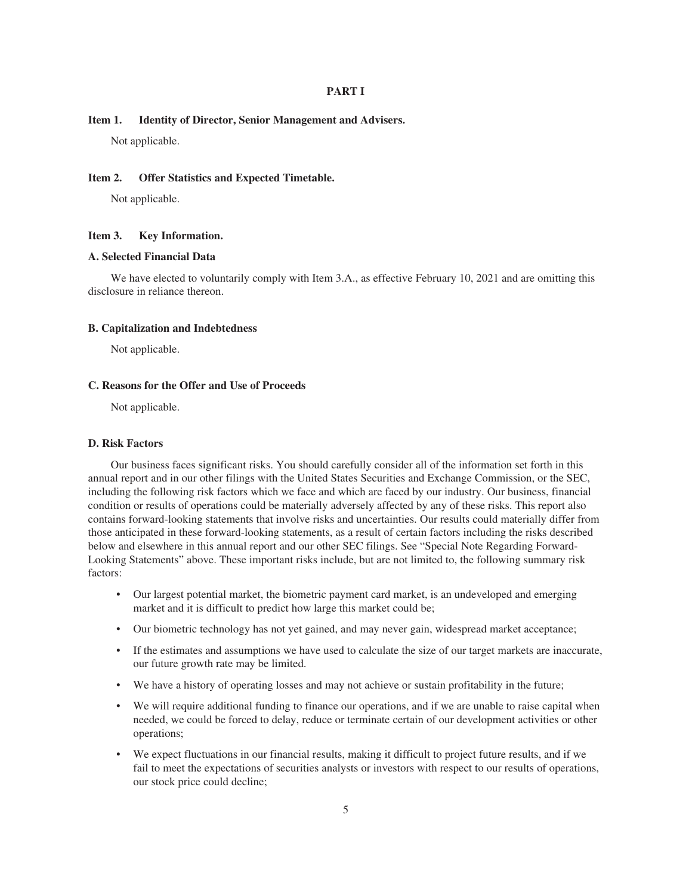#### **PART I**

#### **Item 1. Identity of Director, Senior Management and Advisers.**

Not applicable.

# **Item 2. Offer Statistics and Expected Timetable.**

Not applicable.

#### **Item 3. Key Information.**

#### **A. Selected Financial Data**

We have elected to voluntarily comply with Item 3.A., as effective February 10, 2021 and are omitting this disclosure in reliance thereon.

#### **B. Capitalization and Indebtedness**

Not applicable.

#### **C. Reasons for the Offer and Use of Proceeds**

Not applicable.

#### **D. Risk Factors**

Our business faces significant risks. You should carefully consider all of the information set forth in this annual report and in our other filings with the United States Securities and Exchange Commission, or the SEC, including the following risk factors which we face and which are faced by our industry. Our business, financial condition or results of operations could be materially adversely affected by any of these risks. This report also contains forward-looking statements that involve risks and uncertainties. Our results could materially differ from those anticipated in these forward-looking statements, as a result of certain factors including the risks described below and elsewhere in this annual report and our other SEC filings. See "Special Note Regarding Forward-Looking Statements" above. These important risks include, but are not limited to, the following summary risk factors:

- Our largest potential market, the biometric payment card market, is an undeveloped and emerging market and it is difficult to predict how large this market could be;
- Our biometric technology has not yet gained, and may never gain, widespread market acceptance;
- If the estimates and assumptions we have used to calculate the size of our target markets are inaccurate, our future growth rate may be limited.
- We have a history of operating losses and may not achieve or sustain profitability in the future;
- We will require additional funding to finance our operations, and if we are unable to raise capital when needed, we could be forced to delay, reduce or terminate certain of our development activities or other operations;
- We expect fluctuations in our financial results, making it difficult to project future results, and if we fail to meet the expectations of securities analysts or investors with respect to our results of operations, our stock price could decline;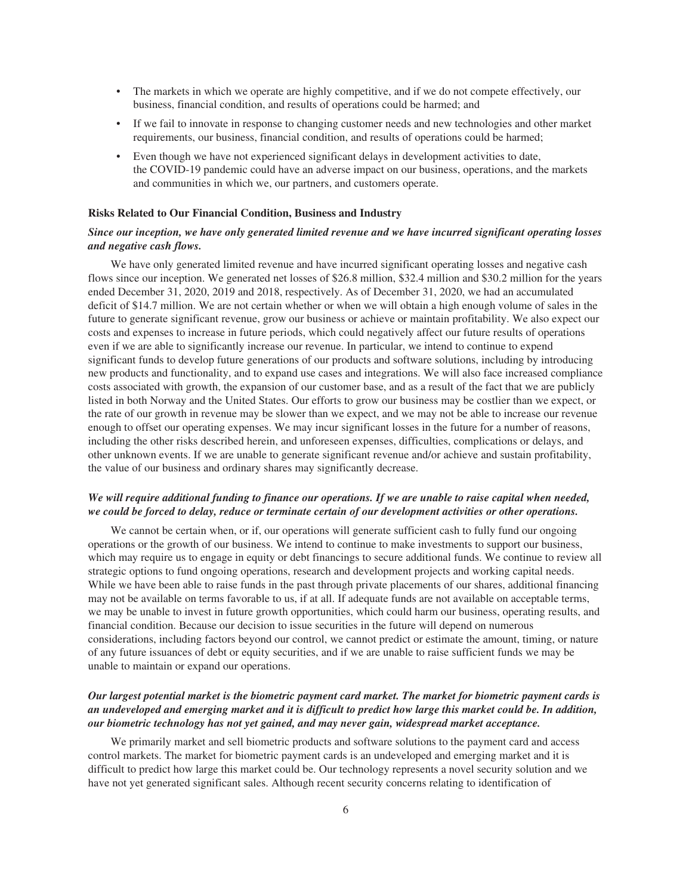- The markets in which we operate are highly competitive, and if we do not compete effectively, our business, financial condition, and results of operations could be harmed; and
- If we fail to innovate in response to changing customer needs and new technologies and other market requirements, our business, financial condition, and results of operations could be harmed;
- Even though we have not experienced significant delays in development activities to date, the COVID-19 pandemic could have an adverse impact on our business, operations, and the markets and communities in which we, our partners, and customers operate.

#### **Risks Related to Our Financial Condition, Business and Industry**

#### *Since our inception, we have only generated limited revenue and we have incurred significant operating losses and negative cash flows.*

We have only generated limited revenue and have incurred significant operating losses and negative cash flows since our inception. We generated net losses of \$26.8 million, \$32.4 million and \$30.2 million for the years ended December 31, 2020, 2019 and 2018, respectively. As of December 31, 2020, we had an accumulated deficit of \$14.7 million. We are not certain whether or when we will obtain a high enough volume of sales in the future to generate significant revenue, grow our business or achieve or maintain profitability. We also expect our costs and expenses to increase in future periods, which could negatively affect our future results of operations even if we are able to significantly increase our revenue. In particular, we intend to continue to expend significant funds to develop future generations of our products and software solutions, including by introducing new products and functionality, and to expand use cases and integrations. We will also face increased compliance costs associated with growth, the expansion of our customer base, and as a result of the fact that we are publicly listed in both Norway and the United States. Our efforts to grow our business may be costlier than we expect, or the rate of our growth in revenue may be slower than we expect, and we may not be able to increase our revenue enough to offset our operating expenses. We may incur significant losses in the future for a number of reasons, including the other risks described herein, and unforeseen expenses, difficulties, complications or delays, and other unknown events. If we are unable to generate significant revenue and/or achieve and sustain profitability, the value of our business and ordinary shares may significantly decrease.

#### *We will require additional funding to finance our operations. If we are unable to raise capital when needed, we could be forced to delay, reduce or terminate certain of our development activities or other operations.*

We cannot be certain when, or if, our operations will generate sufficient cash to fully fund our ongoing operations or the growth of our business. We intend to continue to make investments to support our business, which may require us to engage in equity or debt financings to secure additional funds. We continue to review all strategic options to fund ongoing operations, research and development projects and working capital needs. While we have been able to raise funds in the past through private placements of our shares, additional financing may not be available on terms favorable to us, if at all. If adequate funds are not available on acceptable terms, we may be unable to invest in future growth opportunities, which could harm our business, operating results, and financial condition. Because our decision to issue securities in the future will depend on numerous considerations, including factors beyond our control, we cannot predict or estimate the amount, timing, or nature of any future issuances of debt or equity securities, and if we are unable to raise sufficient funds we may be unable to maintain or expand our operations.

# *Our largest potential market is the biometric payment card market. The market for biometric payment cards is an undeveloped and emerging market and it is difficult to predict how large this market could be. In addition, our biometric technology has not yet gained, and may never gain, widespread market acceptance.*

We primarily market and sell biometric products and software solutions to the payment card and access control markets. The market for biometric payment cards is an undeveloped and emerging market and it is difficult to predict how large this market could be. Our technology represents a novel security solution and we have not yet generated significant sales. Although recent security concerns relating to identification of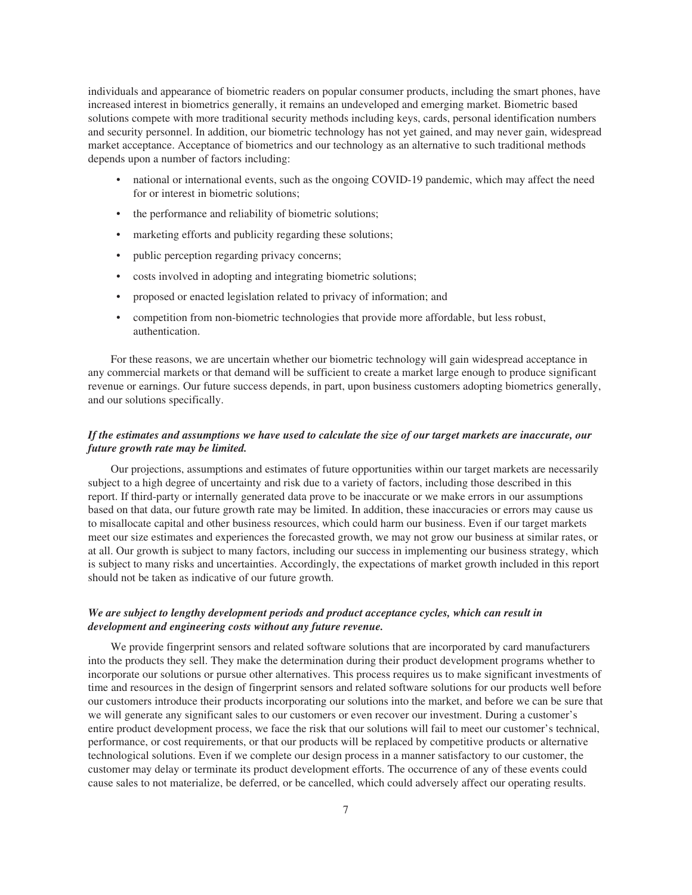individuals and appearance of biometric readers on popular consumer products, including the smart phones, have increased interest in biometrics generally, it remains an undeveloped and emerging market. Biometric based solutions compete with more traditional security methods including keys, cards, personal identification numbers and security personnel. In addition, our biometric technology has not yet gained, and may never gain, widespread market acceptance. Acceptance of biometrics and our technology as an alternative to such traditional methods depends upon a number of factors including:

- national or international events, such as the ongoing COVID-19 pandemic, which may affect the need for or interest in biometric solutions;
- the performance and reliability of biometric solutions;
- marketing efforts and publicity regarding these solutions;
- public perception regarding privacy concerns;
- costs involved in adopting and integrating biometric solutions;
- proposed or enacted legislation related to privacy of information; and
- competition from non-biometric technologies that provide more affordable, but less robust, authentication.

For these reasons, we are uncertain whether our biometric technology will gain widespread acceptance in any commercial markets or that demand will be sufficient to create a market large enough to produce significant revenue or earnings. Our future success depends, in part, upon business customers adopting biometrics generally, and our solutions specifically.

# *If the estimates and assumptions we have used to calculate the size of our target markets are inaccurate, our future growth rate may be limited.*

Our projections, assumptions and estimates of future opportunities within our target markets are necessarily subject to a high degree of uncertainty and risk due to a variety of factors, including those described in this report. If third-party or internally generated data prove to be inaccurate or we make errors in our assumptions based on that data, our future growth rate may be limited. In addition, these inaccuracies or errors may cause us to misallocate capital and other business resources, which could harm our business. Even if our target markets meet our size estimates and experiences the forecasted growth, we may not grow our business at similar rates, or at all. Our growth is subject to many factors, including our success in implementing our business strategy, which is subject to many risks and uncertainties. Accordingly, the expectations of market growth included in this report should not be taken as indicative of our future growth.

# *We are subject to lengthy development periods and product acceptance cycles, which can result in development and engineering costs without any future revenue.*

We provide fingerprint sensors and related software solutions that are incorporated by card manufacturers into the products they sell. They make the determination during their product development programs whether to incorporate our solutions or pursue other alternatives. This process requires us to make significant investments of time and resources in the design of fingerprint sensors and related software solutions for our products well before our customers introduce their products incorporating our solutions into the market, and before we can be sure that we will generate any significant sales to our customers or even recover our investment. During a customer's entire product development process, we face the risk that our solutions will fail to meet our customer's technical, performance, or cost requirements, or that our products will be replaced by competitive products or alternative technological solutions. Even if we complete our design process in a manner satisfactory to our customer, the customer may delay or terminate its product development efforts. The occurrence of any of these events could cause sales to not materialize, be deferred, or be cancelled, which could adversely affect our operating results.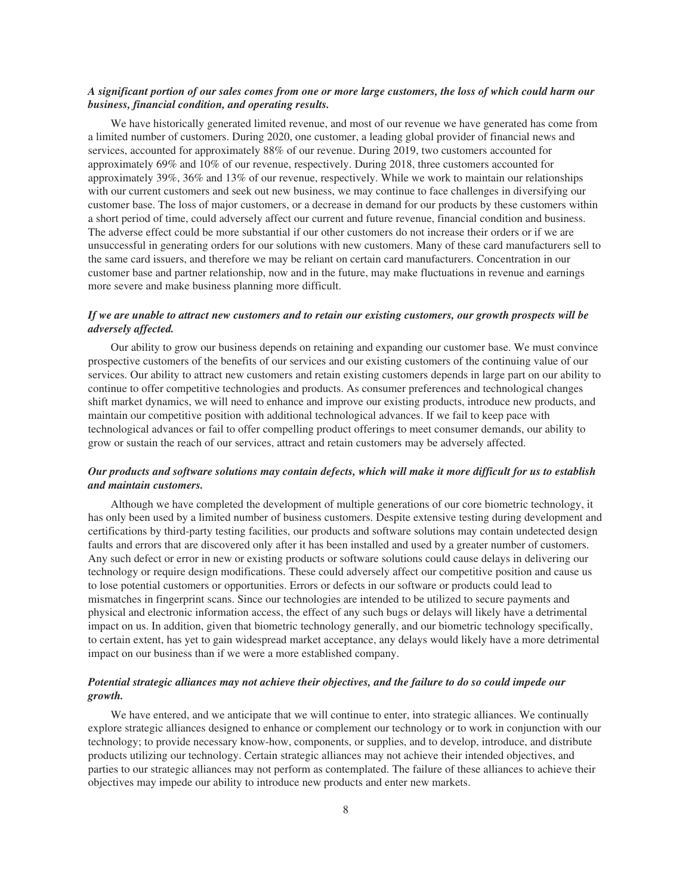#### *A significant portion of our sales comes from one or more large customers, the loss of which could harm our business, financial condition, and operating results.*

We have historically generated limited revenue, and most of our revenue we have generated has come from a limited number of customers. During 2020, one customer, a leading global provider of financial news and services, accounted for approximately 88% of our revenue. During 2019, two customers accounted for approximately 69% and 10% of our revenue, respectively. During 2018, three customers accounted for approximately 39%, 36% and 13% of our revenue, respectively. While we work to maintain our relationships with our current customers and seek out new business, we may continue to face challenges in diversifying our customer base. The loss of major customers, or a decrease in demand for our products by these customers within a short period of time, could adversely affect our current and future revenue, financial condition and business. The adverse effect could be more substantial if our other customers do not increase their orders or if we are unsuccessful in generating orders for our solutions with new customers. Many of these card manufacturers sell to the same card issuers, and therefore we may be reliant on certain card manufacturers. Concentration in our customer base and partner relationship, now and in the future, may make fluctuations in revenue and earnings more severe and make business planning more difficult.

# *If we are unable to attract new customers and to retain our existing customers, our growth prospects will be adversely affected.*

Our ability to grow our business depends on retaining and expanding our customer base. We must convince prospective customers of the benefits of our services and our existing customers of the continuing value of our services. Our ability to attract new customers and retain existing customers depends in large part on our ability to continue to offer competitive technologies and products. As consumer preferences and technological changes shift market dynamics, we will need to enhance and improve our existing products, introduce new products, and maintain our competitive position with additional technological advances. If we fail to keep pace with technological advances or fail to offer compelling product offerings to meet consumer demands, our ability to grow or sustain the reach of our services, attract and retain customers may be adversely affected.

# *Our products and software solutions may contain defects, which will make it more difficult for us to establish and maintain customers.*

Although we have completed the development of multiple generations of our core biometric technology, it has only been used by a limited number of business customers. Despite extensive testing during development and certifications by third-party testing facilities, our products and software solutions may contain undetected design faults and errors that are discovered only after it has been installed and used by a greater number of customers. Any such defect or error in new or existing products or software solutions could cause delays in delivering our technology or require design modifications. These could adversely affect our competitive position and cause us to lose potential customers or opportunities. Errors or defects in our software or products could lead to mismatches in fingerprint scans. Since our technologies are intended to be utilized to secure payments and physical and electronic information access, the effect of any such bugs or delays will likely have a detrimental impact on us. In addition, given that biometric technology generally, and our biometric technology specifically, to certain extent, has yet to gain widespread market acceptance, any delays would likely have a more detrimental impact on our business than if we were a more established company.

# *Potential strategic alliances may not achieve their objectives, and the failure to do so could impede our growth.*

We have entered, and we anticipate that we will continue to enter, into strategic alliances. We continually explore strategic alliances designed to enhance or complement our technology or to work in conjunction with our technology; to provide necessary know-how, components, or supplies, and to develop, introduce, and distribute products utilizing our technology. Certain strategic alliances may not achieve their intended objectives, and parties to our strategic alliances may not perform as contemplated. The failure of these alliances to achieve their objectives may impede our ability to introduce new products and enter new markets.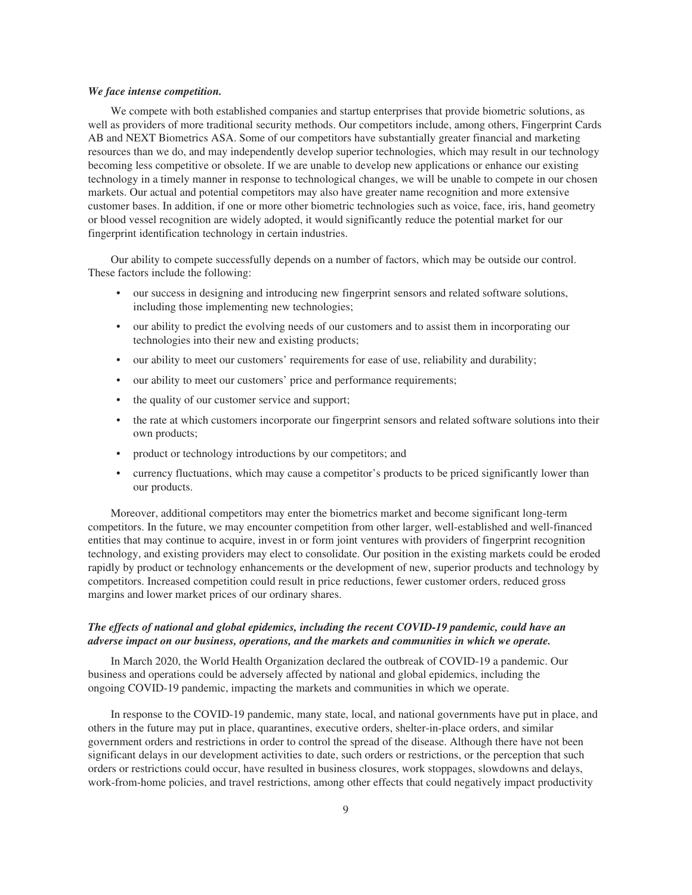#### *We face intense competition.*

We compete with both established companies and startup enterprises that provide biometric solutions, as well as providers of more traditional security methods. Our competitors include, among others, Fingerprint Cards AB and NEXT Biometrics ASA. Some of our competitors have substantially greater financial and marketing resources than we do, and may independently develop superior technologies, which may result in our technology becoming less competitive or obsolete. If we are unable to develop new applications or enhance our existing technology in a timely manner in response to technological changes, we will be unable to compete in our chosen markets. Our actual and potential competitors may also have greater name recognition and more extensive customer bases. In addition, if one or more other biometric technologies such as voice, face, iris, hand geometry or blood vessel recognition are widely adopted, it would significantly reduce the potential market for our fingerprint identification technology in certain industries.

Our ability to compete successfully depends on a number of factors, which may be outside our control. These factors include the following:

- our success in designing and introducing new fingerprint sensors and related software solutions, including those implementing new technologies;
- our ability to predict the evolving needs of our customers and to assist them in incorporating our technologies into their new and existing products;
- our ability to meet our customers' requirements for ease of use, reliability and durability;
- our ability to meet our customers' price and performance requirements;
- the quality of our customer service and support;
- the rate at which customers incorporate our fingerprint sensors and related software solutions into their own products;
- product or technology introductions by our competitors; and
- currency fluctuations, which may cause a competitor's products to be priced significantly lower than our products.

Moreover, additional competitors may enter the biometrics market and become significant long-term competitors. In the future, we may encounter competition from other larger, well-established and well-financed entities that may continue to acquire, invest in or form joint ventures with providers of fingerprint recognition technology, and existing providers may elect to consolidate. Our position in the existing markets could be eroded rapidly by product or technology enhancements or the development of new, superior products and technology by competitors. Increased competition could result in price reductions, fewer customer orders, reduced gross margins and lower market prices of our ordinary shares.

#### *The effects of national and global epidemics, including the recent COVID-19 pandemic, could have an adverse impact on our business, operations, and the markets and communities in which we operate.*

In March 2020, the World Health Organization declared the outbreak of COVID-19 a pandemic. Our business and operations could be adversely affected by national and global epidemics, including the ongoing COVID-19 pandemic, impacting the markets and communities in which we operate.

In response to the COVID-19 pandemic, many state, local, and national governments have put in place, and others in the future may put in place, quarantines, executive orders, shelter-in-place orders, and similar government orders and restrictions in order to control the spread of the disease. Although there have not been significant delays in our development activities to date, such orders or restrictions, or the perception that such orders or restrictions could occur, have resulted in business closures, work stoppages, slowdowns and delays, work-from-home policies, and travel restrictions, among other effects that could negatively impact productivity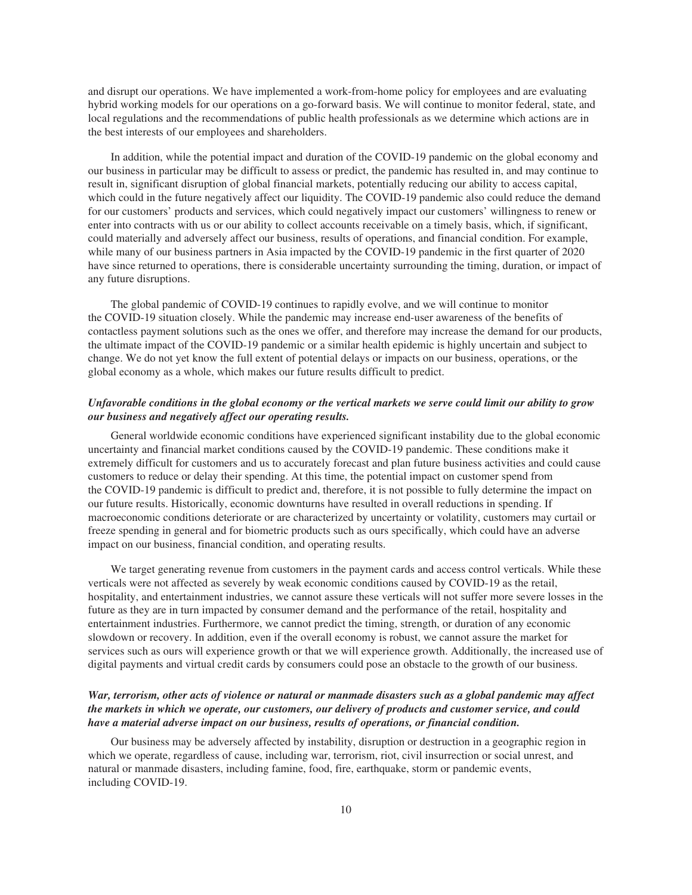and disrupt our operations. We have implemented a work-from-home policy for employees and are evaluating hybrid working models for our operations on a go-forward basis. We will continue to monitor federal, state, and local regulations and the recommendations of public health professionals as we determine which actions are in the best interests of our employees and shareholders.

In addition, while the potential impact and duration of the COVID-19 pandemic on the global economy and our business in particular may be difficult to assess or predict, the pandemic has resulted in, and may continue to result in, significant disruption of global financial markets, potentially reducing our ability to access capital, which could in the future negatively affect our liquidity. The COVID-19 pandemic also could reduce the demand for our customers' products and services, which could negatively impact our customers' willingness to renew or enter into contracts with us or our ability to collect accounts receivable on a timely basis, which, if significant, could materially and adversely affect our business, results of operations, and financial condition. For example, while many of our business partners in Asia impacted by the COVID-19 pandemic in the first quarter of 2020 have since returned to operations, there is considerable uncertainty surrounding the timing, duration, or impact of any future disruptions.

The global pandemic of COVID-19 continues to rapidly evolve, and we will continue to monitor the COVID-19 situation closely. While the pandemic may increase end-user awareness of the benefits of contactless payment solutions such as the ones we offer, and therefore may increase the demand for our products, the ultimate impact of the COVID-19 pandemic or a similar health epidemic is highly uncertain and subject to change. We do not yet know the full extent of potential delays or impacts on our business, operations, or the global economy as a whole, which makes our future results difficult to predict.

#### *Unfavorable conditions in the global economy or the vertical markets we serve could limit our ability to grow our business and negatively affect our operating results.*

General worldwide economic conditions have experienced significant instability due to the global economic uncertainty and financial market conditions caused by the COVID-19 pandemic. These conditions make it extremely difficult for customers and us to accurately forecast and plan future business activities and could cause customers to reduce or delay their spending. At this time, the potential impact on customer spend from the COVID-19 pandemic is difficult to predict and, therefore, it is not possible to fully determine the impact on our future results. Historically, economic downturns have resulted in overall reductions in spending. If macroeconomic conditions deteriorate or are characterized by uncertainty or volatility, customers may curtail or freeze spending in general and for biometric products such as ours specifically, which could have an adverse impact on our business, financial condition, and operating results.

We target generating revenue from customers in the payment cards and access control verticals. While these verticals were not affected as severely by weak economic conditions caused by COVID-19 as the retail, hospitality, and entertainment industries, we cannot assure these verticals will not suffer more severe losses in the future as they are in turn impacted by consumer demand and the performance of the retail, hospitality and entertainment industries. Furthermore, we cannot predict the timing, strength, or duration of any economic slowdown or recovery. In addition, even if the overall economy is robust, we cannot assure the market for services such as ours will experience growth or that we will experience growth. Additionally, the increased use of digital payments and virtual credit cards by consumers could pose an obstacle to the growth of our business.

# *War, terrorism, other acts of violence or natural or manmade disasters such as a global pandemic may affect the markets in which we operate, our customers, our delivery of products and customer service, and could have a material adverse impact on our business, results of operations, or financial condition.*

Our business may be adversely affected by instability, disruption or destruction in a geographic region in which we operate, regardless of cause, including war, terrorism, riot, civil insurrection or social unrest, and natural or manmade disasters, including famine, food, fire, earthquake, storm or pandemic events, including COVID-19.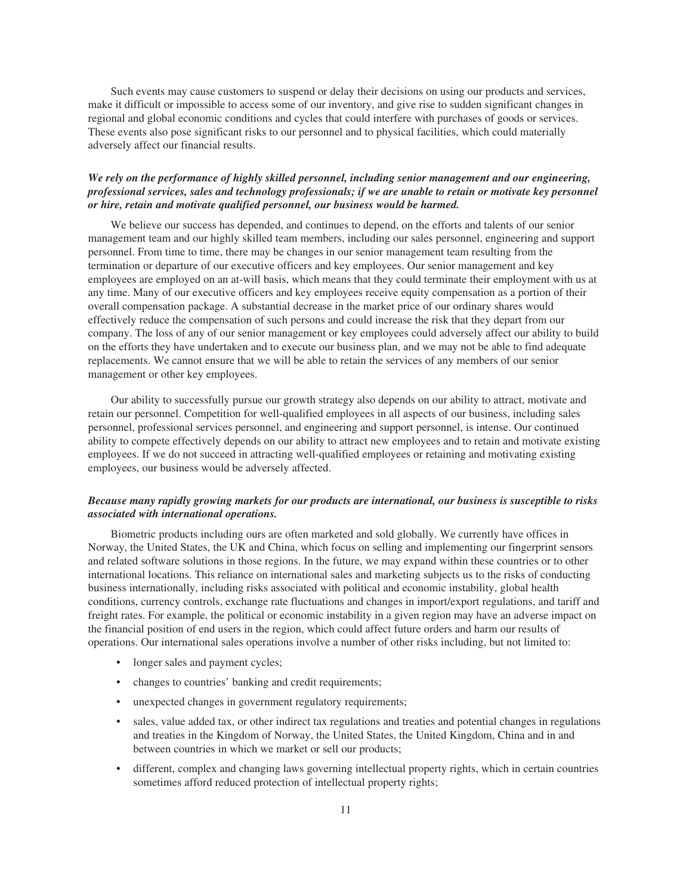Such events may cause customers to suspend or delay their decisions on using our products and services, make it difficult or impossible to access some of our inventory, and give rise to sudden significant changes in regional and global economic conditions and cycles that could interfere with purchases of goods or services. These events also pose significant risks to our personnel and to physical facilities, which could materially adversely affect our financial results.

# *We rely on the performance of highly skilled personnel, including senior management and our engineering, professional services, sales and technology professionals; if we are unable to retain or motivate key personnel or hire, retain and motivate qualified personnel, our business would be harmed.*

We believe our success has depended, and continues to depend, on the efforts and talents of our senior management team and our highly skilled team members, including our sales personnel, engineering and support personnel. From time to time, there may be changes in our senior management team resulting from the termination or departure of our executive officers and key employees. Our senior management and key employees are employed on an at-will basis, which means that they could terminate their employment with us at any time. Many of our executive officers and key employees receive equity compensation as a portion of their overall compensation package. A substantial decrease in the market price of our ordinary shares would effectively reduce the compensation of such persons and could increase the risk that they depart from our company. The loss of any of our senior management or key employees could adversely affect our ability to build on the efforts they have undertaken and to execute our business plan, and we may not be able to find adequate replacements. We cannot ensure that we will be able to retain the services of any members of our senior management or other key employees.

Our ability to successfully pursue our growth strategy also depends on our ability to attract, motivate and retain our personnel. Competition for well-qualified employees in all aspects of our business, including sales personnel, professional services personnel, and engineering and support personnel, is intense. Our continued ability to compete effectively depends on our ability to attract new employees and to retain and motivate existing employees. If we do not succeed in attracting well-qualified employees or retaining and motivating existing employees, our business would be adversely affected.

# *Because many rapidly growing markets for our products are international, our business is susceptible to risks associated with international operations.*

Biometric products including ours are often marketed and sold globally. We currently have offices in Norway, the United States, the UK and China, which focus on selling and implementing our fingerprint sensors and related software solutions in those regions. In the future, we may expand within these countries or to other international locations. This reliance on international sales and marketing subjects us to the risks of conducting business internationally, including risks associated with political and economic instability, global health conditions, currency controls, exchange rate fluctuations and changes in import/export regulations, and tariff and freight rates. For example, the political or economic instability in a given region may have an adverse impact on the financial position of end users in the region, which could affect future orders and harm our results of operations. Our international sales operations involve a number of other risks including, but not limited to:

- longer sales and payment cycles;
- changes to countries' banking and credit requirements;
- unexpected changes in government regulatory requirements;
- sales, value added tax, or other indirect tax regulations and treaties and potential changes in regulations and treaties in the Kingdom of Norway, the United States, the United Kingdom, China and in and between countries in which we market or sell our products;
- different, complex and changing laws governing intellectual property rights, which in certain countries sometimes afford reduced protection of intellectual property rights;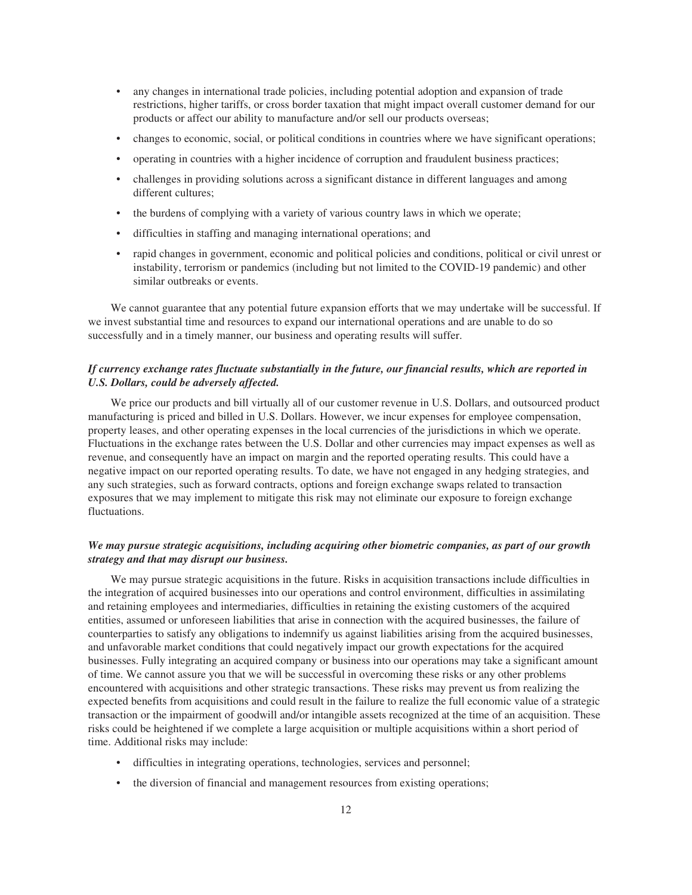- any changes in international trade policies, including potential adoption and expansion of trade restrictions, higher tariffs, or cross border taxation that might impact overall customer demand for our products or affect our ability to manufacture and/or sell our products overseas;
- changes to economic, social, or political conditions in countries where we have significant operations;
- operating in countries with a higher incidence of corruption and fraudulent business practices;
- challenges in providing solutions across a significant distance in different languages and among different cultures;
- the burdens of complying with a variety of various country laws in which we operate;
- difficulties in staffing and managing international operations; and
- rapid changes in government, economic and political policies and conditions, political or civil unrest or instability, terrorism or pandemics (including but not limited to the COVID-19 pandemic) and other similar outbreaks or events.

We cannot guarantee that any potential future expansion efforts that we may undertake will be successful. If we invest substantial time and resources to expand our international operations and are unable to do so successfully and in a timely manner, our business and operating results will suffer.

# *If currency exchange rates fluctuate substantially in the future, our financial results, which are reported in U.S. Dollars, could be adversely affected.*

We price our products and bill virtually all of our customer revenue in U.S. Dollars, and outsourced product manufacturing is priced and billed in U.S. Dollars. However, we incur expenses for employee compensation, property leases, and other operating expenses in the local currencies of the jurisdictions in which we operate. Fluctuations in the exchange rates between the U.S. Dollar and other currencies may impact expenses as well as revenue, and consequently have an impact on margin and the reported operating results. This could have a negative impact on our reported operating results. To date, we have not engaged in any hedging strategies, and any such strategies, such as forward contracts, options and foreign exchange swaps related to transaction exposures that we may implement to mitigate this risk may not eliminate our exposure to foreign exchange fluctuations.

# *We may pursue strategic acquisitions, including acquiring other biometric companies, as part of our growth strategy and that may disrupt our business.*

We may pursue strategic acquisitions in the future. Risks in acquisition transactions include difficulties in the integration of acquired businesses into our operations and control environment, difficulties in assimilating and retaining employees and intermediaries, difficulties in retaining the existing customers of the acquired entities, assumed or unforeseen liabilities that arise in connection with the acquired businesses, the failure of counterparties to satisfy any obligations to indemnify us against liabilities arising from the acquired businesses, and unfavorable market conditions that could negatively impact our growth expectations for the acquired businesses. Fully integrating an acquired company or business into our operations may take a significant amount of time. We cannot assure you that we will be successful in overcoming these risks or any other problems encountered with acquisitions and other strategic transactions. These risks may prevent us from realizing the expected benefits from acquisitions and could result in the failure to realize the full economic value of a strategic transaction or the impairment of goodwill and/or intangible assets recognized at the time of an acquisition. These risks could be heightened if we complete a large acquisition or multiple acquisitions within a short period of time. Additional risks may include:

- difficulties in integrating operations, technologies, services and personnel;
- the diversion of financial and management resources from existing operations;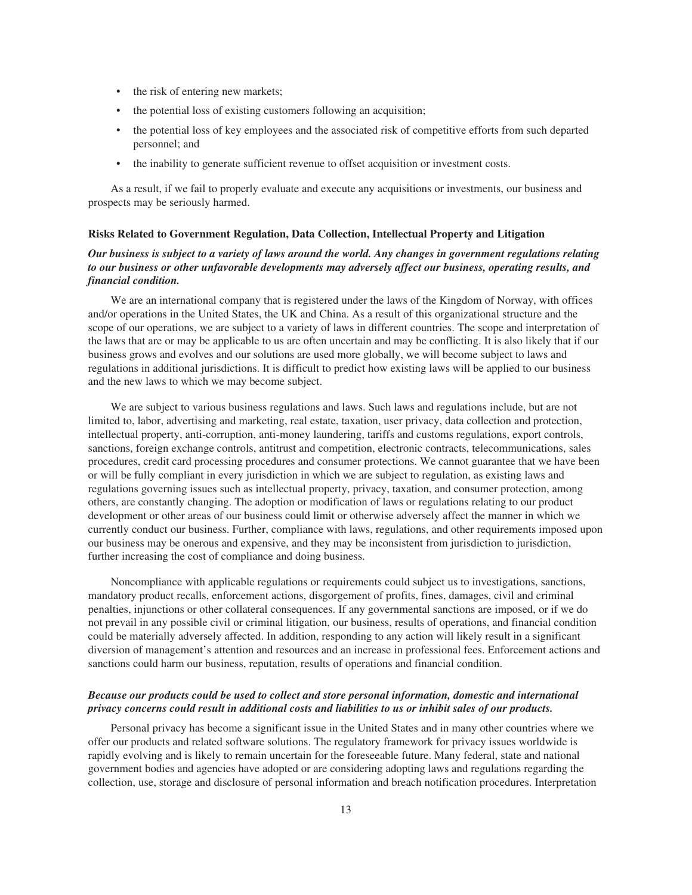- the risk of entering new markets;
- the potential loss of existing customers following an acquisition;
- the potential loss of key employees and the associated risk of competitive efforts from such departed personnel; and
- the inability to generate sufficient revenue to offset acquisition or investment costs.

As a result, if we fail to properly evaluate and execute any acquisitions or investments, our business and prospects may be seriously harmed.

#### **Risks Related to Government Regulation, Data Collection, Intellectual Property and Litigation**

# *Our business is subject to a variety of laws around the world. Any changes in government regulations relating to our business or other unfavorable developments may adversely affect our business, operating results, and financial condition.*

We are an international company that is registered under the laws of the Kingdom of Norway, with offices and/or operations in the United States, the UK and China. As a result of this organizational structure and the scope of our operations, we are subject to a variety of laws in different countries. The scope and interpretation of the laws that are or may be applicable to us are often uncertain and may be conflicting. It is also likely that if our business grows and evolves and our solutions are used more globally, we will become subject to laws and regulations in additional jurisdictions. It is difficult to predict how existing laws will be applied to our business and the new laws to which we may become subject.

We are subject to various business regulations and laws. Such laws and regulations include, but are not limited to, labor, advertising and marketing, real estate, taxation, user privacy, data collection and protection, intellectual property, anti-corruption, anti-money laundering, tariffs and customs regulations, export controls, sanctions, foreign exchange controls, antitrust and competition, electronic contracts, telecommunications, sales procedures, credit card processing procedures and consumer protections. We cannot guarantee that we have been or will be fully compliant in every jurisdiction in which we are subject to regulation, as existing laws and regulations governing issues such as intellectual property, privacy, taxation, and consumer protection, among others, are constantly changing. The adoption or modification of laws or regulations relating to our product development or other areas of our business could limit or otherwise adversely affect the manner in which we currently conduct our business. Further, compliance with laws, regulations, and other requirements imposed upon our business may be onerous and expensive, and they may be inconsistent from jurisdiction to jurisdiction, further increasing the cost of compliance and doing business.

Noncompliance with applicable regulations or requirements could subject us to investigations, sanctions, mandatory product recalls, enforcement actions, disgorgement of profits, fines, damages, civil and criminal penalties, injunctions or other collateral consequences. If any governmental sanctions are imposed, or if we do not prevail in any possible civil or criminal litigation, our business, results of operations, and financial condition could be materially adversely affected. In addition, responding to any action will likely result in a significant diversion of management's attention and resources and an increase in professional fees. Enforcement actions and sanctions could harm our business, reputation, results of operations and financial condition.

#### *Because our products could be used to collect and store personal information, domestic and international privacy concerns could result in additional costs and liabilities to us or inhibit sales of our products.*

Personal privacy has become a significant issue in the United States and in many other countries where we offer our products and related software solutions. The regulatory framework for privacy issues worldwide is rapidly evolving and is likely to remain uncertain for the foreseeable future. Many federal, state and national government bodies and agencies have adopted or are considering adopting laws and regulations regarding the collection, use, storage and disclosure of personal information and breach notification procedures. Interpretation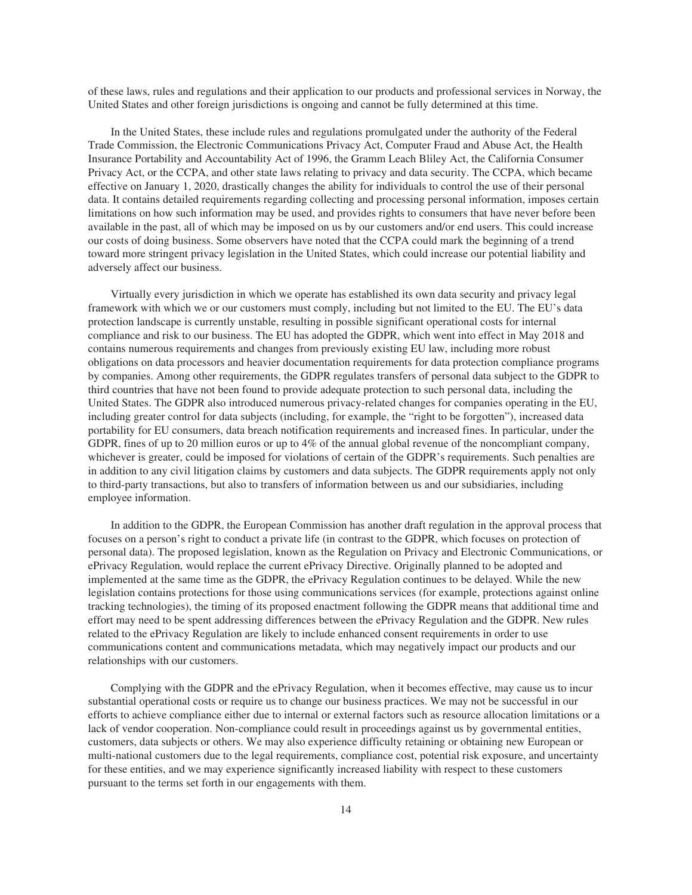of these laws, rules and regulations and their application to our products and professional services in Norway, the United States and other foreign jurisdictions is ongoing and cannot be fully determined at this time.

In the United States, these include rules and regulations promulgated under the authority of the Federal Trade Commission, the Electronic Communications Privacy Act, Computer Fraud and Abuse Act, the Health Insurance Portability and Accountability Act of 1996, the Gramm Leach Bliley Act, the California Consumer Privacy Act, or the CCPA, and other state laws relating to privacy and data security. The CCPA, which became effective on January 1, 2020, drastically changes the ability for individuals to control the use of their personal data. It contains detailed requirements regarding collecting and processing personal information, imposes certain limitations on how such information may be used, and provides rights to consumers that have never before been available in the past, all of which may be imposed on us by our customers and/or end users. This could increase our costs of doing business. Some observers have noted that the CCPA could mark the beginning of a trend toward more stringent privacy legislation in the United States, which could increase our potential liability and adversely affect our business.

Virtually every jurisdiction in which we operate has established its own data security and privacy legal framework with which we or our customers must comply, including but not limited to the EU. The EU's data protection landscape is currently unstable, resulting in possible significant operational costs for internal compliance and risk to our business. The EU has adopted the GDPR, which went into effect in May 2018 and contains numerous requirements and changes from previously existing EU law, including more robust obligations on data processors and heavier documentation requirements for data protection compliance programs by companies. Among other requirements, the GDPR regulates transfers of personal data subject to the GDPR to third countries that have not been found to provide adequate protection to such personal data, including the United States. The GDPR also introduced numerous privacy-related changes for companies operating in the EU, including greater control for data subjects (including, for example, the "right to be forgotten"), increased data portability for EU consumers, data breach notification requirements and increased fines. In particular, under the GDPR, fines of up to 20 million euros or up to 4% of the annual global revenue of the noncompliant company, whichever is greater, could be imposed for violations of certain of the GDPR's requirements. Such penalties are in addition to any civil litigation claims by customers and data subjects. The GDPR requirements apply not only to third-party transactions, but also to transfers of information between us and our subsidiaries, including employee information.

In addition to the GDPR, the European Commission has another draft regulation in the approval process that focuses on a person's right to conduct a private life (in contrast to the GDPR, which focuses on protection of personal data). The proposed legislation, known as the Regulation on Privacy and Electronic Communications, or ePrivacy Regulation, would replace the current ePrivacy Directive. Originally planned to be adopted and implemented at the same time as the GDPR, the ePrivacy Regulation continues to be delayed. While the new legislation contains protections for those using communications services (for example, protections against online tracking technologies), the timing of its proposed enactment following the GDPR means that additional time and effort may need to be spent addressing differences between the ePrivacy Regulation and the GDPR. New rules related to the ePrivacy Regulation are likely to include enhanced consent requirements in order to use communications content and communications metadata, which may negatively impact our products and our relationships with our customers.

Complying with the GDPR and the ePrivacy Regulation, when it becomes effective, may cause us to incur substantial operational costs or require us to change our business practices. We may not be successful in our efforts to achieve compliance either due to internal or external factors such as resource allocation limitations or a lack of vendor cooperation. Non-compliance could result in proceedings against us by governmental entities, customers, data subjects or others. We may also experience difficulty retaining or obtaining new European or multi-national customers due to the legal requirements, compliance cost, potential risk exposure, and uncertainty for these entities, and we may experience significantly increased liability with respect to these customers pursuant to the terms set forth in our engagements with them.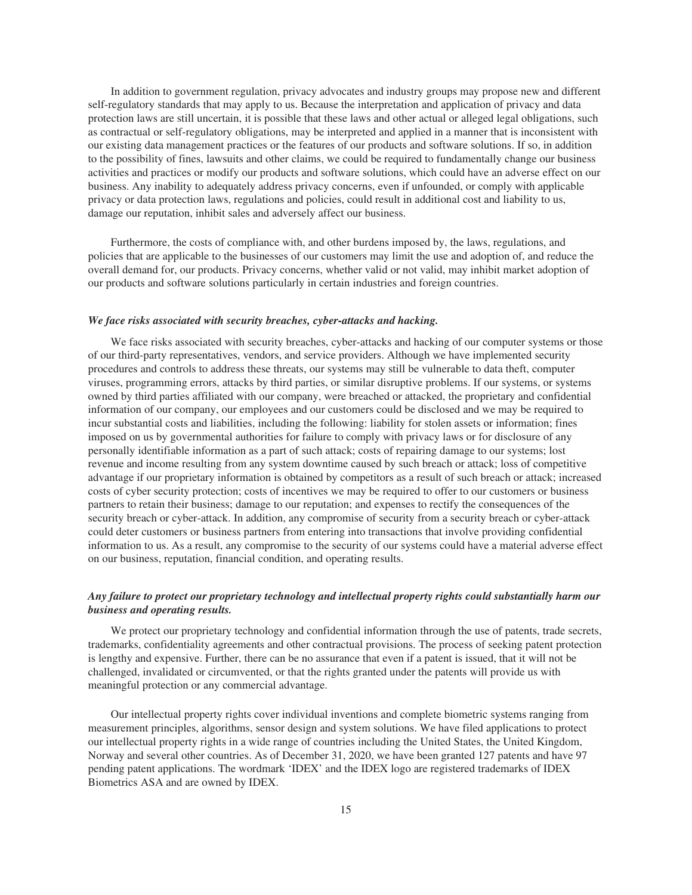In addition to government regulation, privacy advocates and industry groups may propose new and different self-regulatory standards that may apply to us. Because the interpretation and application of privacy and data protection laws are still uncertain, it is possible that these laws and other actual or alleged legal obligations, such as contractual or self-regulatory obligations, may be interpreted and applied in a manner that is inconsistent with our existing data management practices or the features of our products and software solutions. If so, in addition to the possibility of fines, lawsuits and other claims, we could be required to fundamentally change our business activities and practices or modify our products and software solutions, which could have an adverse effect on our business. Any inability to adequately address privacy concerns, even if unfounded, or comply with applicable privacy or data protection laws, regulations and policies, could result in additional cost and liability to us, damage our reputation, inhibit sales and adversely affect our business.

Furthermore, the costs of compliance with, and other burdens imposed by, the laws, regulations, and policies that are applicable to the businesses of our customers may limit the use and adoption of, and reduce the overall demand for, our products. Privacy concerns, whether valid or not valid, may inhibit market adoption of our products and software solutions particularly in certain industries and foreign countries.

#### *We face risks associated with security breaches, cyber-attacks and hacking.*

We face risks associated with security breaches, cyber-attacks and hacking of our computer systems or those of our third-party representatives, vendors, and service providers. Although we have implemented security procedures and controls to address these threats, our systems may still be vulnerable to data theft, computer viruses, programming errors, attacks by third parties, or similar disruptive problems. If our systems, or systems owned by third parties affiliated with our company, were breached or attacked, the proprietary and confidential information of our company, our employees and our customers could be disclosed and we may be required to incur substantial costs and liabilities, including the following: liability for stolen assets or information; fines imposed on us by governmental authorities for failure to comply with privacy laws or for disclosure of any personally identifiable information as a part of such attack; costs of repairing damage to our systems; lost revenue and income resulting from any system downtime caused by such breach or attack; loss of competitive advantage if our proprietary information is obtained by competitors as a result of such breach or attack; increased costs of cyber security protection; costs of incentives we may be required to offer to our customers or business partners to retain their business; damage to our reputation; and expenses to rectify the consequences of the security breach or cyber-attack. In addition, any compromise of security from a security breach or cyber-attack could deter customers or business partners from entering into transactions that involve providing confidential information to us. As a result, any compromise to the security of our systems could have a material adverse effect on our business, reputation, financial condition, and operating results.

#### *Any failure to protect our proprietary technology and intellectual property rights could substantially harm our business and operating results.*

We protect our proprietary technology and confidential information through the use of patents, trade secrets, trademarks, confidentiality agreements and other contractual provisions. The process of seeking patent protection is lengthy and expensive. Further, there can be no assurance that even if a patent is issued, that it will not be challenged, invalidated or circumvented, or that the rights granted under the patents will provide us with meaningful protection or any commercial advantage.

Our intellectual property rights cover individual inventions and complete biometric systems ranging from measurement principles, algorithms, sensor design and system solutions. We have filed applications to protect our intellectual property rights in a wide range of countries including the United States, the United Kingdom, Norway and several other countries. As of December 31, 2020, we have been granted 127 patents and have 97 pending patent applications. The wordmark 'IDEX' and the IDEX logo are registered trademarks of IDEX Biometrics ASA and are owned by IDEX.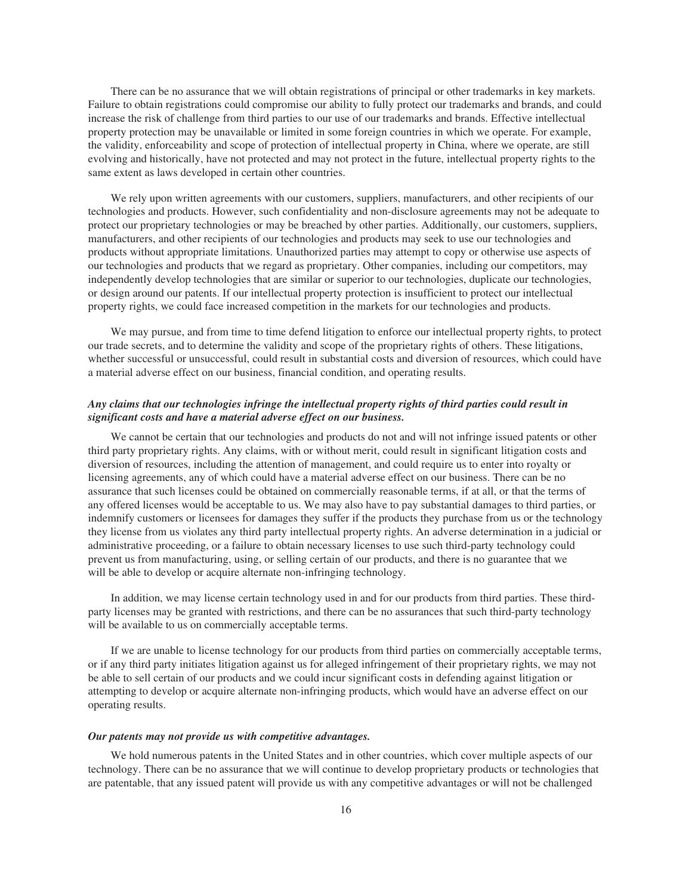There can be no assurance that we will obtain registrations of principal or other trademarks in key markets. Failure to obtain registrations could compromise our ability to fully protect our trademarks and brands, and could increase the risk of challenge from third parties to our use of our trademarks and brands. Effective intellectual property protection may be unavailable or limited in some foreign countries in which we operate. For example, the validity, enforceability and scope of protection of intellectual property in China, where we operate, are still evolving and historically, have not protected and may not protect in the future, intellectual property rights to the same extent as laws developed in certain other countries.

We rely upon written agreements with our customers, suppliers, manufacturers, and other recipients of our technologies and products. However, such confidentiality and non-disclosure agreements may not be adequate to protect our proprietary technologies or may be breached by other parties. Additionally, our customers, suppliers, manufacturers, and other recipients of our technologies and products may seek to use our technologies and products without appropriate limitations. Unauthorized parties may attempt to copy or otherwise use aspects of our technologies and products that we regard as proprietary. Other companies, including our competitors, may independently develop technologies that are similar or superior to our technologies, duplicate our technologies, or design around our patents. If our intellectual property protection is insufficient to protect our intellectual property rights, we could face increased competition in the markets for our technologies and products.

We may pursue, and from time to time defend litigation to enforce our intellectual property rights, to protect our trade secrets, and to determine the validity and scope of the proprietary rights of others. These litigations, whether successful or unsuccessful, could result in substantial costs and diversion of resources, which could have a material adverse effect on our business, financial condition, and operating results.

#### *Any claims that our technologies infringe the intellectual property rights of third parties could result in significant costs and have a material adverse effect on our business.*

We cannot be certain that our technologies and products do not and will not infringe issued patents or other third party proprietary rights. Any claims, with or without merit, could result in significant litigation costs and diversion of resources, including the attention of management, and could require us to enter into royalty or licensing agreements, any of which could have a material adverse effect on our business. There can be no assurance that such licenses could be obtained on commercially reasonable terms, if at all, or that the terms of any offered licenses would be acceptable to us. We may also have to pay substantial damages to third parties, or indemnify customers or licensees for damages they suffer if the products they purchase from us or the technology they license from us violates any third party intellectual property rights. An adverse determination in a judicial or administrative proceeding, or a failure to obtain necessary licenses to use such third-party technology could prevent us from manufacturing, using, or selling certain of our products, and there is no guarantee that we will be able to develop or acquire alternate non-infringing technology.

In addition, we may license certain technology used in and for our products from third parties. These thirdparty licenses may be granted with restrictions, and there can be no assurances that such third-party technology will be available to us on commercially acceptable terms.

If we are unable to license technology for our products from third parties on commercially acceptable terms, or if any third party initiates litigation against us for alleged infringement of their proprietary rights, we may not be able to sell certain of our products and we could incur significant costs in defending against litigation or attempting to develop or acquire alternate non-infringing products, which would have an adverse effect on our operating results.

#### *Our patents may not provide us with competitive advantages.*

We hold numerous patents in the United States and in other countries, which cover multiple aspects of our technology. There can be no assurance that we will continue to develop proprietary products or technologies that are patentable, that any issued patent will provide us with any competitive advantages or will not be challenged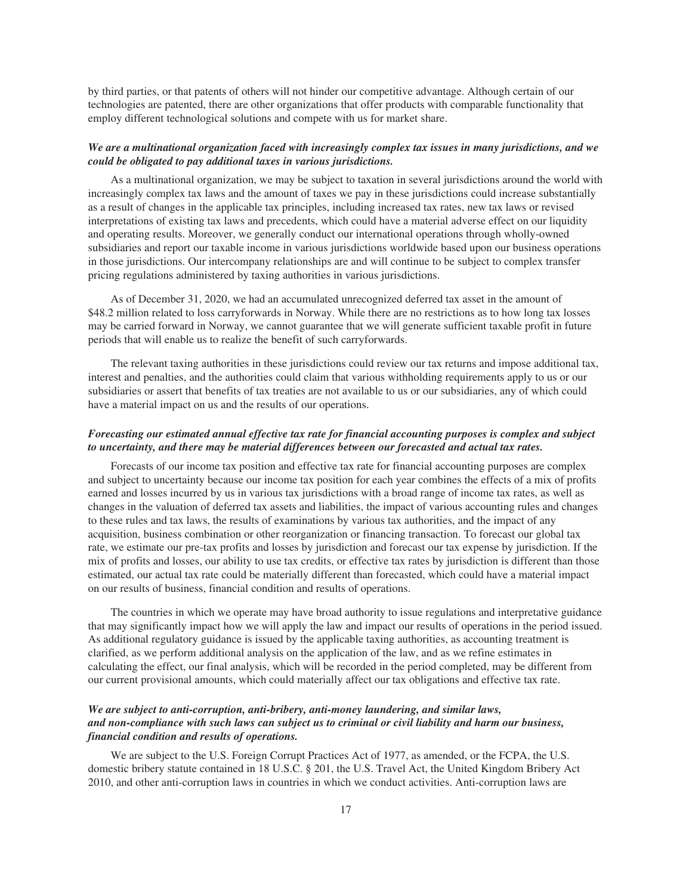by third parties, or that patents of others will not hinder our competitive advantage. Although certain of our technologies are patented, there are other organizations that offer products with comparable functionality that employ different technological solutions and compete with us for market share.

#### *We are a multinational organization faced with increasingly complex tax issues in many jurisdictions, and we could be obligated to pay additional taxes in various jurisdictions.*

As a multinational organization, we may be subject to taxation in several jurisdictions around the world with increasingly complex tax laws and the amount of taxes we pay in these jurisdictions could increase substantially as a result of changes in the applicable tax principles, including increased tax rates, new tax laws or revised interpretations of existing tax laws and precedents, which could have a material adverse effect on our liquidity and operating results. Moreover, we generally conduct our international operations through wholly-owned subsidiaries and report our taxable income in various jurisdictions worldwide based upon our business operations in those jurisdictions. Our intercompany relationships are and will continue to be subject to complex transfer pricing regulations administered by taxing authorities in various jurisdictions.

As of December 31, 2020, we had an accumulated unrecognized deferred tax asset in the amount of \$48.2 million related to loss carryforwards in Norway. While there are no restrictions as to how long tax losses may be carried forward in Norway, we cannot guarantee that we will generate sufficient taxable profit in future periods that will enable us to realize the benefit of such carryforwards.

The relevant taxing authorities in these jurisdictions could review our tax returns and impose additional tax, interest and penalties, and the authorities could claim that various withholding requirements apply to us or our subsidiaries or assert that benefits of tax treaties are not available to us or our subsidiaries, any of which could have a material impact on us and the results of our operations.

#### *Forecasting our estimated annual effective tax rate for financial accounting purposes is complex and subject to uncertainty, and there may be material differences between our forecasted and actual tax rates.*

Forecasts of our income tax position and effective tax rate for financial accounting purposes are complex and subject to uncertainty because our income tax position for each year combines the effects of a mix of profits earned and losses incurred by us in various tax jurisdictions with a broad range of income tax rates, as well as changes in the valuation of deferred tax assets and liabilities, the impact of various accounting rules and changes to these rules and tax laws, the results of examinations by various tax authorities, and the impact of any acquisition, business combination or other reorganization or financing transaction. To forecast our global tax rate, we estimate our pre-tax profits and losses by jurisdiction and forecast our tax expense by jurisdiction. If the mix of profits and losses, our ability to use tax credits, or effective tax rates by jurisdiction is different than those estimated, our actual tax rate could be materially different than forecasted, which could have a material impact on our results of business, financial condition and results of operations.

The countries in which we operate may have broad authority to issue regulations and interpretative guidance that may significantly impact how we will apply the law and impact our results of operations in the period issued. As additional regulatory guidance is issued by the applicable taxing authorities, as accounting treatment is clarified, as we perform additional analysis on the application of the law, and as we refine estimates in calculating the effect, our final analysis, which will be recorded in the period completed, may be different from our current provisional amounts, which could materially affect our tax obligations and effective tax rate.

# *We are subject to anti-corruption, anti-bribery, anti-money laundering, and similar laws, and non-compliance with such laws can subject us to criminal or civil liability and harm our business, financial condition and results of operations.*

We are subject to the U.S. Foreign Corrupt Practices Act of 1977, as amended, or the FCPA, the U.S. domestic bribery statute contained in 18 U.S.C. § 201, the U.S. Travel Act, the United Kingdom Bribery Act 2010, and other anti-corruption laws in countries in which we conduct activities. Anti-corruption laws are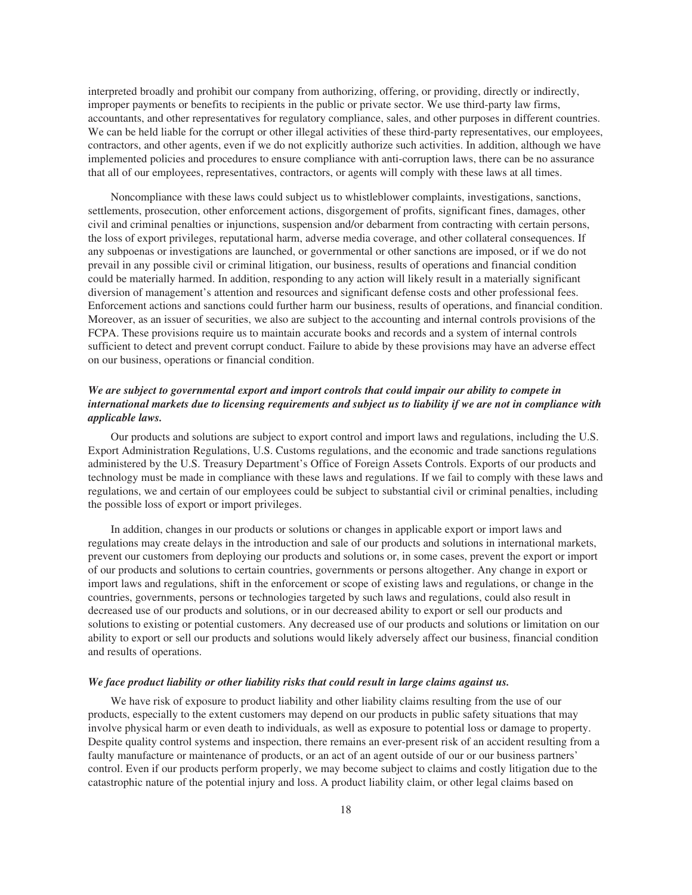interpreted broadly and prohibit our company from authorizing, offering, or providing, directly or indirectly, improper payments or benefits to recipients in the public or private sector. We use third-party law firms, accountants, and other representatives for regulatory compliance, sales, and other purposes in different countries. We can be held liable for the corrupt or other illegal activities of these third-party representatives, our employees, contractors, and other agents, even if we do not explicitly authorize such activities. In addition, although we have implemented policies and procedures to ensure compliance with anti-corruption laws, there can be no assurance that all of our employees, representatives, contractors, or agents will comply with these laws at all times.

Noncompliance with these laws could subject us to whistleblower complaints, investigations, sanctions, settlements, prosecution, other enforcement actions, disgorgement of profits, significant fines, damages, other civil and criminal penalties or injunctions, suspension and/or debarment from contracting with certain persons, the loss of export privileges, reputational harm, adverse media coverage, and other collateral consequences. If any subpoenas or investigations are launched, or governmental or other sanctions are imposed, or if we do not prevail in any possible civil or criminal litigation, our business, results of operations and financial condition could be materially harmed. In addition, responding to any action will likely result in a materially significant diversion of management's attention and resources and significant defense costs and other professional fees. Enforcement actions and sanctions could further harm our business, results of operations, and financial condition. Moreover, as an issuer of securities, we also are subject to the accounting and internal controls provisions of the FCPA. These provisions require us to maintain accurate books and records and a system of internal controls sufficient to detect and prevent corrupt conduct. Failure to abide by these provisions may have an adverse effect on our business, operations or financial condition.

# *We are subject to governmental export and import controls that could impair our ability to compete in international markets due to licensing requirements and subject us to liability if we are not in compliance with applicable laws.*

Our products and solutions are subject to export control and import laws and regulations, including the U.S. Export Administration Regulations, U.S. Customs regulations, and the economic and trade sanctions regulations administered by the U.S. Treasury Department's Office of Foreign Assets Controls. Exports of our products and technology must be made in compliance with these laws and regulations. If we fail to comply with these laws and regulations, we and certain of our employees could be subject to substantial civil or criminal penalties, including the possible loss of export or import privileges.

In addition, changes in our products or solutions or changes in applicable export or import laws and regulations may create delays in the introduction and sale of our products and solutions in international markets, prevent our customers from deploying our products and solutions or, in some cases, prevent the export or import of our products and solutions to certain countries, governments or persons altogether. Any change in export or import laws and regulations, shift in the enforcement or scope of existing laws and regulations, or change in the countries, governments, persons or technologies targeted by such laws and regulations, could also result in decreased use of our products and solutions, or in our decreased ability to export or sell our products and solutions to existing or potential customers. Any decreased use of our products and solutions or limitation on our ability to export or sell our products and solutions would likely adversely affect our business, financial condition and results of operations.

#### *We face product liability or other liability risks that could result in large claims against us.*

We have risk of exposure to product liability and other liability claims resulting from the use of our products, especially to the extent customers may depend on our products in public safety situations that may involve physical harm or even death to individuals, as well as exposure to potential loss or damage to property. Despite quality control systems and inspection, there remains an ever-present risk of an accident resulting from a faulty manufacture or maintenance of products, or an act of an agent outside of our or our business partners' control. Even if our products perform properly, we may become subject to claims and costly litigation due to the catastrophic nature of the potential injury and loss. A product liability claim, or other legal claims based on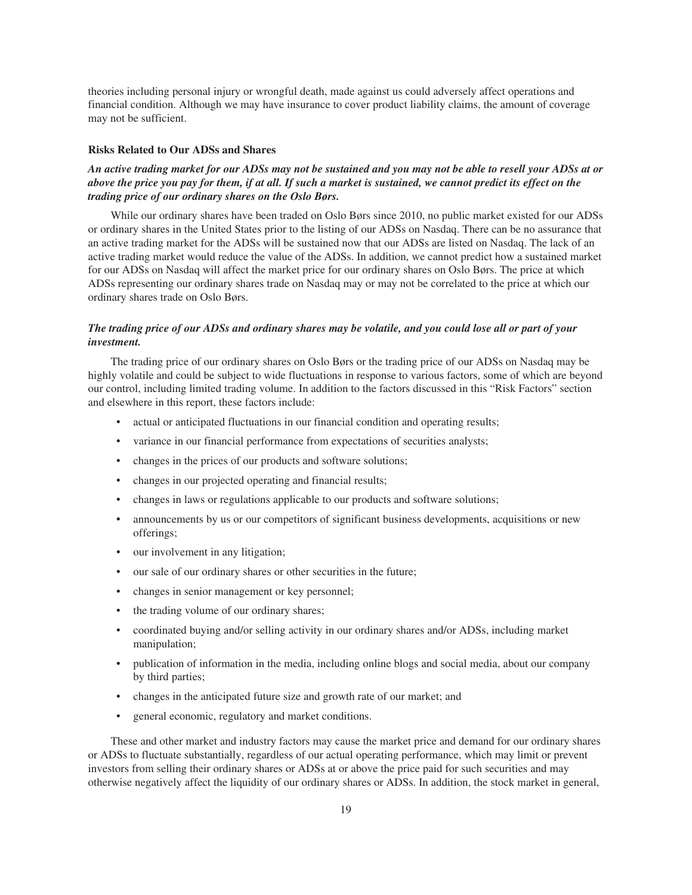theories including personal injury or wrongful death, made against us could adversely affect operations and financial condition. Although we may have insurance to cover product liability claims, the amount of coverage may not be sufficient.

#### **Risks Related to Our ADSs and Shares**

# *An active trading market for our ADSs may not be sustained and you may not be able to resell your ADSs at or above the price you pay for them, if at all. If such a market is sustained, we cannot predict its effect on the trading price of our ordinary shares on the Oslo Børs.*

While our ordinary shares have been traded on Oslo Børs since 2010, no public market existed for our ADSs or ordinary shares in the United States prior to the listing of our ADSs on Nasdaq. There can be no assurance that an active trading market for the ADSs will be sustained now that our ADSs are listed on Nasdaq. The lack of an active trading market would reduce the value of the ADSs. In addition, we cannot predict how a sustained market for our ADSs on Nasdaq will affect the market price for our ordinary shares on Oslo Børs. The price at which ADSs representing our ordinary shares trade on Nasdaq may or may not be correlated to the price at which our ordinary shares trade on Oslo Børs.

# *The trading price of our ADSs and ordinary shares may be volatile, and you could lose all or part of your investment.*

The trading price of our ordinary shares on Oslo Børs or the trading price of our ADSs on Nasdaq may be highly volatile and could be subject to wide fluctuations in response to various factors, some of which are beyond our control, including limited trading volume. In addition to the factors discussed in this "Risk Factors" section and elsewhere in this report, these factors include:

- actual or anticipated fluctuations in our financial condition and operating results;
- variance in our financial performance from expectations of securities analysts;
- changes in the prices of our products and software solutions;
- changes in our projected operating and financial results;
- changes in laws or regulations applicable to our products and software solutions;
- announcements by us or our competitors of significant business developments, acquisitions or new offerings;
- our involvement in any litigation;
- our sale of our ordinary shares or other securities in the future;
- changes in senior management or key personnel;
- the trading volume of our ordinary shares;
- coordinated buying and/or selling activity in our ordinary shares and/or ADSs, including market manipulation;
- publication of information in the media, including online blogs and social media, about our company by third parties;
- changes in the anticipated future size and growth rate of our market; and
- general economic, regulatory and market conditions.

These and other market and industry factors may cause the market price and demand for our ordinary shares or ADSs to fluctuate substantially, regardless of our actual operating performance, which may limit or prevent investors from selling their ordinary shares or ADSs at or above the price paid for such securities and may otherwise negatively affect the liquidity of our ordinary shares or ADSs. In addition, the stock market in general,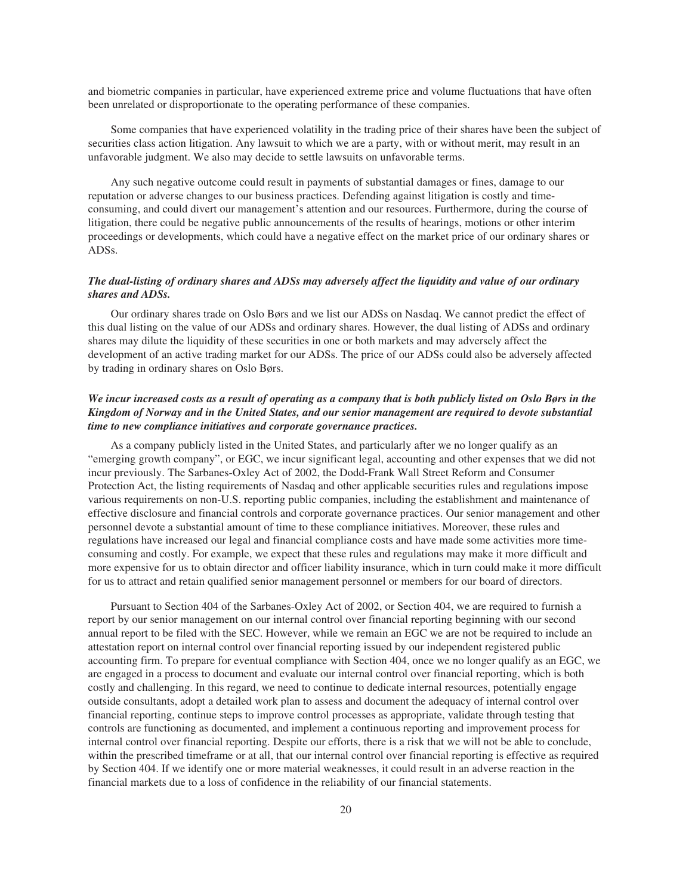and biometric companies in particular, have experienced extreme price and volume fluctuations that have often been unrelated or disproportionate to the operating performance of these companies.

Some companies that have experienced volatility in the trading price of their shares have been the subject of securities class action litigation. Any lawsuit to which we are a party, with or without merit, may result in an unfavorable judgment. We also may decide to settle lawsuits on unfavorable terms.

Any such negative outcome could result in payments of substantial damages or fines, damage to our reputation or adverse changes to our business practices. Defending against litigation is costly and timeconsuming, and could divert our management's attention and our resources. Furthermore, during the course of litigation, there could be negative public announcements of the results of hearings, motions or other interim proceedings or developments, which could have a negative effect on the market price of our ordinary shares or ADSs.

# *The dual-listing of ordinary shares and ADSs may adversely affect the liquidity and value of our ordinary shares and ADSs.*

Our ordinary shares trade on Oslo Børs and we list our ADSs on Nasdaq. We cannot predict the effect of this dual listing on the value of our ADSs and ordinary shares. However, the dual listing of ADSs and ordinary shares may dilute the liquidity of these securities in one or both markets and may adversely affect the development of an active trading market for our ADSs. The price of our ADSs could also be adversely affected by trading in ordinary shares on Oslo Børs.

# *We incur increased costs as a result of operating as a company that is both publicly listed on Oslo Børs in the Kingdom of Norway and in the United States, and our senior management are required to devote substantial time to new compliance initiatives and corporate governance practices.*

As a company publicly listed in the United States, and particularly after we no longer qualify as an "emerging growth company", or EGC, we incur significant legal, accounting and other expenses that we did not incur previously. The Sarbanes-Oxley Act of 2002, the Dodd-Frank Wall Street Reform and Consumer Protection Act, the listing requirements of Nasdaq and other applicable securities rules and regulations impose various requirements on non-U.S. reporting public companies, including the establishment and maintenance of effective disclosure and financial controls and corporate governance practices. Our senior management and other personnel devote a substantial amount of time to these compliance initiatives. Moreover, these rules and regulations have increased our legal and financial compliance costs and have made some activities more timeconsuming and costly. For example, we expect that these rules and regulations may make it more difficult and more expensive for us to obtain director and officer liability insurance, which in turn could make it more difficult for us to attract and retain qualified senior management personnel or members for our board of directors.

Pursuant to Section 404 of the Sarbanes-Oxley Act of 2002, or Section 404, we are required to furnish a report by our senior management on our internal control over financial reporting beginning with our second annual report to be filed with the SEC. However, while we remain an EGC we are not be required to include an attestation report on internal control over financial reporting issued by our independent registered public accounting firm. To prepare for eventual compliance with Section 404, once we no longer qualify as an EGC, we are engaged in a process to document and evaluate our internal control over financial reporting, which is both costly and challenging. In this regard, we need to continue to dedicate internal resources, potentially engage outside consultants, adopt a detailed work plan to assess and document the adequacy of internal control over financial reporting, continue steps to improve control processes as appropriate, validate through testing that controls are functioning as documented, and implement a continuous reporting and improvement process for internal control over financial reporting. Despite our efforts, there is a risk that we will not be able to conclude, within the prescribed timeframe or at all, that our internal control over financial reporting is effective as required by Section 404. If we identify one or more material weaknesses, it could result in an adverse reaction in the financial markets due to a loss of confidence in the reliability of our financial statements.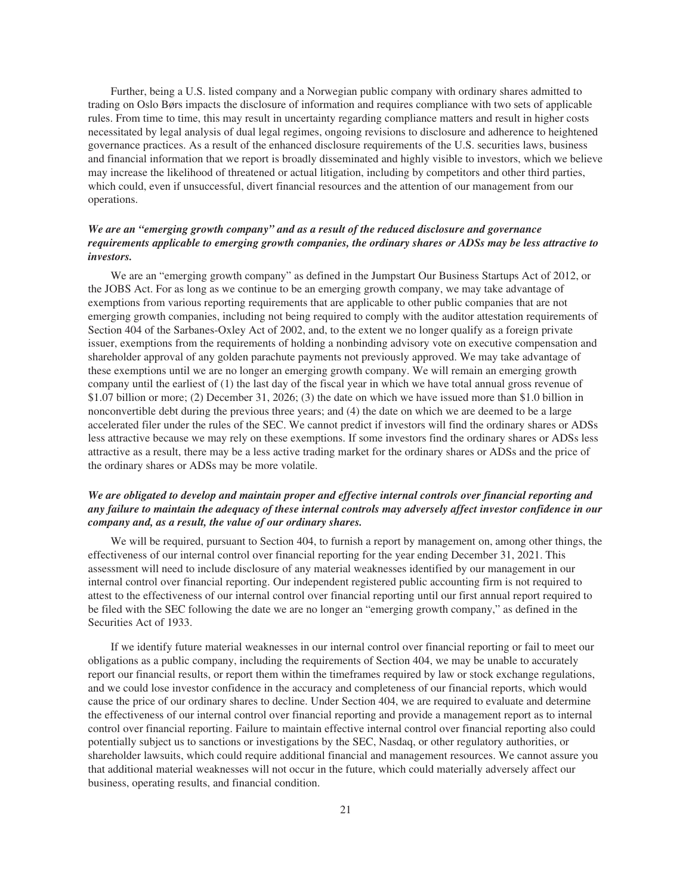Further, being a U.S. listed company and a Norwegian public company with ordinary shares admitted to trading on Oslo Børs impacts the disclosure of information and requires compliance with two sets of applicable rules. From time to time, this may result in uncertainty regarding compliance matters and result in higher costs necessitated by legal analysis of dual legal regimes, ongoing revisions to disclosure and adherence to heightened governance practices. As a result of the enhanced disclosure requirements of the U.S. securities laws, business and financial information that we report is broadly disseminated and highly visible to investors, which we believe may increase the likelihood of threatened or actual litigation, including by competitors and other third parties, which could, even if unsuccessful, divert financial resources and the attention of our management from our operations.

# *We are an "emerging growth company" and as a result of the reduced disclosure and governance requirements applicable to emerging growth companies, the ordinary shares or ADSs may be less attractive to investors.*

We are an "emerging growth company" as defined in the Jumpstart Our Business Startups Act of 2012, or the JOBS Act. For as long as we continue to be an emerging growth company, we may take advantage of exemptions from various reporting requirements that are applicable to other public companies that are not emerging growth companies, including not being required to comply with the auditor attestation requirements of Section 404 of the Sarbanes-Oxley Act of 2002, and, to the extent we no longer qualify as a foreign private issuer, exemptions from the requirements of holding a nonbinding advisory vote on executive compensation and shareholder approval of any golden parachute payments not previously approved. We may take advantage of these exemptions until we are no longer an emerging growth company. We will remain an emerging growth company until the earliest of (1) the last day of the fiscal year in which we have total annual gross revenue of \$1.07 billion or more; (2) December 31, 2026; (3) the date on which we have issued more than \$1.0 billion in nonconvertible debt during the previous three years; and (4) the date on which we are deemed to be a large accelerated filer under the rules of the SEC. We cannot predict if investors will find the ordinary shares or ADSs less attractive because we may rely on these exemptions. If some investors find the ordinary shares or ADSs less attractive as a result, there may be a less active trading market for the ordinary shares or ADSs and the price of the ordinary shares or ADSs may be more volatile.

# *We are obligated to develop and maintain proper and effective internal controls over financial reporting and any failure to maintain the adequacy of these internal controls may adversely affect investor confidence in our company and, as a result, the value of our ordinary shares.*

We will be required, pursuant to Section 404, to furnish a report by management on, among other things, the effectiveness of our internal control over financial reporting for the year ending December 31, 2021. This assessment will need to include disclosure of any material weaknesses identified by our management in our internal control over financial reporting. Our independent registered public accounting firm is not required to attest to the effectiveness of our internal control over financial reporting until our first annual report required to be filed with the SEC following the date we are no longer an "emerging growth company," as defined in the Securities Act of 1933.

If we identify future material weaknesses in our internal control over financial reporting or fail to meet our obligations as a public company, including the requirements of Section 404, we may be unable to accurately report our financial results, or report them within the timeframes required by law or stock exchange regulations, and we could lose investor confidence in the accuracy and completeness of our financial reports, which would cause the price of our ordinary shares to decline. Under Section 404, we are required to evaluate and determine the effectiveness of our internal control over financial reporting and provide a management report as to internal control over financial reporting. Failure to maintain effective internal control over financial reporting also could potentially subject us to sanctions or investigations by the SEC, Nasdaq, or other regulatory authorities, or shareholder lawsuits, which could require additional financial and management resources. We cannot assure you that additional material weaknesses will not occur in the future, which could materially adversely affect our business, operating results, and financial condition.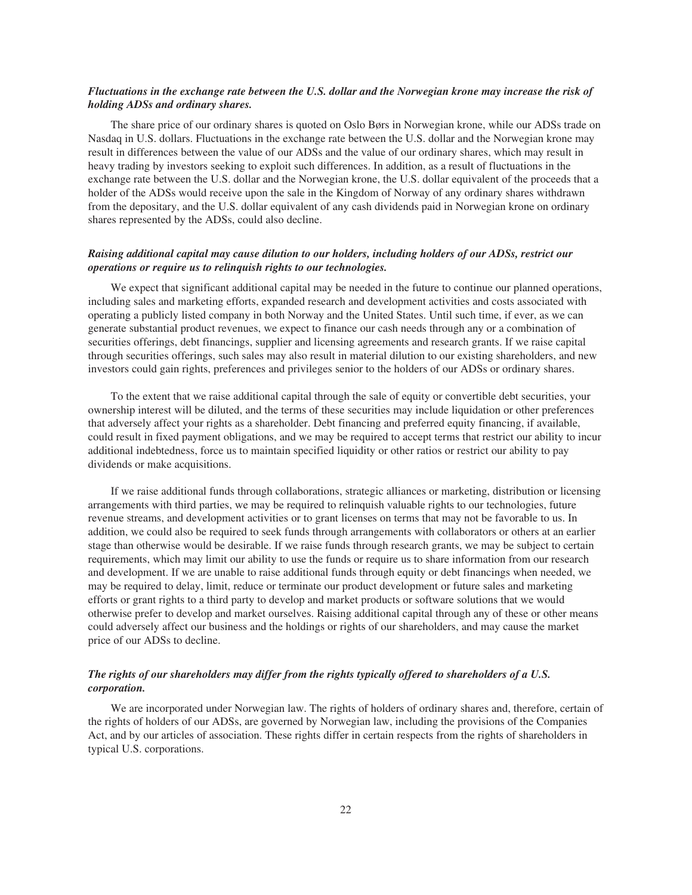#### *Fluctuations in the exchange rate between the U.S. dollar and the Norwegian krone may increase the risk of holding ADSs and ordinary shares.*

The share price of our ordinary shares is quoted on Oslo Børs in Norwegian krone, while our ADSs trade on Nasdaq in U.S. dollars. Fluctuations in the exchange rate between the U.S. dollar and the Norwegian krone may result in differences between the value of our ADSs and the value of our ordinary shares, which may result in heavy trading by investors seeking to exploit such differences. In addition, as a result of fluctuations in the exchange rate between the U.S. dollar and the Norwegian krone, the U.S. dollar equivalent of the proceeds that a holder of the ADSs would receive upon the sale in the Kingdom of Norway of any ordinary shares withdrawn from the depositary, and the U.S. dollar equivalent of any cash dividends paid in Norwegian krone on ordinary shares represented by the ADSs, could also decline.

#### *Raising additional capital may cause dilution to our holders, including holders of our ADSs, restrict our operations or require us to relinquish rights to our technologies.*

We expect that significant additional capital may be needed in the future to continue our planned operations, including sales and marketing efforts, expanded research and development activities and costs associated with operating a publicly listed company in both Norway and the United States. Until such time, if ever, as we can generate substantial product revenues, we expect to finance our cash needs through any or a combination of securities offerings, debt financings, supplier and licensing agreements and research grants. If we raise capital through securities offerings, such sales may also result in material dilution to our existing shareholders, and new investors could gain rights, preferences and privileges senior to the holders of our ADSs or ordinary shares.

To the extent that we raise additional capital through the sale of equity or convertible debt securities, your ownership interest will be diluted, and the terms of these securities may include liquidation or other preferences that adversely affect your rights as a shareholder. Debt financing and preferred equity financing, if available, could result in fixed payment obligations, and we may be required to accept terms that restrict our ability to incur additional indebtedness, force us to maintain specified liquidity or other ratios or restrict our ability to pay dividends or make acquisitions.

If we raise additional funds through collaborations, strategic alliances or marketing, distribution or licensing arrangements with third parties, we may be required to relinquish valuable rights to our technologies, future revenue streams, and development activities or to grant licenses on terms that may not be favorable to us. In addition, we could also be required to seek funds through arrangements with collaborators or others at an earlier stage than otherwise would be desirable. If we raise funds through research grants, we may be subject to certain requirements, which may limit our ability to use the funds or require us to share information from our research and development. If we are unable to raise additional funds through equity or debt financings when needed, we may be required to delay, limit, reduce or terminate our product development or future sales and marketing efforts or grant rights to a third party to develop and market products or software solutions that we would otherwise prefer to develop and market ourselves. Raising additional capital through any of these or other means could adversely affect our business and the holdings or rights of our shareholders, and may cause the market price of our ADSs to decline.

# *The rights of our shareholders may differ from the rights typically offered to shareholders of a U.S. corporation.*

We are incorporated under Norwegian law. The rights of holders of ordinary shares and, therefore, certain of the rights of holders of our ADSs, are governed by Norwegian law, including the provisions of the Companies Act, and by our articles of association. These rights differ in certain respects from the rights of shareholders in typical U.S. corporations.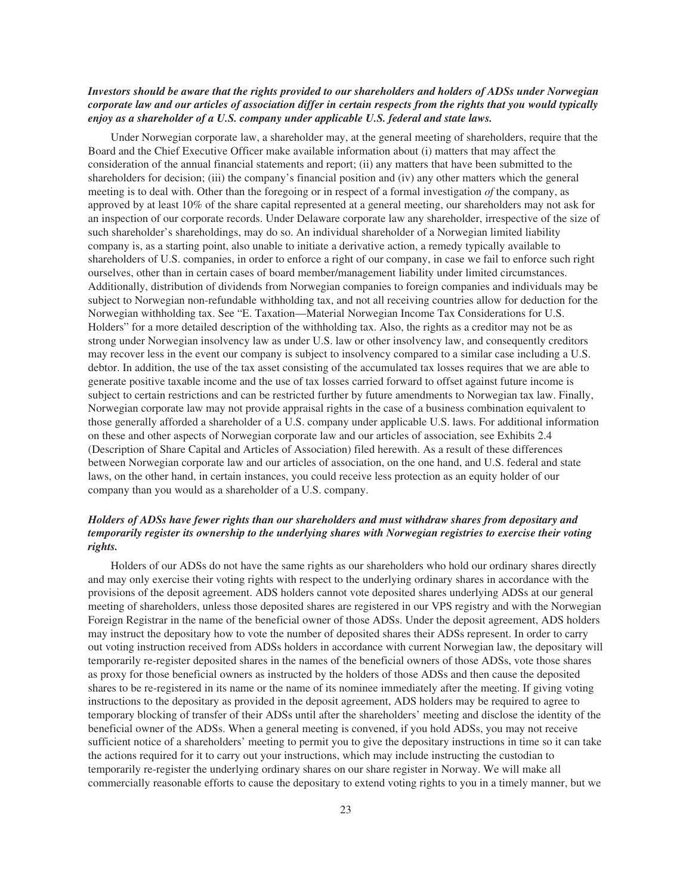# *Investors should be aware that the rights provided to our shareholders and holders of ADSs under Norwegian corporate law and our articles of association differ in certain respects from the rights that you would typically enjoy as a shareholder of a U.S. company under applicable U.S. federal and state laws.*

Under Norwegian corporate law, a shareholder may, at the general meeting of shareholders, require that the Board and the Chief Executive Officer make available information about (i) matters that may affect the consideration of the annual financial statements and report; (ii) any matters that have been submitted to the shareholders for decision; (iii) the company's financial position and (iv) any other matters which the general meeting is to deal with. Other than the foregoing or in respect of a formal investigation *of* the company, as approved by at least 10% of the share capital represented at a general meeting, our shareholders may not ask for an inspection of our corporate records. Under Delaware corporate law any shareholder, irrespective of the size of such shareholder's shareholdings, may do so. An individual shareholder of a Norwegian limited liability company is, as a starting point, also unable to initiate a derivative action, a remedy typically available to shareholders of U.S. companies, in order to enforce a right of our company, in case we fail to enforce such right ourselves, other than in certain cases of board member/management liability under limited circumstances. Additionally, distribution of dividends from Norwegian companies to foreign companies and individuals may be subject to Norwegian non-refundable withholding tax, and not all receiving countries allow for deduction for the Norwegian withholding tax. See "E. Taxation—Material Norwegian Income Tax Considerations for U.S. Holders" for a more detailed description of the withholding tax. Also, the rights as a creditor may not be as strong under Norwegian insolvency law as under U.S. law or other insolvency law, and consequently creditors may recover less in the event our company is subject to insolvency compared to a similar case including a U.S. debtor. In addition, the use of the tax asset consisting of the accumulated tax losses requires that we are able to generate positive taxable income and the use of tax losses carried forward to offset against future income is subject to certain restrictions and can be restricted further by future amendments to Norwegian tax law. Finally, Norwegian corporate law may not provide appraisal rights in the case of a business combination equivalent to those generally afforded a shareholder of a U.S. company under applicable U.S. laws. For additional information on these and other aspects of Norwegian corporate law and our articles of association, see Exhibits 2.4 (Description of Share Capital and Articles of Association) filed herewith. As a result of these differences between Norwegian corporate law and our articles of association, on the one hand, and U.S. federal and state laws, on the other hand, in certain instances, you could receive less protection as an equity holder of our company than you would as a shareholder of a U.S. company.

# *Holders of ADSs have fewer rights than our shareholders and must withdraw shares from depositary and temporarily register its ownership to the underlying shares with Norwegian registries to exercise their voting rights.*

Holders of our ADSs do not have the same rights as our shareholders who hold our ordinary shares directly and may only exercise their voting rights with respect to the underlying ordinary shares in accordance with the provisions of the deposit agreement. ADS holders cannot vote deposited shares underlying ADSs at our general meeting of shareholders, unless those deposited shares are registered in our VPS registry and with the Norwegian Foreign Registrar in the name of the beneficial owner of those ADSs. Under the deposit agreement, ADS holders may instruct the depositary how to vote the number of deposited shares their ADSs represent. In order to carry out voting instruction received from ADSs holders in accordance with current Norwegian law, the depositary will temporarily re-register deposited shares in the names of the beneficial owners of those ADSs, vote those shares as proxy for those beneficial owners as instructed by the holders of those ADSs and then cause the deposited shares to be re-registered in its name or the name of its nominee immediately after the meeting. If giving voting instructions to the depositary as provided in the deposit agreement, ADS holders may be required to agree to temporary blocking of transfer of their ADSs until after the shareholders' meeting and disclose the identity of the beneficial owner of the ADSs. When a general meeting is convened, if you hold ADSs, you may not receive sufficient notice of a shareholders' meeting to permit you to give the depositary instructions in time so it can take the actions required for it to carry out your instructions, which may include instructing the custodian to temporarily re-register the underlying ordinary shares on our share register in Norway. We will make all commercially reasonable efforts to cause the depositary to extend voting rights to you in a timely manner, but we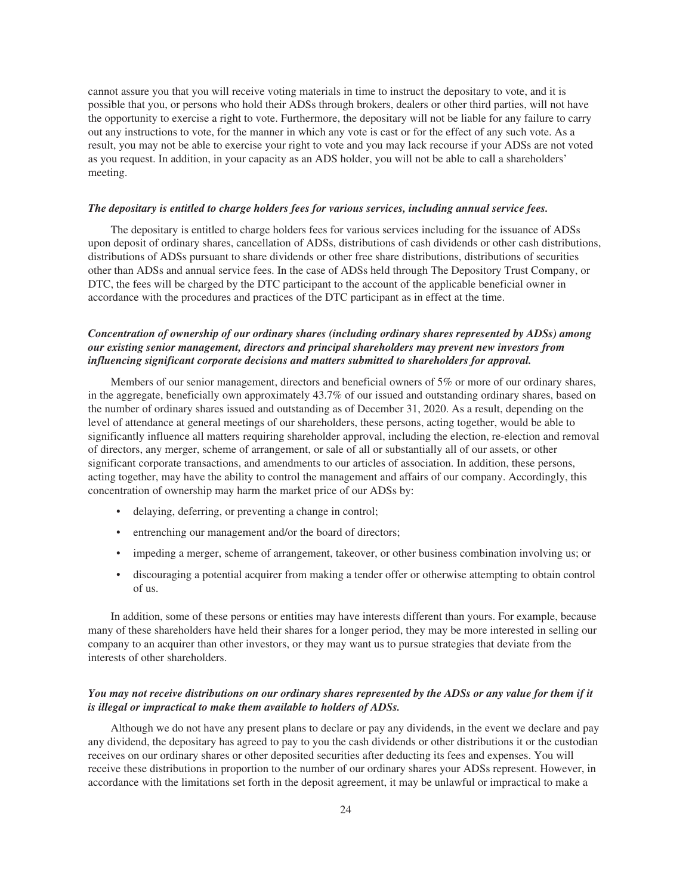cannot assure you that you will receive voting materials in time to instruct the depositary to vote, and it is possible that you, or persons who hold their ADSs through brokers, dealers or other third parties, will not have the opportunity to exercise a right to vote. Furthermore, the depositary will not be liable for any failure to carry out any instructions to vote, for the manner in which any vote is cast or for the effect of any such vote. As a result, you may not be able to exercise your right to vote and you may lack recourse if your ADSs are not voted as you request. In addition, in your capacity as an ADS holder, you will not be able to call a shareholders' meeting.

#### *The depositary is entitled to charge holders fees for various services, including annual service fees.*

The depositary is entitled to charge holders fees for various services including for the issuance of ADSs upon deposit of ordinary shares, cancellation of ADSs, distributions of cash dividends or other cash distributions, distributions of ADSs pursuant to share dividends or other free share distributions, distributions of securities other than ADSs and annual service fees. In the case of ADSs held through The Depository Trust Company, or DTC, the fees will be charged by the DTC participant to the account of the applicable beneficial owner in accordance with the procedures and practices of the DTC participant as in effect at the time.

# *Concentration of ownership of our ordinary shares (including ordinary shares represented by ADSs) among our existing senior management, directors and principal shareholders may prevent new investors from influencing significant corporate decisions and matters submitted to shareholders for approval.*

Members of our senior management, directors and beneficial owners of 5% or more of our ordinary shares, in the aggregate, beneficially own approximately 43.7% of our issued and outstanding ordinary shares, based on the number of ordinary shares issued and outstanding as of December 31, 2020. As a result, depending on the level of attendance at general meetings of our shareholders, these persons, acting together, would be able to significantly influence all matters requiring shareholder approval, including the election, re-election and removal of directors, any merger, scheme of arrangement, or sale of all or substantially all of our assets, or other significant corporate transactions, and amendments to our articles of association. In addition, these persons, acting together, may have the ability to control the management and affairs of our company. Accordingly, this concentration of ownership may harm the market price of our ADSs by:

- delaying, deferring, or preventing a change in control;
- entrenching our management and/or the board of directors;
- impeding a merger, scheme of arrangement, takeover, or other business combination involving us; or
- discouraging a potential acquirer from making a tender offer or otherwise attempting to obtain control of us.

In addition, some of these persons or entities may have interests different than yours. For example, because many of these shareholders have held their shares for a longer period, they may be more interested in selling our company to an acquirer than other investors, or they may want us to pursue strategies that deviate from the interests of other shareholders.

#### *You may not receive distributions on our ordinary shares represented by the ADSs or any value for them if it is illegal or impractical to make them available to holders of ADSs.*

Although we do not have any present plans to declare or pay any dividends, in the event we declare and pay any dividend, the depositary has agreed to pay to you the cash dividends or other distributions it or the custodian receives on our ordinary shares or other deposited securities after deducting its fees and expenses. You will receive these distributions in proportion to the number of our ordinary shares your ADSs represent. However, in accordance with the limitations set forth in the deposit agreement, it may be unlawful or impractical to make a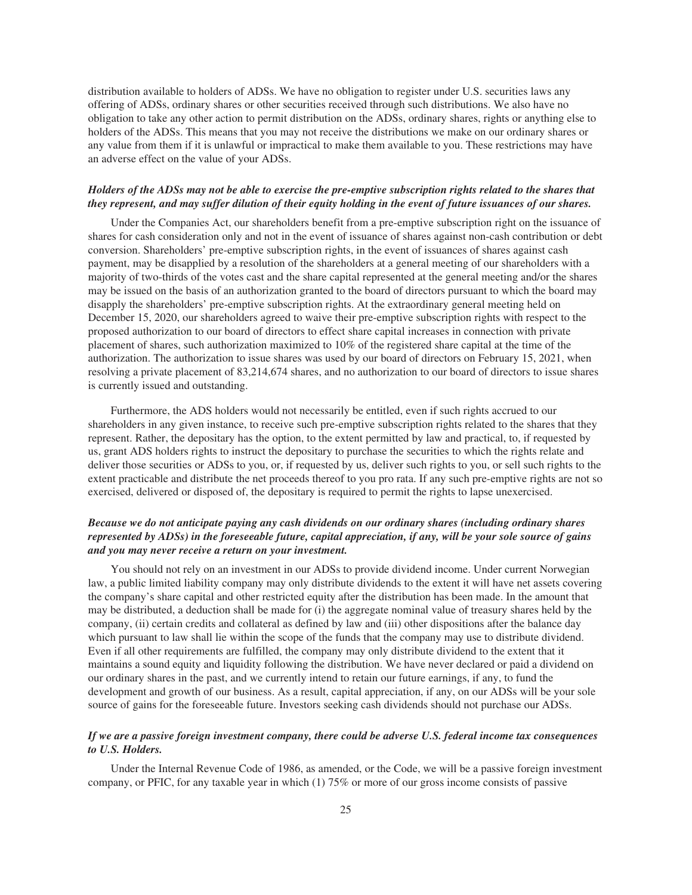distribution available to holders of ADSs. We have no obligation to register under U.S. securities laws any offering of ADSs, ordinary shares or other securities received through such distributions. We also have no obligation to take any other action to permit distribution on the ADSs, ordinary shares, rights or anything else to holders of the ADSs. This means that you may not receive the distributions we make on our ordinary shares or any value from them if it is unlawful or impractical to make them available to you. These restrictions may have an adverse effect on the value of your ADSs.

#### *Holders of the ADSs may not be able to exercise the pre-emptive subscription rights related to the shares that they represent, and may suffer dilution of their equity holding in the event of future issuances of our shares.*

Under the Companies Act, our shareholders benefit from a pre-emptive subscription right on the issuance of shares for cash consideration only and not in the event of issuance of shares against non-cash contribution or debt conversion. Shareholders' pre-emptive subscription rights, in the event of issuances of shares against cash payment, may be disapplied by a resolution of the shareholders at a general meeting of our shareholders with a majority of two-thirds of the votes cast and the share capital represented at the general meeting and/or the shares may be issued on the basis of an authorization granted to the board of directors pursuant to which the board may disapply the shareholders' pre-emptive subscription rights. At the extraordinary general meeting held on December 15, 2020, our shareholders agreed to waive their pre-emptive subscription rights with respect to the proposed authorization to our board of directors to effect share capital increases in connection with private placement of shares, such authorization maximized to 10% of the registered share capital at the time of the authorization. The authorization to issue shares was used by our board of directors on February 15, 2021, when resolving a private placement of 83,214,674 shares, and no authorization to our board of directors to issue shares is currently issued and outstanding.

Furthermore, the ADS holders would not necessarily be entitled, even if such rights accrued to our shareholders in any given instance, to receive such pre-emptive subscription rights related to the shares that they represent. Rather, the depositary has the option, to the extent permitted by law and practical, to, if requested by us, grant ADS holders rights to instruct the depositary to purchase the securities to which the rights relate and deliver those securities or ADSs to you, or, if requested by us, deliver such rights to you, or sell such rights to the extent practicable and distribute the net proceeds thereof to you pro rata. If any such pre-emptive rights are not so exercised, delivered or disposed of, the depositary is required to permit the rights to lapse unexercised.

# *Because we do not anticipate paying any cash dividends on our ordinary shares (including ordinary shares represented by ADSs) in the foreseeable future, capital appreciation, if any, will be your sole source of gains and you may never receive a return on your investment.*

You should not rely on an investment in our ADSs to provide dividend income. Under current Norwegian law, a public limited liability company may only distribute dividends to the extent it will have net assets covering the company's share capital and other restricted equity after the distribution has been made. In the amount that may be distributed, a deduction shall be made for (i) the aggregate nominal value of treasury shares held by the company, (ii) certain credits and collateral as defined by law and (iii) other dispositions after the balance day which pursuant to law shall lie within the scope of the funds that the company may use to distribute dividend. Even if all other requirements are fulfilled, the company may only distribute dividend to the extent that it maintains a sound equity and liquidity following the distribution. We have never declared or paid a dividend on our ordinary shares in the past, and we currently intend to retain our future earnings, if any, to fund the development and growth of our business. As a result, capital appreciation, if any, on our ADSs will be your sole source of gains for the foreseeable future. Investors seeking cash dividends should not purchase our ADSs.

#### *If we are a passive foreign investment company, there could be adverse U.S. federal income tax consequences to U.S. Holders.*

Under the Internal Revenue Code of 1986, as amended, or the Code, we will be a passive foreign investment company, or PFIC, for any taxable year in which (1) 75% or more of our gross income consists of passive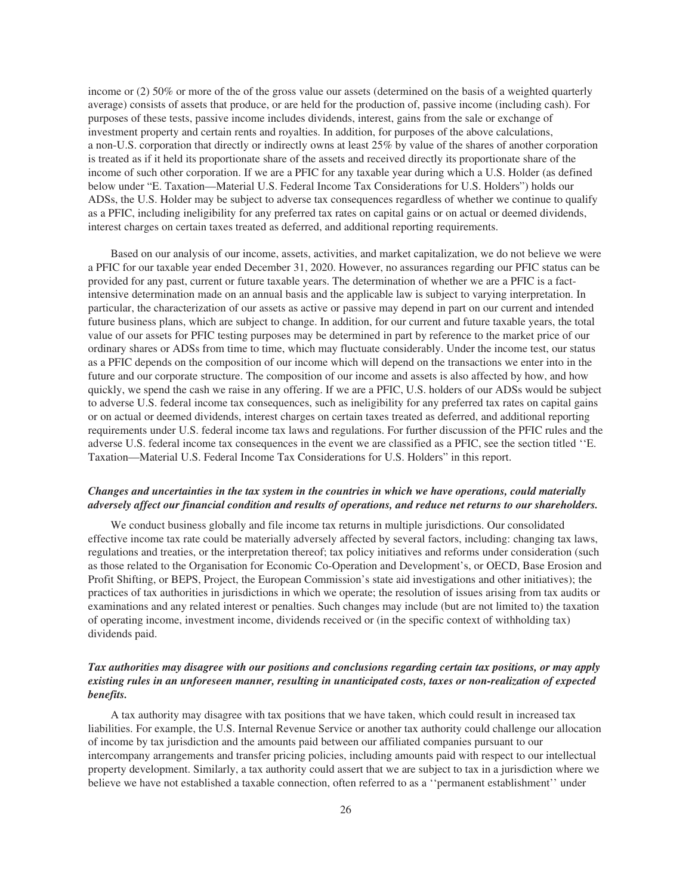income or (2) 50% or more of the of the gross value our assets (determined on the basis of a weighted quarterly average) consists of assets that produce, or are held for the production of, passive income (including cash). For purposes of these tests, passive income includes dividends, interest, gains from the sale or exchange of investment property and certain rents and royalties. In addition, for purposes of the above calculations, a non-U.S. corporation that directly or indirectly owns at least 25% by value of the shares of another corporation is treated as if it held its proportionate share of the assets and received directly its proportionate share of the income of such other corporation. If we are a PFIC for any taxable year during which a U.S. Holder (as defined below under "E. Taxation—Material U.S. Federal Income Tax Considerations for U.S. Holders") holds our ADSs, the U.S. Holder may be subject to adverse tax consequences regardless of whether we continue to qualify as a PFIC, including ineligibility for any preferred tax rates on capital gains or on actual or deemed dividends, interest charges on certain taxes treated as deferred, and additional reporting requirements.

Based on our analysis of our income, assets, activities, and market capitalization, we do not believe we were a PFIC for our taxable year ended December 31, 2020. However, no assurances regarding our PFIC status can be provided for any past, current or future taxable years. The determination of whether we are a PFIC is a factintensive determination made on an annual basis and the applicable law is subject to varying interpretation. In particular, the characterization of our assets as active or passive may depend in part on our current and intended future business plans, which are subject to change. In addition, for our current and future taxable years, the total value of our assets for PFIC testing purposes may be determined in part by reference to the market price of our ordinary shares or ADSs from time to time, which may fluctuate considerably. Under the income test, our status as a PFIC depends on the composition of our income which will depend on the transactions we enter into in the future and our corporate structure. The composition of our income and assets is also affected by how, and how quickly, we spend the cash we raise in any offering. If we are a PFIC, U.S. holders of our ADSs would be subject to adverse U.S. federal income tax consequences, such as ineligibility for any preferred tax rates on capital gains or on actual or deemed dividends, interest charges on certain taxes treated as deferred, and additional reporting requirements under U.S. federal income tax laws and regulations. For further discussion of the PFIC rules and the adverse U.S. federal income tax consequences in the event we are classified as a PFIC, see the section titled ''E. Taxation—Material U.S. Federal Income Tax Considerations for U.S. Holders" in this report.

#### *Changes and uncertainties in the tax system in the countries in which we have operations, could materially adversely affect our financial condition and results of operations, and reduce net returns to our shareholders.*

We conduct business globally and file income tax returns in multiple jurisdictions. Our consolidated effective income tax rate could be materially adversely affected by several factors, including: changing tax laws, regulations and treaties, or the interpretation thereof; tax policy initiatives and reforms under consideration (such as those related to the Organisation for Economic Co-Operation and Development's, or OECD, Base Erosion and Profit Shifting, or BEPS, Project, the European Commission's state aid investigations and other initiatives); the practices of tax authorities in jurisdictions in which we operate; the resolution of issues arising from tax audits or examinations and any related interest or penalties. Such changes may include (but are not limited to) the taxation of operating income, investment income, dividends received or (in the specific context of withholding tax) dividends paid.

# *Tax authorities may disagree with our positions and conclusions regarding certain tax positions, or may apply existing rules in an unforeseen manner, resulting in unanticipated costs, taxes or non-realization of expected benefits.*

A tax authority may disagree with tax positions that we have taken, which could result in increased tax liabilities. For example, the U.S. Internal Revenue Service or another tax authority could challenge our allocation of income by tax jurisdiction and the amounts paid between our affiliated companies pursuant to our intercompany arrangements and transfer pricing policies, including amounts paid with respect to our intellectual property development. Similarly, a tax authority could assert that we are subject to tax in a jurisdiction where we believe we have not established a taxable connection, often referred to as a ''permanent establishment'' under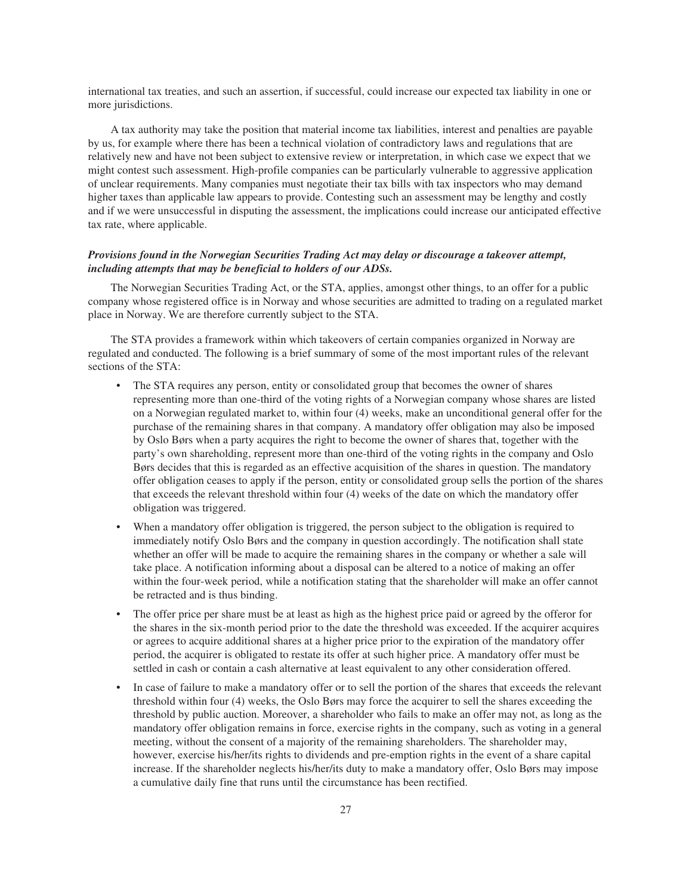international tax treaties, and such an assertion, if successful, could increase our expected tax liability in one or more jurisdictions.

A tax authority may take the position that material income tax liabilities, interest and penalties are payable by us, for example where there has been a technical violation of contradictory laws and regulations that are relatively new and have not been subject to extensive review or interpretation, in which case we expect that we might contest such assessment. High-profile companies can be particularly vulnerable to aggressive application of unclear requirements. Many companies must negotiate their tax bills with tax inspectors who may demand higher taxes than applicable law appears to provide. Contesting such an assessment may be lengthy and costly and if we were unsuccessful in disputing the assessment, the implications could increase our anticipated effective tax rate, where applicable.

# *Provisions found in the Norwegian Securities Trading Act may delay or discourage a takeover attempt, including attempts that may be beneficial to holders of our ADSs.*

The Norwegian Securities Trading Act, or the STA, applies, amongst other things, to an offer for a public company whose registered office is in Norway and whose securities are admitted to trading on a regulated market place in Norway. We are therefore currently subject to the STA.

The STA provides a framework within which takeovers of certain companies organized in Norway are regulated and conducted. The following is a brief summary of some of the most important rules of the relevant sections of the STA:

- The STA requires any person, entity or consolidated group that becomes the owner of shares representing more than one-third of the voting rights of a Norwegian company whose shares are listed on a Norwegian regulated market to, within four (4) weeks, make an unconditional general offer for the purchase of the remaining shares in that company. A mandatory offer obligation may also be imposed by Oslo Børs when a party acquires the right to become the owner of shares that, together with the party's own shareholding, represent more than one-third of the voting rights in the company and Oslo Børs decides that this is regarded as an effective acquisition of the shares in question. The mandatory offer obligation ceases to apply if the person, entity or consolidated group sells the portion of the shares that exceeds the relevant threshold within four (4) weeks of the date on which the mandatory offer obligation was triggered.
- When a mandatory offer obligation is triggered, the person subject to the obligation is required to immediately notify Oslo Børs and the company in question accordingly. The notification shall state whether an offer will be made to acquire the remaining shares in the company or whether a sale will take place. A notification informing about a disposal can be altered to a notice of making an offer within the four-week period, while a notification stating that the shareholder will make an offer cannot be retracted and is thus binding.
- The offer price per share must be at least as high as the highest price paid or agreed by the offeror for the shares in the six-month period prior to the date the threshold was exceeded. If the acquirer acquires or agrees to acquire additional shares at a higher price prior to the expiration of the mandatory offer period, the acquirer is obligated to restate its offer at such higher price. A mandatory offer must be settled in cash or contain a cash alternative at least equivalent to any other consideration offered.
- In case of failure to make a mandatory offer or to sell the portion of the shares that exceeds the relevant threshold within four (4) weeks, the Oslo Børs may force the acquirer to sell the shares exceeding the threshold by public auction. Moreover, a shareholder who fails to make an offer may not, as long as the mandatory offer obligation remains in force, exercise rights in the company, such as voting in a general meeting, without the consent of a majority of the remaining shareholders. The shareholder may, however, exercise his/her/its rights to dividends and pre-emption rights in the event of a share capital increase. If the shareholder neglects his/her/its duty to make a mandatory offer, Oslo Børs may impose a cumulative daily fine that runs until the circumstance has been rectified.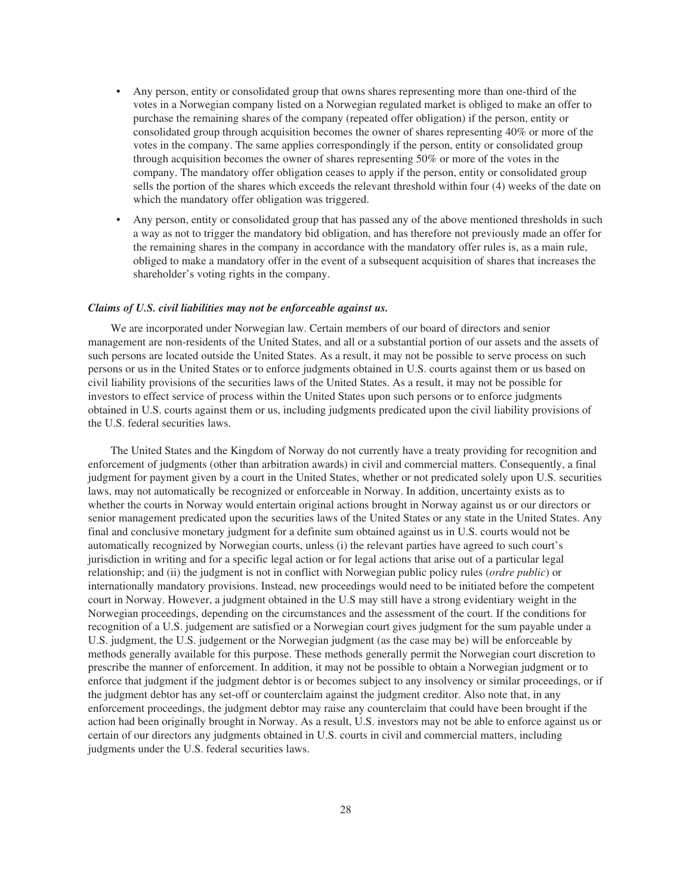- Any person, entity or consolidated group that owns shares representing more than one-third of the votes in a Norwegian company listed on a Norwegian regulated market is obliged to make an offer to purchase the remaining shares of the company (repeated offer obligation) if the person, entity or consolidated group through acquisition becomes the owner of shares representing 40% or more of the votes in the company. The same applies correspondingly if the person, entity or consolidated group through acquisition becomes the owner of shares representing 50% or more of the votes in the company. The mandatory offer obligation ceases to apply if the person, entity or consolidated group sells the portion of the shares which exceeds the relevant threshold within four (4) weeks of the date on which the mandatory offer obligation was triggered.
- Any person, entity or consolidated group that has passed any of the above mentioned thresholds in such a way as not to trigger the mandatory bid obligation, and has therefore not previously made an offer for the remaining shares in the company in accordance with the mandatory offer rules is, as a main rule, obliged to make a mandatory offer in the event of a subsequent acquisition of shares that increases the shareholder's voting rights in the company.

#### *Claims of U.S. civil liabilities may not be enforceable against us.*

We are incorporated under Norwegian law. Certain members of our board of directors and senior management are non-residents of the United States, and all or a substantial portion of our assets and the assets of such persons are located outside the United States. As a result, it may not be possible to serve process on such persons or us in the United States or to enforce judgments obtained in U.S. courts against them or us based on civil liability provisions of the securities laws of the United States. As a result, it may not be possible for investors to effect service of process within the United States upon such persons or to enforce judgments obtained in U.S. courts against them or us, including judgments predicated upon the civil liability provisions of the U.S. federal securities laws.

The United States and the Kingdom of Norway do not currently have a treaty providing for recognition and enforcement of judgments (other than arbitration awards) in civil and commercial matters. Consequently, a final judgment for payment given by a court in the United States, whether or not predicated solely upon U.S. securities laws, may not automatically be recognized or enforceable in Norway. In addition, uncertainty exists as to whether the courts in Norway would entertain original actions brought in Norway against us or our directors or senior management predicated upon the securities laws of the United States or any state in the United States. Any final and conclusive monetary judgment for a definite sum obtained against us in U.S. courts would not be automatically recognized by Norwegian courts, unless (i) the relevant parties have agreed to such court's jurisdiction in writing and for a specific legal action or for legal actions that arise out of a particular legal relationship; and (ii) the judgment is not in conflict with Norwegian public policy rules (*ordre public*) or internationally mandatory provisions. Instead, new proceedings would need to be initiated before the competent court in Norway. However, a judgment obtained in the U.S may still have a strong evidentiary weight in the Norwegian proceedings, depending on the circumstances and the assessment of the court. If the conditions for recognition of a U.S. judgement are satisfied or a Norwegian court gives judgment for the sum payable under a U.S. judgment, the U.S. judgement or the Norwegian judgment (as the case may be) will be enforceable by methods generally available for this purpose. These methods generally permit the Norwegian court discretion to prescribe the manner of enforcement. In addition, it may not be possible to obtain a Norwegian judgment or to enforce that judgment if the judgment debtor is or becomes subject to any insolvency or similar proceedings, or if the judgment debtor has any set-off or counterclaim against the judgment creditor. Also note that, in any enforcement proceedings, the judgment debtor may raise any counterclaim that could have been brought if the action had been originally brought in Norway. As a result, U.S. investors may not be able to enforce against us or certain of our directors any judgments obtained in U.S. courts in civil and commercial matters, including judgments under the U.S. federal securities laws.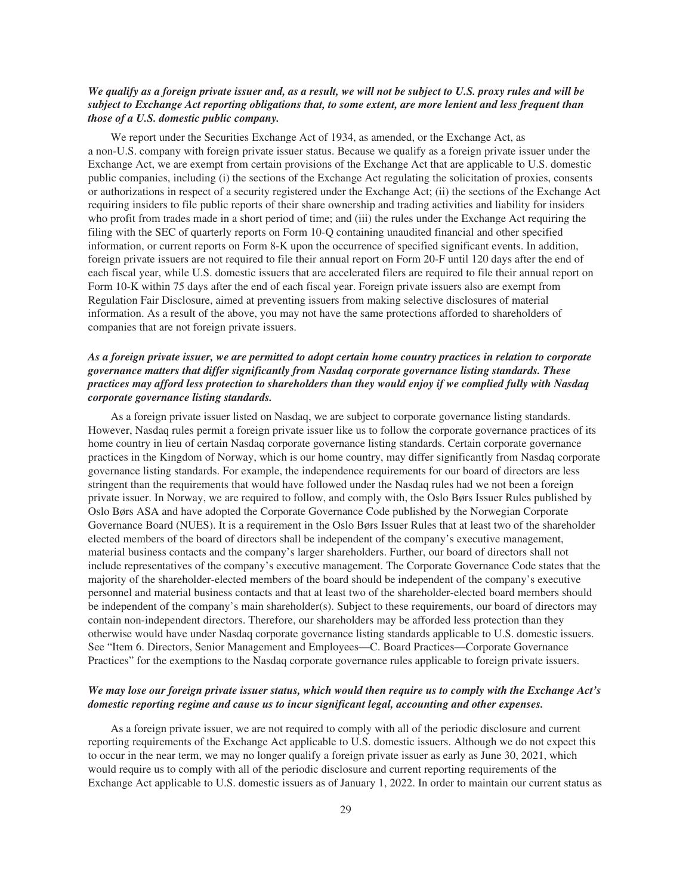# *We qualify as a foreign private issuer and, as a result, we will not be subject to U.S. proxy rules and will be subject to Exchange Act reporting obligations that, to some extent, are more lenient and less frequent than those of a U.S. domestic public company.*

We report under the Securities Exchange Act of 1934, as amended, or the Exchange Act, as a non-U.S. company with foreign private issuer status. Because we qualify as a foreign private issuer under the Exchange Act, we are exempt from certain provisions of the Exchange Act that are applicable to U.S. domestic public companies, including (i) the sections of the Exchange Act regulating the solicitation of proxies, consents or authorizations in respect of a security registered under the Exchange Act; (ii) the sections of the Exchange Act requiring insiders to file public reports of their share ownership and trading activities and liability for insiders who profit from trades made in a short period of time; and (iii) the rules under the Exchange Act requiring the filing with the SEC of quarterly reports on Form 10-Q containing unaudited financial and other specified information, or current reports on Form 8-K upon the occurrence of specified significant events. In addition, foreign private issuers are not required to file their annual report on Form 20-F until 120 days after the end of each fiscal year, while U.S. domestic issuers that are accelerated filers are required to file their annual report on Form 10-K within 75 days after the end of each fiscal year. Foreign private issuers also are exempt from Regulation Fair Disclosure, aimed at preventing issuers from making selective disclosures of material information. As a result of the above, you may not have the same protections afforded to shareholders of companies that are not foreign private issuers.

# *As a foreign private issuer, we are permitted to adopt certain home country practices in relation to corporate governance matters that differ significantly from Nasdaq corporate governance listing standards. These practices may afford less protection to shareholders than they would enjoy if we complied fully with Nasdaq corporate governance listing standards.*

As a foreign private issuer listed on Nasdaq, we are subject to corporate governance listing standards. However, Nasdaq rules permit a foreign private issuer like us to follow the corporate governance practices of its home country in lieu of certain Nasdaq corporate governance listing standards. Certain corporate governance practices in the Kingdom of Norway, which is our home country, may differ significantly from Nasdaq corporate governance listing standards. For example, the independence requirements for our board of directors are less stringent than the requirements that would have followed under the Nasdaq rules had we not been a foreign private issuer. In Norway, we are required to follow, and comply with, the Oslo Børs Issuer Rules published by Oslo Børs ASA and have adopted the Corporate Governance Code published by the Norwegian Corporate Governance Board (NUES). It is a requirement in the Oslo Børs Issuer Rules that at least two of the shareholder elected members of the board of directors shall be independent of the company's executive management, material business contacts and the company's larger shareholders. Further, our board of directors shall not include representatives of the company's executive management. The Corporate Governance Code states that the majority of the shareholder-elected members of the board should be independent of the company's executive personnel and material business contacts and that at least two of the shareholder-elected board members should be independent of the company's main shareholder(s). Subject to these requirements, our board of directors may contain non-independent directors. Therefore, our shareholders may be afforded less protection than they otherwise would have under Nasdaq corporate governance listing standards applicable to U.S. domestic issuers. See "Item 6. Directors, Senior Management and Employees—C. Board Practices—Corporate Governance Practices" for the exemptions to the Nasdaq corporate governance rules applicable to foreign private issuers.

# *We may lose our foreign private issuer status, which would then require us to comply with the Exchange Act's domestic reporting regime and cause us to incur significant legal, accounting and other expenses.*

As a foreign private issuer, we are not required to comply with all of the periodic disclosure and current reporting requirements of the Exchange Act applicable to U.S. domestic issuers. Although we do not expect this to occur in the near term, we may no longer qualify a foreign private issuer as early as June 30, 2021, which would require us to comply with all of the periodic disclosure and current reporting requirements of the Exchange Act applicable to U.S. domestic issuers as of January 1, 2022. In order to maintain our current status as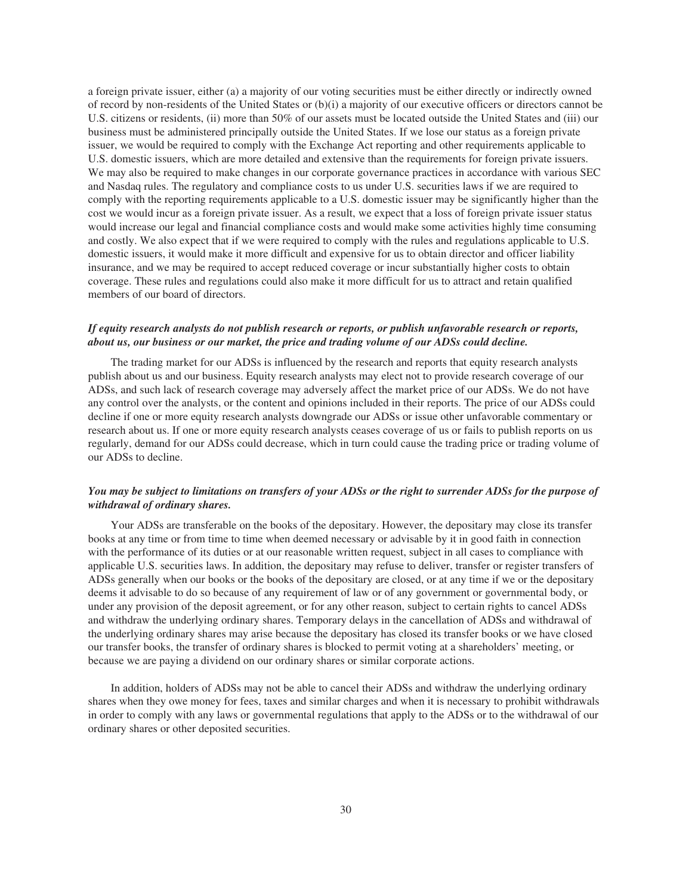a foreign private issuer, either (a) a majority of our voting securities must be either directly or indirectly owned of record by non-residents of the United States or (b)(i) a majority of our executive officers or directors cannot be U.S. citizens or residents, (ii) more than 50% of our assets must be located outside the United States and (iii) our business must be administered principally outside the United States. If we lose our status as a foreign private issuer, we would be required to comply with the Exchange Act reporting and other requirements applicable to U.S. domestic issuers, which are more detailed and extensive than the requirements for foreign private issuers. We may also be required to make changes in our corporate governance practices in accordance with various SEC and Nasdaq rules. The regulatory and compliance costs to us under U.S. securities laws if we are required to comply with the reporting requirements applicable to a U.S. domestic issuer may be significantly higher than the cost we would incur as a foreign private issuer. As a result, we expect that a loss of foreign private issuer status would increase our legal and financial compliance costs and would make some activities highly time consuming and costly. We also expect that if we were required to comply with the rules and regulations applicable to U.S. domestic issuers, it would make it more difficult and expensive for us to obtain director and officer liability insurance, and we may be required to accept reduced coverage or incur substantially higher costs to obtain coverage. These rules and regulations could also make it more difficult for us to attract and retain qualified members of our board of directors.

# *If equity research analysts do not publish research or reports, or publish unfavorable research or reports, about us, our business or our market, the price and trading volume of our ADSs could decline.*

The trading market for our ADSs is influenced by the research and reports that equity research analysts publish about us and our business. Equity research analysts may elect not to provide research coverage of our ADSs, and such lack of research coverage may adversely affect the market price of our ADSs. We do not have any control over the analysts, or the content and opinions included in their reports. The price of our ADSs could decline if one or more equity research analysts downgrade our ADSs or issue other unfavorable commentary or research about us. If one or more equity research analysts ceases coverage of us or fails to publish reports on us regularly, demand for our ADSs could decrease, which in turn could cause the trading price or trading volume of our ADSs to decline.

## *You may be subject to limitations on transfers of your ADSs or the right to surrender ADSs for the purpose of withdrawal of ordinary shares.*

Your ADSs are transferable on the books of the depositary. However, the depositary may close its transfer books at any time or from time to time when deemed necessary or advisable by it in good faith in connection with the performance of its duties or at our reasonable written request, subject in all cases to compliance with applicable U.S. securities laws. In addition, the depositary may refuse to deliver, transfer or register transfers of ADSs generally when our books or the books of the depositary are closed, or at any time if we or the depositary deems it advisable to do so because of any requirement of law or of any government or governmental body, or under any provision of the deposit agreement, or for any other reason, subject to certain rights to cancel ADSs and withdraw the underlying ordinary shares. Temporary delays in the cancellation of ADSs and withdrawal of the underlying ordinary shares may arise because the depositary has closed its transfer books or we have closed our transfer books, the transfer of ordinary shares is blocked to permit voting at a shareholders' meeting, or because we are paying a dividend on our ordinary shares or similar corporate actions.

In addition, holders of ADSs may not be able to cancel their ADSs and withdraw the underlying ordinary shares when they owe money for fees, taxes and similar charges and when it is necessary to prohibit withdrawals in order to comply with any laws or governmental regulations that apply to the ADSs or to the withdrawal of our ordinary shares or other deposited securities.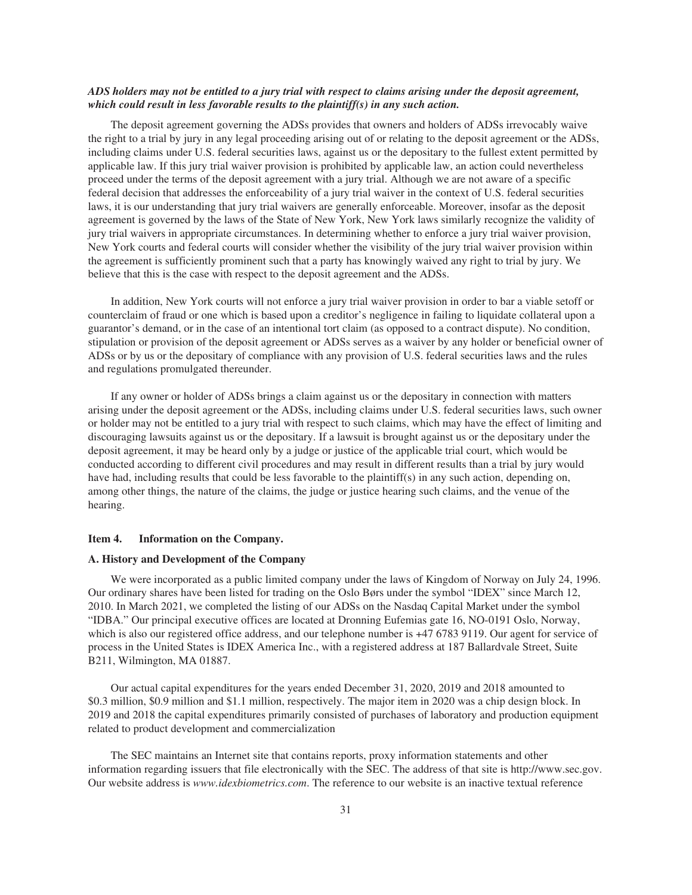#### *ADS holders may not be entitled to a jury trial with respect to claims arising under the deposit agreement, which could result in less favorable results to the plaintiff(s) in any such action.*

The deposit agreement governing the ADSs provides that owners and holders of ADSs irrevocably waive the right to a trial by jury in any legal proceeding arising out of or relating to the deposit agreement or the ADSs, including claims under U.S. federal securities laws, against us or the depositary to the fullest extent permitted by applicable law. If this jury trial waiver provision is prohibited by applicable law, an action could nevertheless proceed under the terms of the deposit agreement with a jury trial. Although we are not aware of a specific federal decision that addresses the enforceability of a jury trial waiver in the context of U.S. federal securities laws, it is our understanding that jury trial waivers are generally enforceable. Moreover, insofar as the deposit agreement is governed by the laws of the State of New York, New York laws similarly recognize the validity of jury trial waivers in appropriate circumstances. In determining whether to enforce a jury trial waiver provision, New York courts and federal courts will consider whether the visibility of the jury trial waiver provision within the agreement is sufficiently prominent such that a party has knowingly waived any right to trial by jury. We believe that this is the case with respect to the deposit agreement and the ADSs.

In addition, New York courts will not enforce a jury trial waiver provision in order to bar a viable setoff or counterclaim of fraud or one which is based upon a creditor's negligence in failing to liquidate collateral upon a guarantor's demand, or in the case of an intentional tort claim (as opposed to a contract dispute). No condition, stipulation or provision of the deposit agreement or ADSs serves as a waiver by any holder or beneficial owner of ADSs or by us or the depositary of compliance with any provision of U.S. federal securities laws and the rules and regulations promulgated thereunder.

If any owner or holder of ADSs brings a claim against us or the depositary in connection with matters arising under the deposit agreement or the ADSs, including claims under U.S. federal securities laws, such owner or holder may not be entitled to a jury trial with respect to such claims, which may have the effect of limiting and discouraging lawsuits against us or the depositary. If a lawsuit is brought against us or the depositary under the deposit agreement, it may be heard only by a judge or justice of the applicable trial court, which would be conducted according to different civil procedures and may result in different results than a trial by jury would have had, including results that could be less favorable to the plaintiff(s) in any such action, depending on, among other things, the nature of the claims, the judge or justice hearing such claims, and the venue of the hearing.

#### **Item 4. Information on the Company.**

#### **A. History and Development of the Company**

We were incorporated as a public limited company under the laws of Kingdom of Norway on July 24, 1996. Our ordinary shares have been listed for trading on the Oslo Børs under the symbol "IDEX" since March 12, 2010. In March 2021, we completed the listing of our ADSs on the Nasdaq Capital Market under the symbol "IDBA." Our principal executive offices are located at Dronning Eufemias gate 16, NO-0191 Oslo, Norway, which is also our registered office address, and our telephone number is +47 6783 9119. Our agent for service of process in the United States is IDEX America Inc., with a registered address at 187 Ballardvale Street, Suite B211, Wilmington, MA 01887.

Our actual capital expenditures for the years ended December 31, 2020, 2019 and 2018 amounted to \$0.3 million, \$0.9 million and \$1.1 million, respectively. The major item in 2020 was a chip design block. In 2019 and 2018 the capital expenditures primarily consisted of purchases of laboratory and production equipment related to product development and commercialization

The SEC maintains an Internet site that contains reports, proxy information statements and other information regarding issuers that file electronically with the SEC. The address of that site is http://www.sec.gov. Our website address is *www.idexbiometrics.com*. The reference to our website is an inactive textual reference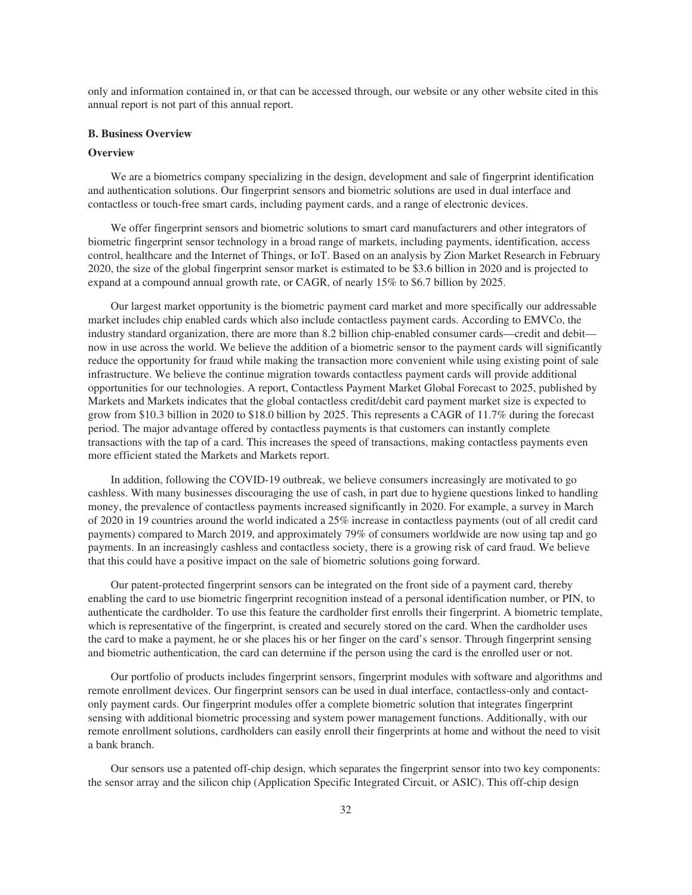only and information contained in, or that can be accessed through, our website or any other website cited in this annual report is not part of this annual report.

#### **B. Business Overview**

#### **Overview**

We are a biometrics company specializing in the design, development and sale of fingerprint identification and authentication solutions. Our fingerprint sensors and biometric solutions are used in dual interface and contactless or touch-free smart cards, including payment cards, and a range of electronic devices.

We offer fingerprint sensors and biometric solutions to smart card manufacturers and other integrators of biometric fingerprint sensor technology in a broad range of markets, including payments, identification, access control, healthcare and the Internet of Things, or IoT. Based on an analysis by Zion Market Research in February 2020, the size of the global fingerprint sensor market is estimated to be \$3.6 billion in 2020 and is projected to expand at a compound annual growth rate, or CAGR, of nearly 15% to \$6.7 billion by 2025.

Our largest market opportunity is the biometric payment card market and more specifically our addressable market includes chip enabled cards which also include contactless payment cards. According to EMVCo, the industry standard organization, there are more than 8.2 billion chip-enabled consumer cards—credit and debit now in use across the world. We believe the addition of a biometric sensor to the payment cards will significantly reduce the opportunity for fraud while making the transaction more convenient while using existing point of sale infrastructure. We believe the continue migration towards contactless payment cards will provide additional opportunities for our technologies. A report, Contactless Payment Market Global Forecast to 2025, published by Markets and Markets indicates that the global contactless credit/debit card payment market size is expected to grow from \$10.3 billion in 2020 to \$18.0 billion by 2025. This represents a CAGR of 11.7% during the forecast period. The major advantage offered by contactless payments is that customers can instantly complete transactions with the tap of a card. This increases the speed of transactions, making contactless payments even more efficient stated the Markets and Markets report.

In addition, following the COVID-19 outbreak, we believe consumers increasingly are motivated to go cashless. With many businesses discouraging the use of cash, in part due to hygiene questions linked to handling money, the prevalence of contactless payments increased significantly in 2020. For example, a survey in March of 2020 in 19 countries around the world indicated a 25% increase in contactless payments (out of all credit card payments) compared to March 2019, and approximately 79% of consumers worldwide are now using tap and go payments. In an increasingly cashless and contactless society, there is a growing risk of card fraud. We believe that this could have a positive impact on the sale of biometric solutions going forward.

Our patent-protected fingerprint sensors can be integrated on the front side of a payment card, thereby enabling the card to use biometric fingerprint recognition instead of a personal identification number, or PIN, to authenticate the cardholder. To use this feature the cardholder first enrolls their fingerprint. A biometric template, which is representative of the fingerprint, is created and securely stored on the card. When the cardholder uses the card to make a payment, he or she places his or her finger on the card's sensor. Through fingerprint sensing and biometric authentication, the card can determine if the person using the card is the enrolled user or not.

Our portfolio of products includes fingerprint sensors, fingerprint modules with software and algorithms and remote enrollment devices. Our fingerprint sensors can be used in dual interface, contactless-only and contactonly payment cards. Our fingerprint modules offer a complete biometric solution that integrates fingerprint sensing with additional biometric processing and system power management functions. Additionally, with our remote enrollment solutions, cardholders can easily enroll their fingerprints at home and without the need to visit a bank branch.

Our sensors use a patented off-chip design, which separates the fingerprint sensor into two key components: the sensor array and the silicon chip (Application Specific Integrated Circuit, or ASIC). This off-chip design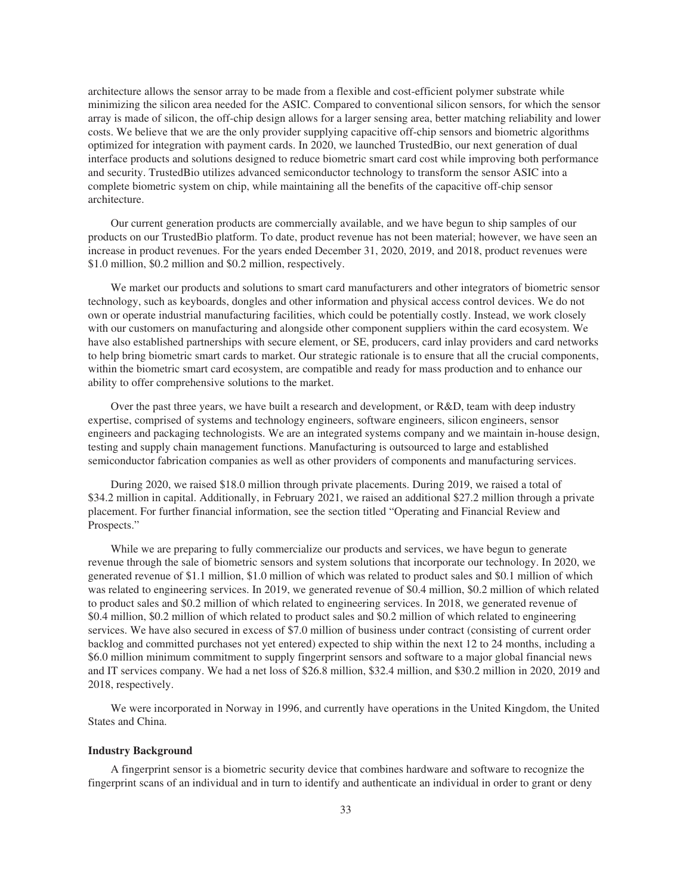architecture allows the sensor array to be made from a flexible and cost-efficient polymer substrate while minimizing the silicon area needed for the ASIC. Compared to conventional silicon sensors, for which the sensor array is made of silicon, the off-chip design allows for a larger sensing area, better matching reliability and lower costs. We believe that we are the only provider supplying capacitive off-chip sensors and biometric algorithms optimized for integration with payment cards. In 2020, we launched TrustedBio, our next generation of dual interface products and solutions designed to reduce biometric smart card cost while improving both performance and security. TrustedBio utilizes advanced semiconductor technology to transform the sensor ASIC into a complete biometric system on chip, while maintaining all the benefits of the capacitive off-chip sensor architecture.

Our current generation products are commercially available, and we have begun to ship samples of our products on our TrustedBio platform. To date, product revenue has not been material; however, we have seen an increase in product revenues. For the years ended December 31, 2020, 2019, and 2018, product revenues were \$1.0 million, \$0.2 million and \$0.2 million, respectively.

We market our products and solutions to smart card manufacturers and other integrators of biometric sensor technology, such as keyboards, dongles and other information and physical access control devices. We do not own or operate industrial manufacturing facilities, which could be potentially costly. Instead, we work closely with our customers on manufacturing and alongside other component suppliers within the card ecosystem. We have also established partnerships with secure element, or SE, producers, card inlay providers and card networks to help bring biometric smart cards to market. Our strategic rationale is to ensure that all the crucial components, within the biometric smart card ecosystem, are compatible and ready for mass production and to enhance our ability to offer comprehensive solutions to the market.

Over the past three years, we have built a research and development, or R&D, team with deep industry expertise, comprised of systems and technology engineers, software engineers, silicon engineers, sensor engineers and packaging technologists. We are an integrated systems company and we maintain in-house design, testing and supply chain management functions. Manufacturing is outsourced to large and established semiconductor fabrication companies as well as other providers of components and manufacturing services.

During 2020, we raised \$18.0 million through private placements. During 2019, we raised a total of \$34.2 million in capital. Additionally, in February 2021, we raised an additional \$27.2 million through a private placement. For further financial information, see the section titled "Operating and Financial Review and Prospects."

While we are preparing to fully commercialize our products and services, we have begun to generate revenue through the sale of biometric sensors and system solutions that incorporate our technology. In 2020, we generated revenue of \$1.1 million, \$1.0 million of which was related to product sales and \$0.1 million of which was related to engineering services. In 2019, we generated revenue of \$0.4 million, \$0.2 million of which related to product sales and \$0.2 million of which related to engineering services. In 2018, we generated revenue of \$0.4 million, \$0.2 million of which related to product sales and \$0.2 million of which related to engineering services. We have also secured in excess of \$7.0 million of business under contract (consisting of current order backlog and committed purchases not yet entered) expected to ship within the next 12 to 24 months, including a \$6.0 million minimum commitment to supply fingerprint sensors and software to a major global financial news and IT services company. We had a net loss of \$26.8 million, \$32.4 million, and \$30.2 million in 2020, 2019 and 2018, respectively.

We were incorporated in Norway in 1996, and currently have operations in the United Kingdom, the United States and China.

#### **Industry Background**

A fingerprint sensor is a biometric security device that combines hardware and software to recognize the fingerprint scans of an individual and in turn to identify and authenticate an individual in order to grant or deny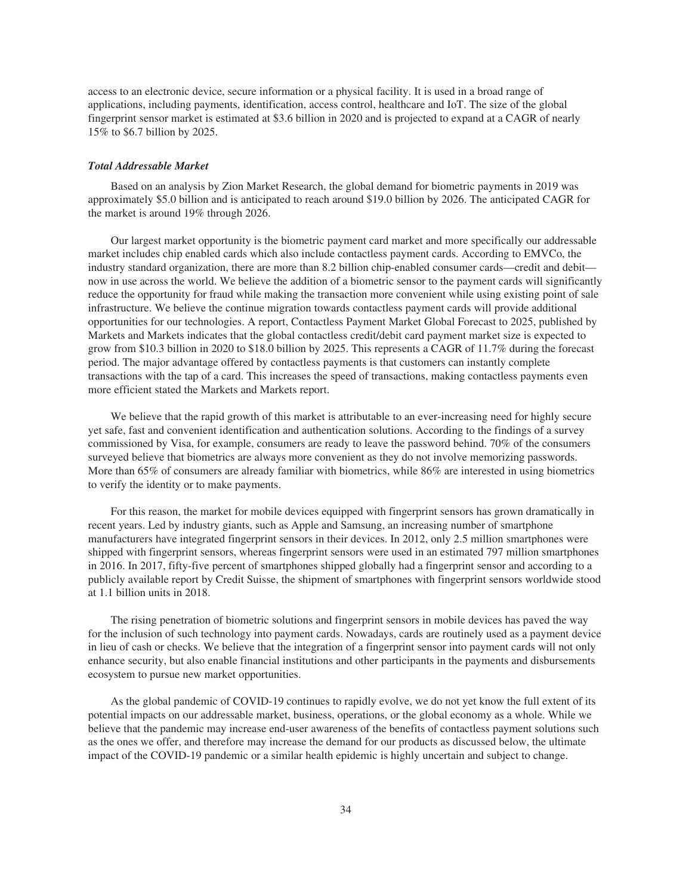access to an electronic device, secure information or a physical facility. It is used in a broad range of applications, including payments, identification, access control, healthcare and IoT. The size of the global fingerprint sensor market is estimated at \$3.6 billion in 2020 and is projected to expand at a CAGR of nearly 15% to \$6.7 billion by 2025.

#### *Total Addressable Market*

Based on an analysis by Zion Market Research, the global demand for biometric payments in 2019 was approximately \$5.0 billion and is anticipated to reach around \$19.0 billion by 2026. The anticipated CAGR for the market is around 19% through 2026.

Our largest market opportunity is the biometric payment card market and more specifically our addressable market includes chip enabled cards which also include contactless payment cards. According to EMVCo, the industry standard organization, there are more than 8.2 billion chip-enabled consumer cards—credit and debit now in use across the world. We believe the addition of a biometric sensor to the payment cards will significantly reduce the opportunity for fraud while making the transaction more convenient while using existing point of sale infrastructure. We believe the continue migration towards contactless payment cards will provide additional opportunities for our technologies. A report, Contactless Payment Market Global Forecast to 2025, published by Markets and Markets indicates that the global contactless credit/debit card payment market size is expected to grow from \$10.3 billion in 2020 to \$18.0 billion by 2025. This represents a CAGR of 11.7% during the forecast period. The major advantage offered by contactless payments is that customers can instantly complete transactions with the tap of a card. This increases the speed of transactions, making contactless payments even more efficient stated the Markets and Markets report.

We believe that the rapid growth of this market is attributable to an ever-increasing need for highly secure yet safe, fast and convenient identification and authentication solutions. According to the findings of a survey commissioned by Visa, for example, consumers are ready to leave the password behind. 70% of the consumers surveyed believe that biometrics are always more convenient as they do not involve memorizing passwords. More than 65% of consumers are already familiar with biometrics, while 86% are interested in using biometrics to verify the identity or to make payments.

For this reason, the market for mobile devices equipped with fingerprint sensors has grown dramatically in recent years. Led by industry giants, such as Apple and Samsung, an increasing number of smartphone manufacturers have integrated fingerprint sensors in their devices. In 2012, only 2.5 million smartphones were shipped with fingerprint sensors, whereas fingerprint sensors were used in an estimated 797 million smartphones in 2016. In 2017, fifty-five percent of smartphones shipped globally had a fingerprint sensor and according to a publicly available report by Credit Suisse, the shipment of smartphones with fingerprint sensors worldwide stood at 1.1 billion units in 2018.

The rising penetration of biometric solutions and fingerprint sensors in mobile devices has paved the way for the inclusion of such technology into payment cards. Nowadays, cards are routinely used as a payment device in lieu of cash or checks. We believe that the integration of a fingerprint sensor into payment cards will not only enhance security, but also enable financial institutions and other participants in the payments and disbursements ecosystem to pursue new market opportunities.

As the global pandemic of COVID-19 continues to rapidly evolve, we do not yet know the full extent of its potential impacts on our addressable market, business, operations, or the global economy as a whole. While we believe that the pandemic may increase end-user awareness of the benefits of contactless payment solutions such as the ones we offer, and therefore may increase the demand for our products as discussed below, the ultimate impact of the COVID-19 pandemic or a similar health epidemic is highly uncertain and subject to change.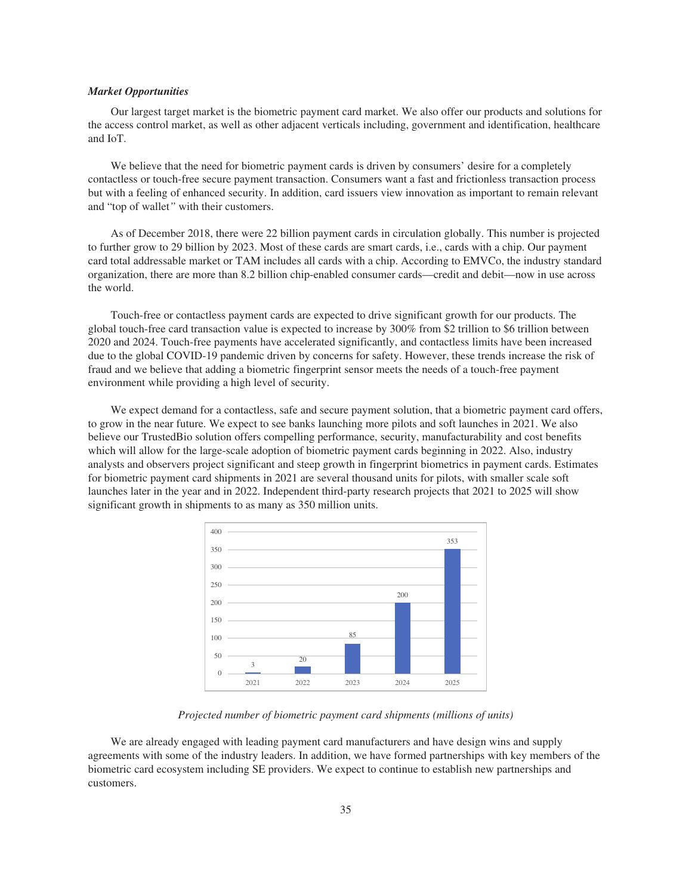#### *Market Opportunities*

Our largest target market is the biometric payment card market. We also offer our products and solutions for the access control market, as well as other adjacent verticals including, government and identification, healthcare and IoT.

We believe that the need for biometric payment cards is driven by consumers' desire for a completely contactless or touch-free secure payment transaction. Consumers want a fast and frictionless transaction process but with a feeling of enhanced security. In addition, card issuers view innovation as important to remain relevant and "top of wallet*"* with their customers.

As of December 2018, there were 22 billion payment cards in circulation globally. This number is projected to further grow to 29 billion by 2023. Most of these cards are smart cards, i.e., cards with a chip. Our payment card total addressable market or TAM includes all cards with a chip. According to EMVCo, the industry standard organization, there are more than 8.2 billion chip-enabled consumer cards—credit and debit—now in use across the world.

Touch-free or contactless payment cards are expected to drive significant growth for our products. The global touch-free card transaction value is expected to increase by 300% from \$2 trillion to \$6 trillion between 2020 and 2024. Touch-free payments have accelerated significantly, and contactless limits have been increased due to the global COVID-19 pandemic driven by concerns for safety. However, these trends increase the risk of fraud and we believe that adding a biometric fingerprint sensor meets the needs of a touch-free payment environment while providing a high level of security.

We expect demand for a contactless, safe and secure payment solution, that a biometric payment card offers, to grow in the near future. We expect to see banks launching more pilots and soft launches in 2021. We also believe our TrustedBio solution offers compelling performance, security, manufacturability and cost benefits which will allow for the large-scale adoption of biometric payment cards beginning in 2022. Also, industry analysts and observers project significant and steep growth in fingerprint biometrics in payment cards. Estimates for biometric payment card shipments in 2021 are several thousand units for pilots, with smaller scale soft launches later in the year and in 2022. Independent third-party research projects that 2021 to 2025 will show significant growth in shipments to as many as 350 million units.



*Projected number of biometric payment card shipments (millions of units)*

We are already engaged with leading payment card manufacturers and have design wins and supply agreements with some of the industry leaders. In addition, we have formed partnerships with key members of the biometric card ecosystem including SE providers. We expect to continue to establish new partnerships and customers.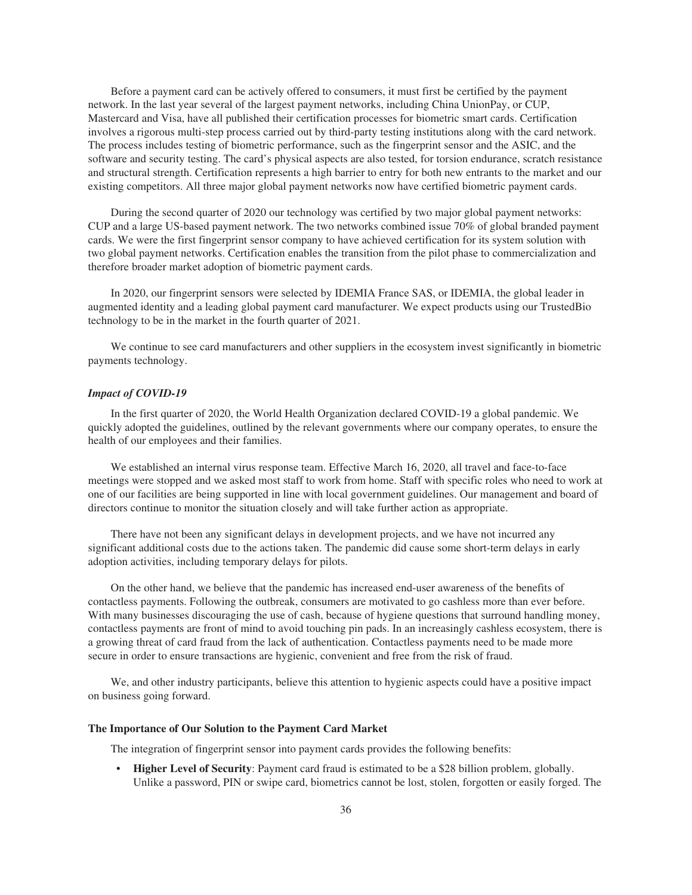Before a payment card can be actively offered to consumers, it must first be certified by the payment network. In the last year several of the largest payment networks, including China UnionPay, or CUP, Mastercard and Visa, have all published their certification processes for biometric smart cards. Certification involves a rigorous multi-step process carried out by third-party testing institutions along with the card network. The process includes testing of biometric performance, such as the fingerprint sensor and the ASIC, and the software and security testing. The card's physical aspects are also tested, for torsion endurance, scratch resistance and structural strength. Certification represents a high barrier to entry for both new entrants to the market and our existing competitors. All three major global payment networks now have certified biometric payment cards.

During the second quarter of 2020 our technology was certified by two major global payment networks: CUP and a large US-based payment network. The two networks combined issue 70% of global branded payment cards. We were the first fingerprint sensor company to have achieved certification for its system solution with two global payment networks. Certification enables the transition from the pilot phase to commercialization and therefore broader market adoption of biometric payment cards.

In 2020, our fingerprint sensors were selected by IDEMIA France SAS, or IDEMIA, the global leader in augmented identity and a leading global payment card manufacturer. We expect products using our TrustedBio technology to be in the market in the fourth quarter of 2021.

We continue to see card manufacturers and other suppliers in the ecosystem invest significantly in biometric payments technology.

#### *Impact of COVID-19*

In the first quarter of 2020, the World Health Organization declared COVID-19 a global pandemic. We quickly adopted the guidelines, outlined by the relevant governments where our company operates, to ensure the health of our employees and their families.

We established an internal virus response team. Effective March 16, 2020, all travel and face-to-face meetings were stopped and we asked most staff to work from home. Staff with specific roles who need to work at one of our facilities are being supported in line with local government guidelines. Our management and board of directors continue to monitor the situation closely and will take further action as appropriate.

There have not been any significant delays in development projects, and we have not incurred any significant additional costs due to the actions taken. The pandemic did cause some short-term delays in early adoption activities, including temporary delays for pilots.

On the other hand, we believe that the pandemic has increased end-user awareness of the benefits of contactless payments. Following the outbreak, consumers are motivated to go cashless more than ever before. With many businesses discouraging the use of cash, because of hygiene questions that surround handling money, contactless payments are front of mind to avoid touching pin pads. In an increasingly cashless ecosystem, there is a growing threat of card fraud from the lack of authentication. Contactless payments need to be made more secure in order to ensure transactions are hygienic, convenient and free from the risk of fraud.

We, and other industry participants, believe this attention to hygienic aspects could have a positive impact on business going forward.

#### **The Importance of Our Solution to the Payment Card Market**

The integration of fingerprint sensor into payment cards provides the following benefits:

• **Higher Level of Security**: Payment card fraud is estimated to be a \$28 billion problem, globally. Unlike a password, PIN or swipe card, biometrics cannot be lost, stolen, forgotten or easily forged. The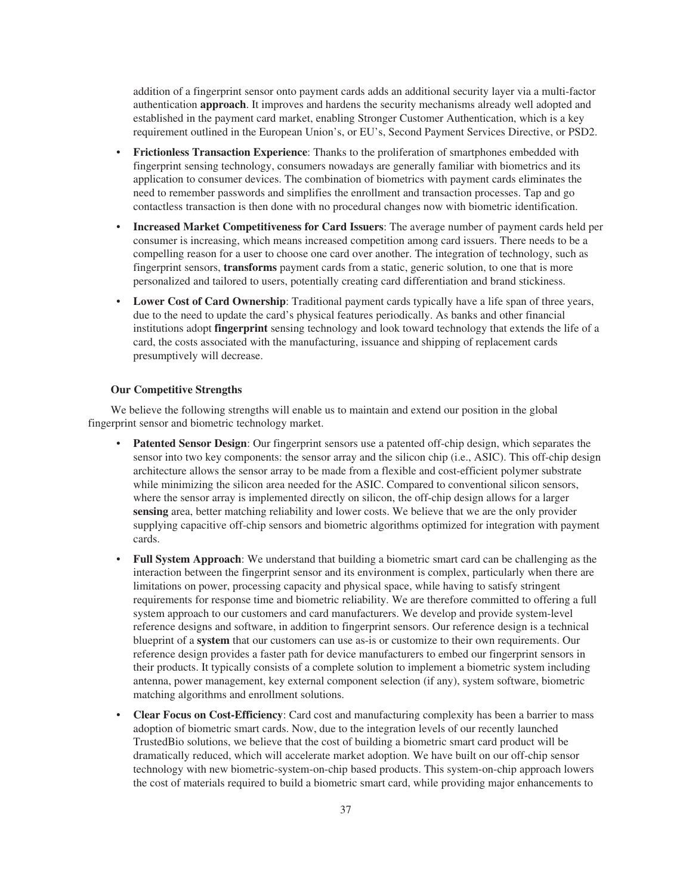addition of a fingerprint sensor onto payment cards adds an additional security layer via a multi-factor authentication **approach**. It improves and hardens the security mechanisms already well adopted and established in the payment card market, enabling Stronger Customer Authentication, which is a key requirement outlined in the European Union's, or EU's, Second Payment Services Directive, or PSD2.

- **Frictionless Transaction Experience**: Thanks to the proliferation of smartphones embedded with fingerprint sensing technology, consumers nowadays are generally familiar with biometrics and its application to consumer devices. The combination of biometrics with payment cards eliminates the need to remember passwords and simplifies the enrollment and transaction processes. Tap and go contactless transaction is then done with no procedural changes now with biometric identification.
- **Increased Market Competitiveness for Card Issuers**: The average number of payment cards held per consumer is increasing, which means increased competition among card issuers. There needs to be a compelling reason for a user to choose one card over another. The integration of technology, such as fingerprint sensors, **transforms** payment cards from a static, generic solution, to one that is more personalized and tailored to users, potentially creating card differentiation and brand stickiness.
- **Lower Cost of Card Ownership**: Traditional payment cards typically have a life span of three years, due to the need to update the card's physical features periodically. As banks and other financial institutions adopt **fingerprint** sensing technology and look toward technology that extends the life of a card, the costs associated with the manufacturing, issuance and shipping of replacement cards presumptively will decrease.

## **Our Competitive Strengths**

We believe the following strengths will enable us to maintain and extend our position in the global fingerprint sensor and biometric technology market.

- **Patented Sensor Design**: Our fingerprint sensors use a patented off-chip design, which separates the sensor into two key components: the sensor array and the silicon chip (i.e., ASIC). This off-chip design architecture allows the sensor array to be made from a flexible and cost-efficient polymer substrate while minimizing the silicon area needed for the ASIC. Compared to conventional silicon sensors, where the sensor array is implemented directly on silicon, the off-chip design allows for a larger **sensing** area, better matching reliability and lower costs. We believe that we are the only provider supplying capacitive off-chip sensors and biometric algorithms optimized for integration with payment cards.
- **Full System Approach**: We understand that building a biometric smart card can be challenging as the interaction between the fingerprint sensor and its environment is complex, particularly when there are limitations on power, processing capacity and physical space, while having to satisfy stringent requirements for response time and biometric reliability. We are therefore committed to offering a full system approach to our customers and card manufacturers. We develop and provide system-level reference designs and software, in addition to fingerprint sensors. Our reference design is a technical blueprint of a **system** that our customers can use as-is or customize to their own requirements. Our reference design provides a faster path for device manufacturers to embed our fingerprint sensors in their products. It typically consists of a complete solution to implement a biometric system including antenna, power management, key external component selection (if any), system software, biometric matching algorithms and enrollment solutions.
- **Clear Focus on Cost-Efficiency**: Card cost and manufacturing complexity has been a barrier to mass adoption of biometric smart cards. Now, due to the integration levels of our recently launched TrustedBio solutions, we believe that the cost of building a biometric smart card product will be dramatically reduced, which will accelerate market adoption. We have built on our off-chip sensor technology with new biometric-system-on-chip based products. This system-on-chip approach lowers the cost of materials required to build a biometric smart card, while providing major enhancements to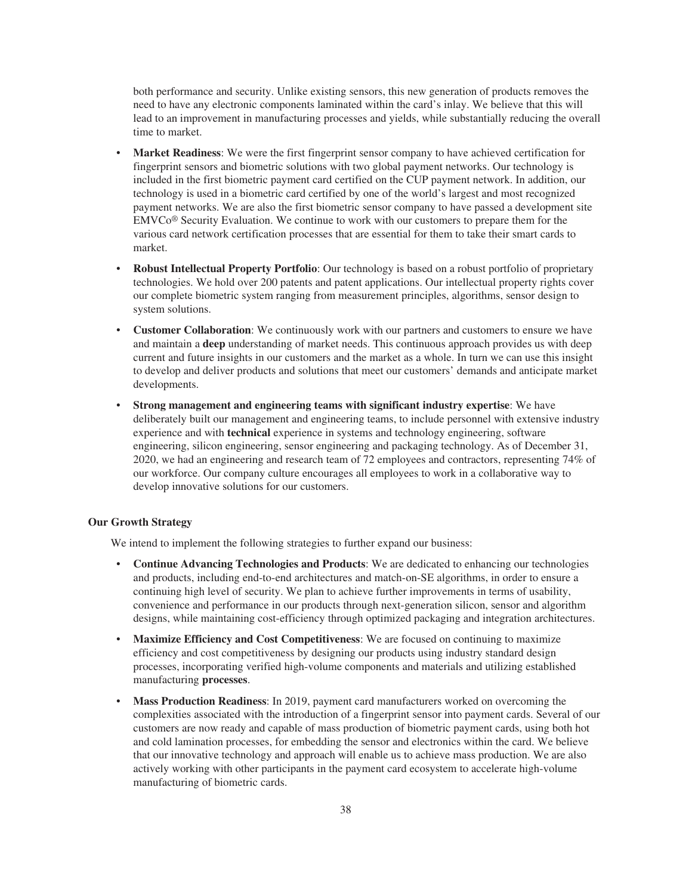both performance and security. Unlike existing sensors, this new generation of products removes the need to have any electronic components laminated within the card's inlay. We believe that this will lead to an improvement in manufacturing processes and yields, while substantially reducing the overall time to market.

- **Market Readiness**: We were the first fingerprint sensor company to have achieved certification for fingerprint sensors and biometric solutions with two global payment networks. Our technology is included in the first biometric payment card certified on the CUP payment network. In addition, our technology is used in a biometric card certified by one of the world's largest and most recognized payment networks. We are also the first biometric sensor company to have passed a development site EMVCo® Security Evaluation. We continue to work with our customers to prepare them for the various card network certification processes that are essential for them to take their smart cards to market.
- **Robust Intellectual Property Portfolio**: Our technology is based on a robust portfolio of proprietary technologies. We hold over 200 patents and patent applications. Our intellectual property rights cover our complete biometric system ranging from measurement principles, algorithms, sensor design to system solutions.
- **Customer Collaboration**: We continuously work with our partners and customers to ensure we have and maintain a **deep** understanding of market needs. This continuous approach provides us with deep current and future insights in our customers and the market as a whole. In turn we can use this insight to develop and deliver products and solutions that meet our customers' demands and anticipate market developments.
- **Strong management and engineering teams with significant industry expertise**: We have deliberately built our management and engineering teams, to include personnel with extensive industry experience and with **technical** experience in systems and technology engineering, software engineering, silicon engineering, sensor engineering and packaging technology. As of December 31, 2020, we had an engineering and research team of 72 employees and contractors, representing 74% of our workforce. Our company culture encourages all employees to work in a collaborative way to develop innovative solutions for our customers.

# **Our Growth Strategy**

We intend to implement the following strategies to further expand our business:

- **Continue Advancing Technologies and Products**: We are dedicated to enhancing our technologies and products, including end-to-end architectures and match-on-SE algorithms, in order to ensure a continuing high level of security. We plan to achieve further improvements in terms of usability, convenience and performance in our products through next-generation silicon, sensor and algorithm designs, while maintaining cost-efficiency through optimized packaging and integration architectures.
- **Maximize Efficiency and Cost Competitiveness**: We are focused on continuing to maximize efficiency and cost competitiveness by designing our products using industry standard design processes, incorporating verified high-volume components and materials and utilizing established manufacturing **processes**.
- **Mass Production Readiness**: In 2019, payment card manufacturers worked on overcoming the complexities associated with the introduction of a fingerprint sensor into payment cards. Several of our customers are now ready and capable of mass production of biometric payment cards, using both hot and cold lamination processes, for embedding the sensor and electronics within the card. We believe that our innovative technology and approach will enable us to achieve mass production. We are also actively working with other participants in the payment card ecosystem to accelerate high-volume manufacturing of biometric cards.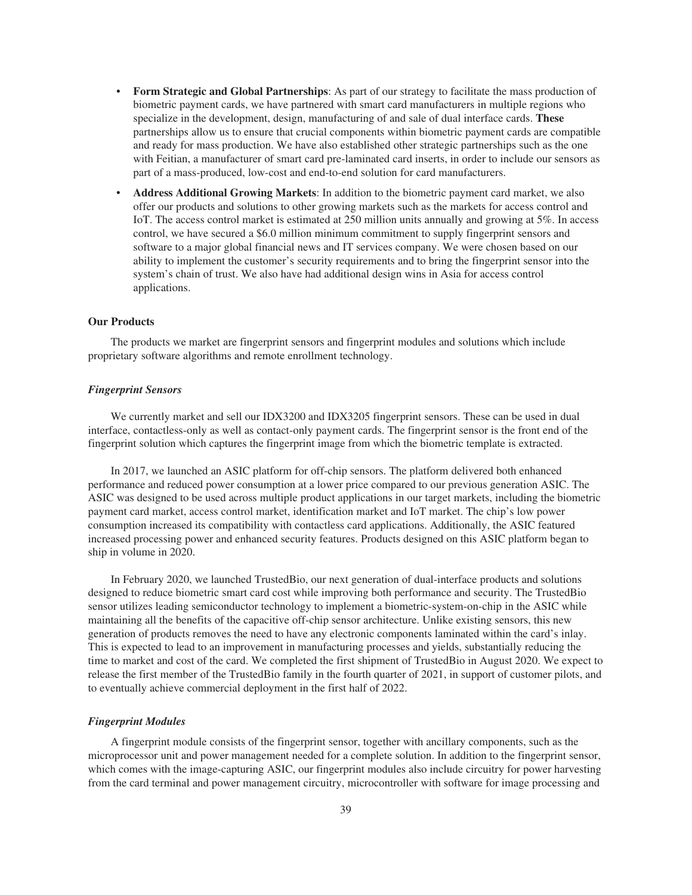- **Form Strategic and Global Partnerships**: As part of our strategy to facilitate the mass production of biometric payment cards, we have partnered with smart card manufacturers in multiple regions who specialize in the development, design, manufacturing of and sale of dual interface cards. **These** partnerships allow us to ensure that crucial components within biometric payment cards are compatible and ready for mass production. We have also established other strategic partnerships such as the one with Feitian, a manufacturer of smart card pre-laminated card inserts, in order to include our sensors as part of a mass-produced, low-cost and end-to-end solution for card manufacturers.
- **Address Additional Growing Markets**: In addition to the biometric payment card market, we also offer our products and solutions to other growing markets such as the markets for access control and IoT. The access control market is estimated at 250 million units annually and growing at 5%. In access control, we have secured a \$6.0 million minimum commitment to supply fingerprint sensors and software to a major global financial news and IT services company. We were chosen based on our ability to implement the customer's security requirements and to bring the fingerprint sensor into the system's chain of trust. We also have had additional design wins in Asia for access control applications.

### **Our Products**

The products we market are fingerprint sensors and fingerprint modules and solutions which include proprietary software algorithms and remote enrollment technology.

## *Fingerprint Sensors*

We currently market and sell our IDX3200 and IDX3205 fingerprint sensors. These can be used in dual interface, contactless-only as well as contact-only payment cards. The fingerprint sensor is the front end of the fingerprint solution which captures the fingerprint image from which the biometric template is extracted.

In 2017, we launched an ASIC platform for off-chip sensors. The platform delivered both enhanced performance and reduced power consumption at a lower price compared to our previous generation ASIC. The ASIC was designed to be used across multiple product applications in our target markets, including the biometric payment card market, access control market, identification market and IoT market. The chip's low power consumption increased its compatibility with contactless card applications. Additionally, the ASIC featured increased processing power and enhanced security features. Products designed on this ASIC platform began to ship in volume in 2020.

In February 2020, we launched TrustedBio, our next generation of dual-interface products and solutions designed to reduce biometric smart card cost while improving both performance and security. The TrustedBio sensor utilizes leading semiconductor technology to implement a biometric-system-on-chip in the ASIC while maintaining all the benefits of the capacitive off-chip sensor architecture. Unlike existing sensors, this new generation of products removes the need to have any electronic components laminated within the card's inlay. This is expected to lead to an improvement in manufacturing processes and yields, substantially reducing the time to market and cost of the card. We completed the first shipment of TrustedBio in August 2020. We expect to release the first member of the TrustedBio family in the fourth quarter of 2021, in support of customer pilots, and to eventually achieve commercial deployment in the first half of 2022.

## *Fingerprint Modules*

A fingerprint module consists of the fingerprint sensor, together with ancillary components, such as the microprocessor unit and power management needed for a complete solution. In addition to the fingerprint sensor, which comes with the image-capturing ASIC, our fingerprint modules also include circuitry for power harvesting from the card terminal and power management circuitry, microcontroller with software for image processing and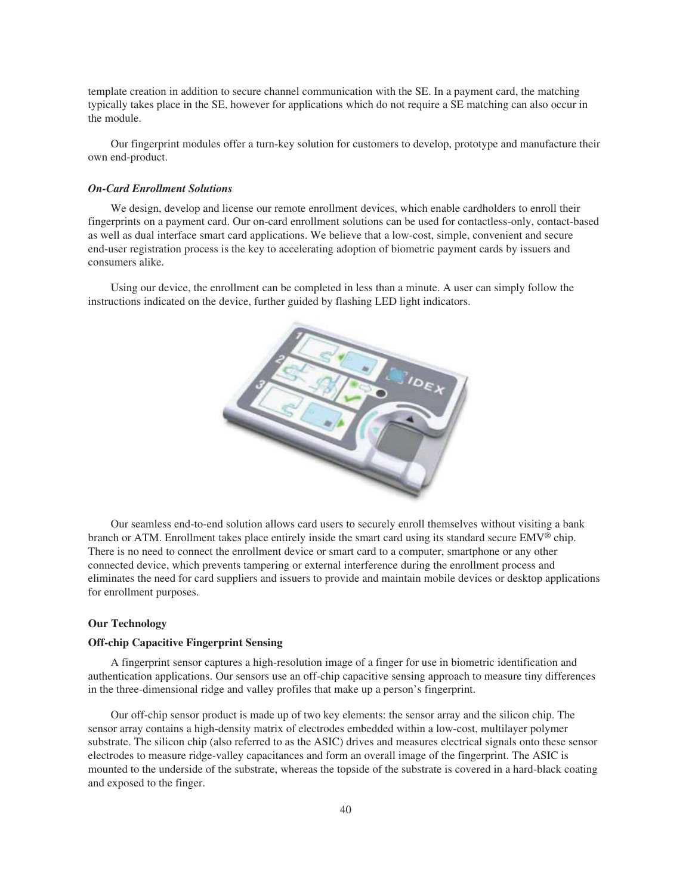template creation in addition to secure channel communication with the SE. In a payment card, the matching typically takes place in the SE, however for applications which do not require a SE matching can also occur in the module.

Our fingerprint modules offer a turn-key solution for customers to develop, prototype and manufacture their own end-product.

## *On-Card Enrollment Solutions*

We design, develop and license our remote enrollment devices, which enable cardholders to enroll their fingerprints on a payment card. Our on-card enrollment solutions can be used for contactless-only, contact-based as well as dual interface smart card applications. We believe that a low-cost, simple, convenient and secure end-user registration process is the key to accelerating adoption of biometric payment cards by issuers and consumers alike.

Using our device, the enrollment can be completed in less than a minute. A user can simply follow the instructions indicated on the device, further guided by flashing LED light indicators.



Our seamless end-to-end solution allows card users to securely enroll themselves without visiting a bank branch or ATM. Enrollment takes place entirely inside the smart card using its standard secure EMV® chip. There is no need to connect the enrollment device or smart card to a computer, smartphone or any other connected device, which prevents tampering or external interference during the enrollment process and eliminates the need for card suppliers and issuers to provide and maintain mobile devices or desktop applications for enrollment purposes.

## **Our Technology**

#### **Off-chip Capacitive Fingerprint Sensing**

A fingerprint sensor captures a high-resolution image of a finger for use in biometric identification and authentication applications. Our sensors use an off-chip capacitive sensing approach to measure tiny differences in the three-dimensional ridge and valley profiles that make up a person's fingerprint.

Our off-chip sensor product is made up of two key elements: the sensor array and the silicon chip. The sensor array contains a high-density matrix of electrodes embedded within a low-cost, multilayer polymer substrate. The silicon chip (also referred to as the ASIC) drives and measures electrical signals onto these sensor electrodes to measure ridge-valley capacitances and form an overall image of the fingerprint. The ASIC is mounted to the underside of the substrate, whereas the topside of the substrate is covered in a hard-black coating and exposed to the finger.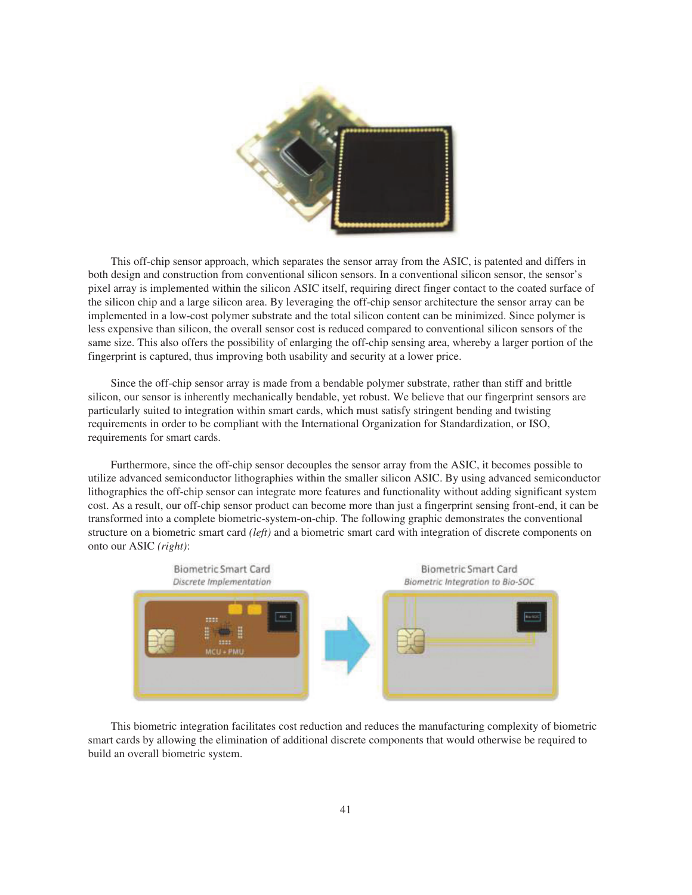

This off-chip sensor approach, which separates the sensor array from the ASIC, is patented and differs in both design and construction from conventional silicon sensors. In a conventional silicon sensor, the sensor's pixel array is implemented within the silicon ASIC itself, requiring direct finger contact to the coated surface of the silicon chip and a large silicon area. By leveraging the off-chip sensor architecture the sensor array can be implemented in a low-cost polymer substrate and the total silicon content can be minimized. Since polymer is less expensive than silicon, the overall sensor cost is reduced compared to conventional silicon sensors of the same size. This also offers the possibility of enlarging the off-chip sensing area, whereby a larger portion of the fingerprint is captured, thus improving both usability and security at a lower price.

Since the off-chip sensor array is made from a bendable polymer substrate, rather than stiff and brittle silicon, our sensor is inherently mechanically bendable, yet robust. We believe that our fingerprint sensors are particularly suited to integration within smart cards, which must satisfy stringent bending and twisting requirements in order to be compliant with the International Organization for Standardization, or ISO, requirements for smart cards.

Furthermore, since the off-chip sensor decouples the sensor array from the ASIC, it becomes possible to utilize advanced semiconductor lithographies within the smaller silicon ASIC. By using advanced semiconductor lithographies the off-chip sensor can integrate more features and functionality without adding significant system cost. As a result, our off-chip sensor product can become more than just a fingerprint sensing front-end, it can be transformed into a complete biometric-system-on-chip. The following graphic demonstrates the conventional structure on a biometric smart card *(left)* and a biometric smart card with integration of discrete components on onto our ASIC *(right)*:



This biometric integration facilitates cost reduction and reduces the manufacturing complexity of biometric smart cards by allowing the elimination of additional discrete components that would otherwise be required to build an overall biometric system.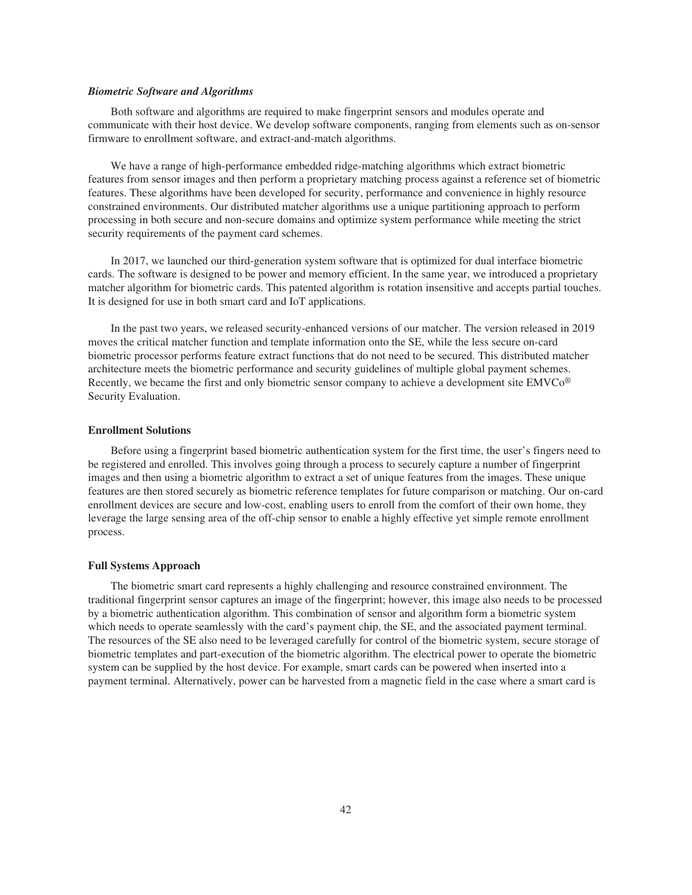## *Biometric Software and Algorithms*

Both software and algorithms are required to make fingerprint sensors and modules operate and communicate with their host device. We develop software components, ranging from elements such as on-sensor firmware to enrollment software, and extract-and-match algorithms.

We have a range of high-performance embedded ridge-matching algorithms which extract biometric features from sensor images and then perform a proprietary matching process against a reference set of biometric features. These algorithms have been developed for security, performance and convenience in highly resource constrained environments. Our distributed matcher algorithms use a unique partitioning approach to perform processing in both secure and non-secure domains and optimize system performance while meeting the strict security requirements of the payment card schemes.

In 2017, we launched our third-generation system software that is optimized for dual interface biometric cards. The software is designed to be power and memory efficient. In the same year, we introduced a proprietary matcher algorithm for biometric cards. This patented algorithm is rotation insensitive and accepts partial touches. It is designed for use in both smart card and IoT applications.

In the past two years, we released security-enhanced versions of our matcher. The version released in 2019 moves the critical matcher function and template information onto the SE, while the less secure on-card biometric processor performs feature extract functions that do not need to be secured. This distributed matcher architecture meets the biometric performance and security guidelines of multiple global payment schemes. Recently, we became the first and only biometric sensor company to achieve a development site EMVCo® Security Evaluation.

## **Enrollment Solutions**

Before using a fingerprint based biometric authentication system for the first time, the user's fingers need to be registered and enrolled. This involves going through a process to securely capture a number of fingerprint images and then using a biometric algorithm to extract a set of unique features from the images. These unique features are then stored securely as biometric reference templates for future comparison or matching. Our on-card enrollment devices are secure and low-cost, enabling users to enroll from the comfort of their own home, they leverage the large sensing area of the off-chip sensor to enable a highly effective yet simple remote enrollment process.

## **Full Systems Approach**

The biometric smart card represents a highly challenging and resource constrained environment. The traditional fingerprint sensor captures an image of the fingerprint; however, this image also needs to be processed by a biometric authentication algorithm. This combination of sensor and algorithm form a biometric system which needs to operate seamlessly with the card's payment chip, the SE, and the associated payment terminal. The resources of the SE also need to be leveraged carefully for control of the biometric system, secure storage of biometric templates and part-execution of the biometric algorithm. The electrical power to operate the biometric system can be supplied by the host device. For example, smart cards can be powered when inserted into a payment terminal. Alternatively, power can be harvested from a magnetic field in the case where a smart card is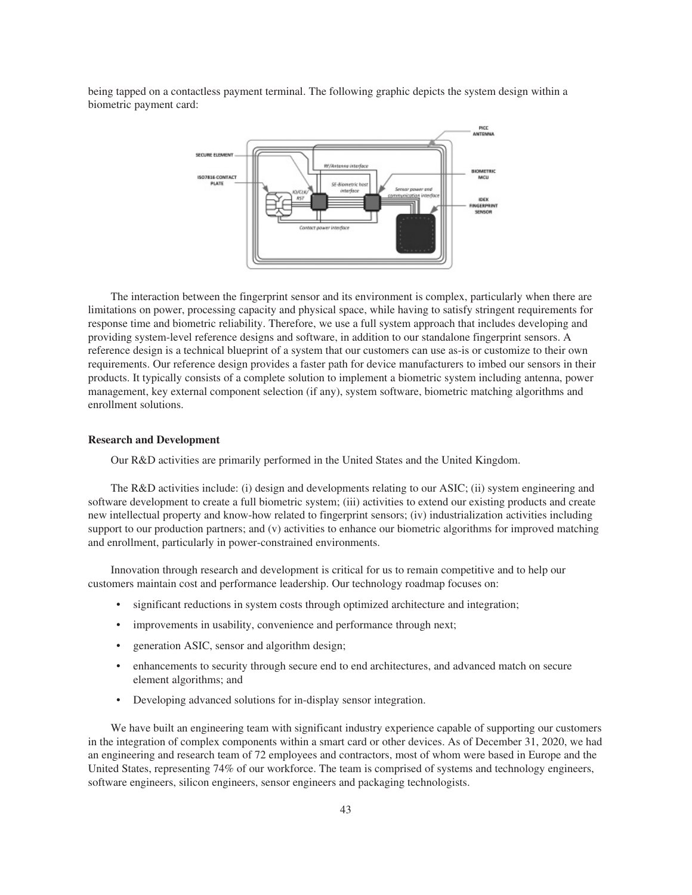being tapped on a contactless payment terminal. The following graphic depicts the system design within a biometric payment card:



The interaction between the fingerprint sensor and its environment is complex, particularly when there are limitations on power, processing capacity and physical space, while having to satisfy stringent requirements for response time and biometric reliability. Therefore, we use a full system approach that includes developing and providing system-level reference designs and software, in addition to our standalone fingerprint sensors. A reference design is a technical blueprint of a system that our customers can use as-is or customize to their own requirements. Our reference design provides a faster path for device manufacturers to imbed our sensors in their products. It typically consists of a complete solution to implement a biometric system including antenna, power management, key external component selection (if any), system software, biometric matching algorithms and enrollment solutions.

## **Research and Development**

Our R&D activities are primarily performed in the United States and the United Kingdom.

The R&D activities include: (i) design and developments relating to our ASIC; (ii) system engineering and software development to create a full biometric system; (iii) activities to extend our existing products and create new intellectual property and know-how related to fingerprint sensors; (iv) industrialization activities including support to our production partners; and (v) activities to enhance our biometric algorithms for improved matching and enrollment, particularly in power-constrained environments.

Innovation through research and development is critical for us to remain competitive and to help our customers maintain cost and performance leadership. Our technology roadmap focuses on:

- significant reductions in system costs through optimized architecture and integration;
- improvements in usability, convenience and performance through next;
- generation ASIC, sensor and algorithm design;
- enhancements to security through secure end to end architectures, and advanced match on secure element algorithms; and
- Developing advanced solutions for in-display sensor integration.

We have built an engineering team with significant industry experience capable of supporting our customers in the integration of complex components within a smart card or other devices. As of December 31, 2020, we had an engineering and research team of 72 employees and contractors, most of whom were based in Europe and the United States, representing 74% of our workforce. The team is comprised of systems and technology engineers, software engineers, silicon engineers, sensor engineers and packaging technologists.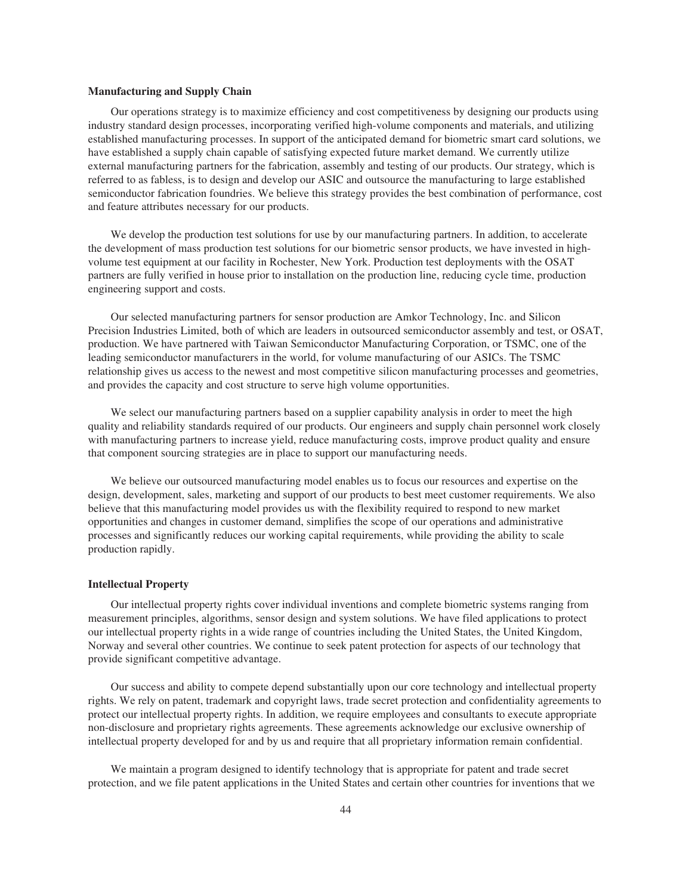## **Manufacturing and Supply Chain**

Our operations strategy is to maximize efficiency and cost competitiveness by designing our products using industry standard design processes, incorporating verified high-volume components and materials, and utilizing established manufacturing processes. In support of the anticipated demand for biometric smart card solutions, we have established a supply chain capable of satisfying expected future market demand. We currently utilize external manufacturing partners for the fabrication, assembly and testing of our products. Our strategy, which is referred to as fabless, is to design and develop our ASIC and outsource the manufacturing to large established semiconductor fabrication foundries. We believe this strategy provides the best combination of performance, cost and feature attributes necessary for our products.

We develop the production test solutions for use by our manufacturing partners. In addition, to accelerate the development of mass production test solutions for our biometric sensor products, we have invested in highvolume test equipment at our facility in Rochester, New York. Production test deployments with the OSAT partners are fully verified in house prior to installation on the production line, reducing cycle time, production engineering support and costs.

Our selected manufacturing partners for sensor production are Amkor Technology, Inc. and Silicon Precision Industries Limited, both of which are leaders in outsourced semiconductor assembly and test, or OSAT, production. We have partnered with Taiwan Semiconductor Manufacturing Corporation, or TSMC, one of the leading semiconductor manufacturers in the world, for volume manufacturing of our ASICs. The TSMC relationship gives us access to the newest and most competitive silicon manufacturing processes and geometries, and provides the capacity and cost structure to serve high volume opportunities.

We select our manufacturing partners based on a supplier capability analysis in order to meet the high quality and reliability standards required of our products. Our engineers and supply chain personnel work closely with manufacturing partners to increase yield, reduce manufacturing costs, improve product quality and ensure that component sourcing strategies are in place to support our manufacturing needs.

We believe our outsourced manufacturing model enables us to focus our resources and expertise on the design, development, sales, marketing and support of our products to best meet customer requirements. We also believe that this manufacturing model provides us with the flexibility required to respond to new market opportunities and changes in customer demand, simplifies the scope of our operations and administrative processes and significantly reduces our working capital requirements, while providing the ability to scale production rapidly.

## **Intellectual Property**

Our intellectual property rights cover individual inventions and complete biometric systems ranging from measurement principles, algorithms, sensor design and system solutions. We have filed applications to protect our intellectual property rights in a wide range of countries including the United States, the United Kingdom, Norway and several other countries. We continue to seek patent protection for aspects of our technology that provide significant competitive advantage.

Our success and ability to compete depend substantially upon our core technology and intellectual property rights. We rely on patent, trademark and copyright laws, trade secret protection and confidentiality agreements to protect our intellectual property rights. In addition, we require employees and consultants to execute appropriate non-disclosure and proprietary rights agreements. These agreements acknowledge our exclusive ownership of intellectual property developed for and by us and require that all proprietary information remain confidential.

We maintain a program designed to identify technology that is appropriate for patent and trade secret protection, and we file patent applications in the United States and certain other countries for inventions that we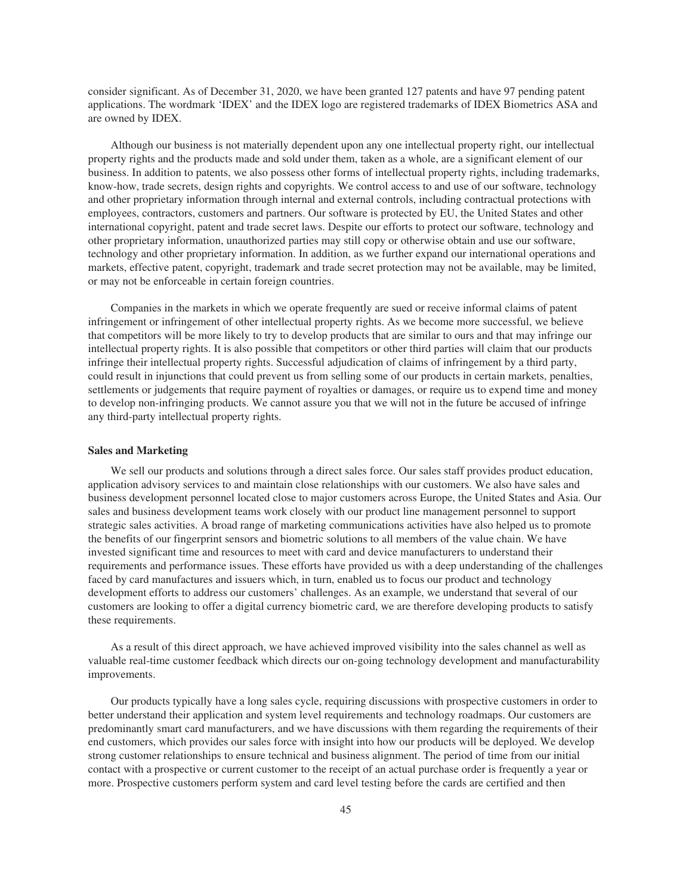consider significant. As of December 31, 2020, we have been granted 127 patents and have 97 pending patent applications. The wordmark 'IDEX' and the IDEX logo are registered trademarks of IDEX Biometrics ASA and are owned by IDEX.

Although our business is not materially dependent upon any one intellectual property right, our intellectual property rights and the products made and sold under them, taken as a whole, are a significant element of our business. In addition to patents, we also possess other forms of intellectual property rights, including trademarks, know-how, trade secrets, design rights and copyrights. We control access to and use of our software, technology and other proprietary information through internal and external controls, including contractual protections with employees, contractors, customers and partners. Our software is protected by EU, the United States and other international copyright, patent and trade secret laws. Despite our efforts to protect our software, technology and other proprietary information, unauthorized parties may still copy or otherwise obtain and use our software, technology and other proprietary information. In addition, as we further expand our international operations and markets, effective patent, copyright, trademark and trade secret protection may not be available, may be limited, or may not be enforceable in certain foreign countries.

Companies in the markets in which we operate frequently are sued or receive informal claims of patent infringement or infringement of other intellectual property rights. As we become more successful, we believe that competitors will be more likely to try to develop products that are similar to ours and that may infringe our intellectual property rights. It is also possible that competitors or other third parties will claim that our products infringe their intellectual property rights. Successful adjudication of claims of infringement by a third party, could result in injunctions that could prevent us from selling some of our products in certain markets, penalties, settlements or judgements that require payment of royalties or damages, or require us to expend time and money to develop non-infringing products. We cannot assure you that we will not in the future be accused of infringe any third-party intellectual property rights.

## **Sales and Marketing**

We sell our products and solutions through a direct sales force. Our sales staff provides product education, application advisory services to and maintain close relationships with our customers. We also have sales and business development personnel located close to major customers across Europe, the United States and Asia. Our sales and business development teams work closely with our product line management personnel to support strategic sales activities. A broad range of marketing communications activities have also helped us to promote the benefits of our fingerprint sensors and biometric solutions to all members of the value chain. We have invested significant time and resources to meet with card and device manufacturers to understand their requirements and performance issues. These efforts have provided us with a deep understanding of the challenges faced by card manufactures and issuers which, in turn, enabled us to focus our product and technology development efforts to address our customers' challenges. As an example, we understand that several of our customers are looking to offer a digital currency biometric card, we are therefore developing products to satisfy these requirements.

As a result of this direct approach, we have achieved improved visibility into the sales channel as well as valuable real-time customer feedback which directs our on-going technology development and manufacturability improvements.

Our products typically have a long sales cycle, requiring discussions with prospective customers in order to better understand their application and system level requirements and technology roadmaps. Our customers are predominantly smart card manufacturers, and we have discussions with them regarding the requirements of their end customers, which provides our sales force with insight into how our products will be deployed. We develop strong customer relationships to ensure technical and business alignment. The period of time from our initial contact with a prospective or current customer to the receipt of an actual purchase order is frequently a year or more. Prospective customers perform system and card level testing before the cards are certified and then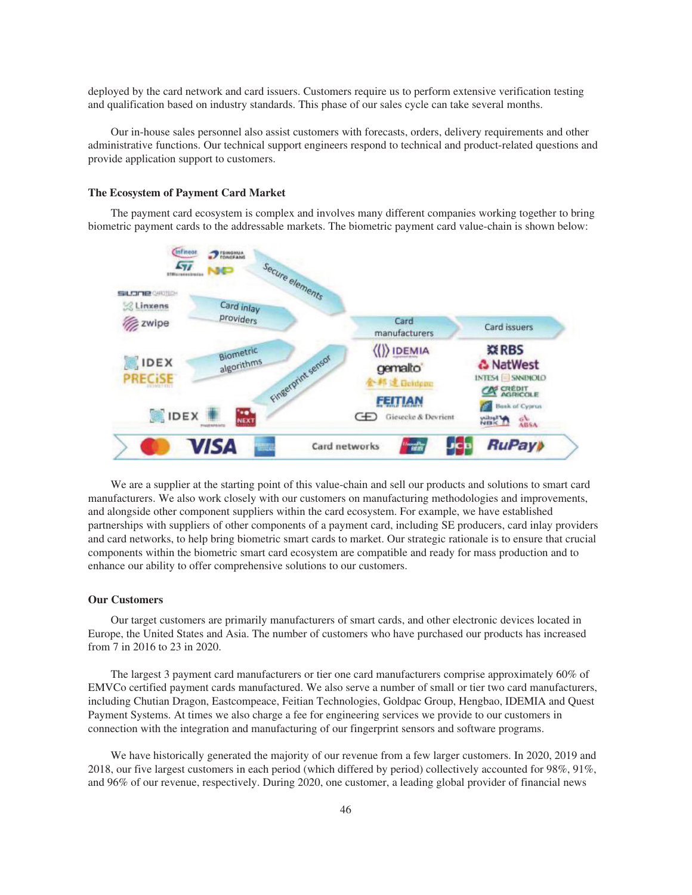deployed by the card network and card issuers. Customers require us to perform extensive verification testing and qualification based on industry standards. This phase of our sales cycle can take several months.

Our in-house sales personnel also assist customers with forecasts, orders, delivery requirements and other administrative functions. Our technical support engineers respond to technical and product-related questions and provide application support to customers.

## **The Ecosystem of Payment Card Market**

The payment card ecosystem is complex and involves many different companies working together to bring biometric payment cards to the addressable markets. The biometric payment card value-chain is shown below:



We are a supplier at the starting point of this value-chain and sell our products and solutions to smart card manufacturers. We also work closely with our customers on manufacturing methodologies and improvements, and alongside other component suppliers within the card ecosystem. For example, we have established partnerships with suppliers of other components of a payment card, including SE producers, card inlay providers and card networks, to help bring biometric smart cards to market. Our strategic rationale is to ensure that crucial components within the biometric smart card ecosystem are compatible and ready for mass production and to enhance our ability to offer comprehensive solutions to our customers.

### **Our Customers**

Our target customers are primarily manufacturers of smart cards, and other electronic devices located in Europe, the United States and Asia. The number of customers who have purchased our products has increased from 7 in 2016 to 23 in 2020.

The largest 3 payment card manufacturers or tier one card manufacturers comprise approximately 60% of EMVCo certified payment cards manufactured. We also serve a number of small or tier two card manufacturers, including Chutian Dragon, Eastcompeace, Feitian Technologies, Goldpac Group, Hengbao, IDEMIA and Quest Payment Systems. At times we also charge a fee for engineering services we provide to our customers in connection with the integration and manufacturing of our fingerprint sensors and software programs.

We have historically generated the majority of our revenue from a few larger customers. In 2020, 2019 and 2018, our five largest customers in each period (which differed by period) collectively accounted for 98%, 91%, and 96% of our revenue, respectively. During 2020, one customer, a leading global provider of financial news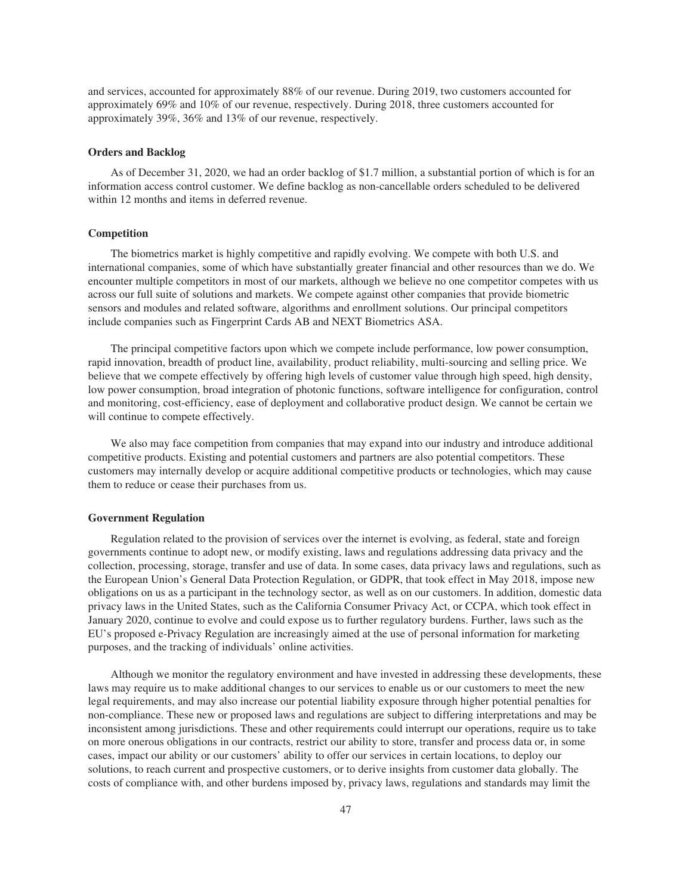and services, accounted for approximately 88% of our revenue. During 2019, two customers accounted for approximately 69% and 10% of our revenue, respectively. During 2018, three customers accounted for approximately 39%, 36% and 13% of our revenue, respectively.

## **Orders and Backlog**

As of December 31, 2020, we had an order backlog of \$1.7 million, a substantial portion of which is for an information access control customer. We define backlog as non-cancellable orders scheduled to be delivered within 12 months and items in deferred revenue.

## **Competition**

The biometrics market is highly competitive and rapidly evolving. We compete with both U.S. and international companies, some of which have substantially greater financial and other resources than we do. We encounter multiple competitors in most of our markets, although we believe no one competitor competes with us across our full suite of solutions and markets. We compete against other companies that provide biometric sensors and modules and related software, algorithms and enrollment solutions. Our principal competitors include companies such as Fingerprint Cards AB and NEXT Biometrics ASA.

The principal competitive factors upon which we compete include performance, low power consumption, rapid innovation, breadth of product line, availability, product reliability, multi-sourcing and selling price. We believe that we compete effectively by offering high levels of customer value through high speed, high density, low power consumption, broad integration of photonic functions, software intelligence for configuration, control and monitoring, cost-efficiency, ease of deployment and collaborative product design. We cannot be certain we will continue to compete effectively.

We also may face competition from companies that may expand into our industry and introduce additional competitive products. Existing and potential customers and partners are also potential competitors. These customers may internally develop or acquire additional competitive products or technologies, which may cause them to reduce or cease their purchases from us.

#### **Government Regulation**

Regulation related to the provision of services over the internet is evolving, as federal, state and foreign governments continue to adopt new, or modify existing, laws and regulations addressing data privacy and the collection, processing, storage, transfer and use of data. In some cases, data privacy laws and regulations, such as the European Union's General Data Protection Regulation, or GDPR, that took effect in May 2018, impose new obligations on us as a participant in the technology sector, as well as on our customers. In addition, domestic data privacy laws in the United States, such as the California Consumer Privacy Act, or CCPA, which took effect in January 2020, continue to evolve and could expose us to further regulatory burdens. Further, laws such as the EU's proposed e-Privacy Regulation are increasingly aimed at the use of personal information for marketing purposes, and the tracking of individuals' online activities.

Although we monitor the regulatory environment and have invested in addressing these developments, these laws may require us to make additional changes to our services to enable us or our customers to meet the new legal requirements, and may also increase our potential liability exposure through higher potential penalties for non-compliance. These new or proposed laws and regulations are subject to differing interpretations and may be inconsistent among jurisdictions. These and other requirements could interrupt our operations, require us to take on more onerous obligations in our contracts, restrict our ability to store, transfer and process data or, in some cases, impact our ability or our customers' ability to offer our services in certain locations, to deploy our solutions, to reach current and prospective customers, or to derive insights from customer data globally. The costs of compliance with, and other burdens imposed by, privacy laws, regulations and standards may limit the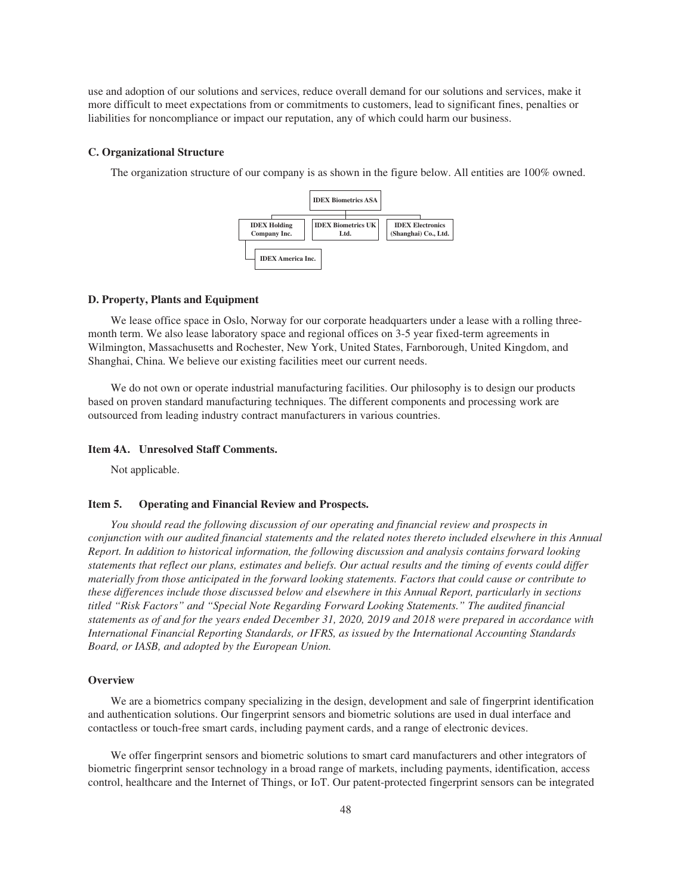use and adoption of our solutions and services, reduce overall demand for our solutions and services, make it more difficult to meet expectations from or commitments to customers, lead to significant fines, penalties or liabilities for noncompliance or impact our reputation, any of which could harm our business.

## **C. Organizational Structure**

The organization structure of our company is as shown in the figure below. All entities are 100% owned.



### **D. Property, Plants and Equipment**

We lease office space in Oslo, Norway for our corporate headquarters under a lease with a rolling threemonth term. We also lease laboratory space and regional offices on 3-5 year fixed-term agreements in Wilmington, Massachusetts and Rochester, New York, United States, Farnborough, United Kingdom, and Shanghai, China. We believe our existing facilities meet our current needs.

We do not own or operate industrial manufacturing facilities. Our philosophy is to design our products based on proven standard manufacturing techniques. The different components and processing work are outsourced from leading industry contract manufacturers in various countries.

## **Item 4A. Unresolved Staff Comments.**

Not applicable.

# **Item 5. Operating and Financial Review and Prospects.**

*You should read the following discussion of our operating and financial review and prospects in conjunction with our audited financial statements and the related notes thereto included elsewhere in this Annual Report. In addition to historical information, the following discussion and analysis contains forward looking statements that reflect our plans, estimates and beliefs. Our actual results and the timing of events could differ materially from those anticipated in the forward looking statements. Factors that could cause or contribute to these differences include those discussed below and elsewhere in this Annual Report, particularly in sections titled "Risk Factors" and "Special Note Regarding Forward Looking Statements." The audited financial statements as of and for the years ended December 31, 2020, 2019 and 2018 were prepared in accordance with International Financial Reporting Standards, or IFRS, as issued by the International Accounting Standards Board, or IASB, and adopted by the European Union.*

## **Overview**

We are a biometrics company specializing in the design, development and sale of fingerprint identification and authentication solutions. Our fingerprint sensors and biometric solutions are used in dual interface and contactless or touch-free smart cards, including payment cards, and a range of electronic devices.

We offer fingerprint sensors and biometric solutions to smart card manufacturers and other integrators of biometric fingerprint sensor technology in a broad range of markets, including payments, identification, access control, healthcare and the Internet of Things, or IoT. Our patent-protected fingerprint sensors can be integrated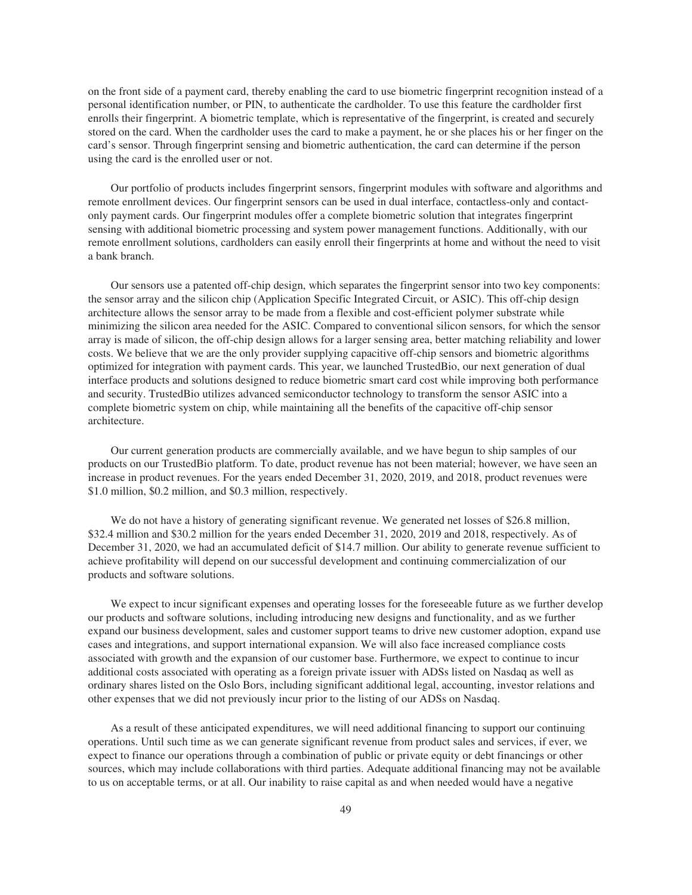on the front side of a payment card, thereby enabling the card to use biometric fingerprint recognition instead of a personal identification number, or PIN, to authenticate the cardholder. To use this feature the cardholder first enrolls their fingerprint. A biometric template, which is representative of the fingerprint, is created and securely stored on the card. When the cardholder uses the card to make a payment, he or she places his or her finger on the card's sensor. Through fingerprint sensing and biometric authentication, the card can determine if the person using the card is the enrolled user or not.

Our portfolio of products includes fingerprint sensors, fingerprint modules with software and algorithms and remote enrollment devices. Our fingerprint sensors can be used in dual interface, contactless-only and contactonly payment cards. Our fingerprint modules offer a complete biometric solution that integrates fingerprint sensing with additional biometric processing and system power management functions. Additionally, with our remote enrollment solutions, cardholders can easily enroll their fingerprints at home and without the need to visit a bank branch.

Our sensors use a patented off-chip design, which separates the fingerprint sensor into two key components: the sensor array and the silicon chip (Application Specific Integrated Circuit, or ASIC). This off-chip design architecture allows the sensor array to be made from a flexible and cost-efficient polymer substrate while minimizing the silicon area needed for the ASIC. Compared to conventional silicon sensors, for which the sensor array is made of silicon, the off-chip design allows for a larger sensing area, better matching reliability and lower costs. We believe that we are the only provider supplying capacitive off-chip sensors and biometric algorithms optimized for integration with payment cards. This year, we launched TrustedBio, our next generation of dual interface products and solutions designed to reduce biometric smart card cost while improving both performance and security. TrustedBio utilizes advanced semiconductor technology to transform the sensor ASIC into a complete biometric system on chip, while maintaining all the benefits of the capacitive off-chip sensor architecture.

Our current generation products are commercially available, and we have begun to ship samples of our products on our TrustedBio platform. To date, product revenue has not been material; however, we have seen an increase in product revenues. For the years ended December 31, 2020, 2019, and 2018, product revenues were \$1.0 million, \$0.2 million, and \$0.3 million, respectively.

We do not have a history of generating significant revenue. We generated net losses of \$26.8 million, \$32.4 million and \$30.2 million for the years ended December 31, 2020, 2019 and 2018, respectively. As of December 31, 2020, we had an accumulated deficit of \$14.7 million. Our ability to generate revenue sufficient to achieve profitability will depend on our successful development and continuing commercialization of our products and software solutions.

We expect to incur significant expenses and operating losses for the foreseeable future as we further develop our products and software solutions, including introducing new designs and functionality, and as we further expand our business development, sales and customer support teams to drive new customer adoption, expand use cases and integrations, and support international expansion. We will also face increased compliance costs associated with growth and the expansion of our customer base. Furthermore, we expect to continue to incur additional costs associated with operating as a foreign private issuer with ADSs listed on Nasdaq as well as ordinary shares listed on the Oslo Bors, including significant additional legal, accounting, investor relations and other expenses that we did not previously incur prior to the listing of our ADSs on Nasdaq.

As a result of these anticipated expenditures, we will need additional financing to support our continuing operations. Until such time as we can generate significant revenue from product sales and services, if ever, we expect to finance our operations through a combination of public or private equity or debt financings or other sources, which may include collaborations with third parties. Adequate additional financing may not be available to us on acceptable terms, or at all. Our inability to raise capital as and when needed would have a negative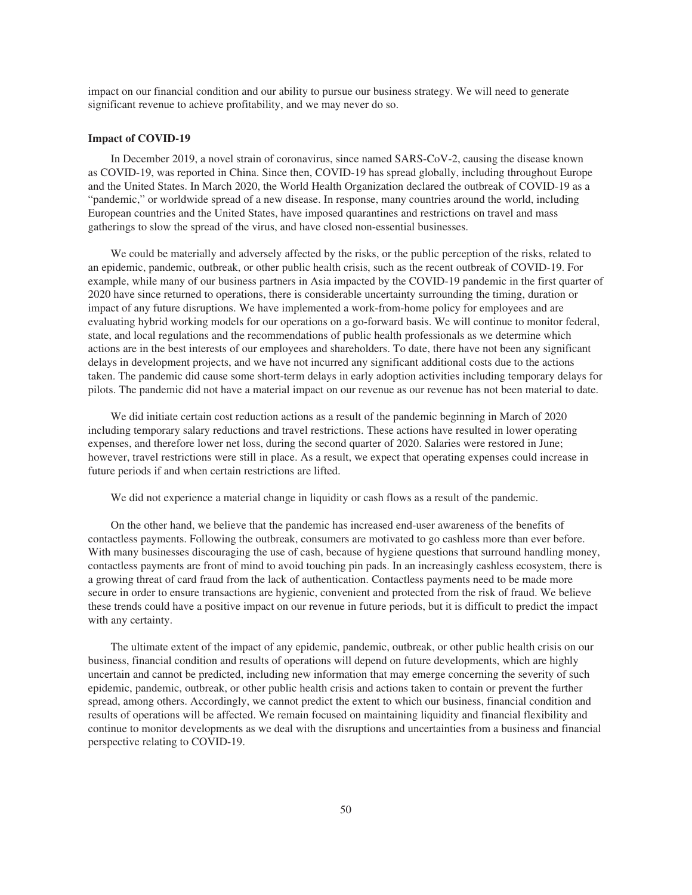impact on our financial condition and our ability to pursue our business strategy. We will need to generate significant revenue to achieve profitability, and we may never do so.

## **Impact of COVID-19**

In December 2019, a novel strain of coronavirus, since named SARS-CoV-2, causing the disease known as COVID-19, was reported in China. Since then, COVID-19 has spread globally, including throughout Europe and the United States. In March 2020, the World Health Organization declared the outbreak of COVID-19 as a "pandemic," or worldwide spread of a new disease. In response, many countries around the world, including European countries and the United States, have imposed quarantines and restrictions on travel and mass gatherings to slow the spread of the virus, and have closed non-essential businesses.

We could be materially and adversely affected by the risks, or the public perception of the risks, related to an epidemic, pandemic, outbreak, or other public health crisis, such as the recent outbreak of COVID-19. For example, while many of our business partners in Asia impacted by the COVID-19 pandemic in the first quarter of 2020 have since returned to operations, there is considerable uncertainty surrounding the timing, duration or impact of any future disruptions. We have implemented a work-from-home policy for employees and are evaluating hybrid working models for our operations on a go-forward basis. We will continue to monitor federal, state, and local regulations and the recommendations of public health professionals as we determine which actions are in the best interests of our employees and shareholders. To date, there have not been any significant delays in development projects, and we have not incurred any significant additional costs due to the actions taken. The pandemic did cause some short-term delays in early adoption activities including temporary delays for pilots. The pandemic did not have a material impact on our revenue as our revenue has not been material to date.

We did initiate certain cost reduction actions as a result of the pandemic beginning in March of 2020 including temporary salary reductions and travel restrictions. These actions have resulted in lower operating expenses, and therefore lower net loss, during the second quarter of 2020. Salaries were restored in June; however, travel restrictions were still in place. As a result, we expect that operating expenses could increase in future periods if and when certain restrictions are lifted.

We did not experience a material change in liquidity or cash flows as a result of the pandemic.

On the other hand, we believe that the pandemic has increased end-user awareness of the benefits of contactless payments. Following the outbreak, consumers are motivated to go cashless more than ever before. With many businesses discouraging the use of cash, because of hygiene questions that surround handling money, contactless payments are front of mind to avoid touching pin pads. In an increasingly cashless ecosystem, there is a growing threat of card fraud from the lack of authentication. Contactless payments need to be made more secure in order to ensure transactions are hygienic, convenient and protected from the risk of fraud. We believe these trends could have a positive impact on our revenue in future periods, but it is difficult to predict the impact with any certainty.

The ultimate extent of the impact of any epidemic, pandemic, outbreak, or other public health crisis on our business, financial condition and results of operations will depend on future developments, which are highly uncertain and cannot be predicted, including new information that may emerge concerning the severity of such epidemic, pandemic, outbreak, or other public health crisis and actions taken to contain or prevent the further spread, among others. Accordingly, we cannot predict the extent to which our business, financial condition and results of operations will be affected. We remain focused on maintaining liquidity and financial flexibility and continue to monitor developments as we deal with the disruptions and uncertainties from a business and financial perspective relating to COVID-19.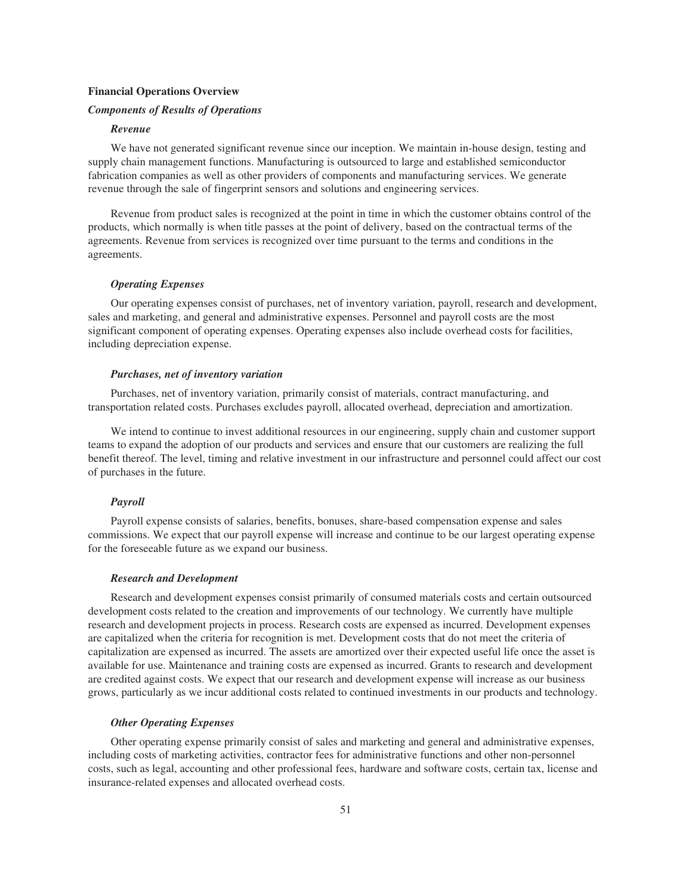## **Financial Operations Overview**

## *Components of Results of Operations*

# *Revenue*

We have not generated significant revenue since our inception. We maintain in-house design, testing and supply chain management functions. Manufacturing is outsourced to large and established semiconductor fabrication companies as well as other providers of components and manufacturing services. We generate revenue through the sale of fingerprint sensors and solutions and engineering services.

Revenue from product sales is recognized at the point in time in which the customer obtains control of the products, which normally is when title passes at the point of delivery, based on the contractual terms of the agreements. Revenue from services is recognized over time pursuant to the terms and conditions in the agreements.

## *Operating Expenses*

Our operating expenses consist of purchases, net of inventory variation, payroll, research and development, sales and marketing, and general and administrative expenses. Personnel and payroll costs are the most significant component of operating expenses. Operating expenses also include overhead costs for facilities, including depreciation expense.

## *Purchases, net of inventory variation*

Purchases, net of inventory variation, primarily consist of materials, contract manufacturing, and transportation related costs. Purchases excludes payroll, allocated overhead, depreciation and amortization.

We intend to continue to invest additional resources in our engineering, supply chain and customer support teams to expand the adoption of our products and services and ensure that our customers are realizing the full benefit thereof. The level, timing and relative investment in our infrastructure and personnel could affect our cost of purchases in the future.

### *Payroll*

Payroll expense consists of salaries, benefits, bonuses, share-based compensation expense and sales commissions. We expect that our payroll expense will increase and continue to be our largest operating expense for the foreseeable future as we expand our business.

## *Research and Development*

Research and development expenses consist primarily of consumed materials costs and certain outsourced development costs related to the creation and improvements of our technology. We currently have multiple research and development projects in process. Research costs are expensed as incurred. Development expenses are capitalized when the criteria for recognition is met. Development costs that do not meet the criteria of capitalization are expensed as incurred. The assets are amortized over their expected useful life once the asset is available for use. Maintenance and training costs are expensed as incurred. Grants to research and development are credited against costs. We expect that our research and development expense will increase as our business grows, particularly as we incur additional costs related to continued investments in our products and technology.

## *Other Operating Expenses*

Other operating expense primarily consist of sales and marketing and general and administrative expenses, including costs of marketing activities, contractor fees for administrative functions and other non-personnel costs, such as legal, accounting and other professional fees, hardware and software costs, certain tax, license and insurance-related expenses and allocated overhead costs.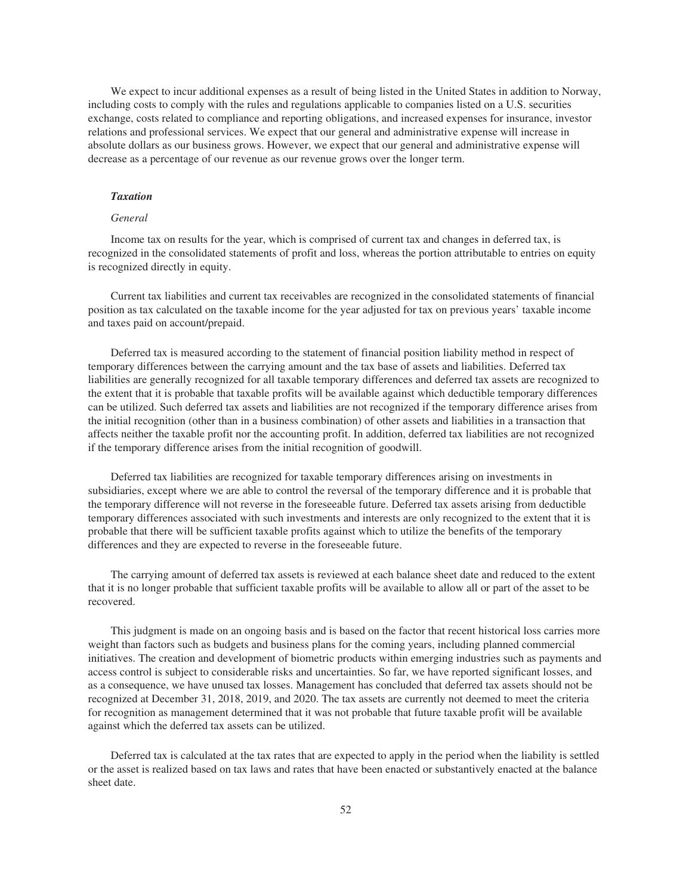We expect to incur additional expenses as a result of being listed in the United States in addition to Norway, including costs to comply with the rules and regulations applicable to companies listed on a U.S. securities exchange, costs related to compliance and reporting obligations, and increased expenses for insurance, investor relations and professional services. We expect that our general and administrative expense will increase in absolute dollars as our business grows. However, we expect that our general and administrative expense will decrease as a percentage of our revenue as our revenue grows over the longer term.

#### *Taxation*

## *General*

Income tax on results for the year, which is comprised of current tax and changes in deferred tax, is recognized in the consolidated statements of profit and loss, whereas the portion attributable to entries on equity is recognized directly in equity.

Current tax liabilities and current tax receivables are recognized in the consolidated statements of financial position as tax calculated on the taxable income for the year adjusted for tax on previous years' taxable income and taxes paid on account/prepaid.

Deferred tax is measured according to the statement of financial position liability method in respect of temporary differences between the carrying amount and the tax base of assets and liabilities. Deferred tax liabilities are generally recognized for all taxable temporary differences and deferred tax assets are recognized to the extent that it is probable that taxable profits will be available against which deductible temporary differences can be utilized. Such deferred tax assets and liabilities are not recognized if the temporary difference arises from the initial recognition (other than in a business combination) of other assets and liabilities in a transaction that affects neither the taxable profit nor the accounting profit. In addition, deferred tax liabilities are not recognized if the temporary difference arises from the initial recognition of goodwill.

Deferred tax liabilities are recognized for taxable temporary differences arising on investments in subsidiaries, except where we are able to control the reversal of the temporary difference and it is probable that the temporary difference will not reverse in the foreseeable future. Deferred tax assets arising from deductible temporary differences associated with such investments and interests are only recognized to the extent that it is probable that there will be sufficient taxable profits against which to utilize the benefits of the temporary differences and they are expected to reverse in the foreseeable future.

The carrying amount of deferred tax assets is reviewed at each balance sheet date and reduced to the extent that it is no longer probable that sufficient taxable profits will be available to allow all or part of the asset to be recovered.

This judgment is made on an ongoing basis and is based on the factor that recent historical loss carries more weight than factors such as budgets and business plans for the coming years, including planned commercial initiatives. The creation and development of biometric products within emerging industries such as payments and access control is subject to considerable risks and uncertainties. So far, we have reported significant losses, and as a consequence, we have unused tax losses. Management has concluded that deferred tax assets should not be recognized at December 31, 2018, 2019, and 2020. The tax assets are currently not deemed to meet the criteria for recognition as management determined that it was not probable that future taxable profit will be available against which the deferred tax assets can be utilized.

Deferred tax is calculated at the tax rates that are expected to apply in the period when the liability is settled or the asset is realized based on tax laws and rates that have been enacted or substantively enacted at the balance sheet date.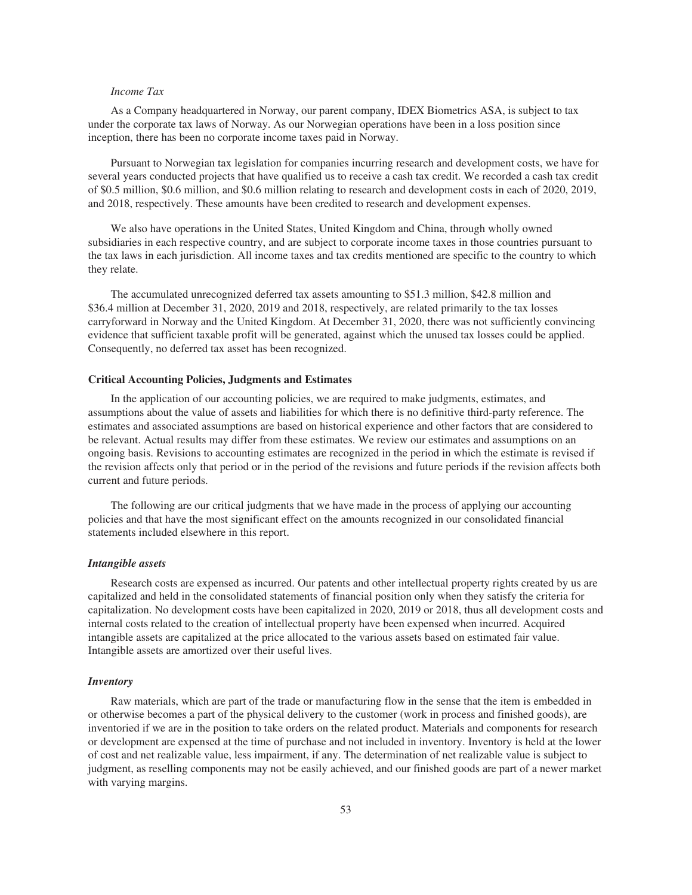# *Income Tax*

As a Company headquartered in Norway, our parent company, IDEX Biometrics ASA, is subject to tax under the corporate tax laws of Norway. As our Norwegian operations have been in a loss position since inception, there has been no corporate income taxes paid in Norway.

Pursuant to Norwegian tax legislation for companies incurring research and development costs, we have for several years conducted projects that have qualified us to receive a cash tax credit. We recorded a cash tax credit of \$0.5 million, \$0.6 million, and \$0.6 million relating to research and development costs in each of 2020, 2019, and 2018, respectively. These amounts have been credited to research and development expenses.

We also have operations in the United States, United Kingdom and China, through wholly owned subsidiaries in each respective country, and are subject to corporate income taxes in those countries pursuant to the tax laws in each jurisdiction. All income taxes and tax credits mentioned are specific to the country to which they relate.

The accumulated unrecognized deferred tax assets amounting to \$51.3 million, \$42.8 million and \$36.4 million at December 31, 2020, 2019 and 2018, respectively, are related primarily to the tax losses carryforward in Norway and the United Kingdom. At December 31, 2020, there was not sufficiently convincing evidence that sufficient taxable profit will be generated, against which the unused tax losses could be applied. Consequently, no deferred tax asset has been recognized.

## **Critical Accounting Policies, Judgments and Estimates**

In the application of our accounting policies, we are required to make judgments, estimates, and assumptions about the value of assets and liabilities for which there is no definitive third-party reference. The estimates and associated assumptions are based on historical experience and other factors that are considered to be relevant. Actual results may differ from these estimates. We review our estimates and assumptions on an ongoing basis. Revisions to accounting estimates are recognized in the period in which the estimate is revised if the revision affects only that period or in the period of the revisions and future periods if the revision affects both current and future periods.

The following are our critical judgments that we have made in the process of applying our accounting policies and that have the most significant effect on the amounts recognized in our consolidated financial statements included elsewhere in this report.

#### *Intangible assets*

Research costs are expensed as incurred. Our patents and other intellectual property rights created by us are capitalized and held in the consolidated statements of financial position only when they satisfy the criteria for capitalization. No development costs have been capitalized in 2020, 2019 or 2018, thus all development costs and internal costs related to the creation of intellectual property have been expensed when incurred. Acquired intangible assets are capitalized at the price allocated to the various assets based on estimated fair value. Intangible assets are amortized over their useful lives.

## *Inventory*

Raw materials, which are part of the trade or manufacturing flow in the sense that the item is embedded in or otherwise becomes a part of the physical delivery to the customer (work in process and finished goods), are inventoried if we are in the position to take orders on the related product. Materials and components for research or development are expensed at the time of purchase and not included in inventory. Inventory is held at the lower of cost and net realizable value, less impairment, if any. The determination of net realizable value is subject to judgment, as reselling components may not be easily achieved, and our finished goods are part of a newer market with varying margins.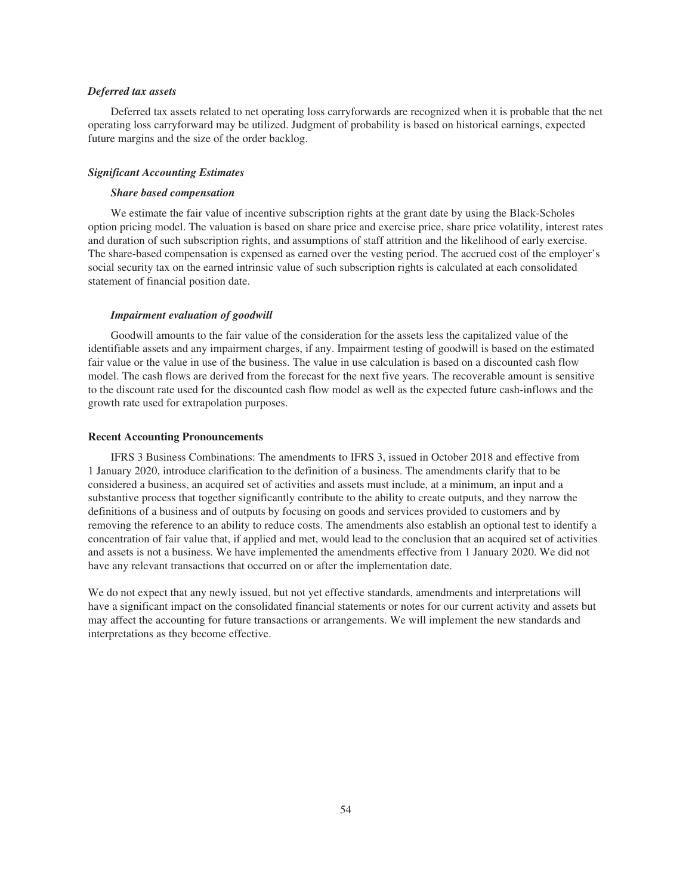## *Deferred tax assets*

Deferred tax assets related to net operating loss carryforwards are recognized when it is probable that the net operating loss carryforward may be utilized. Judgment of probability is based on historical earnings, expected future margins and the size of the order backlog.

## *Significant Accounting Estimates*

#### *Share based compensation*

We estimate the fair value of incentive subscription rights at the grant date by using the Black-Scholes option pricing model. The valuation is based on share price and exercise price, share price volatility, interest rates and duration of such subscription rights, and assumptions of staff attrition and the likelihood of early exercise. The share-based compensation is expensed as earned over the vesting period. The accrued cost of the employer's social security tax on the earned intrinsic value of such subscription rights is calculated at each consolidated statement of financial position date.

### *Impairment evaluation of goodwill*

Goodwill amounts to the fair value of the consideration for the assets less the capitalized value of the identifiable assets and any impairment charges, if any. Impairment testing of goodwill is based on the estimated fair value or the value in use of the business. The value in use calculation is based on a discounted cash flow model. The cash flows are derived from the forecast for the next five years. The recoverable amount is sensitive to the discount rate used for the discounted cash flow model as well as the expected future cash-inflows and the growth rate used for extrapolation purposes.

#### **Recent Accounting Pronouncements**

IFRS 3 Business Combinations: The amendments to IFRS 3, issued in October 2018 and effective from 1 January 2020, introduce clarification to the definition of a business. The amendments clarify that to be considered a business, an acquired set of activities and assets must include, at a minimum, an input and a substantive process that together significantly contribute to the ability to create outputs, and they narrow the definitions of a business and of outputs by focusing on goods and services provided to customers and by removing the reference to an ability to reduce costs. The amendments also establish an optional test to identify a concentration of fair value that, if applied and met, would lead to the conclusion that an acquired set of activities and assets is not a business. We have implemented the amendments effective from 1 January 2020. We did not have any relevant transactions that occurred on or after the implementation date.

We do not expect that any newly issued, but not yet effective standards, amendments and interpretations will have a significant impact on the consolidated financial statements or notes for our current activity and assets but may affect the accounting for future transactions or arrangements. We will implement the new standards and interpretations as they become effective.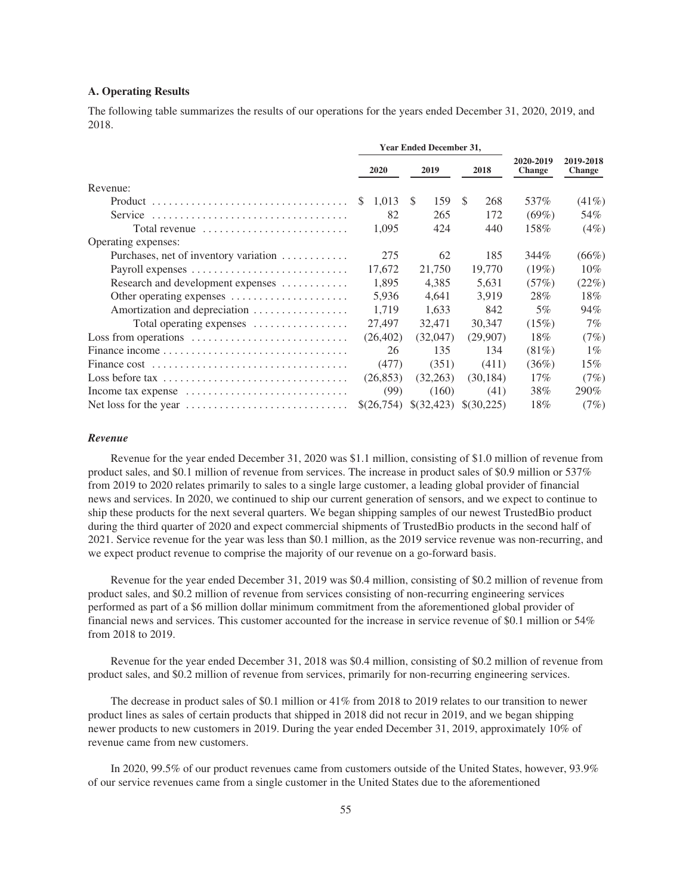# **A. Operating Results**

The following table summarizes the results of our operations for the years ended December 31, 2020, 2019, and 2018.

|                                                                                         |             | <b>Year Ended December 31,</b> |            | 2019-2018<br><b>Change</b> |                            |
|-----------------------------------------------------------------------------------------|-------------|--------------------------------|------------|----------------------------|----------------------------|
|                                                                                         | 2020        | 2019<br>2018                   |            |                            | 2020-2019<br><b>Change</b> |
| Revenue:                                                                                |             |                                |            |                            |                            |
| $Product \dots \dots \dots \dots \dots \dots \dots \dots \dots \dots \dots \dots \dots$ | 1,013<br>S. | 159<br>S.                      | -S<br>268  | 537%                       | $(41\%)$                   |
| Service                                                                                 | 82          | 265                            | 172        | $(69\%)$                   | 54%                        |
| Total revenue $\dots\dots\dots\dots\dots\dots\dots\dots\dots\dots$                      | 1,095       | 424                            | 440        | 158%                       | (4%)                       |
| Operating expenses:                                                                     |             |                                |            |                            |                            |
| Purchases, net of inventory variation                                                   | 275         | 62                             | 185        | 344%                       | $(66\%)$                   |
|                                                                                         | 17,672      | 21,750                         | 19,770     | $(19\%)$                   | $10\%$                     |
| Research and development expenses                                                       | 1.895       | 4,385                          | 5,631      | (57%)                      | (22%)                      |
| Other operating expenses                                                                | 5,936       | 4.641                          | 3.919      | 28%                        | 18%                        |
| Amortization and depreciation                                                           | 1.719       | 1,633                          | 842        | 5%                         | 94%                        |
| Total operating expenses                                                                | 27,497      | 32,471                         | 30,347     | (15%)                      | $7\%$                      |
|                                                                                         | (26, 402)   | (32,047)                       | (29,907)   | 18%                        | (7%)                       |
| Finance income                                                                          | 26          | 135                            | 134        | $(81\%)$                   | $1\%$                      |
|                                                                                         | (477)       | (351)                          | (411)      | $(36\%)$                   | 15%                        |
|                                                                                         | (26, 853)   | (32, 263)                      | (30, 184)  | 17%                        | (7%)                       |
|                                                                                         | (99)        | (160)                          | (41)       | 38%                        | 290%                       |
|                                                                                         | \$(26,754)  | \$(32,423)                     | \$(30,225) | 18%                        | (7%)                       |

#### *Revenue*

Revenue for the year ended December 31, 2020 was \$1.1 million, consisting of \$1.0 million of revenue from product sales, and \$0.1 million of revenue from services. The increase in product sales of \$0.9 million or 537% from 2019 to 2020 relates primarily to sales to a single large customer, a leading global provider of financial news and services. In 2020, we continued to ship our current generation of sensors, and we expect to continue to ship these products for the next several quarters. We began shipping samples of our newest TrustedBio product during the third quarter of 2020 and expect commercial shipments of TrustedBio products in the second half of 2021. Service revenue for the year was less than \$0.1 million, as the 2019 service revenue was non-recurring, and we expect product revenue to comprise the majority of our revenue on a go-forward basis.

Revenue for the year ended December 31, 2019 was \$0.4 million, consisting of \$0.2 million of revenue from product sales, and \$0.2 million of revenue from services consisting of non-recurring engineering services performed as part of a \$6 million dollar minimum commitment from the aforementioned global provider of financial news and services. This customer accounted for the increase in service revenue of \$0.1 million or 54% from 2018 to 2019.

Revenue for the year ended December 31, 2018 was \$0.4 million, consisting of \$0.2 million of revenue from product sales, and \$0.2 million of revenue from services, primarily for non-recurring engineering services.

The decrease in product sales of \$0.1 million or 41% from 2018 to 2019 relates to our transition to newer product lines as sales of certain products that shipped in 2018 did not recur in 2019, and we began shipping newer products to new customers in 2019. During the year ended December 31, 2019, approximately 10% of revenue came from new customers.

In 2020, 99.5% of our product revenues came from customers outside of the United States, however, 93.9% of our service revenues came from a single customer in the United States due to the aforementioned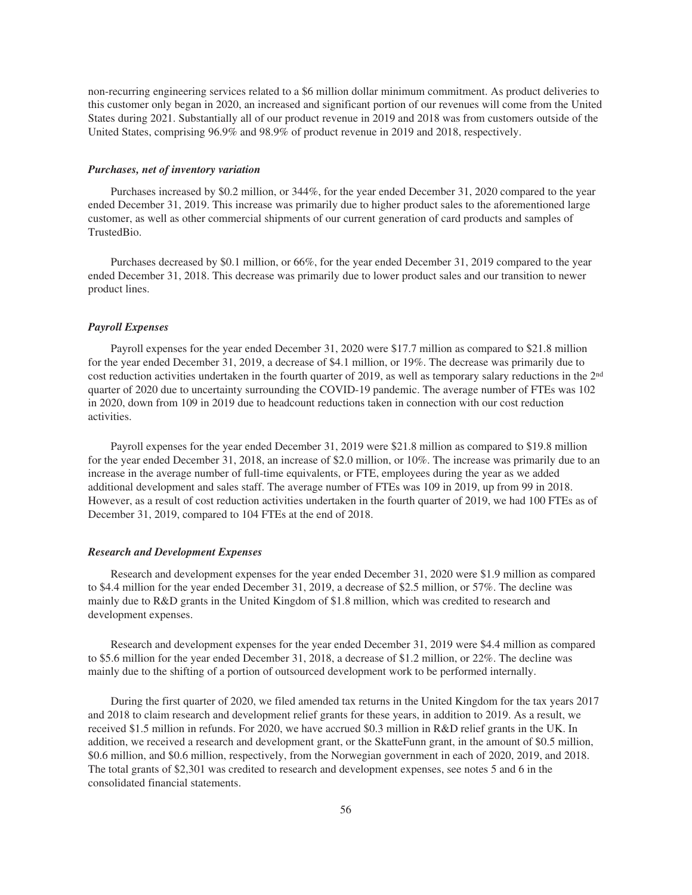non-recurring engineering services related to a \$6 million dollar minimum commitment. As product deliveries to this customer only began in 2020, an increased and significant portion of our revenues will come from the United States during 2021. Substantially all of our product revenue in 2019 and 2018 was from customers outside of the United States, comprising 96.9% and 98.9% of product revenue in 2019 and 2018, respectively.

## *Purchases, net of inventory variation*

Purchases increased by \$0.2 million, or 344%, for the year ended December 31, 2020 compared to the year ended December 31, 2019. This increase was primarily due to higher product sales to the aforementioned large customer, as well as other commercial shipments of our current generation of card products and samples of TrustedBio.

Purchases decreased by \$0.1 million, or 66%, for the year ended December 31, 2019 compared to the year ended December 31, 2018. This decrease was primarily due to lower product sales and our transition to newer product lines.

#### *Payroll Expenses*

Payroll expenses for the year ended December 31, 2020 were \$17.7 million as compared to \$21.8 million for the year ended December 31, 2019, a decrease of \$4.1 million, or 19%. The decrease was primarily due to cost reduction activities undertaken in the fourth quarter of 2019, as well as temporary salary reductions in the 2nd quarter of 2020 due to uncertainty surrounding the COVID-19 pandemic. The average number of FTEs was 102 in 2020, down from 109 in 2019 due to headcount reductions taken in connection with our cost reduction activities.

Payroll expenses for the year ended December 31, 2019 were \$21.8 million as compared to \$19.8 million for the year ended December 31, 2018, an increase of \$2.0 million, or 10%. The increase was primarily due to an increase in the average number of full-time equivalents, or FTE, employees during the year as we added additional development and sales staff. The average number of FTEs was 109 in 2019, up from 99 in 2018. However, as a result of cost reduction activities undertaken in the fourth quarter of 2019, we had 100 FTEs as of December 31, 2019, compared to 104 FTEs at the end of 2018.

## *Research and Development Expenses*

Research and development expenses for the year ended December 31, 2020 were \$1.9 million as compared to \$4.4 million for the year ended December 31, 2019, a decrease of \$2.5 million, or 57%. The decline was mainly due to R&D grants in the United Kingdom of \$1.8 million, which was credited to research and development expenses.

Research and development expenses for the year ended December 31, 2019 were \$4.4 million as compared to \$5.6 million for the year ended December 31, 2018, a decrease of \$1.2 million, or 22%. The decline was mainly due to the shifting of a portion of outsourced development work to be performed internally.

During the first quarter of 2020, we filed amended tax returns in the United Kingdom for the tax years 2017 and 2018 to claim research and development relief grants for these years, in addition to 2019. As a result, we received \$1.5 million in refunds. For 2020, we have accrued \$0.3 million in R&D relief grants in the UK. In addition, we received a research and development grant, or the SkatteFunn grant, in the amount of \$0.5 million, \$0.6 million, and \$0.6 million, respectively, from the Norwegian government in each of 2020, 2019, and 2018. The total grants of \$2,301 was credited to research and development expenses, see notes 5 and 6 in the consolidated financial statements.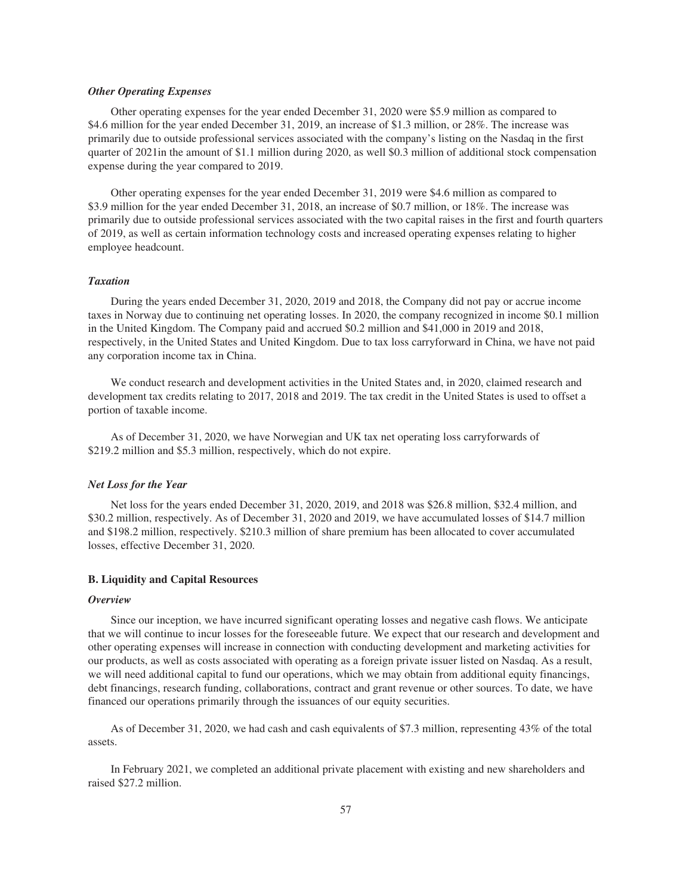## *Other Operating Expenses*

Other operating expenses for the year ended December 31, 2020 were \$5.9 million as compared to \$4.6 million for the year ended December 31, 2019, an increase of \$1.3 million, or 28%. The increase was primarily due to outside professional services associated with the company's listing on the Nasdaq in the first quarter of 2021in the amount of \$1.1 million during 2020, as well \$0.3 million of additional stock compensation expense during the year compared to 2019.

Other operating expenses for the year ended December 31, 2019 were \$4.6 million as compared to \$3.9 million for the year ended December 31, 2018, an increase of \$0.7 million, or 18%. The increase was primarily due to outside professional services associated with the two capital raises in the first and fourth quarters of 2019, as well as certain information technology costs and increased operating expenses relating to higher employee headcount.

## *Taxation*

During the years ended December 31, 2020, 2019 and 2018, the Company did not pay or accrue income taxes in Norway due to continuing net operating losses. In 2020, the company recognized in income \$0.1 million in the United Kingdom. The Company paid and accrued \$0.2 million and \$41,000 in 2019 and 2018, respectively, in the United States and United Kingdom. Due to tax loss carryforward in China, we have not paid any corporation income tax in China.

We conduct research and development activities in the United States and, in 2020, claimed research and development tax credits relating to 2017, 2018 and 2019. The tax credit in the United States is used to offset a portion of taxable income.

As of December 31, 2020, we have Norwegian and UK tax net operating loss carryforwards of \$219.2 million and \$5.3 million, respectively, which do not expire.

## *Net Loss for the Year*

Net loss for the years ended December 31, 2020, 2019, and 2018 was \$26.8 million, \$32.4 million, and \$30.2 million, respectively. As of December 31, 2020 and 2019, we have accumulated losses of \$14.7 million and \$198.2 million, respectively. \$210.3 million of share premium has been allocated to cover accumulated losses, effective December 31, 2020.

## **B. Liquidity and Capital Resources**

### *Overview*

Since our inception, we have incurred significant operating losses and negative cash flows. We anticipate that we will continue to incur losses for the foreseeable future. We expect that our research and development and other operating expenses will increase in connection with conducting development and marketing activities for our products, as well as costs associated with operating as a foreign private issuer listed on Nasdaq. As a result, we will need additional capital to fund our operations, which we may obtain from additional equity financings, debt financings, research funding, collaborations, contract and grant revenue or other sources. To date, we have financed our operations primarily through the issuances of our equity securities.

As of December 31, 2020, we had cash and cash equivalents of \$7.3 million, representing 43% of the total assets.

In February 2021, we completed an additional private placement with existing and new shareholders and raised \$27.2 million.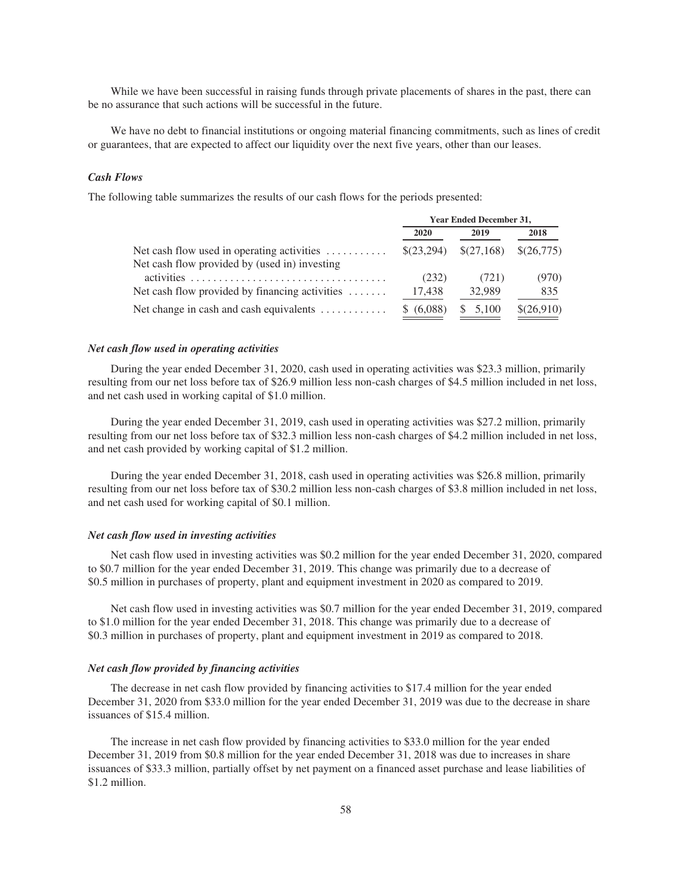While we have been successful in raising funds through private placements of shares in the past, there can be no assurance that such actions will be successful in the future.

We have no debt to financial institutions or ongoing material financing commitments, such as lines of credit or guarantees, that are expected to affect our liquidity over the next five years, other than our leases.

# *Cash Flows*

The following table summarizes the results of our cash flows for the periods presented:

|                                                                                                                    | <b>Year Ended December 31,</b> |                                   |              |  |
|--------------------------------------------------------------------------------------------------------------------|--------------------------------|-----------------------------------|--------------|--|
|                                                                                                                    | 2020                           | 2019                              | 2018         |  |
| Net cash flow used in operating activities $\dots\dots\dots\dots$<br>Net cash flow provided by (used in) investing | \$(23,294)                     | $\{(27, 168) \quad \{(26, 775)\}$ |              |  |
| Net cash flow provided by financing activities $\dots \dots$                                                       | (232)<br>17,438                | (721)<br>32,989                   | (970)<br>835 |  |
| Net change in cash and cash equivalents                                                                            | \$ (6,088)                     | \$5,100                           | \$(26,910)   |  |

## *Net cash flow used in operating activities*

During the year ended December 31, 2020, cash used in operating activities was \$23.3 million, primarily resulting from our net loss before tax of \$26.9 million less non-cash charges of \$4.5 million included in net loss, and net cash used in working capital of \$1.0 million.

During the year ended December 31, 2019, cash used in operating activities was \$27.2 million, primarily resulting from our net loss before tax of \$32.3 million less non-cash charges of \$4.2 million included in net loss, and net cash provided by working capital of \$1.2 million.

During the year ended December 31, 2018, cash used in operating activities was \$26.8 million, primarily resulting from our net loss before tax of \$30.2 million less non-cash charges of \$3.8 million included in net loss, and net cash used for working capital of \$0.1 million.

## *Net cash flow used in investing activities*

Net cash flow used in investing activities was \$0.2 million for the year ended December 31, 2020, compared to \$0.7 million for the year ended December 31, 2019. This change was primarily due to a decrease of \$0.5 million in purchases of property, plant and equipment investment in 2020 as compared to 2019.

Net cash flow used in investing activities was \$0.7 million for the year ended December 31, 2019, compared to \$1.0 million for the year ended December 31, 2018. This change was primarily due to a decrease of \$0.3 million in purchases of property, plant and equipment investment in 2019 as compared to 2018.

## *Net cash flow provided by financing activities*

The decrease in net cash flow provided by financing activities to \$17.4 million for the year ended December 31, 2020 from \$33.0 million for the year ended December 31, 2019 was due to the decrease in share issuances of \$15.4 million.

The increase in net cash flow provided by financing activities to \$33.0 million for the year ended December 31, 2019 from \$0.8 million for the year ended December 31, 2018 was due to increases in share issuances of \$33.3 million, partially offset by net payment on a financed asset purchase and lease liabilities of \$1.2 million.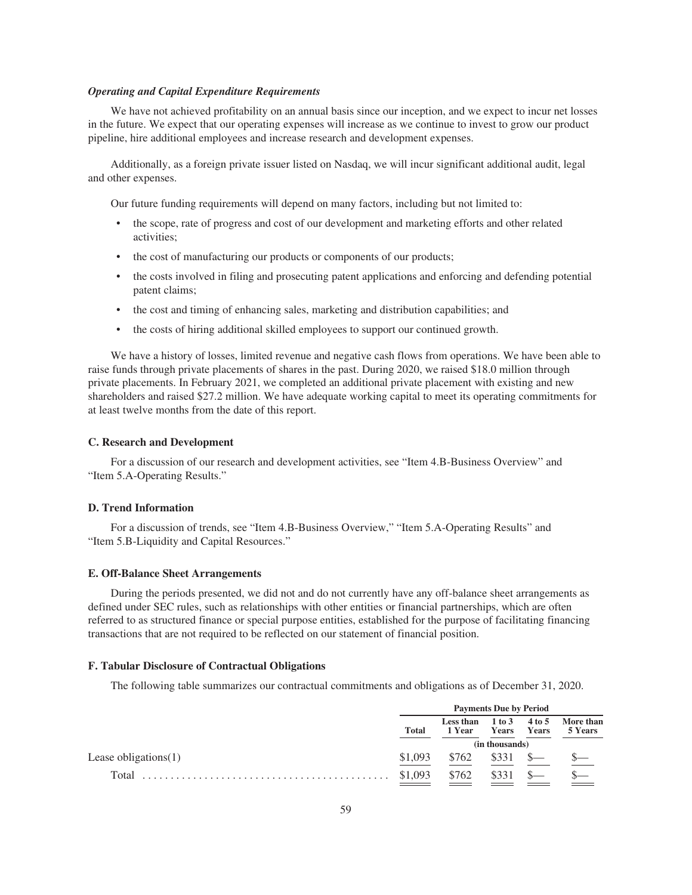## *Operating and Capital Expenditure Requirements*

We have not achieved profitability on an annual basis since our inception, and we expect to incur net losses in the future. We expect that our operating expenses will increase as we continue to invest to grow our product pipeline, hire additional employees and increase research and development expenses.

Additionally, as a foreign private issuer listed on Nasdaq, we will incur significant additional audit, legal and other expenses.

Our future funding requirements will depend on many factors, including but not limited to:

- the scope, rate of progress and cost of our development and marketing efforts and other related activities;
- the cost of manufacturing our products or components of our products;
- the costs involved in filing and prosecuting patent applications and enforcing and defending potential patent claims;
- the cost and timing of enhancing sales, marketing and distribution capabilities; and
- the costs of hiring additional skilled employees to support our continued growth.

We have a history of losses, limited revenue and negative cash flows from operations. We have been able to raise funds through private placements of shares in the past. During 2020, we raised \$18.0 million through private placements. In February 2021, we completed an additional private placement with existing and new shareholders and raised \$27.2 million. We have adequate working capital to meet its operating commitments for at least twelve months from the date of this report.

#### **C. Research and Development**

For a discussion of our research and development activities, see "Item 4.B-Business Overview" and "Item 5.A-Operating Results."

#### **D. Trend Information**

For a discussion of trends, see "Item 4.B-Business Overview," "Item 5.A-Operating Results" and "Item 5.B-Liquidity and Capital Resources."

#### **E. Off-Balance Sheet Arrangements**

During the periods presented, we did not and do not currently have any off-balance sheet arrangements as defined under SEC rules, such as relationships with other entities or financial partnerships, which are often referred to as structured finance or special purpose entities, established for the purpose of facilitating financing transactions that are not required to be reflected on our statement of financial position.

## **F. Tabular Disclosure of Contractual Obligations**

The following table summarizes our contractual commitments and obligations as of December 31, 2020.

|                         | <b>Payments Due by Period</b> |                     |                        |       |                             |
|-------------------------|-------------------------------|---------------------|------------------------|-------|-----------------------------|
|                         | <b>Total</b>                  | Less than<br>1 Year | 1 to 3<br><b>Years</b> | Years | 4 to 5 More than<br>5 Years |
|                         |                               |                     | (in thousands)         |       |                             |
| Lease obligations $(1)$ | \$1,093                       | \$762               | \$331                  |       |                             |
| Total $\ldots$          | \$1,093                       | \$762               | \$331                  |       |                             |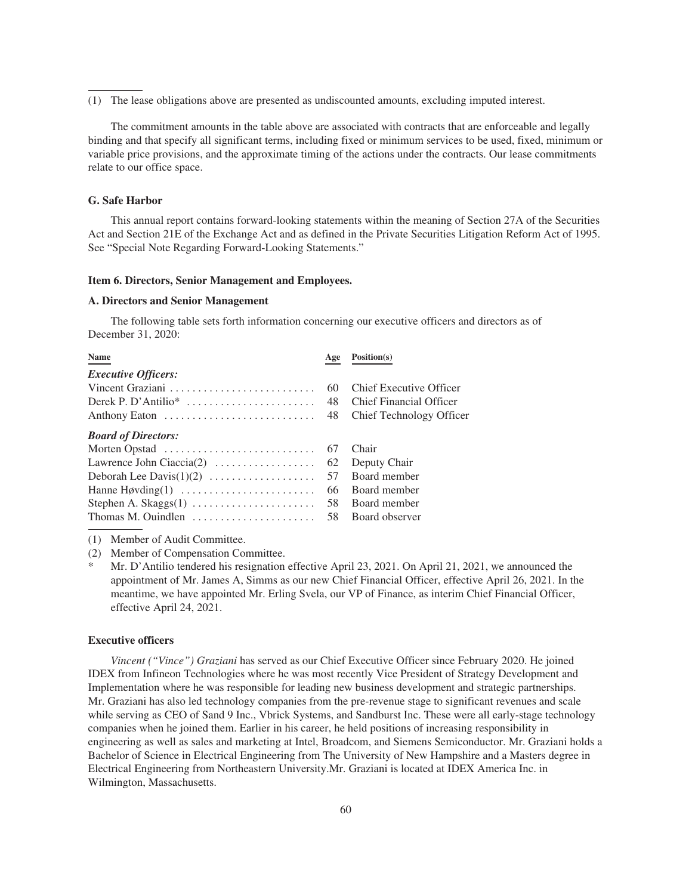(1) The lease obligations above are presented as undiscounted amounts, excluding imputed interest.

The commitment amounts in the table above are associated with contracts that are enforceable and legally binding and that specify all significant terms, including fixed or minimum services to be used, fixed, minimum or variable price provisions, and the approximate timing of the actions under the contracts. Our lease commitments relate to our office space.

## **G. Safe Harbor**

This annual report contains forward-looking statements within the meaning of Section 27A of the Securities Act and Section 21E of the Exchange Act and as defined in the Private Securities Litigation Reform Act of 1995. See "Special Note Regarding Forward-Looking Statements."

## **Item 6. Directors, Senior Management and Employees.**

#### **A. Directors and Senior Management**

The following table sets forth information concerning our executive officers and directors as of December 31, 2020:

| <b>Name</b>                                                             | Age | Position(s)              |
|-------------------------------------------------------------------------|-----|--------------------------|
| <i>Executive Officers:</i>                                              |     |                          |
| Vincent Graziani                                                        | 60  | Chief Executive Officer  |
|                                                                         |     | Chief Financial Officer  |
|                                                                         |     | Chief Technology Officer |
| <b>Board of Directors:</b>                                              |     |                          |
|                                                                         |     | Chair                    |
|                                                                         |     | Deputy Chair             |
|                                                                         |     | Board member             |
| Hanne $H\phi \text{vding}(1) \dots \dots \dots \dots \dots \dots \dots$ | -66 | Board member             |
|                                                                         |     |                          |
| Thomas M. Quindlen $\dots \dots \dots \dots \dots \dots \dots$ 58       |     | Board observer           |

(1) Member of Audit Committee.

- (2) Member of Compensation Committee.
- Mr. D'Antilio tendered his resignation effective April 23, 2021. On April 21, 2021, we announced the appointment of Mr. James A, Simms as our new Chief Financial Officer, effective April 26, 2021. In the meantime, we have appointed Mr. Erling Svela, our VP of Finance, as interim Chief Financial Officer, effective April 24, 2021.

## **Executive officers**

*Vincent ("Vince") Graziani* has served as our Chief Executive Officer since February 2020. He joined IDEX from Infineon Technologies where he was most recently Vice President of Strategy Development and Implementation where he was responsible for leading new business development and strategic partnerships. Mr. Graziani has also led technology companies from the pre-revenue stage to significant revenues and scale while serving as CEO of Sand 9 Inc., Vbrick Systems, and Sandburst Inc. These were all early-stage technology companies when he joined them. Earlier in his career, he held positions of increasing responsibility in engineering as well as sales and marketing at Intel, Broadcom, and Siemens Semiconductor. Mr. Graziani holds a Bachelor of Science in Electrical Engineering from The University of New Hampshire and a Masters degree in Electrical Engineering from Northeastern University.Mr. Graziani is located at IDEX America Inc. in Wilmington, Massachusetts.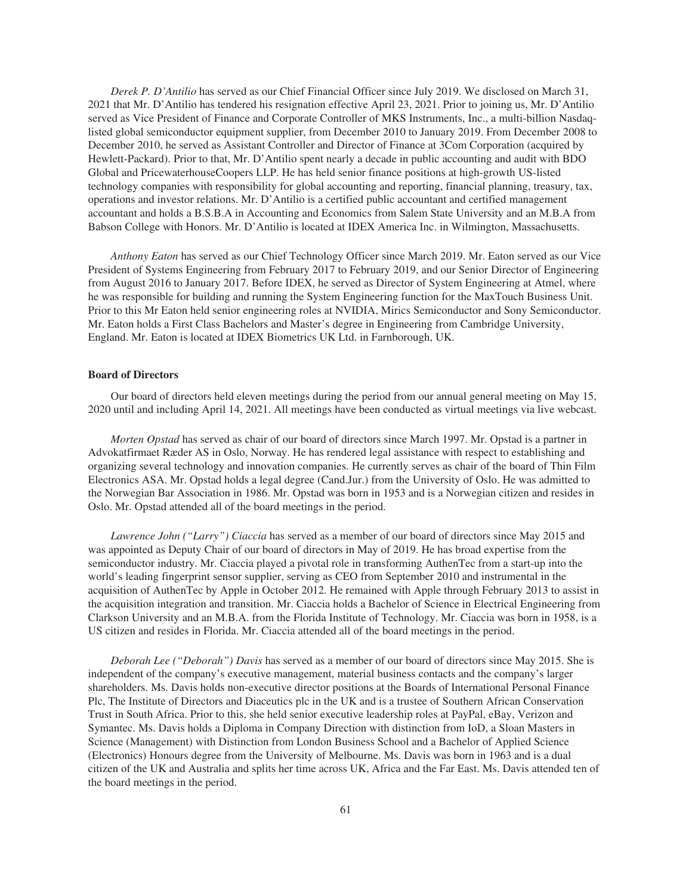*Derek P. D'Antilio* has served as our Chief Financial Officer since July 2019. We disclosed on March 31, 2021 that Mr. D'Antilio has tendered his resignation effective April 23, 2021. Prior to joining us, Mr. D'Antilio served as Vice President of Finance and Corporate Controller of MKS Instruments, Inc., a multi-billion Nasdaqlisted global semiconductor equipment supplier, from December 2010 to January 2019. From December 2008 to December 2010, he served as Assistant Controller and Director of Finance at 3Com Corporation (acquired by Hewlett-Packard). Prior to that, Mr. D'Antilio spent nearly a decade in public accounting and audit with BDO Global and PricewaterhouseCoopers LLP. He has held senior finance positions at high-growth US-listed technology companies with responsibility for global accounting and reporting, financial planning, treasury, tax, operations and investor relations. Mr. D'Antilio is a certified public accountant and certified management accountant and holds a B.S.B.A in Accounting and Economics from Salem State University and an M.B.A from Babson College with Honors. Mr. D'Antilio is located at IDEX America Inc. in Wilmington, Massachusetts.

*Anthony Eaton* has served as our Chief Technology Officer since March 2019. Mr. Eaton served as our Vice President of Systems Engineering from February 2017 to February 2019, and our Senior Director of Engineering from August 2016 to January 2017. Before IDEX, he served as Director of System Engineering at Atmel, where he was responsible for building and running the System Engineering function for the MaxTouch Business Unit. Prior to this Mr Eaton held senior engineering roles at NVIDIA, Mirics Semiconductor and Sony Semiconductor. Mr. Eaton holds a First Class Bachelors and Master's degree in Engineering from Cambridge University, England. Mr. Eaton is located at IDEX Biometrics UK Ltd. in Farnborough, UK.

## **Board of Directors**

Our board of directors held eleven meetings during the period from our annual general meeting on May 15, 2020 until and including April 14, 2021. All meetings have been conducted as virtual meetings via live webcast.

*Morten Opstad* has served as chair of our board of directors since March 1997. Mr. Opstad is a partner in Advokatfirmaet Ræder AS in Oslo, Norway. He has rendered legal assistance with respect to establishing and organizing several technology and innovation companies. He currently serves as chair of the board of Thin Film Electronics ASA. Mr. Opstad holds a legal degree (Cand.Jur.) from the University of Oslo. He was admitted to the Norwegian Bar Association in 1986. Mr. Opstad was born in 1953 and is a Norwegian citizen and resides in Oslo. Mr. Opstad attended all of the board meetings in the period.

*Lawrence John ("Larry") Ciaccia* has served as a member of our board of directors since May 2015 and was appointed as Deputy Chair of our board of directors in May of 2019. He has broad expertise from the semiconductor industry. Mr. Ciaccia played a pivotal role in transforming AuthenTec from a start-up into the world's leading fingerprint sensor supplier, serving as CEO from September 2010 and instrumental in the acquisition of AuthenTec by Apple in October 2012. He remained with Apple through February 2013 to assist in the acquisition integration and transition. Mr. Ciaccia holds a Bachelor of Science in Electrical Engineering from Clarkson University and an M.B.A. from the Florida Institute of Technology. Mr. Ciaccia was born in 1958, is a US citizen and resides in Florida. Mr. Ciaccia attended all of the board meetings in the period.

*Deborah Lee ("Deborah") Davis* has served as a member of our board of directors since May 2015. She is independent of the company's executive management, material business contacts and the company's larger shareholders. Ms. Davis holds non-executive director positions at the Boards of International Personal Finance Plc, The Institute of Directors and Diaceutics plc in the UK and is a trustee of Southern African Conservation Trust in South Africa. Prior to this, she held senior executive leadership roles at PayPal, eBay, Verizon and Symantec. Ms. Davis holds a Diploma in Company Direction with distinction from IoD, a Sloan Masters in Science (Management) with Distinction from London Business School and a Bachelor of Applied Science (Electronics) Honours degree from the University of Melbourne. Ms. Davis was born in 1963 and is a dual citizen of the UK and Australia and splits her time across UK, Africa and the Far East. Ms. Davis attended ten of the board meetings in the period.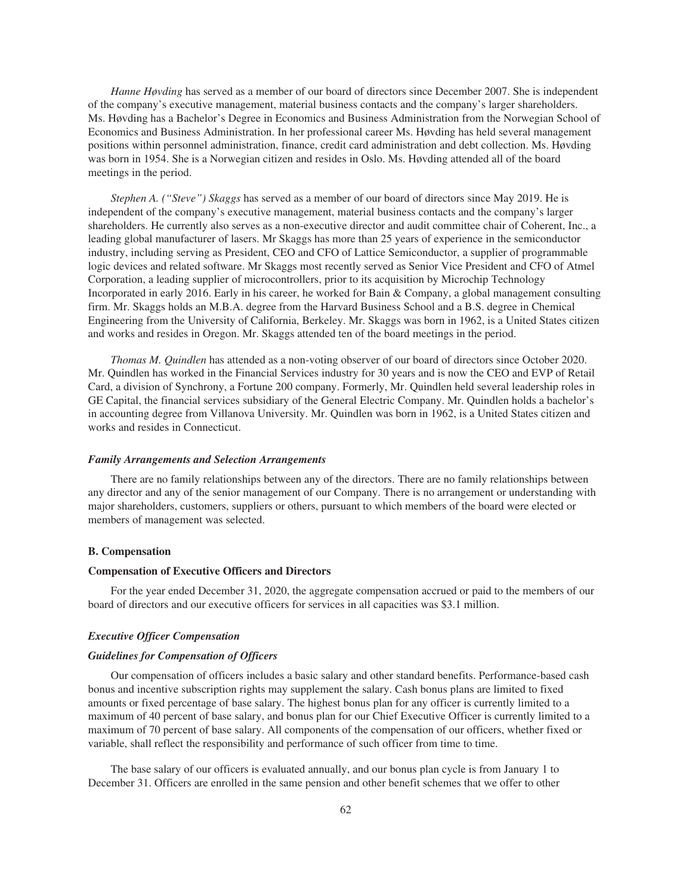*Hanne Høvding* has served as a member of our board of directors since December 2007. She is independent of the company's executive management, material business contacts and the company's larger shareholders. Ms. Høvding has a Bachelor's Degree in Economics and Business Administration from the Norwegian School of Economics and Business Administration. In her professional career Ms. Høvding has held several management positions within personnel administration, finance, credit card administration and debt collection. Ms. Høvding was born in 1954. She is a Norwegian citizen and resides in Oslo. Ms. Høvding attended all of the board meetings in the period.

*Stephen A. ("Steve") Skaggs* has served as a member of our board of directors since May 2019. He is independent of the company's executive management, material business contacts and the company's larger shareholders. He currently also serves as a non-executive director and audit committee chair of Coherent, Inc., a leading global manufacturer of lasers. Mr Skaggs has more than 25 years of experience in the semiconductor industry, including serving as President, CEO and CFO of Lattice Semiconductor, a supplier of programmable logic devices and related software. Mr Skaggs most recently served as Senior Vice President and CFO of Atmel Corporation, a leading supplier of microcontrollers, prior to its acquisition by Microchip Technology Incorporated in early 2016. Early in his career, he worked for Bain & Company, a global management consulting firm. Mr. Skaggs holds an M.B.A. degree from the Harvard Business School and a B.S. degree in Chemical Engineering from the University of California, Berkeley. Mr. Skaggs was born in 1962, is a United States citizen and works and resides in Oregon. Mr. Skaggs attended ten of the board meetings in the period.

*Thomas M. Quindlen* has attended as a non-voting observer of our board of directors since October 2020. Mr. Quindlen has worked in the Financial Services industry for 30 years and is now the CEO and EVP of Retail Card, a division of Synchrony, a Fortune 200 company. Formerly, Mr. Quindlen held several leadership roles in GE Capital, the financial services subsidiary of the General Electric Company. Mr. Quindlen holds a bachelor's in accounting degree from Villanova University. Mr. Quindlen was born in 1962, is a United States citizen and works and resides in Connecticut.

## *Family Arrangements and Selection Arrangements*

There are no family relationships between any of the directors. There are no family relationships between any director and any of the senior management of our Company. There is no arrangement or understanding with major shareholders, customers, suppliers or others, pursuant to which members of the board were elected or members of management was selected.

## **B. Compensation**

### **Compensation of Executive Officers and Directors**

For the year ended December 31, 2020, the aggregate compensation accrued or paid to the members of our board of directors and our executive officers for services in all capacities was \$3.1 million.

## *Executive Officer Compensation*

#### *Guidelines for Compensation of Officers*

Our compensation of officers includes a basic salary and other standard benefits. Performance-based cash bonus and incentive subscription rights may supplement the salary. Cash bonus plans are limited to fixed amounts or fixed percentage of base salary. The highest bonus plan for any officer is currently limited to a maximum of 40 percent of base salary, and bonus plan for our Chief Executive Officer is currently limited to a maximum of 70 percent of base salary. All components of the compensation of our officers, whether fixed or variable, shall reflect the responsibility and performance of such officer from time to time.

The base salary of our officers is evaluated annually, and our bonus plan cycle is from January 1 to December 31. Officers are enrolled in the same pension and other benefit schemes that we offer to other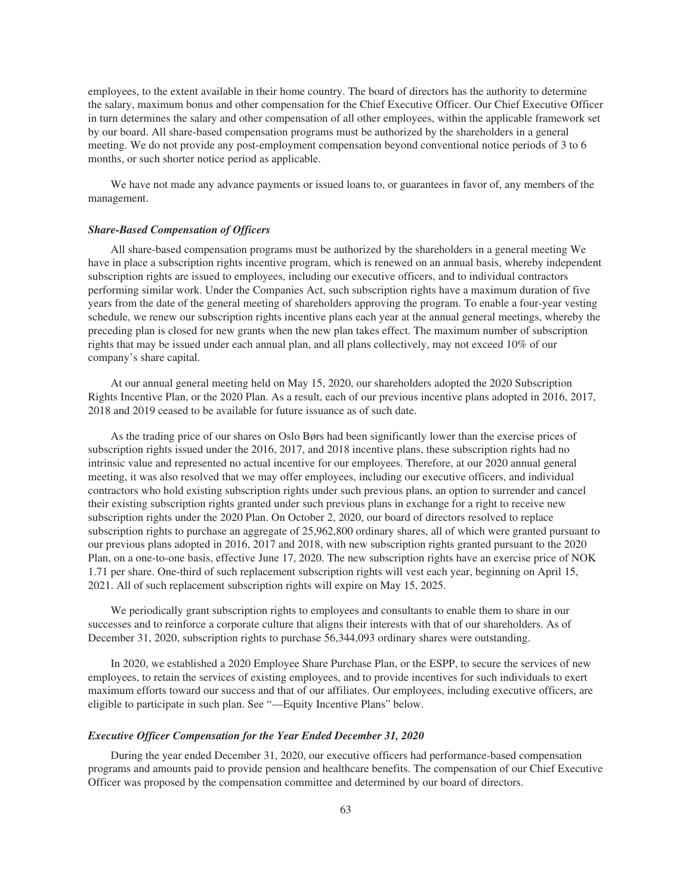employees, to the extent available in their home country. The board of directors has the authority to determine the salary, maximum bonus and other compensation for the Chief Executive Officer. Our Chief Executive Officer in turn determines the salary and other compensation of all other employees, within the applicable framework set by our board. All share-based compensation programs must be authorized by the shareholders in a general meeting. We do not provide any post-employment compensation beyond conventional notice periods of 3 to 6 months, or such shorter notice period as applicable.

We have not made any advance payments or issued loans to, or guarantees in favor of, any members of the management.

## *Share-Based Compensation of Officers*

All share-based compensation programs must be authorized by the shareholders in a general meeting We have in place a subscription rights incentive program, which is renewed on an annual basis, whereby independent subscription rights are issued to employees, including our executive officers, and to individual contractors performing similar work. Under the Companies Act, such subscription rights have a maximum duration of five years from the date of the general meeting of shareholders approving the program. To enable a four-year vesting schedule, we renew our subscription rights incentive plans each year at the annual general meetings, whereby the preceding plan is closed for new grants when the new plan takes effect. The maximum number of subscription rights that may be issued under each annual plan, and all plans collectively, may not exceed 10% of our company's share capital.

At our annual general meeting held on May 15, 2020, our shareholders adopted the 2020 Subscription Rights Incentive Plan, or the 2020 Plan. As a result, each of our previous incentive plans adopted in 2016, 2017, 2018 and 2019 ceased to be available for future issuance as of such date.

As the trading price of our shares on Oslo Børs had been significantly lower than the exercise prices of subscription rights issued under the 2016, 2017, and 2018 incentive plans, these subscription rights had no intrinsic value and represented no actual incentive for our employees. Therefore, at our 2020 annual general meeting, it was also resolved that we may offer employees, including our executive officers, and individual contractors who hold existing subscription rights under such previous plans, an option to surrender and cancel their existing subscription rights granted under such previous plans in exchange for a right to receive new subscription rights under the 2020 Plan. On October 2, 2020, our board of directors resolved to replace subscription rights to purchase an aggregate of 25,962,800 ordinary shares, all of which were granted pursuant to our previous plans adopted in 2016, 2017 and 2018, with new subscription rights granted pursuant to the 2020 Plan, on a one-to-one basis, effective June 17, 2020. The new subscription rights have an exercise price of NOK 1.71 per share. One-third of such replacement subscription rights will vest each year, beginning on April 15, 2021. All of such replacement subscription rights will expire on May 15, 2025.

We periodically grant subscription rights to employees and consultants to enable them to share in our successes and to reinforce a corporate culture that aligns their interests with that of our shareholders. As of December 31, 2020, subscription rights to purchase 56,344,093 ordinary shares were outstanding.

In 2020, we established a 2020 Employee Share Purchase Plan, or the ESPP, to secure the services of new employees, to retain the services of existing employees, and to provide incentives for such individuals to exert maximum efforts toward our success and that of our affiliates. Our employees, including executive officers, are eligible to participate in such plan. See "—Equity Incentive Plans" below.

#### *Executive Officer Compensation for the Year Ended December 31, 2020*

During the year ended December 31, 2020, our executive officers had performance-based compensation programs and amounts paid to provide pension and healthcare benefits. The compensation of our Chief Executive Officer was proposed by the compensation committee and determined by our board of directors.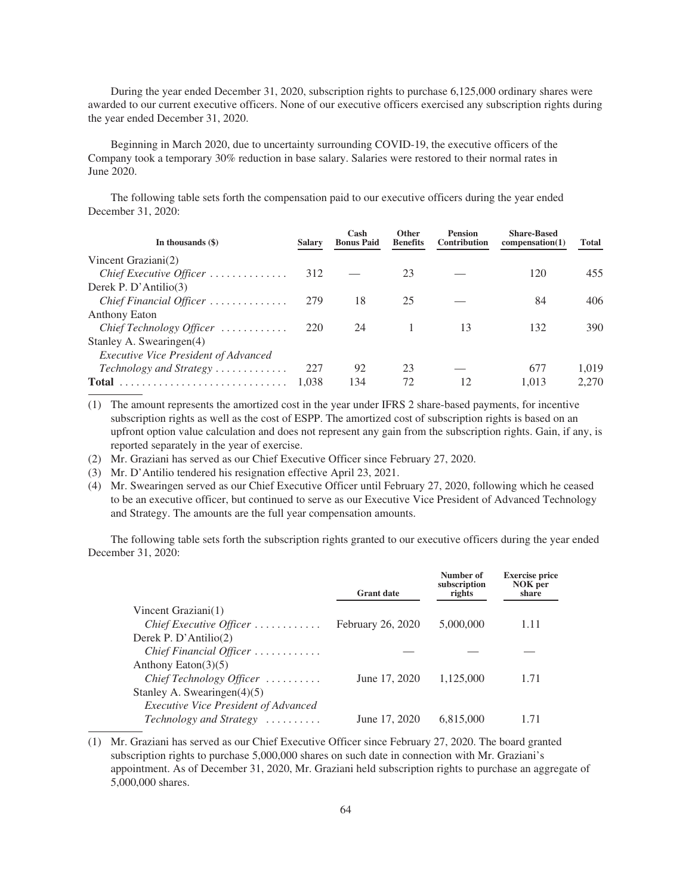During the year ended December 31, 2020, subscription rights to purchase 6,125,000 ordinary shares were awarded to our current executive officers. None of our executive officers exercised any subscription rights during the year ended December 31, 2020.

Beginning in March 2020, due to uncertainty surrounding COVID-19, the executive officers of the Company took a temporary 30% reduction in base salary. Salaries were restored to their normal rates in June 2020.

The following table sets forth the compensation paid to our executive officers during the year ended December 31, 2020:

| In thousands (\$)                                     | <b>Salary</b> | Cash<br><b>Bonus Paid</b> | <b>Other</b><br><b>Benefits</b> | <b>Pension</b><br><b>Contribution</b> | <b>Share-Based</b><br>compensation(1) | Total |
|-------------------------------------------------------|---------------|---------------------------|---------------------------------|---------------------------------------|---------------------------------------|-------|
| Vincent Graziani(2)                                   |               |                           |                                 |                                       |                                       |       |
| Chief Executive Officer $\ldots \ldots \ldots \ldots$ | 312           |                           | 23                              |                                       | 120                                   | 455   |
| Derek P. D'Antilio $(3)$                              |               |                           |                                 |                                       |                                       |       |
| Chief Financial Officer $\ldots \ldots \ldots \ldots$ | 279           | 18                        | 25                              |                                       | 84                                    | 406   |
| <b>Anthony Eaton</b>                                  |               |                           |                                 |                                       |                                       |       |
| Chief Technology Officer $\ldots \ldots \ldots$       | 220           | 24                        |                                 | 13                                    | 132                                   | 390   |
| Stanley A. Swearingen(4)                              |               |                           |                                 |                                       |                                       |       |
| <i>Executive Vice President of Advanced</i>           |               |                           |                                 |                                       |                                       |       |
| Technology and Strategy                               | 227           | 92                        | 23                              |                                       | 677                                   | 1.019 |
| <b>Total</b>                                          | 1.038         | 134                       | 72                              | 12                                    | 1.013                                 | 2,270 |

(1) The amount represents the amortized cost in the year under IFRS 2 share-based payments, for incentive subscription rights as well as the cost of ESPP. The amortized cost of subscription rights is based on an upfront option value calculation and does not represent any gain from the subscription rights. Gain, if any, is reported separately in the year of exercise.

(2) Mr. Graziani has served as our Chief Executive Officer since February 27, 2020.

(3) Mr. D'Antilio tendered his resignation effective April 23, 2021.

(4) Mr. Swearingen served as our Chief Executive Officer until February 27, 2020, following which he ceased to be an executive officer, but continued to serve as our Executive Vice President of Advanced Technology and Strategy. The amounts are the full year compensation amounts.

The following table sets forth the subscription rights granted to our executive officers during the year ended December 31, 2020:

|                                             |                   | Number of<br>subscription | <b>Exercise price</b><br>NOK per |
|---------------------------------------------|-------------------|---------------------------|----------------------------------|
|                                             | <b>Grant date</b> | rights                    | share                            |
| Vincent Graziani(1)                         |                   |                           |                                  |
| Chief Executive Officer                     | February 26, 2020 | 5,000,000                 | 1.11                             |
| Derek P. D'Antilio $(2)$                    |                   |                           |                                  |
| Chief Financial Officer                     |                   |                           |                                  |
| Anthony Eaton( $3(5)$ )                     |                   |                           |                                  |
| Chief Technology Officer $\ldots \ldots$    | June 17, 2020     | 1.125.000                 | 1.71                             |
| Stanley A. Swearingen $(4)(5)$              |                   |                           |                                  |
| <i>Executive Vice President of Advanced</i> |                   |                           |                                  |
| Technology and Strategy                     | June 17, 2020     | 6,815,000                 | 1.71                             |

(1) Mr. Graziani has served as our Chief Executive Officer since February 27, 2020. The board granted subscription rights to purchase 5,000,000 shares on such date in connection with Mr. Graziani's appointment. As of December 31, 2020, Mr. Graziani held subscription rights to purchase an aggregate of 5,000,000 shares.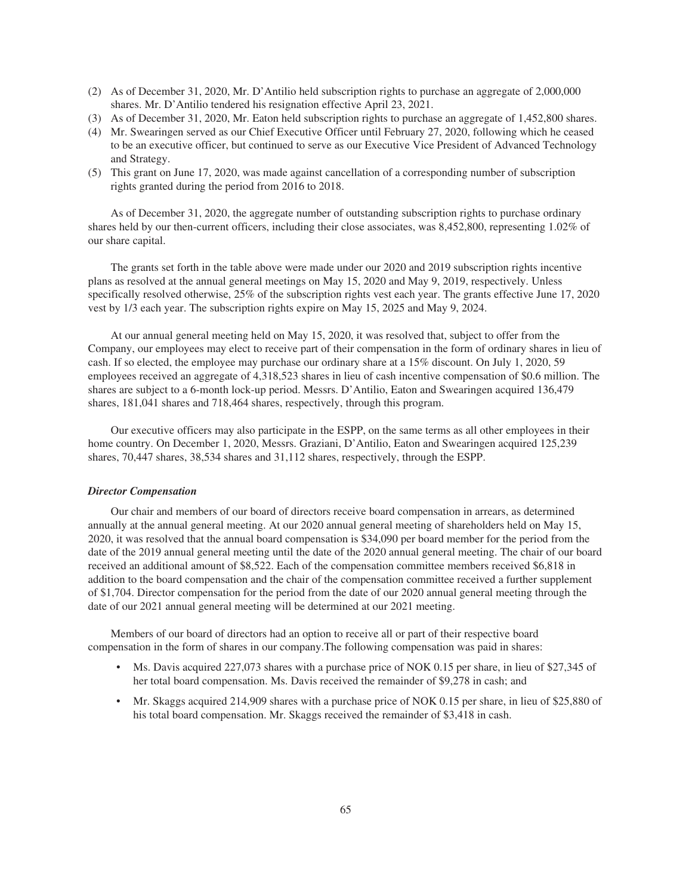- (2) As of December 31, 2020, Mr. D'Antilio held subscription rights to purchase an aggregate of 2,000,000 shares. Mr. D'Antilio tendered his resignation effective April 23, 2021.
- (3) As of December 31, 2020, Mr. Eaton held subscription rights to purchase an aggregate of 1,452,800 shares.
- (4) Mr. Swearingen served as our Chief Executive Officer until February 27, 2020, following which he ceased to be an executive officer, but continued to serve as our Executive Vice President of Advanced Technology and Strategy.
- (5) This grant on June 17, 2020, was made against cancellation of a corresponding number of subscription rights granted during the period from 2016 to 2018.

As of December 31, 2020, the aggregate number of outstanding subscription rights to purchase ordinary shares held by our then-current officers, including their close associates, was 8,452,800, representing 1.02% of our share capital.

The grants set forth in the table above were made under our 2020 and 2019 subscription rights incentive plans as resolved at the annual general meetings on May 15, 2020 and May 9, 2019, respectively. Unless specifically resolved otherwise, 25% of the subscription rights vest each year. The grants effective June 17, 2020 vest by 1/3 each year. The subscription rights expire on May 15, 2025 and May 9, 2024.

At our annual general meeting held on May 15, 2020, it was resolved that, subject to offer from the Company, our employees may elect to receive part of their compensation in the form of ordinary shares in lieu of cash. If so elected, the employee may purchase our ordinary share at a 15% discount. On July 1, 2020, 59 employees received an aggregate of 4,318,523 shares in lieu of cash incentive compensation of \$0.6 million. The shares are subject to a 6-month lock-up period. Messrs. D'Antilio, Eaton and Swearingen acquired 136,479 shares, 181,041 shares and 718,464 shares, respectively, through this program.

Our executive officers may also participate in the ESPP, on the same terms as all other employees in their home country. On December 1, 2020, Messrs. Graziani, D'Antilio, Eaton and Swearingen acquired 125,239 shares, 70,447 shares, 38,534 shares and 31,112 shares, respectively, through the ESPP.

## *Director Compensation*

Our chair and members of our board of directors receive board compensation in arrears, as determined annually at the annual general meeting. At our 2020 annual general meeting of shareholders held on May 15, 2020, it was resolved that the annual board compensation is \$34,090 per board member for the period from the date of the 2019 annual general meeting until the date of the 2020 annual general meeting. The chair of our board received an additional amount of \$8,522. Each of the compensation committee members received \$6,818 in addition to the board compensation and the chair of the compensation committee received a further supplement of \$1,704. Director compensation for the period from the date of our 2020 annual general meeting through the date of our 2021 annual general meeting will be determined at our 2021 meeting.

Members of our board of directors had an option to receive all or part of their respective board compensation in the form of shares in our company.The following compensation was paid in shares:

- Ms. Davis acquired 227,073 shares with a purchase price of NOK 0.15 per share, in lieu of \$27,345 of her total board compensation. Ms. Davis received the remainder of \$9,278 in cash; and
- Mr. Skaggs acquired 214,909 shares with a purchase price of NOK 0.15 per share, in lieu of \$25,880 of his total board compensation. Mr. Skaggs received the remainder of \$3,418 in cash.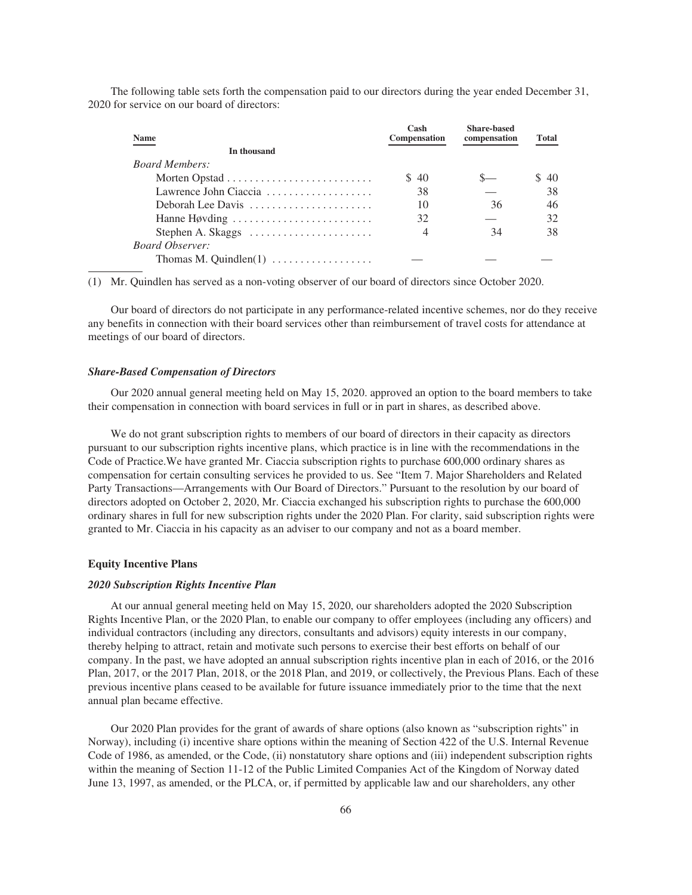The following table sets forth the compensation paid to our directors during the year ended December 31, 2020 for service on our board of directors:

| <b>Name</b>              | Cash<br>Compensation | <b>Share-based</b><br>compensation | Total |
|--------------------------|----------------------|------------------------------------|-------|
| In thousand              |                      |                                    |       |
| <b>Board Members:</b>    |                      |                                    |       |
|                          | \$40                 |                                    | \$40  |
| Lawrence John Ciaccia    | 38                   |                                    | 38    |
| Deborah Lee Davis        | 10                   | 36                                 | 46    |
| Hanne Høvding            | 32                   |                                    | 32    |
| Stephen A. Skaggs        |                      | 34                                 | 38    |
| <b>Board Observer:</b>   |                      |                                    |       |
| Thomas M. Quindlen $(1)$ |                      |                                    |       |

(1) Mr. Quindlen has served as a non-voting observer of our board of directors since October 2020.

Our board of directors do not participate in any performance-related incentive schemes, nor do they receive any benefits in connection with their board services other than reimbursement of travel costs for attendance at meetings of our board of directors.

## *Share-Based Compensation of Directors*

Our 2020 annual general meeting held on May 15, 2020. approved an option to the board members to take their compensation in connection with board services in full or in part in shares, as described above.

We do not grant subscription rights to members of our board of directors in their capacity as directors pursuant to our subscription rights incentive plans, which practice is in line with the recommendations in the Code of Practice.We have granted Mr. Ciaccia subscription rights to purchase 600,000 ordinary shares as compensation for certain consulting services he provided to us. See "Item 7. Major Shareholders and Related Party Transactions—Arrangements with Our Board of Directors." Pursuant to the resolution by our board of directors adopted on October 2, 2020, Mr. Ciaccia exchanged his subscription rights to purchase the 600,000 ordinary shares in full for new subscription rights under the 2020 Plan. For clarity, said subscription rights were granted to Mr. Ciaccia in his capacity as an adviser to our company and not as a board member.

# **Equity Incentive Plans**

### *2020 Subscription Rights Incentive Plan*

At our annual general meeting held on May 15, 2020, our shareholders adopted the 2020 Subscription Rights Incentive Plan, or the 2020 Plan, to enable our company to offer employees (including any officers) and individual contractors (including any directors, consultants and advisors) equity interests in our company, thereby helping to attract, retain and motivate such persons to exercise their best efforts on behalf of our company. In the past, we have adopted an annual subscription rights incentive plan in each of 2016, or the 2016 Plan, 2017, or the 2017 Plan, 2018, or the 2018 Plan, and 2019, or collectively, the Previous Plans. Each of these previous incentive plans ceased to be available for future issuance immediately prior to the time that the next annual plan became effective.

Our 2020 Plan provides for the grant of awards of share options (also known as "subscription rights" in Norway), including (i) incentive share options within the meaning of Section 422 of the U.S. Internal Revenue Code of 1986, as amended, or the Code, (ii) nonstatutory share options and (iii) independent subscription rights within the meaning of Section 11-12 of the Public Limited Companies Act of the Kingdom of Norway dated June 13, 1997, as amended, or the PLCA, or, if permitted by applicable law and our shareholders, any other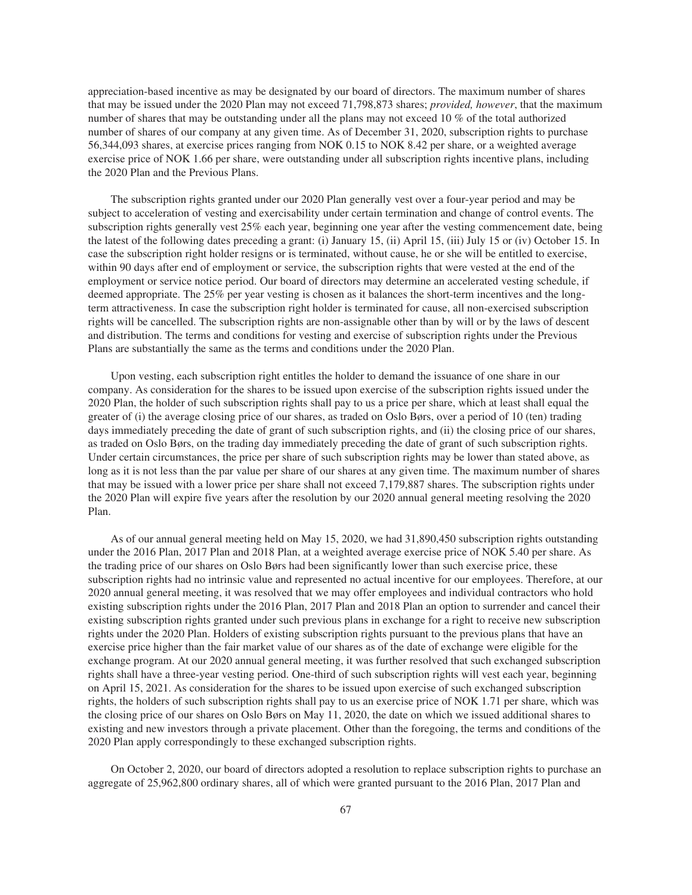appreciation-based incentive as may be designated by our board of directors. The maximum number of shares that may be issued under the 2020 Plan may not exceed 71,798,873 shares; *provided, however*, that the maximum number of shares that may be outstanding under all the plans may not exceed 10 % of the total authorized number of shares of our company at any given time. As of December 31, 2020, subscription rights to purchase 56,344,093 shares, at exercise prices ranging from NOK 0.15 to NOK 8.42 per share, or a weighted average exercise price of NOK 1.66 per share, were outstanding under all subscription rights incentive plans, including the 2020 Plan and the Previous Plans.

The subscription rights granted under our 2020 Plan generally vest over a four-year period and may be subject to acceleration of vesting and exercisability under certain termination and change of control events. The subscription rights generally vest 25% each year, beginning one year after the vesting commencement date, being the latest of the following dates preceding a grant: (i) January 15, (ii) April 15, (iii) July 15 or (iv) October 15. In case the subscription right holder resigns or is terminated, without cause, he or she will be entitled to exercise, within 90 days after end of employment or service, the subscription rights that were vested at the end of the employment or service notice period. Our board of directors may determine an accelerated vesting schedule, if deemed appropriate. The 25% per year vesting is chosen as it balances the short-term incentives and the longterm attractiveness. In case the subscription right holder is terminated for cause, all non-exercised subscription rights will be cancelled. The subscription rights are non-assignable other than by will or by the laws of descent and distribution. The terms and conditions for vesting and exercise of subscription rights under the Previous Plans are substantially the same as the terms and conditions under the 2020 Plan.

Upon vesting, each subscription right entitles the holder to demand the issuance of one share in our company. As consideration for the shares to be issued upon exercise of the subscription rights issued under the 2020 Plan, the holder of such subscription rights shall pay to us a price per share, which at least shall equal the greater of (i) the average closing price of our shares, as traded on Oslo Børs, over a period of 10 (ten) trading days immediately preceding the date of grant of such subscription rights, and (ii) the closing price of our shares, as traded on Oslo Børs, on the trading day immediately preceding the date of grant of such subscription rights. Under certain circumstances, the price per share of such subscription rights may be lower than stated above, as long as it is not less than the par value per share of our shares at any given time. The maximum number of shares that may be issued with a lower price per share shall not exceed 7,179,887 shares. The subscription rights under the 2020 Plan will expire five years after the resolution by our 2020 annual general meeting resolving the 2020 Plan.

As of our annual general meeting held on May 15, 2020, we had 31,890,450 subscription rights outstanding under the 2016 Plan, 2017 Plan and 2018 Plan, at a weighted average exercise price of NOK 5.40 per share. As the trading price of our shares on Oslo Børs had been significantly lower than such exercise price, these subscription rights had no intrinsic value and represented no actual incentive for our employees. Therefore, at our 2020 annual general meeting, it was resolved that we may offer employees and individual contractors who hold existing subscription rights under the 2016 Plan, 2017 Plan and 2018 Plan an option to surrender and cancel their existing subscription rights granted under such previous plans in exchange for a right to receive new subscription rights under the 2020 Plan. Holders of existing subscription rights pursuant to the previous plans that have an exercise price higher than the fair market value of our shares as of the date of exchange were eligible for the exchange program. At our 2020 annual general meeting, it was further resolved that such exchanged subscription rights shall have a three-year vesting period. One-third of such subscription rights will vest each year, beginning on April 15, 2021. As consideration for the shares to be issued upon exercise of such exchanged subscription rights, the holders of such subscription rights shall pay to us an exercise price of NOK 1.71 per share, which was the closing price of our shares on Oslo Børs on May 11, 2020, the date on which we issued additional shares to existing and new investors through a private placement. Other than the foregoing, the terms and conditions of the 2020 Plan apply correspondingly to these exchanged subscription rights.

On October 2, 2020, our board of directors adopted a resolution to replace subscription rights to purchase an aggregate of 25,962,800 ordinary shares, all of which were granted pursuant to the 2016 Plan, 2017 Plan and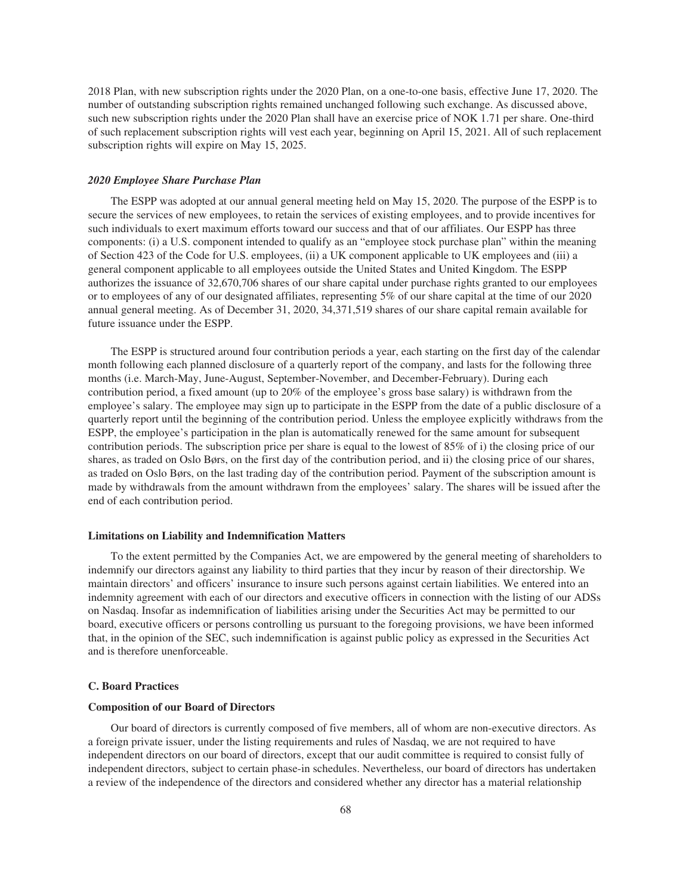2018 Plan, with new subscription rights under the 2020 Plan, on a one-to-one basis, effective June 17, 2020. The number of outstanding subscription rights remained unchanged following such exchange. As discussed above, such new subscription rights under the 2020 Plan shall have an exercise price of NOK 1.71 per share. One-third of such replacement subscription rights will vest each year, beginning on April 15, 2021. All of such replacement subscription rights will expire on May 15, 2025.

#### *2020 Employee Share Purchase Plan*

The ESPP was adopted at our annual general meeting held on May 15, 2020. The purpose of the ESPP is to secure the services of new employees, to retain the services of existing employees, and to provide incentives for such individuals to exert maximum efforts toward our success and that of our affiliates. Our ESPP has three components: (i) a U.S. component intended to qualify as an "employee stock purchase plan" within the meaning of Section 423 of the Code for U.S. employees, (ii) a UK component applicable to UK employees and (iii) a general component applicable to all employees outside the United States and United Kingdom. The ESPP authorizes the issuance of 32,670,706 shares of our share capital under purchase rights granted to our employees or to employees of any of our designated affiliates, representing 5% of our share capital at the time of our 2020 annual general meeting. As of December 31, 2020, 34,371,519 shares of our share capital remain available for future issuance under the ESPP.

The ESPP is structured around four contribution periods a year, each starting on the first day of the calendar month following each planned disclosure of a quarterly report of the company, and lasts for the following three months (i.e. March-May, June-August, September-November, and December-February). During each contribution period, a fixed amount (up to 20% of the employee's gross base salary) is withdrawn from the employee's salary. The employee may sign up to participate in the ESPP from the date of a public disclosure of a quarterly report until the beginning of the contribution period. Unless the employee explicitly withdraws from the ESPP, the employee's participation in the plan is automatically renewed for the same amount for subsequent contribution periods. The subscription price per share is equal to the lowest of 85% of i) the closing price of our shares, as traded on Oslo Børs, on the first day of the contribution period, and ii) the closing price of our shares, as traded on Oslo Børs, on the last trading day of the contribution period. Payment of the subscription amount is made by withdrawals from the amount withdrawn from the employees' salary. The shares will be issued after the end of each contribution period.

#### **Limitations on Liability and Indemnification Matters**

To the extent permitted by the Companies Act, we are empowered by the general meeting of shareholders to indemnify our directors against any liability to third parties that they incur by reason of their directorship. We maintain directors' and officers' insurance to insure such persons against certain liabilities. We entered into an indemnity agreement with each of our directors and executive officers in connection with the listing of our ADSs on Nasdaq. Insofar as indemnification of liabilities arising under the Securities Act may be permitted to our board, executive officers or persons controlling us pursuant to the foregoing provisions, we have been informed that, in the opinion of the SEC, such indemnification is against public policy as expressed in the Securities Act and is therefore unenforceable.

## **C. Board Practices**

## **Composition of our Board of Directors**

Our board of directors is currently composed of five members, all of whom are non-executive directors. As a foreign private issuer, under the listing requirements and rules of Nasdaq, we are not required to have independent directors on our board of directors, except that our audit committee is required to consist fully of independent directors, subject to certain phase-in schedules. Nevertheless, our board of directors has undertaken a review of the independence of the directors and considered whether any director has a material relationship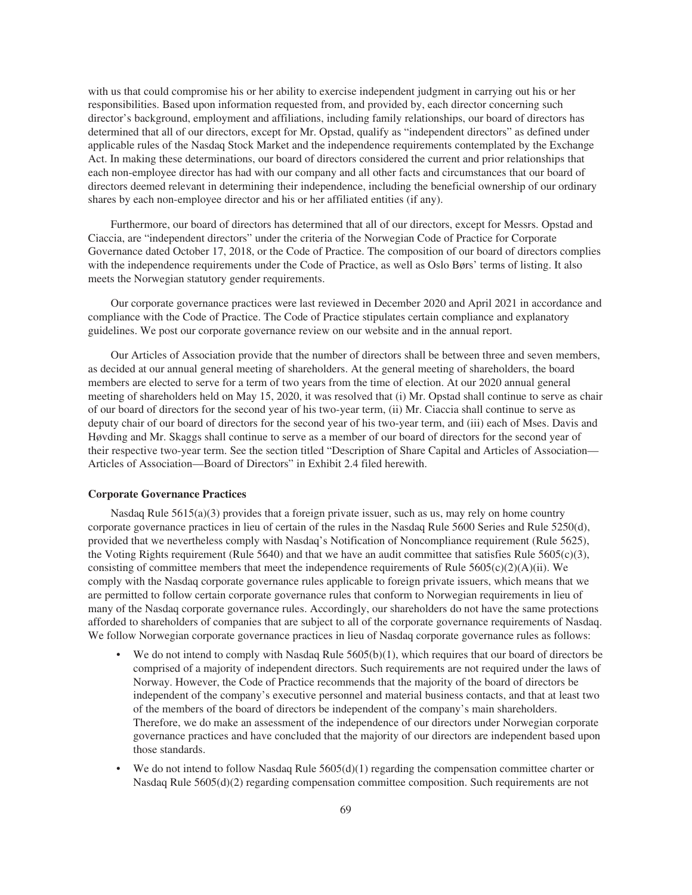with us that could compromise his or her ability to exercise independent judgment in carrying out his or her responsibilities. Based upon information requested from, and provided by, each director concerning such director's background, employment and affiliations, including family relationships, our board of directors has determined that all of our directors, except for Mr. Opstad, qualify as "independent directors" as defined under applicable rules of the Nasdaq Stock Market and the independence requirements contemplated by the Exchange Act. In making these determinations, our board of directors considered the current and prior relationships that each non-employee director has had with our company and all other facts and circumstances that our board of directors deemed relevant in determining their independence, including the beneficial ownership of our ordinary shares by each non-employee director and his or her affiliated entities (if any).

Furthermore, our board of directors has determined that all of our directors, except for Messrs. Opstad and Ciaccia, are "independent directors" under the criteria of the Norwegian Code of Practice for Corporate Governance dated October 17, 2018, or the Code of Practice. The composition of our board of directors complies with the independence requirements under the Code of Practice, as well as Oslo Børs' terms of listing. It also meets the Norwegian statutory gender requirements.

Our corporate governance practices were last reviewed in December 2020 and April 2021 in accordance and compliance with the Code of Practice. The Code of Practice stipulates certain compliance and explanatory guidelines. We post our corporate governance review on our website and in the annual report.

Our Articles of Association provide that the number of directors shall be between three and seven members, as decided at our annual general meeting of shareholders. At the general meeting of shareholders, the board members are elected to serve for a term of two years from the time of election. At our 2020 annual general meeting of shareholders held on May 15, 2020, it was resolved that (i) Mr. Opstad shall continue to serve as chair of our board of directors for the second year of his two-year term, (ii) Mr. Ciaccia shall continue to serve as deputy chair of our board of directors for the second year of his two-year term, and (iii) each of Mses. Davis and Høvding and Mr. Skaggs shall continue to serve as a member of our board of directors for the second year of their respective two-year term. See the section titled "Description of Share Capital and Articles of Association— Articles of Association—Board of Directors" in Exhibit 2.4 filed herewith.

#### **Corporate Governance Practices**

Nasdaq Rule  $5615(a)(3)$  provides that a foreign private issuer, such as us, may rely on home country corporate governance practices in lieu of certain of the rules in the Nasdaq Rule 5600 Series and Rule 5250(d), provided that we nevertheless comply with Nasdaq's Notification of Noncompliance requirement (Rule 5625), the Voting Rights requirement (Rule 5640) and that we have an audit committee that satisfies Rule 5605(c)(3), consisting of committee members that meet the independence requirements of Rule  $5605(c)(2)(A)(ii)$ . We comply with the Nasdaq corporate governance rules applicable to foreign private issuers, which means that we are permitted to follow certain corporate governance rules that conform to Norwegian requirements in lieu of many of the Nasdaq corporate governance rules. Accordingly, our shareholders do not have the same protections afforded to shareholders of companies that are subject to all of the corporate governance requirements of Nasdaq. We follow Norwegian corporate governance practices in lieu of Nasdaq corporate governance rules as follows:

- We do not intend to comply with Nasdaq Rule  $5605(b)(1)$ , which requires that our board of directors be comprised of a majority of independent directors. Such requirements are not required under the laws of Norway. However, the Code of Practice recommends that the majority of the board of directors be independent of the company's executive personnel and material business contacts, and that at least two of the members of the board of directors be independent of the company's main shareholders. Therefore, we do make an assessment of the independence of our directors under Norwegian corporate governance practices and have concluded that the majority of our directors are independent based upon those standards.
- We do not intend to follow Nasdaq Rule  $5605(d)(1)$  regarding the compensation committee charter or Nasdaq Rule 5605(d)(2) regarding compensation committee composition. Such requirements are not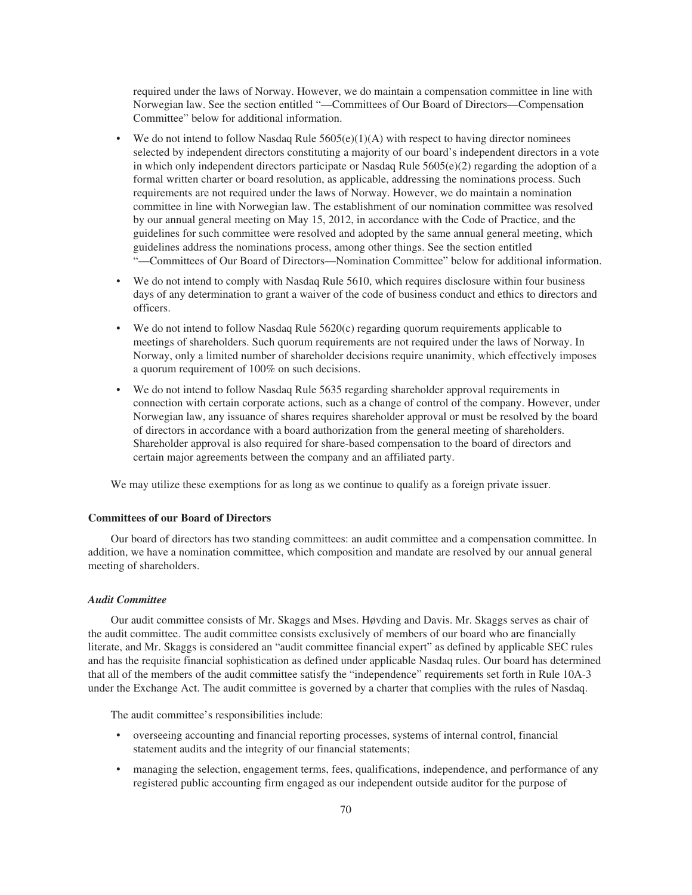required under the laws of Norway. However, we do maintain a compensation committee in line with Norwegian law. See the section entitled "—Committees of Our Board of Directors—Compensation Committee" below for additional information.

- We do not intend to follow Nasdaq Rule  $5605(e)(1)(A)$  with respect to having director nominees selected by independent directors constituting a majority of our board's independent directors in a vote in which only independent directors participate or Nasdaq Rule  $5605(e)(2)$  regarding the adoption of a formal written charter or board resolution, as applicable, addressing the nominations process. Such requirements are not required under the laws of Norway. However, we do maintain a nomination committee in line with Norwegian law. The establishment of our nomination committee was resolved by our annual general meeting on May 15, 2012, in accordance with the Code of Practice, and the guidelines for such committee were resolved and adopted by the same annual general meeting, which guidelines address the nominations process, among other things. See the section entitled "—Committees of Our Board of Directors—Nomination Committee" below for additional information.
- We do not intend to comply with Nasdaq Rule 5610, which requires disclosure within four business days of any determination to grant a waiver of the code of business conduct and ethics to directors and officers.
- We do not intend to follow Nasdaq Rule 5620(c) regarding quorum requirements applicable to meetings of shareholders. Such quorum requirements are not required under the laws of Norway. In Norway, only a limited number of shareholder decisions require unanimity, which effectively imposes a quorum requirement of 100% on such decisions.
- We do not intend to follow Nasdaq Rule 5635 regarding shareholder approval requirements in connection with certain corporate actions, such as a change of control of the company. However, under Norwegian law, any issuance of shares requires shareholder approval or must be resolved by the board of directors in accordance with a board authorization from the general meeting of shareholders. Shareholder approval is also required for share-based compensation to the board of directors and certain major agreements between the company and an affiliated party.

We may utilize these exemptions for as long as we continue to qualify as a foreign private issuer.

### **Committees of our Board of Directors**

Our board of directors has two standing committees: an audit committee and a compensation committee. In addition, we have a nomination committee, which composition and mandate are resolved by our annual general meeting of shareholders.

#### *Audit Committee*

Our audit committee consists of Mr. Skaggs and Mses. Høvding and Davis. Mr. Skaggs serves as chair of the audit committee. The audit committee consists exclusively of members of our board who are financially literate, and Mr. Skaggs is considered an "audit committee financial expert" as defined by applicable SEC rules and has the requisite financial sophistication as defined under applicable Nasdaq rules. Our board has determined that all of the members of the audit committee satisfy the "independence" requirements set forth in Rule 10A-3 under the Exchange Act. The audit committee is governed by a charter that complies with the rules of Nasdaq.

The audit committee's responsibilities include:

- overseeing accounting and financial reporting processes, systems of internal control, financial statement audits and the integrity of our financial statements;
- managing the selection, engagement terms, fees, qualifications, independence, and performance of any registered public accounting firm engaged as our independent outside auditor for the purpose of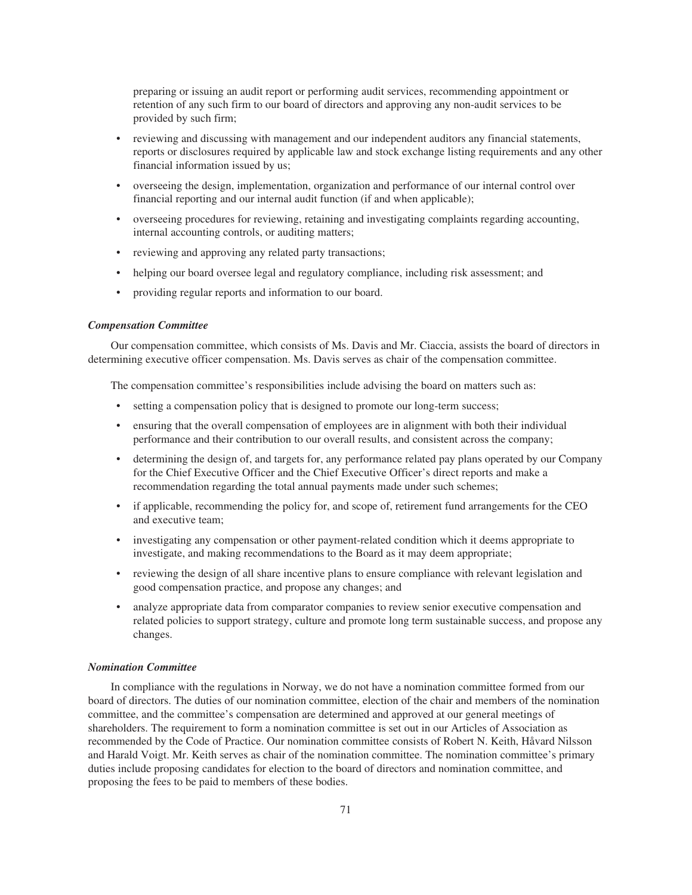preparing or issuing an audit report or performing audit services, recommending appointment or retention of any such firm to our board of directors and approving any non-audit services to be provided by such firm;

- reviewing and discussing with management and our independent auditors any financial statements, reports or disclosures required by applicable law and stock exchange listing requirements and any other financial information issued by us;
- overseeing the design, implementation, organization and performance of our internal control over financial reporting and our internal audit function (if and when applicable);
- overseeing procedures for reviewing, retaining and investigating complaints regarding accounting, internal accounting controls, or auditing matters;
- reviewing and approving any related party transactions;
- helping our board oversee legal and regulatory compliance, including risk assessment; and
- providing regular reports and information to our board.

## *Compensation Committee*

Our compensation committee, which consists of Ms. Davis and Mr. Ciaccia, assists the board of directors in determining executive officer compensation. Ms. Davis serves as chair of the compensation committee.

The compensation committee's responsibilities include advising the board on matters such as:

- setting a compensation policy that is designed to promote our long-term success;
- ensuring that the overall compensation of employees are in alignment with both their individual performance and their contribution to our overall results, and consistent across the company;
- determining the design of, and targets for, any performance related pay plans operated by our Company for the Chief Executive Officer and the Chief Executive Officer's direct reports and make a recommendation regarding the total annual payments made under such schemes;
- if applicable, recommending the policy for, and scope of, retirement fund arrangements for the CEO and executive team;
- investigating any compensation or other payment-related condition which it deems appropriate to investigate, and making recommendations to the Board as it may deem appropriate;
- reviewing the design of all share incentive plans to ensure compliance with relevant legislation and good compensation practice, and propose any changes; and
- analyze appropriate data from comparator companies to review senior executive compensation and related policies to support strategy, culture and promote long term sustainable success, and propose any changes.

### *Nomination Committee*

In compliance with the regulations in Norway, we do not have a nomination committee formed from our board of directors. The duties of our nomination committee, election of the chair and members of the nomination committee, and the committee's compensation are determined and approved at our general meetings of shareholders. The requirement to form a nomination committee is set out in our Articles of Association as recommended by the Code of Practice. Our nomination committee consists of Robert N. Keith, Håvard Nilsson and Harald Voigt. Mr. Keith serves as chair of the nomination committee. The nomination committee's primary duties include proposing candidates for election to the board of directors and nomination committee, and proposing the fees to be paid to members of these bodies.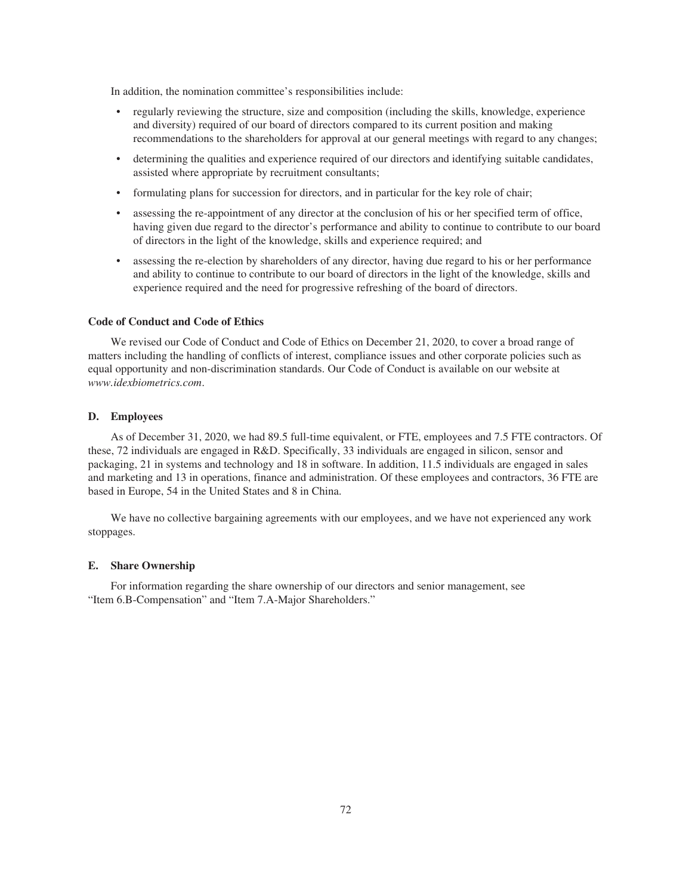In addition, the nomination committee's responsibilities include:

- regularly reviewing the structure, size and composition (including the skills, knowledge, experience and diversity) required of our board of directors compared to its current position and making recommendations to the shareholders for approval at our general meetings with regard to any changes;
- determining the qualities and experience required of our directors and identifying suitable candidates, assisted where appropriate by recruitment consultants;
- formulating plans for succession for directors, and in particular for the key role of chair;
- assessing the re-appointment of any director at the conclusion of his or her specified term of office, having given due regard to the director's performance and ability to continue to contribute to our board of directors in the light of the knowledge, skills and experience required; and
- assessing the re-election by shareholders of any director, having due regard to his or her performance and ability to continue to contribute to our board of directors in the light of the knowledge, skills and experience required and the need for progressive refreshing of the board of directors.

### **Code of Conduct and Code of Ethics**

We revised our Code of Conduct and Code of Ethics on December 21, 2020, to cover a broad range of matters including the handling of conflicts of interest, compliance issues and other corporate policies such as equal opportunity and non-discrimination standards. Our Code of Conduct is available on our website at *www.idexbiometrics.com*.

## **D. Employees**

As of December 31, 2020, we had 89.5 full-time equivalent, or FTE, employees and 7.5 FTE contractors. Of these, 72 individuals are engaged in R&D. Specifically, 33 individuals are engaged in silicon, sensor and packaging, 21 in systems and technology and 18 in software. In addition, 11.5 individuals are engaged in sales and marketing and 13 in operations, finance and administration. Of these employees and contractors, 36 FTE are based in Europe, 54 in the United States and 8 in China.

We have no collective bargaining agreements with our employees, and we have not experienced any work stoppages.

## **E. Share Ownership**

For information regarding the share ownership of our directors and senior management, see "Item 6.B-Compensation" and "Item 7.A-Major Shareholders."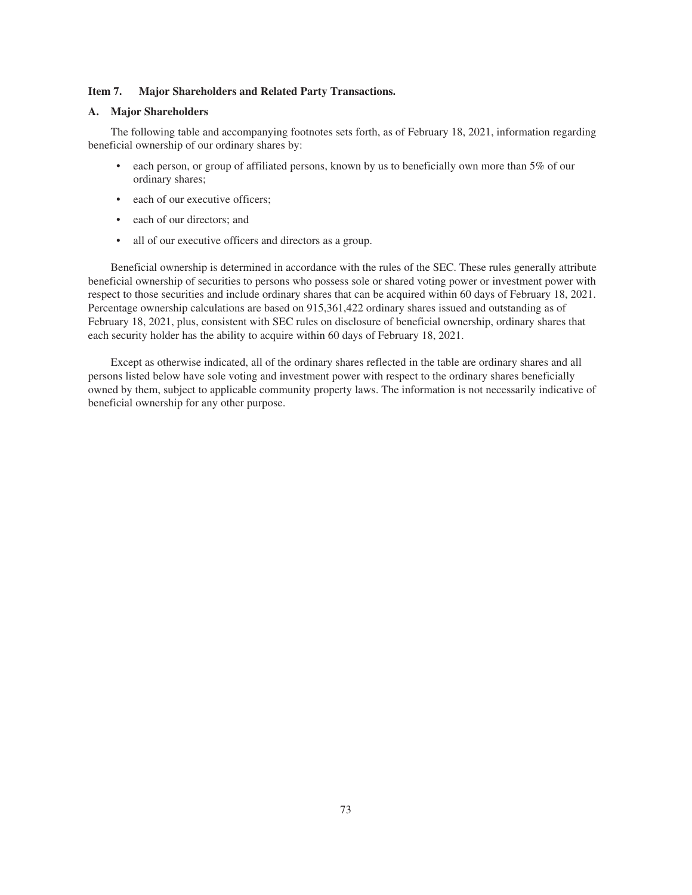# **Item 7. Major Shareholders and Related Party Transactions.**

## **A. Major Shareholders**

The following table and accompanying footnotes sets forth, as of February 18, 2021, information regarding beneficial ownership of our ordinary shares by:

- each person, or group of affiliated persons, known by us to beneficially own more than 5% of our ordinary shares;
- each of our executive officers;
- each of our directors; and
- all of our executive officers and directors as a group.

Beneficial ownership is determined in accordance with the rules of the SEC. These rules generally attribute beneficial ownership of securities to persons who possess sole or shared voting power or investment power with respect to those securities and include ordinary shares that can be acquired within 60 days of February 18, 2021. Percentage ownership calculations are based on 915,361,422 ordinary shares issued and outstanding as of February 18, 2021, plus, consistent with SEC rules on disclosure of beneficial ownership, ordinary shares that each security holder has the ability to acquire within 60 days of February 18, 2021.

Except as otherwise indicated, all of the ordinary shares reflected in the table are ordinary shares and all persons listed below have sole voting and investment power with respect to the ordinary shares beneficially owned by them, subject to applicable community property laws. The information is not necessarily indicative of beneficial ownership for any other purpose.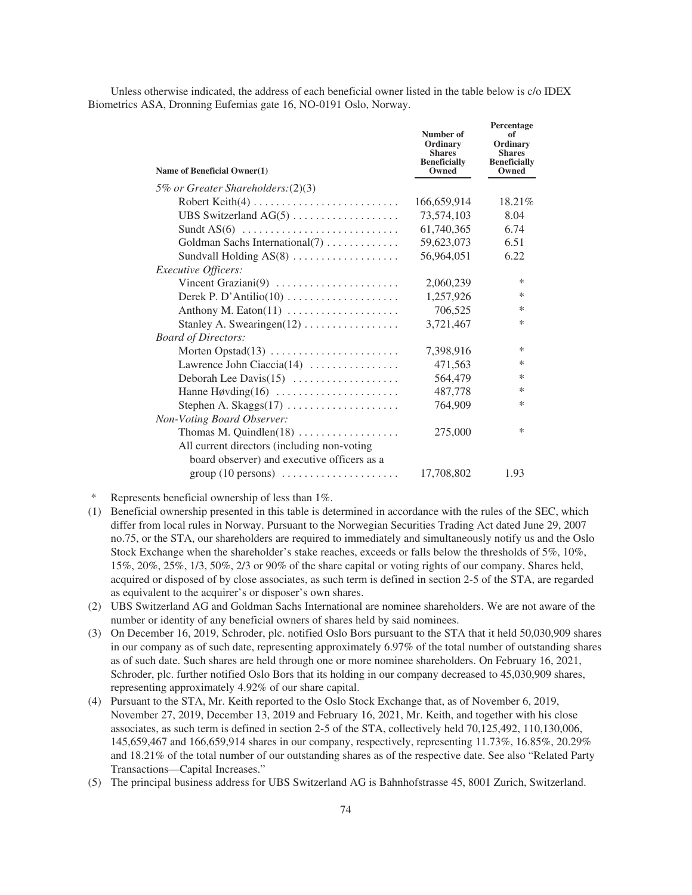Unless otherwise indicated, the address of each beneficial owner listed in the table below is c/o IDEX Biometrics ASA, Dronning Eufemias gate 16, NO-0191 Oslo, Norway.

| Name of Beneficial Owner(1)                                              | Number of<br>Ordinary<br><b>Shares</b><br><b>Beneficially</b><br>Owned | Percentage<br>of<br>Ordinary<br><b>Shares</b><br><b>Beneficially</b><br>Owned |
|--------------------------------------------------------------------------|------------------------------------------------------------------------|-------------------------------------------------------------------------------|
| 5% or Greater Shareholders: (2)(3)                                       |                                                                        |                                                                               |
|                                                                          | 166,659,914                                                            | 18.21%                                                                        |
| UBS Switzerland $AG(5)$                                                  | 73,574,103                                                             | 8.04                                                                          |
|                                                                          | 61,740,365                                                             | 6.74                                                                          |
| Goldman Sachs International(7)                                           | 59,623,073                                                             | 6.51                                                                          |
|                                                                          | 56,964,051                                                             | 6.22                                                                          |
| Executive Officers:                                                      |                                                                        |                                                                               |
|                                                                          | 2,060,239                                                              | *                                                                             |
|                                                                          | 1,257,926                                                              | $\ast$                                                                        |
| Anthony M. Eaton(11)                                                     | 706,525                                                                | $\ast$                                                                        |
| Stanley A. Swearingen $(12)$                                             | 3,721,467                                                              | $\ast$                                                                        |
| <b>Board of Directors:</b>                                               |                                                                        |                                                                               |
| Morten Opstad(13)                                                        | 7,398,916                                                              | $\ast$                                                                        |
| Lawrence John Ciaccia(14)                                                | 471,563                                                                | *                                                                             |
| Deborah Lee Davis $(15)$                                                 | 564,479                                                                | $\ast$                                                                        |
| Hanne $H\phi \text{vding}(16) \dots \dots \dots \dots \dots \dots \dots$ | 487,778                                                                | $\ast$                                                                        |
| Stephen A. Skaggs(17)                                                    | 764,909                                                                | $\ast$                                                                        |
| Non-Voting Board Observer:                                               |                                                                        |                                                                               |
| Thomas M. Quindlen $(18)$                                                | 275,000                                                                | $\ast$                                                                        |
| All current directors (including non-voting                              |                                                                        |                                                                               |
| board observer) and executive officers as a                              |                                                                        |                                                                               |
|                                                                          | 17,708,802                                                             | 1.93                                                                          |

Represents beneficial ownership of less than 1%.

- (1) Beneficial ownership presented in this table is determined in accordance with the rules of the SEC, which differ from local rules in Norway. Pursuant to the Norwegian Securities Trading Act dated June 29, 2007 no.75, or the STA, our shareholders are required to immediately and simultaneously notify us and the Oslo Stock Exchange when the shareholder's stake reaches, exceeds or falls below the thresholds of 5%, 10%, 15%, 20%, 25%, 1/3, 50%, 2/3 or 90% of the share capital or voting rights of our company. Shares held, acquired or disposed of by close associates, as such term is defined in section 2-5 of the STA, are regarded as equivalent to the acquirer's or disposer's own shares.
- (2) UBS Switzerland AG and Goldman Sachs International are nominee shareholders. We are not aware of the number or identity of any beneficial owners of shares held by said nominees.
- (3) On December 16, 2019, Schroder, plc. notified Oslo Bors pursuant to the STA that it held 50,030,909 shares in our company as of such date, representing approximately 6.97% of the total number of outstanding shares as of such date. Such shares are held through one or more nominee shareholders. On February 16, 2021, Schroder, plc. further notified Oslo Bors that its holding in our company decreased to 45,030,909 shares, representing approximately 4.92% of our share capital.
- (4) Pursuant to the STA, Mr. Keith reported to the Oslo Stock Exchange that, as of November 6, 2019, November 27, 2019, December 13, 2019 and February 16, 2021, Mr. Keith, and together with his close associates, as such term is defined in section 2-5 of the STA, collectively held 70,125,492, 110,130,006, 145,659,467 and 166,659,914 shares in our company, respectively, representing 11.73%, 16.85%, 20.29% and 18.21% of the total number of our outstanding shares as of the respective date. See also "Related Party Transactions—Capital Increases."
- (5) The principal business address for UBS Switzerland AG is Bahnhofstrasse 45, 8001 Zurich, Switzerland.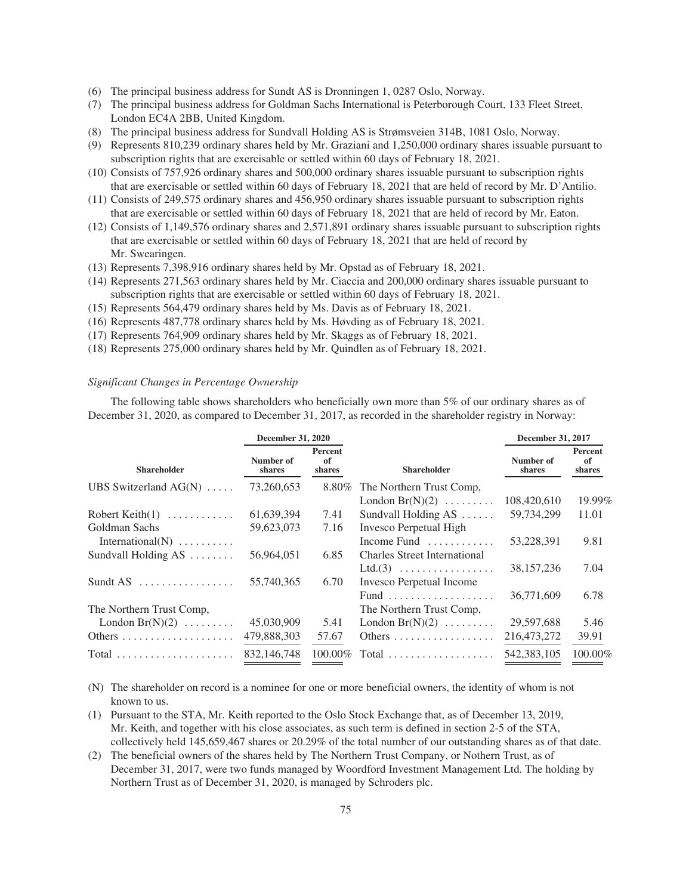- (6) The principal business address for Sundt AS is Dronningen 1, 0287 Oslo, Norway.
- (7) The principal business address for Goldman Sachs International is Peterborough Court, 133 Fleet Street, London EC4A 2BB, United Kingdom.
- (8) The principal business address for Sundvall Holding AS is Strømsveien 314B, 1081 Oslo, Norway.
- (9) Represents 810,239 ordinary shares held by Mr. Graziani and 1,250,000 ordinary shares issuable pursuant to subscription rights that are exercisable or settled within 60 days of February 18, 2021.
- (10) Consists of 757,926 ordinary shares and 500,000 ordinary shares issuable pursuant to subscription rights that are exercisable or settled within 60 days of February 18, 2021 that are held of record by Mr. D'Antilio.
- (11) Consists of 249,575 ordinary shares and 456,950 ordinary shares issuable pursuant to subscription rights that are exercisable or settled within 60 days of February 18, 2021 that are held of record by Mr. Eaton.
- (12) Consists of 1,149,576 ordinary shares and 2,571,891 ordinary shares issuable pursuant to subscription rights that are exercisable or settled within 60 days of February 18, 2021 that are held of record by Mr. Swearingen.
- (13) Represents 7,398,916 ordinary shares held by Mr. Opstad as of February 18, 2021.
- (14) Represents 271,563 ordinary shares held by Mr. Ciaccia and 200,000 ordinary shares issuable pursuant to subscription rights that are exercisable or settled within 60 days of February 18, 2021.
- (15) Represents 564,479 ordinary shares held by Ms. Davis as of February 18, 2021.
- (16) Represents 487,778 ordinary shares held by Ms. Høvding as of February 18, 2021.
- (17) Represents 764,909 ordinary shares held by Mr. Skaggs as of February 18, 2021.
- (18) Represents 275,000 ordinary shares held by Mr. Quindlen as of February 18, 2021.

## *Significant Changes in Percentage Ownership*

The following table shows shareholders who beneficially own more than 5% of our ordinary shares as of December 31, 2020, as compared to December 31, 2017, as recorded in the shareholder registry in Norway:

|                                                   | <b>December 31, 2020</b> |                                |                                                   | December 31, 2017   |                                |
|---------------------------------------------------|--------------------------|--------------------------------|---------------------------------------------------|---------------------|--------------------------------|
| <b>Shareholder</b>                                | Number of<br>shares      | <b>Percent</b><br>of<br>shares | <b>Shareholder</b>                                | Number of<br>shares | <b>Percent</b><br>of<br>shares |
| UBS Switzerland $AG(N)$                           | 73,260,653               | 8.80%                          | The Northern Trust Comp,                          |                     |                                |
|                                                   |                          |                                | London Br(N)(2) $\dots\dots$                      | 108,420,610         | 19.99%                         |
| Robert Keith $(1)$                                | 61,639,394               | 7.41                           | Sundvall Holding $AS$                             | 59,734,299          | 11.01                          |
| Goldman Sachs                                     | 59,623,073               | 7.16                           | <b>Invesco Perpetual High</b>                     |                     |                                |
| International(N) $\dots \dots$                    |                          |                                | Income Fund $\dots\dots\dots$                     | 53,228,391          | 9.81                           |
| Sundvall Holding AS                               | 56,964,051               | 6.85                           | <b>Charles Street International</b>               |                     |                                |
|                                                   |                          |                                | $Ltd.(3) \ldots \ldots \ldots \ldots \ldots$      | 38, 157, 236        | 7.04                           |
| Sundt AS $\dots\dots\dots\dots\dots\dots$         | 55,740,365               | 6.70                           | Invesco Perpetual Income                          |                     |                                |
|                                                   |                          |                                |                                                   | 36,771,609          | 6.78                           |
| The Northern Trust Comp,                          |                          |                                | The Northern Trust Comp,                          |                     |                                |
| London $Br(N)(2)$                                 | 45,030,909               | 5.41                           | London $Br(N)(2) \ldots \ldots$                   | 29,597,688          | 5.46                           |
|                                                   | 479,888,303              | 57.67                          |                                                   | 216,473,272         | 39.91                          |
| $Total \dots \dots \dots \dots \dots \dots \dots$ | 832,146,748              | 100.00%                        | $Total \dots \dots \dots \dots \dots \dots \dots$ | 542, 383, 105       | 100.00%                        |

(N) The shareholder on record is a nominee for one or more beneficial owners, the identity of whom is not known to us.

(1) Pursuant to the STA, Mr. Keith reported to the Oslo Stock Exchange that, as of December 13, 2019, Mr. Keith, and together with his close associates, as such term is defined in section 2-5 of the STA, collectively held 145,659,467 shares or 20.29% of the total number of our outstanding shares as of that date.

(2) The beneficial owners of the shares held by The Northern Trust Company, or Nothern Trust, as of December 31, 2017, were two funds managed by Woordford Investment Management Ltd. The holding by Northern Trust as of December 31, 2020, is managed by Schroders plc.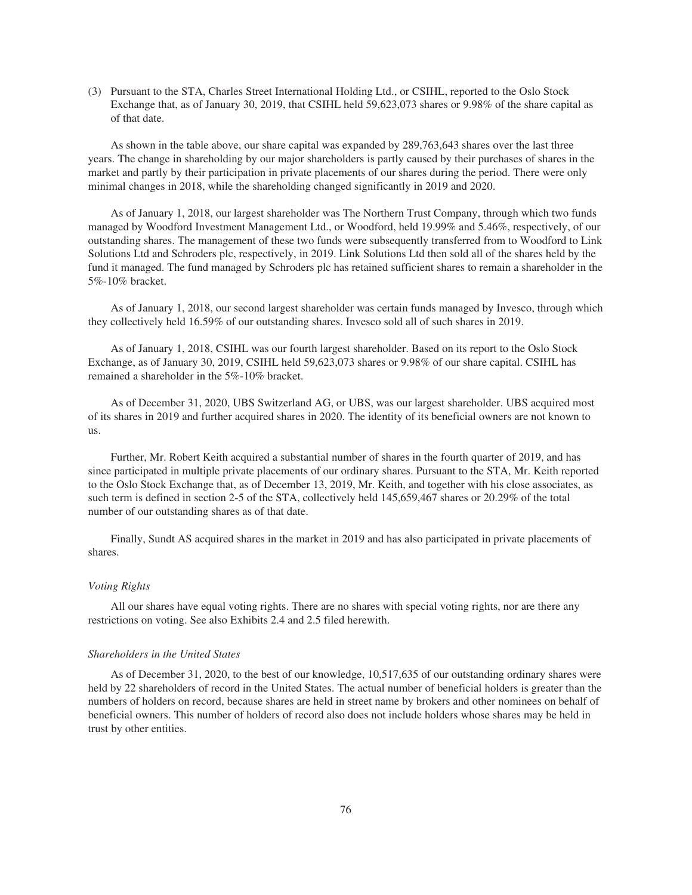(3) Pursuant to the STA, Charles Street International Holding Ltd., or CSIHL, reported to the Oslo Stock Exchange that, as of January 30, 2019, that CSIHL held 59,623,073 shares or 9.98% of the share capital as of that date.

As shown in the table above, our share capital was expanded by 289,763,643 shares over the last three years. The change in shareholding by our major shareholders is partly caused by their purchases of shares in the market and partly by their participation in private placements of our shares during the period. There were only minimal changes in 2018, while the shareholding changed significantly in 2019 and 2020.

As of January 1, 2018, our largest shareholder was The Northern Trust Company, through which two funds managed by Woodford Investment Management Ltd., or Woodford, held 19.99% and 5.46%, respectively, of our outstanding shares. The management of these two funds were subsequently transferred from to Woodford to Link Solutions Ltd and Schroders plc, respectively, in 2019. Link Solutions Ltd then sold all of the shares held by the fund it managed. The fund managed by Schroders plc has retained sufficient shares to remain a shareholder in the 5%-10% bracket.

As of January 1, 2018, our second largest shareholder was certain funds managed by Invesco, through which they collectively held 16.59% of our outstanding shares. Invesco sold all of such shares in 2019.

As of January 1, 2018, CSIHL was our fourth largest shareholder. Based on its report to the Oslo Stock Exchange, as of January 30, 2019, CSIHL held 59,623,073 shares or 9.98% of our share capital. CSIHL has remained a shareholder in the 5%-10% bracket.

As of December 31, 2020, UBS Switzerland AG, or UBS, was our largest shareholder. UBS acquired most of its shares in 2019 and further acquired shares in 2020. The identity of its beneficial owners are not known to us.

Further, Mr. Robert Keith acquired a substantial number of shares in the fourth quarter of 2019, and has since participated in multiple private placements of our ordinary shares. Pursuant to the STA, Mr. Keith reported to the Oslo Stock Exchange that, as of December 13, 2019, Mr. Keith, and together with his close associates, as such term is defined in section 2-5 of the STA, collectively held 145,659,467 shares or 20.29% of the total number of our outstanding shares as of that date.

Finally, Sundt AS acquired shares in the market in 2019 and has also participated in private placements of shares.

## *Voting Rights*

All our shares have equal voting rights. There are no shares with special voting rights, nor are there any restrictions on voting. See also Exhibits 2.4 and 2.5 filed herewith.

## *Shareholders in the United States*

As of December 31, 2020, to the best of our knowledge, 10,517,635 of our outstanding ordinary shares were held by 22 shareholders of record in the United States. The actual number of beneficial holders is greater than the numbers of holders on record, because shares are held in street name by brokers and other nominees on behalf of beneficial owners. This number of holders of record also does not include holders whose shares may be held in trust by other entities.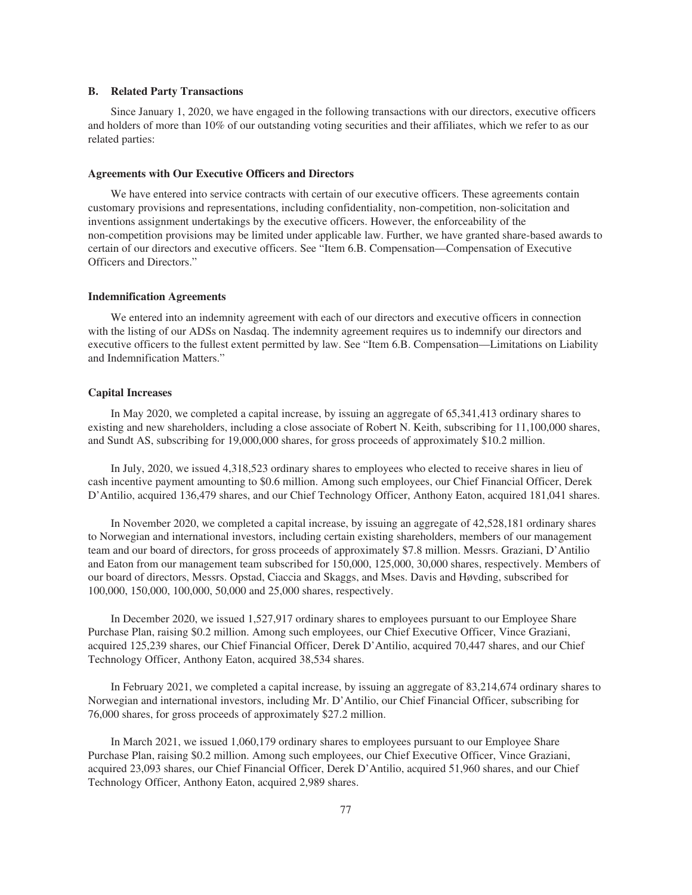## **B. Related Party Transactions**

Since January 1, 2020, we have engaged in the following transactions with our directors, executive officers and holders of more than 10% of our outstanding voting securities and their affiliates, which we refer to as our related parties:

## **Agreements with Our Executive Officers and Directors**

We have entered into service contracts with certain of our executive officers. These agreements contain customary provisions and representations, including confidentiality, non-competition, non-solicitation and inventions assignment undertakings by the executive officers. However, the enforceability of the non-competition provisions may be limited under applicable law. Further, we have granted share-based awards to certain of our directors and executive officers. See "Item 6.B. Compensation—Compensation of Executive Officers and Directors."

## **Indemnification Agreements**

We entered into an indemnity agreement with each of our directors and executive officers in connection with the listing of our ADSs on Nasdaq. The indemnity agreement requires us to indemnify our directors and executive officers to the fullest extent permitted by law. See "Item 6.B. Compensation—Limitations on Liability and Indemnification Matters."

#### **Capital Increases**

In May 2020, we completed a capital increase, by issuing an aggregate of 65,341,413 ordinary shares to existing and new shareholders, including a close associate of Robert N. Keith, subscribing for 11,100,000 shares, and Sundt AS, subscribing for 19,000,000 shares, for gross proceeds of approximately \$10.2 million.

In July, 2020, we issued 4,318,523 ordinary shares to employees who elected to receive shares in lieu of cash incentive payment amounting to \$0.6 million. Among such employees, our Chief Financial Officer, Derek D'Antilio, acquired 136,479 shares, and our Chief Technology Officer, Anthony Eaton, acquired 181,041 shares.

In November 2020, we completed a capital increase, by issuing an aggregate of 42,528,181 ordinary shares to Norwegian and international investors, including certain existing shareholders, members of our management team and our board of directors, for gross proceeds of approximately \$7.8 million. Messrs. Graziani, D'Antilio and Eaton from our management team subscribed for 150,000, 125,000, 30,000 shares, respectively. Members of our board of directors, Messrs. Opstad, Ciaccia and Skaggs, and Mses. Davis and Høvding, subscribed for 100,000, 150,000, 100,000, 50,000 and 25,000 shares, respectively.

In December 2020, we issued 1,527,917 ordinary shares to employees pursuant to our Employee Share Purchase Plan, raising \$0.2 million. Among such employees, our Chief Executive Officer, Vince Graziani, acquired 125,239 shares, our Chief Financial Officer, Derek D'Antilio, acquired 70,447 shares, and our Chief Technology Officer, Anthony Eaton, acquired 38,534 shares.

In February 2021, we completed a capital increase, by issuing an aggregate of 83,214,674 ordinary shares to Norwegian and international investors, including Mr. D'Antilio, our Chief Financial Officer, subscribing for 76,000 shares, for gross proceeds of approximately \$27.2 million.

In March 2021, we issued 1,060,179 ordinary shares to employees pursuant to our Employee Share Purchase Plan, raising \$0.2 million. Among such employees, our Chief Executive Officer, Vince Graziani, acquired 23,093 shares, our Chief Financial Officer, Derek D'Antilio, acquired 51,960 shares, and our Chief Technology Officer, Anthony Eaton, acquired 2,989 shares.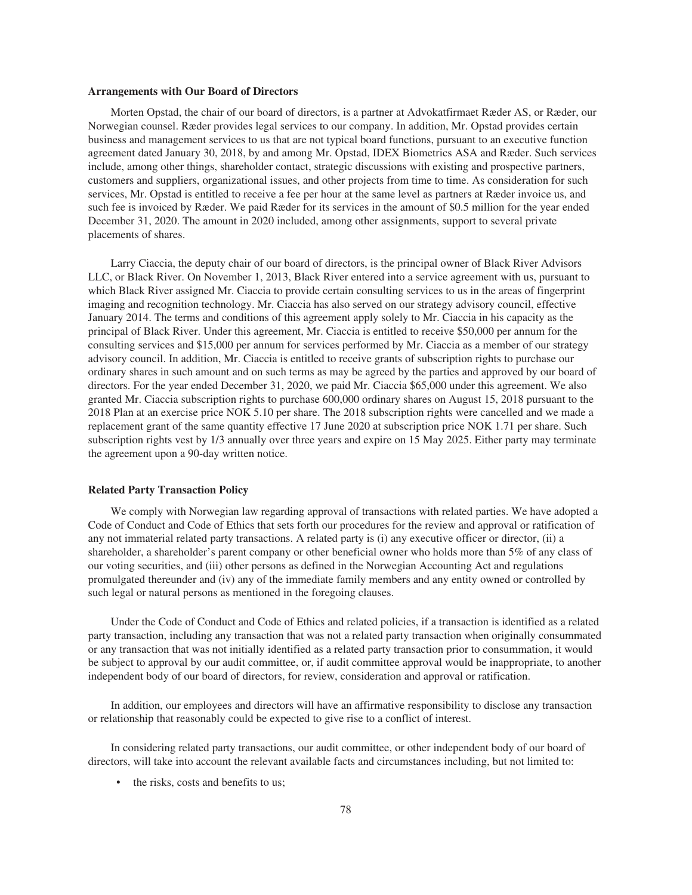## **Arrangements with Our Board of Directors**

Morten Opstad, the chair of our board of directors, is a partner at Advokatfirmaet Ræder AS, or Ræder, our Norwegian counsel. Ræder provides legal services to our company. In addition, Mr. Opstad provides certain business and management services to us that are not typical board functions, pursuant to an executive function agreement dated January 30, 2018, by and among Mr. Opstad, IDEX Biometrics ASA and Ræder. Such services include, among other things, shareholder contact, strategic discussions with existing and prospective partners, customers and suppliers, organizational issues, and other projects from time to time. As consideration for such services, Mr. Opstad is entitled to receive a fee per hour at the same level as partners at Ræder invoice us, and such fee is invoiced by Ræder. We paid Ræder for its services in the amount of \$0.5 million for the year ended December 31, 2020. The amount in 2020 included, among other assignments, support to several private placements of shares.

Larry Ciaccia, the deputy chair of our board of directors, is the principal owner of Black River Advisors LLC, or Black River. On November 1, 2013, Black River entered into a service agreement with us, pursuant to which Black River assigned Mr. Ciaccia to provide certain consulting services to us in the areas of fingerprint imaging and recognition technology. Mr. Ciaccia has also served on our strategy advisory council, effective January 2014. The terms and conditions of this agreement apply solely to Mr. Ciaccia in his capacity as the principal of Black River. Under this agreement, Mr. Ciaccia is entitled to receive \$50,000 per annum for the consulting services and \$15,000 per annum for services performed by Mr. Ciaccia as a member of our strategy advisory council. In addition, Mr. Ciaccia is entitled to receive grants of subscription rights to purchase our ordinary shares in such amount and on such terms as may be agreed by the parties and approved by our board of directors. For the year ended December 31, 2020, we paid Mr. Ciaccia \$65,000 under this agreement. We also granted Mr. Ciaccia subscription rights to purchase 600,000 ordinary shares on August 15, 2018 pursuant to the 2018 Plan at an exercise price NOK 5.10 per share. The 2018 subscription rights were cancelled and we made a replacement grant of the same quantity effective 17 June 2020 at subscription price NOK 1.71 per share. Such subscription rights vest by 1/3 annually over three years and expire on 15 May 2025. Either party may terminate the agreement upon a 90-day written notice.

## **Related Party Transaction Policy**

We comply with Norwegian law regarding approval of transactions with related parties. We have adopted a Code of Conduct and Code of Ethics that sets forth our procedures for the review and approval or ratification of any not immaterial related party transactions. A related party is (i) any executive officer or director, (ii) a shareholder, a shareholder's parent company or other beneficial owner who holds more than 5% of any class of our voting securities, and (iii) other persons as defined in the Norwegian Accounting Act and regulations promulgated thereunder and (iv) any of the immediate family members and any entity owned or controlled by such legal or natural persons as mentioned in the foregoing clauses.

Under the Code of Conduct and Code of Ethics and related policies, if a transaction is identified as a related party transaction, including any transaction that was not a related party transaction when originally consummated or any transaction that was not initially identified as a related party transaction prior to consummation, it would be subject to approval by our audit committee, or, if audit committee approval would be inappropriate, to another independent body of our board of directors, for review, consideration and approval or ratification.

In addition, our employees and directors will have an affirmative responsibility to disclose any transaction or relationship that reasonably could be expected to give rise to a conflict of interest.

In considering related party transactions, our audit committee, or other independent body of our board of directors, will take into account the relevant available facts and circumstances including, but not limited to:

the risks, costs and benefits to us;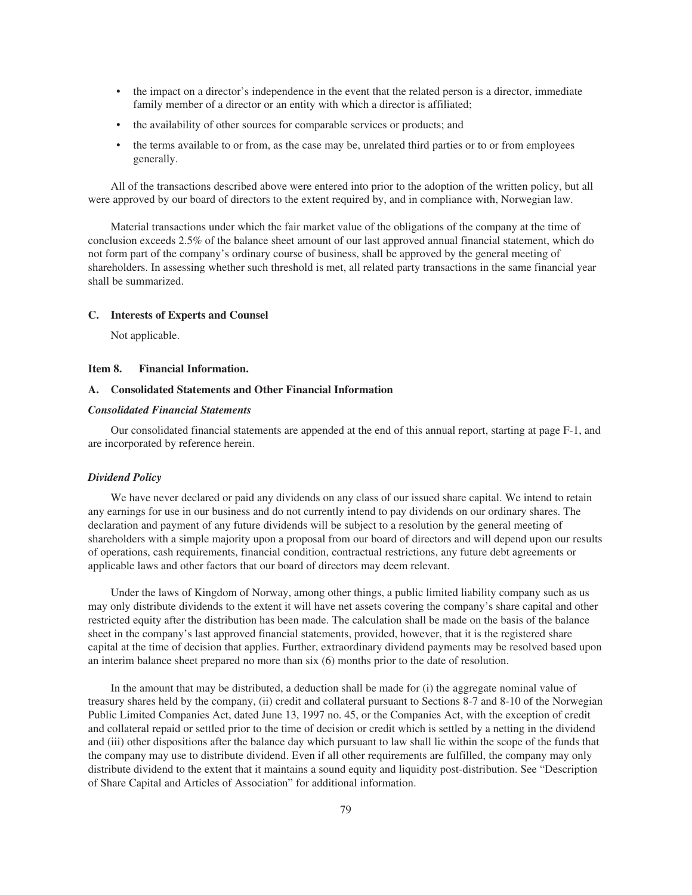- the impact on a director's independence in the event that the related person is a director, immediate family member of a director or an entity with which a director is affiliated;
- the availability of other sources for comparable services or products; and
- the terms available to or from, as the case may be, unrelated third parties or to or from employees generally.

All of the transactions described above were entered into prior to the adoption of the written policy, but all were approved by our board of directors to the extent required by, and in compliance with, Norwegian law.

Material transactions under which the fair market value of the obligations of the company at the time of conclusion exceeds 2.5% of the balance sheet amount of our last approved annual financial statement, which do not form part of the company's ordinary course of business, shall be approved by the general meeting of shareholders. In assessing whether such threshold is met, all related party transactions in the same financial year shall be summarized.

## **C. Interests of Experts and Counsel**

Not applicable.

### **Item 8. Financial Information.**

## **A. Consolidated Statements and Other Financial Information**

## *Consolidated Financial Statements*

Our consolidated financial statements are appended at the end of this annual report, starting at page F-1, and are incorporated by reference herein.

## *Dividend Policy*

We have never declared or paid any dividends on any class of our issued share capital. We intend to retain any earnings for use in our business and do not currently intend to pay dividends on our ordinary shares. The declaration and payment of any future dividends will be subject to a resolution by the general meeting of shareholders with a simple majority upon a proposal from our board of directors and will depend upon our results of operations, cash requirements, financial condition, contractual restrictions, any future debt agreements or applicable laws and other factors that our board of directors may deem relevant.

Under the laws of Kingdom of Norway, among other things, a public limited liability company such as us may only distribute dividends to the extent it will have net assets covering the company's share capital and other restricted equity after the distribution has been made. The calculation shall be made on the basis of the balance sheet in the company's last approved financial statements, provided, however, that it is the registered share capital at the time of decision that applies. Further, extraordinary dividend payments may be resolved based upon an interim balance sheet prepared no more than six (6) months prior to the date of resolution.

In the amount that may be distributed, a deduction shall be made for (i) the aggregate nominal value of treasury shares held by the company, (ii) credit and collateral pursuant to Sections 8-7 and 8-10 of the Norwegian Public Limited Companies Act, dated June 13, 1997 no. 45, or the Companies Act, with the exception of credit and collateral repaid or settled prior to the time of decision or credit which is settled by a netting in the dividend and (iii) other dispositions after the balance day which pursuant to law shall lie within the scope of the funds that the company may use to distribute dividend. Even if all other requirements are fulfilled, the company may only distribute dividend to the extent that it maintains a sound equity and liquidity post-distribution. See "Description of Share Capital and Articles of Association" for additional information.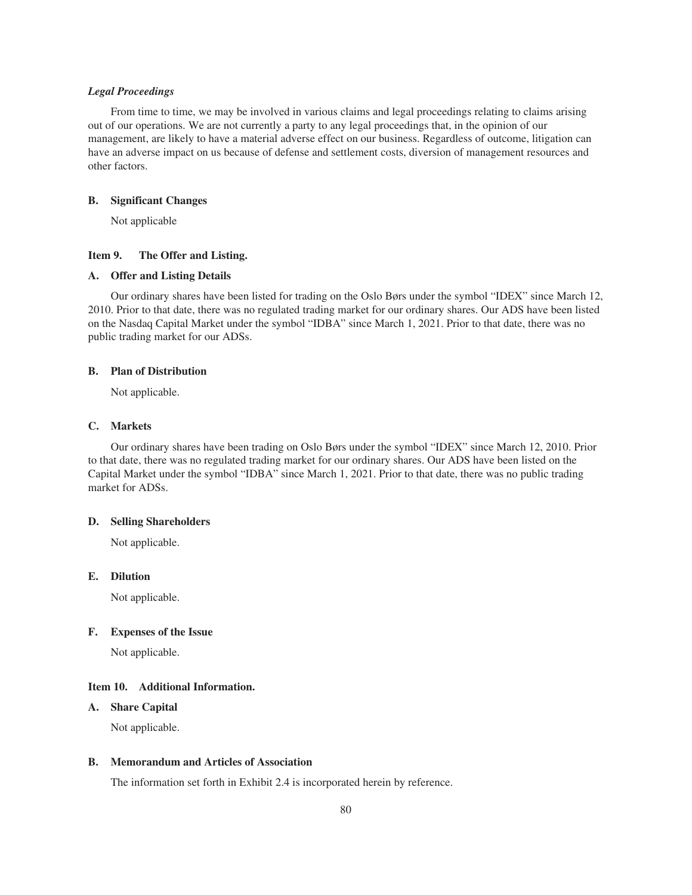## *Legal Proceedings*

From time to time, we may be involved in various claims and legal proceedings relating to claims arising out of our operations. We are not currently a party to any legal proceedings that, in the opinion of our management, are likely to have a material adverse effect on our business. Regardless of outcome, litigation can have an adverse impact on us because of defense and settlement costs, diversion of management resources and other factors.

## **B. Significant Changes**

Not applicable

## **Item 9. The Offer and Listing.**

## **A. Offer and Listing Details**

Our ordinary shares have been listed for trading on the Oslo Børs under the symbol "IDEX" since March 12, 2010. Prior to that date, there was no regulated trading market for our ordinary shares. Our ADS have been listed on the Nasdaq Capital Market under the symbol "IDBA" since March 1, 2021. Prior to that date, there was no public trading market for our ADSs.

## **B. Plan of Distribution**

Not applicable.

## **C. Markets**

Our ordinary shares have been trading on Oslo Børs under the symbol "IDEX" since March 12, 2010. Prior to that date, there was no regulated trading market for our ordinary shares. Our ADS have been listed on the Capital Market under the symbol "IDBA" since March 1, 2021. Prior to that date, there was no public trading market for ADSs.

## **D. Selling Shareholders**

Not applicable.

## **E. Dilution**

Not applicable.

#### **F. Expenses of the Issue**

Not applicable.

# **Item 10. Additional Information.**

# **A. Share Capital**

Not applicable.

## **B. Memorandum and Articles of Association**

The information set forth in Exhibit 2.4 is incorporated herein by reference.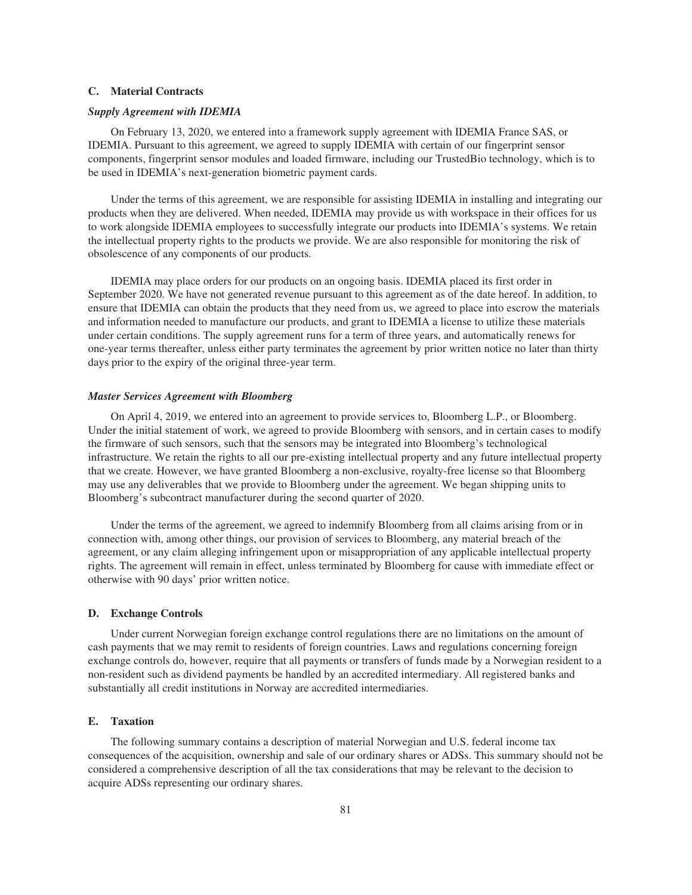## **C. Material Contracts**

## *Supply Agreement with IDEMIA*

On February 13, 2020, we entered into a framework supply agreement with IDEMIA France SAS, or IDEMIA. Pursuant to this agreement, we agreed to supply IDEMIA with certain of our fingerprint sensor components, fingerprint sensor modules and loaded firmware, including our TrustedBio technology, which is to be used in IDEMIA's next-generation biometric payment cards.

Under the terms of this agreement, we are responsible for assisting IDEMIA in installing and integrating our products when they are delivered. When needed, IDEMIA may provide us with workspace in their offices for us to work alongside IDEMIA employees to successfully integrate our products into IDEMIA's systems. We retain the intellectual property rights to the products we provide. We are also responsible for monitoring the risk of obsolescence of any components of our products.

IDEMIA may place orders for our products on an ongoing basis. IDEMIA placed its first order in September 2020. We have not generated revenue pursuant to this agreement as of the date hereof. In addition, to ensure that IDEMIA can obtain the products that they need from us, we agreed to place into escrow the materials and information needed to manufacture our products, and grant to IDEMIA a license to utilize these materials under certain conditions. The supply agreement runs for a term of three years, and automatically renews for one-year terms thereafter, unless either party terminates the agreement by prior written notice no later than thirty days prior to the expiry of the original three-year term.

## *Master Services Agreement with Bloomberg*

On April 4, 2019, we entered into an agreement to provide services to, Bloomberg L.P., or Bloomberg. Under the initial statement of work, we agreed to provide Bloomberg with sensors, and in certain cases to modify the firmware of such sensors, such that the sensors may be integrated into Bloomberg's technological infrastructure. We retain the rights to all our pre-existing intellectual property and any future intellectual property that we create. However, we have granted Bloomberg a non-exclusive, royalty-free license so that Bloomberg may use any deliverables that we provide to Bloomberg under the agreement. We began shipping units to Bloomberg's subcontract manufacturer during the second quarter of 2020.

Under the terms of the agreement, we agreed to indemnify Bloomberg from all claims arising from or in connection with, among other things, our provision of services to Bloomberg, any material breach of the agreement, or any claim alleging infringement upon or misappropriation of any applicable intellectual property rights. The agreement will remain in effect, unless terminated by Bloomberg for cause with immediate effect or otherwise with 90 days' prior written notice.

## **D. Exchange Controls**

Under current Norwegian foreign exchange control regulations there are no limitations on the amount of cash payments that we may remit to residents of foreign countries. Laws and regulations concerning foreign exchange controls do, however, require that all payments or transfers of funds made by a Norwegian resident to a non-resident such as dividend payments be handled by an accredited intermediary. All registered banks and substantially all credit institutions in Norway are accredited intermediaries.

## **E. Taxation**

The following summary contains a description of material Norwegian and U.S. federal income tax consequences of the acquisition, ownership and sale of our ordinary shares or ADSs. This summary should not be considered a comprehensive description of all the tax considerations that may be relevant to the decision to acquire ADSs representing our ordinary shares.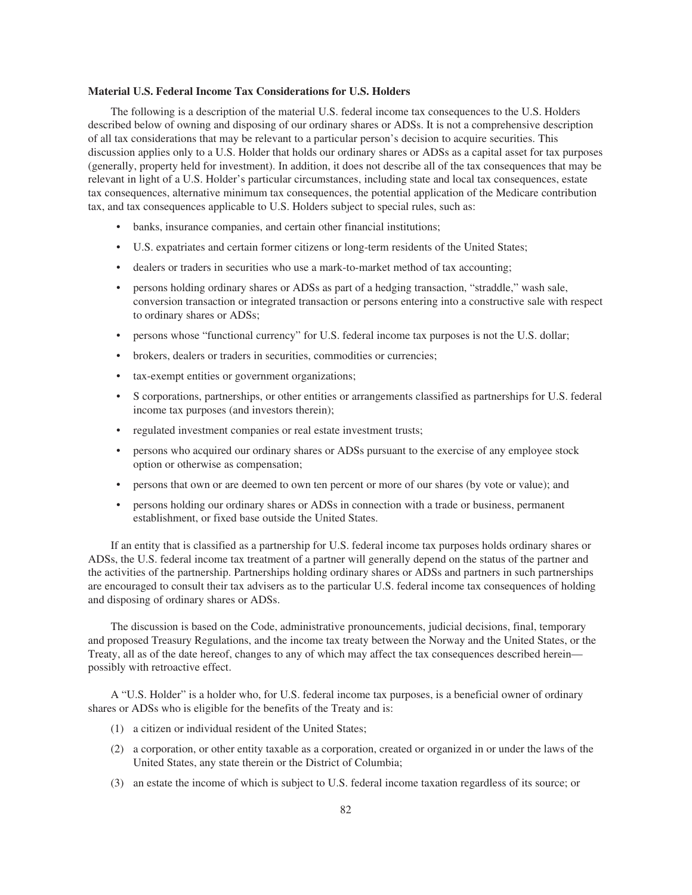## **Material U.S. Federal Income Tax Considerations for U.S. Holders**

The following is a description of the material U.S. federal income tax consequences to the U.S. Holders described below of owning and disposing of our ordinary shares or ADSs. It is not a comprehensive description of all tax considerations that may be relevant to a particular person's decision to acquire securities. This discussion applies only to a U.S. Holder that holds our ordinary shares or ADSs as a capital asset for tax purposes (generally, property held for investment). In addition, it does not describe all of the tax consequences that may be relevant in light of a U.S. Holder's particular circumstances, including state and local tax consequences, estate tax consequences, alternative minimum tax consequences, the potential application of the Medicare contribution tax, and tax consequences applicable to U.S. Holders subject to special rules, such as:

- banks, insurance companies, and certain other financial institutions;
- U.S. expatriates and certain former citizens or long-term residents of the United States;
- dealers or traders in securities who use a mark-to-market method of tax accounting;
- persons holding ordinary shares or ADSs as part of a hedging transaction, "straddle," wash sale, conversion transaction or integrated transaction or persons entering into a constructive sale with respect to ordinary shares or ADSs;
- persons whose "functional currency" for U.S. federal income tax purposes is not the U.S. dollar;
- brokers, dealers or traders in securities, commodities or currencies;
- tax-exempt entities or government organizations;
- S corporations, partnerships, or other entities or arrangements classified as partnerships for U.S. federal income tax purposes (and investors therein);
- regulated investment companies or real estate investment trusts;
- persons who acquired our ordinary shares or ADSs pursuant to the exercise of any employee stock option or otherwise as compensation;
- persons that own or are deemed to own ten percent or more of our shares (by vote or value); and
- persons holding our ordinary shares or ADSs in connection with a trade or business, permanent establishment, or fixed base outside the United States.

If an entity that is classified as a partnership for U.S. federal income tax purposes holds ordinary shares or ADSs, the U.S. federal income tax treatment of a partner will generally depend on the status of the partner and the activities of the partnership. Partnerships holding ordinary shares or ADSs and partners in such partnerships are encouraged to consult their tax advisers as to the particular U.S. federal income tax consequences of holding and disposing of ordinary shares or ADSs.

The discussion is based on the Code, administrative pronouncements, judicial decisions, final, temporary and proposed Treasury Regulations, and the income tax treaty between the Norway and the United States, or the Treaty, all as of the date hereof, changes to any of which may affect the tax consequences described herein possibly with retroactive effect.

A "U.S. Holder" is a holder who, for U.S. federal income tax purposes, is a beneficial owner of ordinary shares or ADSs who is eligible for the benefits of the Treaty and is:

- (1) a citizen or individual resident of the United States;
- (2) a corporation, or other entity taxable as a corporation, created or organized in or under the laws of the United States, any state therein or the District of Columbia;
- (3) an estate the income of which is subject to U.S. federal income taxation regardless of its source; or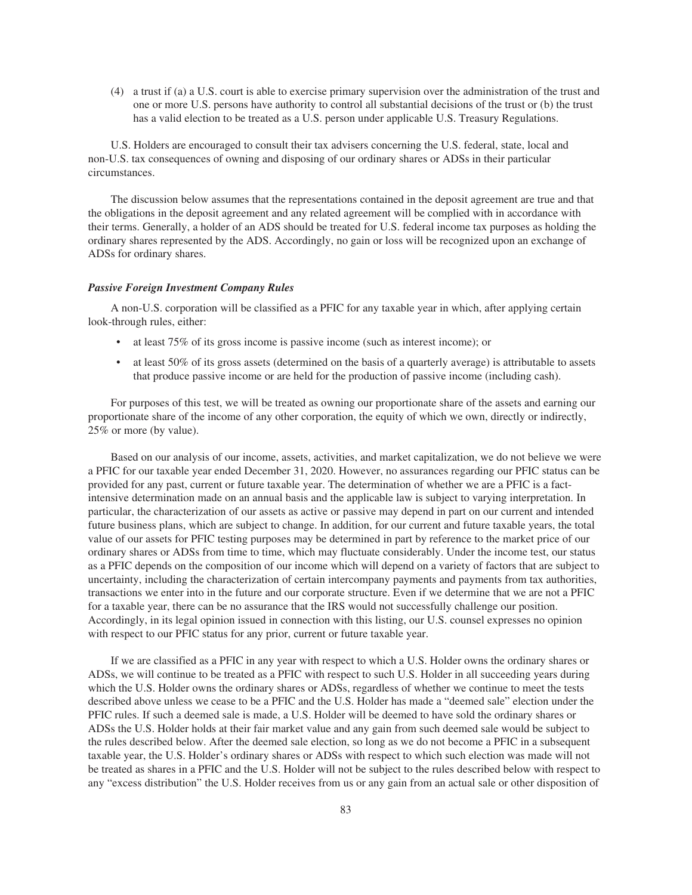(4) a trust if (a) a U.S. court is able to exercise primary supervision over the administration of the trust and one or more U.S. persons have authority to control all substantial decisions of the trust or (b) the trust has a valid election to be treated as a U.S. person under applicable U.S. Treasury Regulations.

U.S. Holders are encouraged to consult their tax advisers concerning the U.S. federal, state, local and non-U.S. tax consequences of owning and disposing of our ordinary shares or ADSs in their particular circumstances.

The discussion below assumes that the representations contained in the deposit agreement are true and that the obligations in the deposit agreement and any related agreement will be complied with in accordance with their terms. Generally, a holder of an ADS should be treated for U.S. federal income tax purposes as holding the ordinary shares represented by the ADS. Accordingly, no gain or loss will be recognized upon an exchange of ADSs for ordinary shares.

## *Passive Foreign Investment Company Rules*

A non-U.S. corporation will be classified as a PFIC for any taxable year in which, after applying certain look-through rules, either:

- at least 75% of its gross income is passive income (such as interest income); or
- at least 50% of its gross assets (determined on the basis of a quarterly average) is attributable to assets that produce passive income or are held for the production of passive income (including cash).

For purposes of this test, we will be treated as owning our proportionate share of the assets and earning our proportionate share of the income of any other corporation, the equity of which we own, directly or indirectly, 25% or more (by value).

Based on our analysis of our income, assets, activities, and market capitalization, we do not believe we were a PFIC for our taxable year ended December 31, 2020. However, no assurances regarding our PFIC status can be provided for any past, current or future taxable year. The determination of whether we are a PFIC is a factintensive determination made on an annual basis and the applicable law is subject to varying interpretation. In particular, the characterization of our assets as active or passive may depend in part on our current and intended future business plans, which are subject to change. In addition, for our current and future taxable years, the total value of our assets for PFIC testing purposes may be determined in part by reference to the market price of our ordinary shares or ADSs from time to time, which may fluctuate considerably. Under the income test, our status as a PFIC depends on the composition of our income which will depend on a variety of factors that are subject to uncertainty, including the characterization of certain intercompany payments and payments from tax authorities, transactions we enter into in the future and our corporate structure. Even if we determine that we are not a PFIC for a taxable year, there can be no assurance that the IRS would not successfully challenge our position. Accordingly, in its legal opinion issued in connection with this listing, our U.S. counsel expresses no opinion with respect to our PFIC status for any prior, current or future taxable year.

If we are classified as a PFIC in any year with respect to which a U.S. Holder owns the ordinary shares or ADSs, we will continue to be treated as a PFIC with respect to such U.S. Holder in all succeeding years during which the U.S. Holder owns the ordinary shares or ADSs, regardless of whether we continue to meet the tests described above unless we cease to be a PFIC and the U.S. Holder has made a "deemed sale" election under the PFIC rules. If such a deemed sale is made, a U.S. Holder will be deemed to have sold the ordinary shares or ADSs the U.S. Holder holds at their fair market value and any gain from such deemed sale would be subject to the rules described below. After the deemed sale election, so long as we do not become a PFIC in a subsequent taxable year, the U.S. Holder's ordinary shares or ADSs with respect to which such election was made will not be treated as shares in a PFIC and the U.S. Holder will not be subject to the rules described below with respect to any "excess distribution" the U.S. Holder receives from us or any gain from an actual sale or other disposition of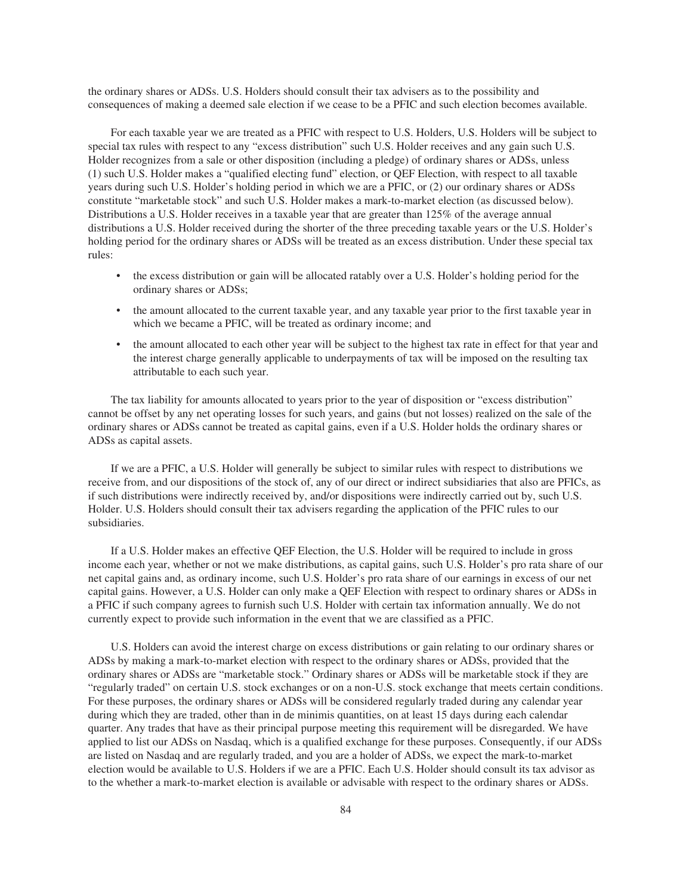the ordinary shares or ADSs. U.S. Holders should consult their tax advisers as to the possibility and consequences of making a deemed sale election if we cease to be a PFIC and such election becomes available.

For each taxable year we are treated as a PFIC with respect to U.S. Holders, U.S. Holders will be subject to special tax rules with respect to any "excess distribution" such U.S. Holder receives and any gain such U.S. Holder recognizes from a sale or other disposition (including a pledge) of ordinary shares or ADSs, unless (1) such U.S. Holder makes a "qualified electing fund" election, or QEF Election, with respect to all taxable years during such U.S. Holder's holding period in which we are a PFIC, or (2) our ordinary shares or ADSs constitute "marketable stock" and such U.S. Holder makes a mark-to-market election (as discussed below). Distributions a U.S. Holder receives in a taxable year that are greater than 125% of the average annual distributions a U.S. Holder received during the shorter of the three preceding taxable years or the U.S. Holder's holding period for the ordinary shares or ADSs will be treated as an excess distribution. Under these special tax rules:

- the excess distribution or gain will be allocated ratably over a U.S. Holder's holding period for the ordinary shares or ADSs;
- the amount allocated to the current taxable year, and any taxable year prior to the first taxable year in which we became a PFIC, will be treated as ordinary income; and
- the amount allocated to each other year will be subject to the highest tax rate in effect for that year and the interest charge generally applicable to underpayments of tax will be imposed on the resulting tax attributable to each such year.

The tax liability for amounts allocated to years prior to the year of disposition or "excess distribution" cannot be offset by any net operating losses for such years, and gains (but not losses) realized on the sale of the ordinary shares or ADSs cannot be treated as capital gains, even if a U.S. Holder holds the ordinary shares or ADSs as capital assets.

If we are a PFIC, a U.S. Holder will generally be subject to similar rules with respect to distributions we receive from, and our dispositions of the stock of, any of our direct or indirect subsidiaries that also are PFICs, as if such distributions were indirectly received by, and/or dispositions were indirectly carried out by, such U.S. Holder. U.S. Holders should consult their tax advisers regarding the application of the PFIC rules to our subsidiaries.

If a U.S. Holder makes an effective QEF Election, the U.S. Holder will be required to include in gross income each year, whether or not we make distributions, as capital gains, such U.S. Holder's pro rata share of our net capital gains and, as ordinary income, such U.S. Holder's pro rata share of our earnings in excess of our net capital gains. However, a U.S. Holder can only make a QEF Election with respect to ordinary shares or ADSs in a PFIC if such company agrees to furnish such U.S. Holder with certain tax information annually. We do not currently expect to provide such information in the event that we are classified as a PFIC.

U.S. Holders can avoid the interest charge on excess distributions or gain relating to our ordinary shares or ADSs by making a mark-to-market election with respect to the ordinary shares or ADSs, provided that the ordinary shares or ADSs are "marketable stock." Ordinary shares or ADSs will be marketable stock if they are "regularly traded" on certain U.S. stock exchanges or on a non-U.S. stock exchange that meets certain conditions. For these purposes, the ordinary shares or ADSs will be considered regularly traded during any calendar year during which they are traded, other than in de minimis quantities, on at least 15 days during each calendar quarter. Any trades that have as their principal purpose meeting this requirement will be disregarded. We have applied to list our ADSs on Nasdaq, which is a qualified exchange for these purposes. Consequently, if our ADSs are listed on Nasdaq and are regularly traded, and you are a holder of ADSs, we expect the mark-to-market election would be available to U.S. Holders if we are a PFIC. Each U.S. Holder should consult its tax advisor as to the whether a mark-to-market election is available or advisable with respect to the ordinary shares or ADSs.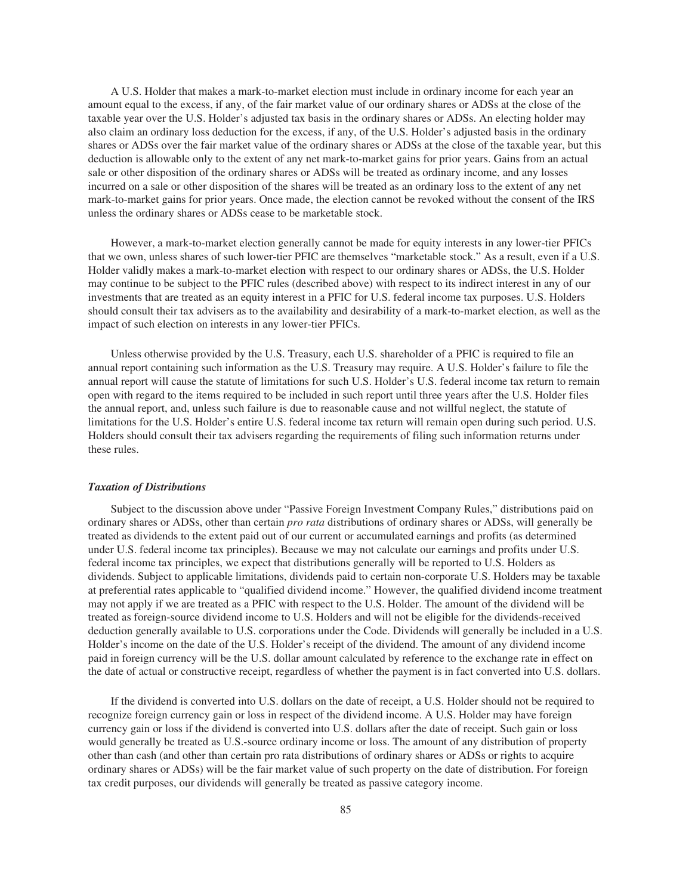A U.S. Holder that makes a mark-to-market election must include in ordinary income for each year an amount equal to the excess, if any, of the fair market value of our ordinary shares or ADSs at the close of the taxable year over the U.S. Holder's adjusted tax basis in the ordinary shares or ADSs. An electing holder may also claim an ordinary loss deduction for the excess, if any, of the U.S. Holder's adjusted basis in the ordinary shares or ADSs over the fair market value of the ordinary shares or ADSs at the close of the taxable year, but this deduction is allowable only to the extent of any net mark-to-market gains for prior years. Gains from an actual sale or other disposition of the ordinary shares or ADSs will be treated as ordinary income, and any losses incurred on a sale or other disposition of the shares will be treated as an ordinary loss to the extent of any net mark-to-market gains for prior years. Once made, the election cannot be revoked without the consent of the IRS unless the ordinary shares or ADSs cease to be marketable stock.

However, a mark-to-market election generally cannot be made for equity interests in any lower-tier PFICs that we own, unless shares of such lower-tier PFIC are themselves "marketable stock." As a result, even if a U.S. Holder validly makes a mark-to-market election with respect to our ordinary shares or ADSs, the U.S. Holder may continue to be subject to the PFIC rules (described above) with respect to its indirect interest in any of our investments that are treated as an equity interest in a PFIC for U.S. federal income tax purposes. U.S. Holders should consult their tax advisers as to the availability and desirability of a mark-to-market election, as well as the impact of such election on interests in any lower-tier PFICs.

Unless otherwise provided by the U.S. Treasury, each U.S. shareholder of a PFIC is required to file an annual report containing such information as the U.S. Treasury may require. A U.S. Holder's failure to file the annual report will cause the statute of limitations for such U.S. Holder's U.S. federal income tax return to remain open with regard to the items required to be included in such report until three years after the U.S. Holder files the annual report, and, unless such failure is due to reasonable cause and not willful neglect, the statute of limitations for the U.S. Holder's entire U.S. federal income tax return will remain open during such period. U.S. Holders should consult their tax advisers regarding the requirements of filing such information returns under these rules.

## *Taxation of Distributions*

Subject to the discussion above under "Passive Foreign Investment Company Rules," distributions paid on ordinary shares or ADSs, other than certain *pro rata* distributions of ordinary shares or ADSs, will generally be treated as dividends to the extent paid out of our current or accumulated earnings and profits (as determined under U.S. federal income tax principles). Because we may not calculate our earnings and profits under U.S. federal income tax principles, we expect that distributions generally will be reported to U.S. Holders as dividends. Subject to applicable limitations, dividends paid to certain non-corporate U.S. Holders may be taxable at preferential rates applicable to "qualified dividend income." However, the qualified dividend income treatment may not apply if we are treated as a PFIC with respect to the U.S. Holder. The amount of the dividend will be treated as foreign-source dividend income to U.S. Holders and will not be eligible for the dividends-received deduction generally available to U.S. corporations under the Code. Dividends will generally be included in a U.S. Holder's income on the date of the U.S. Holder's receipt of the dividend. The amount of any dividend income paid in foreign currency will be the U.S. dollar amount calculated by reference to the exchange rate in effect on the date of actual or constructive receipt, regardless of whether the payment is in fact converted into U.S. dollars.

If the dividend is converted into U.S. dollars on the date of receipt, a U.S. Holder should not be required to recognize foreign currency gain or loss in respect of the dividend income. A U.S. Holder may have foreign currency gain or loss if the dividend is converted into U.S. dollars after the date of receipt. Such gain or loss would generally be treated as U.S.-source ordinary income or loss. The amount of any distribution of property other than cash (and other than certain pro rata distributions of ordinary shares or ADSs or rights to acquire ordinary shares or ADSs) will be the fair market value of such property on the date of distribution. For foreign tax credit purposes, our dividends will generally be treated as passive category income.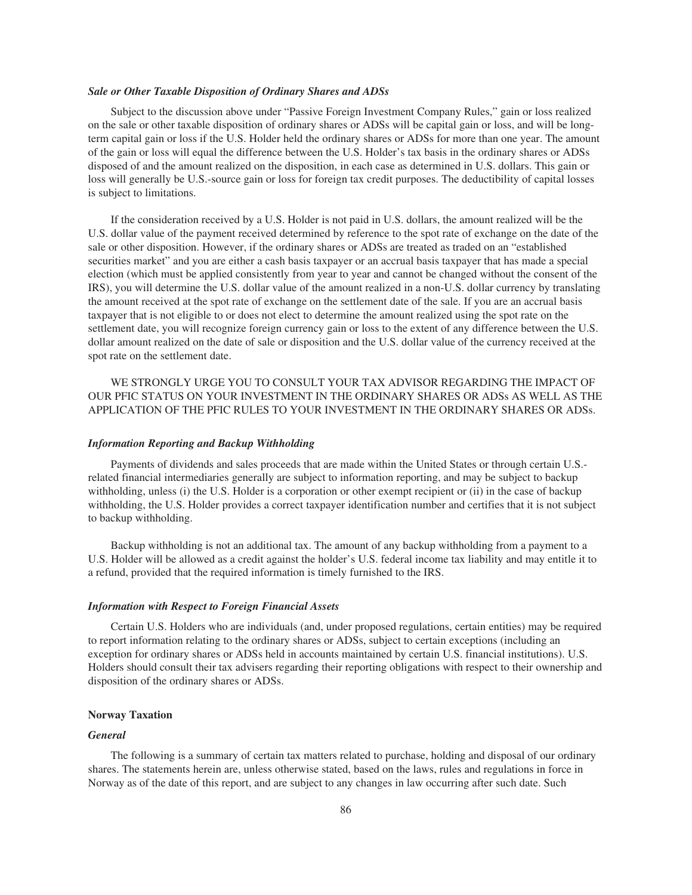## *Sale or Other Taxable Disposition of Ordinary Shares and ADSs*

Subject to the discussion above under "Passive Foreign Investment Company Rules," gain or loss realized on the sale or other taxable disposition of ordinary shares or ADSs will be capital gain or loss, and will be longterm capital gain or loss if the U.S. Holder held the ordinary shares or ADSs for more than one year. The amount of the gain or loss will equal the difference between the U.S. Holder's tax basis in the ordinary shares or ADSs disposed of and the amount realized on the disposition, in each case as determined in U.S. dollars. This gain or loss will generally be U.S.-source gain or loss for foreign tax credit purposes. The deductibility of capital losses is subject to limitations.

If the consideration received by a U.S. Holder is not paid in U.S. dollars, the amount realized will be the U.S. dollar value of the payment received determined by reference to the spot rate of exchange on the date of the sale or other disposition. However, if the ordinary shares or ADSs are treated as traded on an "established securities market" and you are either a cash basis taxpayer or an accrual basis taxpayer that has made a special election (which must be applied consistently from year to year and cannot be changed without the consent of the IRS), you will determine the U.S. dollar value of the amount realized in a non-U.S. dollar currency by translating the amount received at the spot rate of exchange on the settlement date of the sale. If you are an accrual basis taxpayer that is not eligible to or does not elect to determine the amount realized using the spot rate on the settlement date, you will recognize foreign currency gain or loss to the extent of any difference between the U.S. dollar amount realized on the date of sale or disposition and the U.S. dollar value of the currency received at the spot rate on the settlement date.

WE STRONGLY URGE YOU TO CONSULT YOUR TAX ADVISOR REGARDING THE IMPACT OF OUR PFIC STATUS ON YOUR INVESTMENT IN THE ORDINARY SHARES OR ADSs AS WELL AS THE APPLICATION OF THE PFIC RULES TO YOUR INVESTMENT IN THE ORDINARY SHARES OR ADSs.

#### *Information Reporting and Backup Withholding*

Payments of dividends and sales proceeds that are made within the United States or through certain U.S. related financial intermediaries generally are subject to information reporting, and may be subject to backup withholding, unless (i) the U.S. Holder is a corporation or other exempt recipient or (ii) in the case of backup withholding, the U.S. Holder provides a correct taxpayer identification number and certifies that it is not subject to backup withholding.

Backup withholding is not an additional tax. The amount of any backup withholding from a payment to a U.S. Holder will be allowed as a credit against the holder's U.S. federal income tax liability and may entitle it to a refund, provided that the required information is timely furnished to the IRS.

#### *Information with Respect to Foreign Financial Assets*

Certain U.S. Holders who are individuals (and, under proposed regulations, certain entities) may be required to report information relating to the ordinary shares or ADSs, subject to certain exceptions (including an exception for ordinary shares or ADSs held in accounts maintained by certain U.S. financial institutions). U.S. Holders should consult their tax advisers regarding their reporting obligations with respect to their ownership and disposition of the ordinary shares or ADSs.

## **Norway Taxation**

## *General*

The following is a summary of certain tax matters related to purchase, holding and disposal of our ordinary shares. The statements herein are, unless otherwise stated, based on the laws, rules and regulations in force in Norway as of the date of this report, and are subject to any changes in law occurring after such date. Such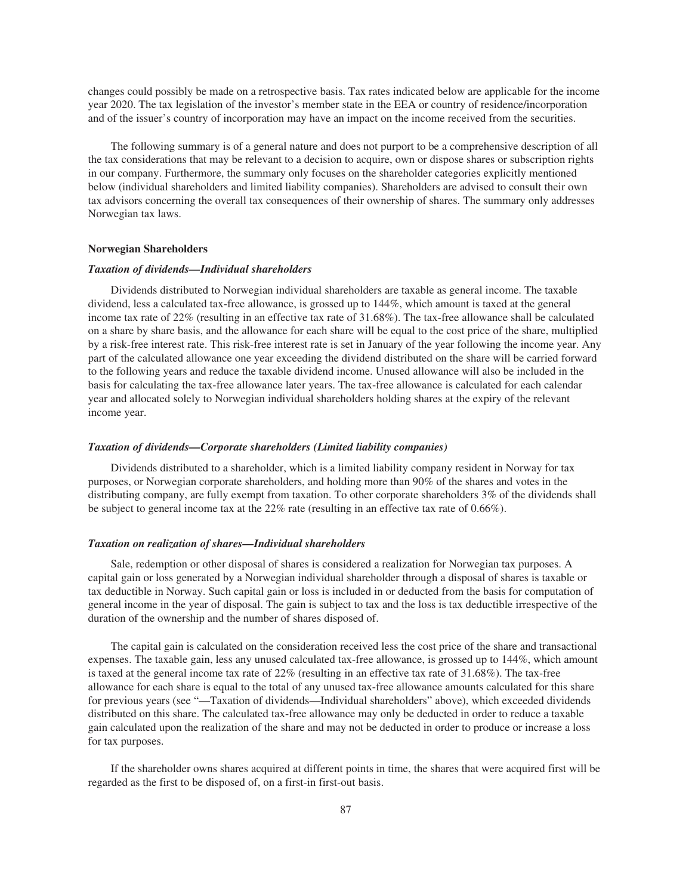changes could possibly be made on a retrospective basis. Tax rates indicated below are applicable for the income year 2020. The tax legislation of the investor's member state in the EEA or country of residence/incorporation and of the issuer's country of incorporation may have an impact on the income received from the securities.

The following summary is of a general nature and does not purport to be a comprehensive description of all the tax considerations that may be relevant to a decision to acquire, own or dispose shares or subscription rights in our company. Furthermore, the summary only focuses on the shareholder categories explicitly mentioned below (individual shareholders and limited liability companies). Shareholders are advised to consult their own tax advisors concerning the overall tax consequences of their ownership of shares. The summary only addresses Norwegian tax laws.

## **Norwegian Shareholders**

## *Taxation of dividends—Individual shareholders*

Dividends distributed to Norwegian individual shareholders are taxable as general income. The taxable dividend, less a calculated tax-free allowance, is grossed up to 144%, which amount is taxed at the general income tax rate of 22% (resulting in an effective tax rate of 31.68%). The tax-free allowance shall be calculated on a share by share basis, and the allowance for each share will be equal to the cost price of the share, multiplied by a risk-free interest rate. This risk-free interest rate is set in January of the year following the income year. Any part of the calculated allowance one year exceeding the dividend distributed on the share will be carried forward to the following years and reduce the taxable dividend income. Unused allowance will also be included in the basis for calculating the tax-free allowance later years. The tax-free allowance is calculated for each calendar year and allocated solely to Norwegian individual shareholders holding shares at the expiry of the relevant income year.

### *Taxation of dividends—Corporate shareholders (Limited liability companies)*

Dividends distributed to a shareholder, which is a limited liability company resident in Norway for tax purposes, or Norwegian corporate shareholders, and holding more than 90% of the shares and votes in the distributing company, are fully exempt from taxation. To other corporate shareholders 3% of the dividends shall be subject to general income tax at the 22% rate (resulting in an effective tax rate of 0.66%).

## *Taxation on realization of shares—Individual shareholders*

Sale, redemption or other disposal of shares is considered a realization for Norwegian tax purposes. A capital gain or loss generated by a Norwegian individual shareholder through a disposal of shares is taxable or tax deductible in Norway. Such capital gain or loss is included in or deducted from the basis for computation of general income in the year of disposal. The gain is subject to tax and the loss is tax deductible irrespective of the duration of the ownership and the number of shares disposed of.

The capital gain is calculated on the consideration received less the cost price of the share and transactional expenses. The taxable gain, less any unused calculated tax-free allowance, is grossed up to 144%, which amount is taxed at the general income tax rate of 22% (resulting in an effective tax rate of 31.68%). The tax-free allowance for each share is equal to the total of any unused tax-free allowance amounts calculated for this share for previous years (see "—Taxation of dividends—Individual shareholders" above), which exceeded dividends distributed on this share. The calculated tax-free allowance may only be deducted in order to reduce a taxable gain calculated upon the realization of the share and may not be deducted in order to produce or increase a loss for tax purposes.

If the shareholder owns shares acquired at different points in time, the shares that were acquired first will be regarded as the first to be disposed of, on a first-in first-out basis.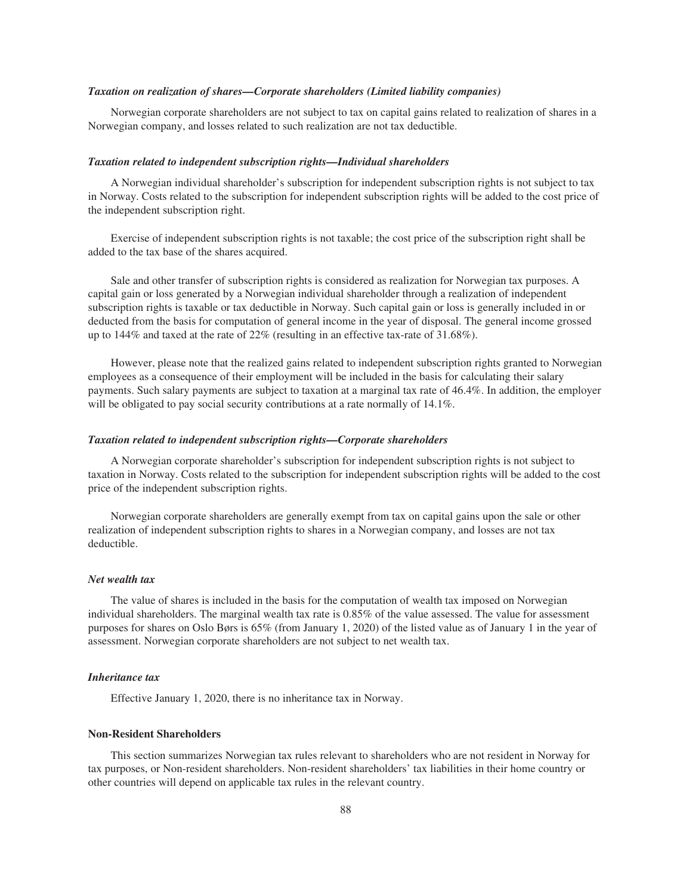## *Taxation on realization of shares—Corporate shareholders (Limited liability companies)*

Norwegian corporate shareholders are not subject to tax on capital gains related to realization of shares in a Norwegian company, and losses related to such realization are not tax deductible.

#### *Taxation related to independent subscription rights—Individual shareholders*

A Norwegian individual shareholder's subscription for independent subscription rights is not subject to tax in Norway. Costs related to the subscription for independent subscription rights will be added to the cost price of the independent subscription right.

Exercise of independent subscription rights is not taxable; the cost price of the subscription right shall be added to the tax base of the shares acquired.

Sale and other transfer of subscription rights is considered as realization for Norwegian tax purposes. A capital gain or loss generated by a Norwegian individual shareholder through a realization of independent subscription rights is taxable or tax deductible in Norway. Such capital gain or loss is generally included in or deducted from the basis for computation of general income in the year of disposal. The general income grossed up to 144% and taxed at the rate of 22% (resulting in an effective tax-rate of 31.68%).

However, please note that the realized gains related to independent subscription rights granted to Norwegian employees as a consequence of their employment will be included in the basis for calculating their salary payments. Such salary payments are subject to taxation at a marginal tax rate of 46.4%. In addition, the employer will be obligated to pay social security contributions at a rate normally of 14.1%.

## *Taxation related to independent subscription rights—Corporate shareholders*

A Norwegian corporate shareholder's subscription for independent subscription rights is not subject to taxation in Norway. Costs related to the subscription for independent subscription rights will be added to the cost price of the independent subscription rights.

Norwegian corporate shareholders are generally exempt from tax on capital gains upon the sale or other realization of independent subscription rights to shares in a Norwegian company, and losses are not tax deductible.

## *Net wealth tax*

The value of shares is included in the basis for the computation of wealth tax imposed on Norwegian individual shareholders. The marginal wealth tax rate is 0.85% of the value assessed. The value for assessment purposes for shares on Oslo Børs is 65% (from January 1, 2020) of the listed value as of January 1 in the year of assessment. Norwegian corporate shareholders are not subject to net wealth tax.

## *Inheritance tax*

Effective January 1, 2020, there is no inheritance tax in Norway.

## **Non-Resident Shareholders**

This section summarizes Norwegian tax rules relevant to shareholders who are not resident in Norway for tax purposes, or Non-resident shareholders. Non-resident shareholders' tax liabilities in their home country or other countries will depend on applicable tax rules in the relevant country.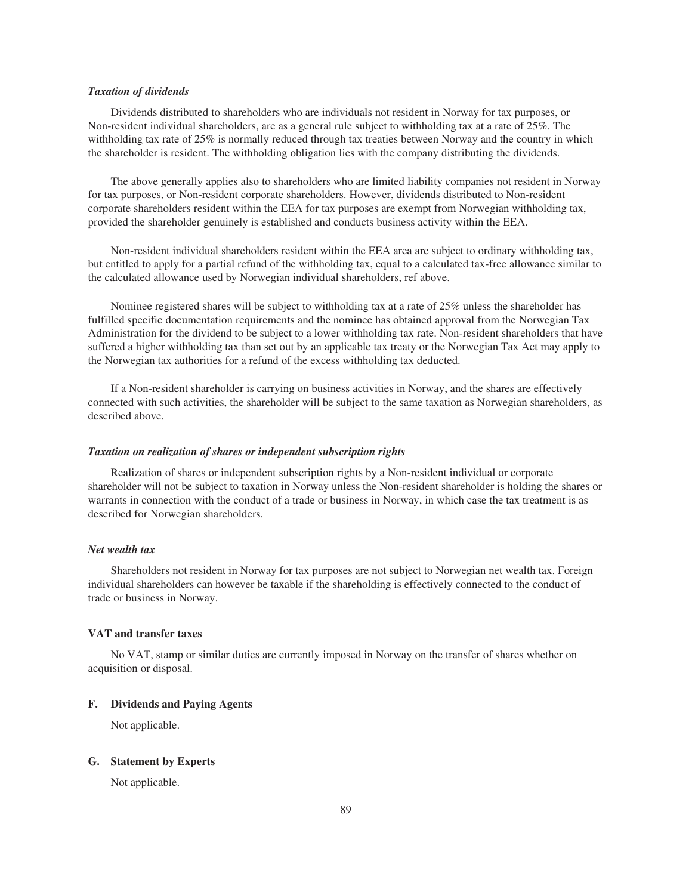## *Taxation of dividends*

Dividends distributed to shareholders who are individuals not resident in Norway for tax purposes, or Non-resident individual shareholders, are as a general rule subject to withholding tax at a rate of 25%. The withholding tax rate of 25% is normally reduced through tax treaties between Norway and the country in which the shareholder is resident. The withholding obligation lies with the company distributing the dividends.

The above generally applies also to shareholders who are limited liability companies not resident in Norway for tax purposes, or Non-resident corporate shareholders. However, dividends distributed to Non-resident corporate shareholders resident within the EEA for tax purposes are exempt from Norwegian withholding tax, provided the shareholder genuinely is established and conducts business activity within the EEA.

Non-resident individual shareholders resident within the EEA area are subject to ordinary withholding tax, but entitled to apply for a partial refund of the withholding tax, equal to a calculated tax-free allowance similar to the calculated allowance used by Norwegian individual shareholders, ref above.

Nominee registered shares will be subject to withholding tax at a rate of 25% unless the shareholder has fulfilled specific documentation requirements and the nominee has obtained approval from the Norwegian Tax Administration for the dividend to be subject to a lower withholding tax rate. Non-resident shareholders that have suffered a higher withholding tax than set out by an applicable tax treaty or the Norwegian Tax Act may apply to the Norwegian tax authorities for a refund of the excess withholding tax deducted.

If a Non-resident shareholder is carrying on business activities in Norway, and the shares are effectively connected with such activities, the shareholder will be subject to the same taxation as Norwegian shareholders, as described above.

#### *Taxation on realization of shares or independent subscription rights*

Realization of shares or independent subscription rights by a Non-resident individual or corporate shareholder will not be subject to taxation in Norway unless the Non-resident shareholder is holding the shares or warrants in connection with the conduct of a trade or business in Norway, in which case the tax treatment is as described for Norwegian shareholders.

## *Net wealth tax*

Shareholders not resident in Norway for tax purposes are not subject to Norwegian net wealth tax. Foreign individual shareholders can however be taxable if the shareholding is effectively connected to the conduct of trade or business in Norway.

## **VAT and transfer taxes**

No VAT, stamp or similar duties are currently imposed in Norway on the transfer of shares whether on acquisition or disposal.

## **F. Dividends and Paying Agents**

Not applicable.

## **G. Statement by Experts**

Not applicable.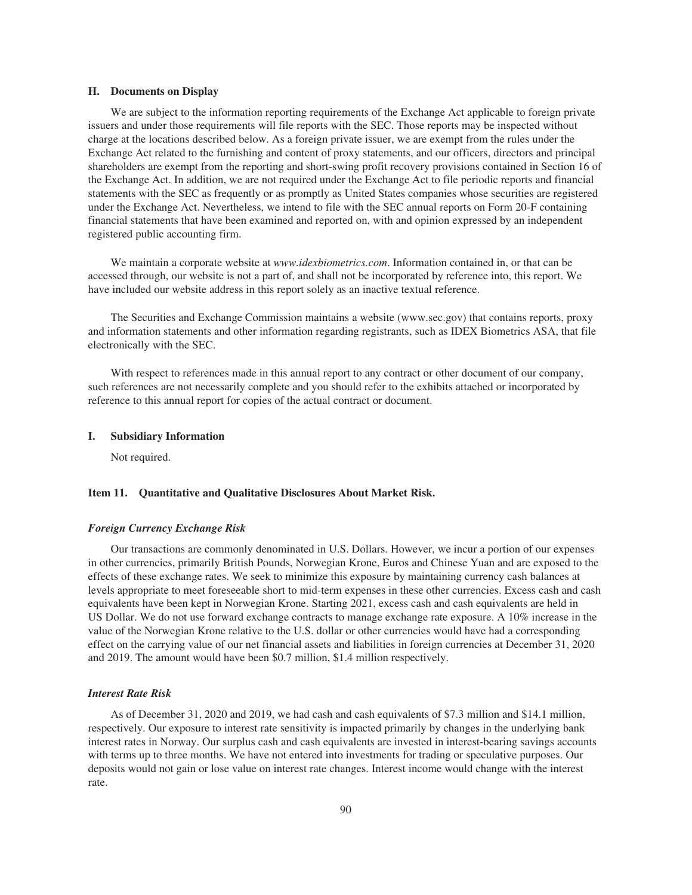## **H. Documents on Display**

We are subject to the information reporting requirements of the Exchange Act applicable to foreign private issuers and under those requirements will file reports with the SEC. Those reports may be inspected without charge at the locations described below. As a foreign private issuer, we are exempt from the rules under the Exchange Act related to the furnishing and content of proxy statements, and our officers, directors and principal shareholders are exempt from the reporting and short-swing profit recovery provisions contained in Section 16 of the Exchange Act. In addition, we are not required under the Exchange Act to file periodic reports and financial statements with the SEC as frequently or as promptly as United States companies whose securities are registered under the Exchange Act. Nevertheless, we intend to file with the SEC annual reports on Form 20-F containing financial statements that have been examined and reported on, with and opinion expressed by an independent registered public accounting firm.

We maintain a corporate website at *www.idexbiometrics.com*. Information contained in, or that can be accessed through, our website is not a part of, and shall not be incorporated by reference into, this report. We have included our website address in this report solely as an inactive textual reference.

The Securities and Exchange Commission maintains a website (www.sec.gov) that contains reports, proxy and information statements and other information regarding registrants, such as IDEX Biometrics ASA, that file electronically with the SEC.

With respect to references made in this annual report to any contract or other document of our company, such references are not necessarily complete and you should refer to the exhibits attached or incorporated by reference to this annual report for copies of the actual contract or document.

## **I. Subsidiary Information**

Not required.

## **Item 11. Quantitative and Qualitative Disclosures About Market Risk.**

## *Foreign Currency Exchange Risk*

Our transactions are commonly denominated in U.S. Dollars. However, we incur a portion of our expenses in other currencies, primarily British Pounds, Norwegian Krone, Euros and Chinese Yuan and are exposed to the effects of these exchange rates. We seek to minimize this exposure by maintaining currency cash balances at levels appropriate to meet foreseeable short to mid-term expenses in these other currencies. Excess cash and cash equivalents have been kept in Norwegian Krone. Starting 2021, excess cash and cash equivalents are held in US Dollar. We do not use forward exchange contracts to manage exchange rate exposure. A 10% increase in the value of the Norwegian Krone relative to the U.S. dollar or other currencies would have had a corresponding effect on the carrying value of our net financial assets and liabilities in foreign currencies at December 31, 2020 and 2019. The amount would have been \$0.7 million, \$1.4 million respectively.

#### *Interest Rate Risk*

As of December 31, 2020 and 2019, we had cash and cash equivalents of \$7.3 million and \$14.1 million, respectively. Our exposure to interest rate sensitivity is impacted primarily by changes in the underlying bank interest rates in Norway. Our surplus cash and cash equivalents are invested in interest-bearing savings accounts with terms up to three months. We have not entered into investments for trading or speculative purposes. Our deposits would not gain or lose value on interest rate changes. Interest income would change with the interest rate.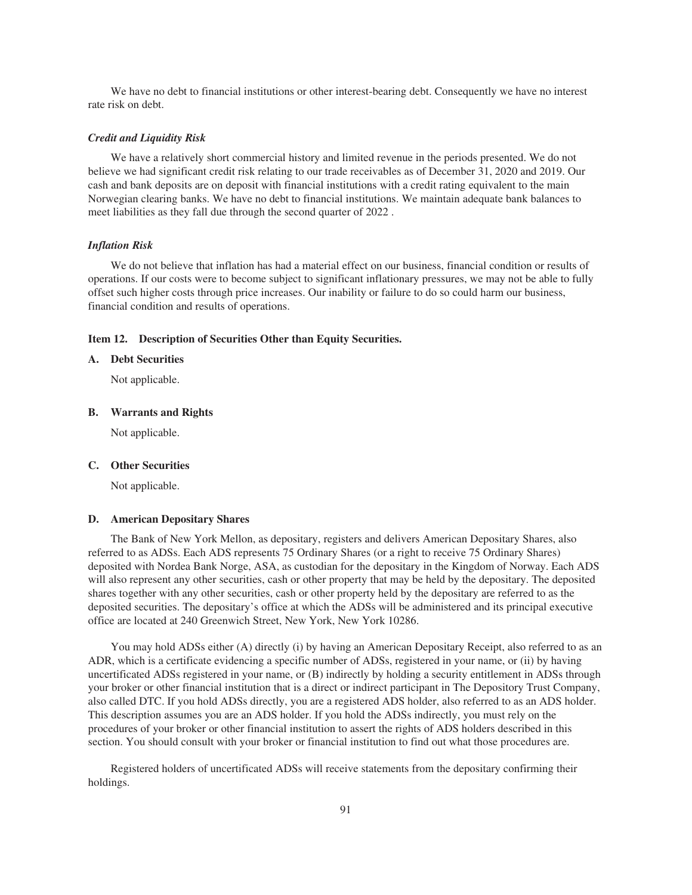We have no debt to financial institutions or other interest-bearing debt. Consequently we have no interest rate risk on debt.

## *Credit and Liquidity Risk*

We have a relatively short commercial history and limited revenue in the periods presented. We do not believe we had significant credit risk relating to our trade receivables as of December 31, 2020 and 2019. Our cash and bank deposits are on deposit with financial institutions with a credit rating equivalent to the main Norwegian clearing banks. We have no debt to financial institutions. We maintain adequate bank balances to meet liabilities as they fall due through the second quarter of 2022 .

### *Inflation Risk*

We do not believe that inflation has had a material effect on our business, financial condition or results of operations. If our costs were to become subject to significant inflationary pressures, we may not be able to fully offset such higher costs through price increases. Our inability or failure to do so could harm our business, financial condition and results of operations.

#### **Item 12. Description of Securities Other than Equity Securities.**

### **A. Debt Securities**

Not applicable.

#### **B. Warrants and Rights**

Not applicable.

## **C. Other Securities**

Not applicable.

## **D. American Depositary Shares**

The Bank of New York Mellon, as depositary, registers and delivers American Depositary Shares, also referred to as ADSs. Each ADS represents 75 Ordinary Shares (or a right to receive 75 Ordinary Shares) deposited with Nordea Bank Norge, ASA, as custodian for the depositary in the Kingdom of Norway. Each ADS will also represent any other securities, cash or other property that may be held by the depositary. The deposited shares together with any other securities, cash or other property held by the depositary are referred to as the deposited securities. The depositary's office at which the ADSs will be administered and its principal executive office are located at 240 Greenwich Street, New York, New York 10286.

You may hold ADSs either (A) directly (i) by having an American Depositary Receipt, also referred to as an ADR, which is a certificate evidencing a specific number of ADSs, registered in your name, or (ii) by having uncertificated ADSs registered in your name, or (B) indirectly by holding a security entitlement in ADSs through your broker or other financial institution that is a direct or indirect participant in The Depository Trust Company, also called DTC. If you hold ADSs directly, you are a registered ADS holder, also referred to as an ADS holder. This description assumes you are an ADS holder. If you hold the ADSs indirectly, you must rely on the procedures of your broker or other financial institution to assert the rights of ADS holders described in this section. You should consult with your broker or financial institution to find out what those procedures are.

Registered holders of uncertificated ADSs will receive statements from the depositary confirming their holdings.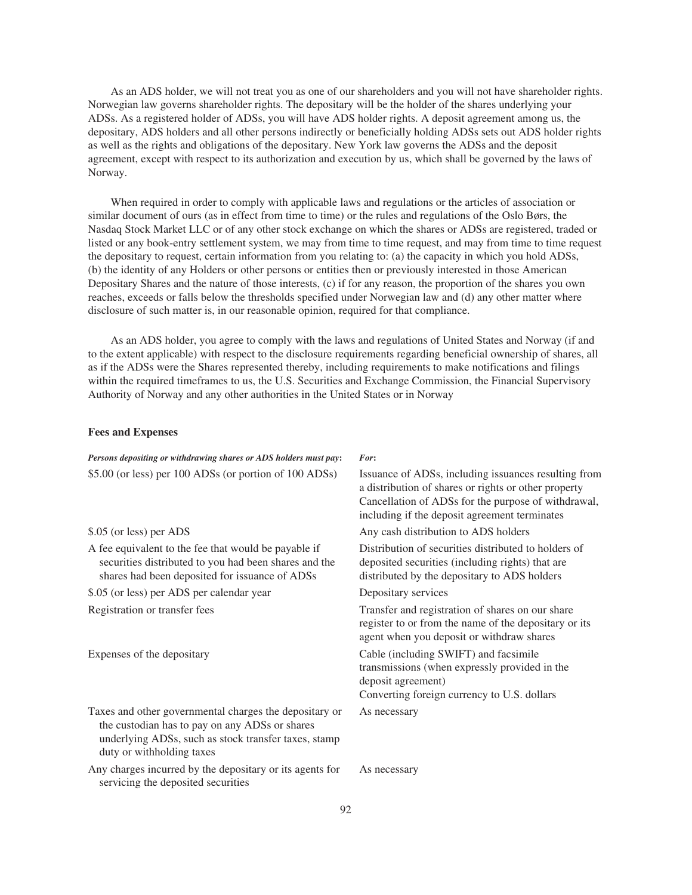As an ADS holder, we will not treat you as one of our shareholders and you will not have shareholder rights. Norwegian law governs shareholder rights. The depositary will be the holder of the shares underlying your ADSs. As a registered holder of ADSs, you will have ADS holder rights. A deposit agreement among us, the depositary, ADS holders and all other persons indirectly or beneficially holding ADSs sets out ADS holder rights as well as the rights and obligations of the depositary. New York law governs the ADSs and the deposit agreement, except with respect to its authorization and execution by us, which shall be governed by the laws of Norway.

When required in order to comply with applicable laws and regulations or the articles of association or similar document of ours (as in effect from time to time) or the rules and regulations of the Oslo Børs, the Nasdaq Stock Market LLC or of any other stock exchange on which the shares or ADSs are registered, traded or listed or any book-entry settlement system, we may from time to time request, and may from time to time request the depositary to request, certain information from you relating to: (a) the capacity in which you hold ADSs, (b) the identity of any Holders or other persons or entities then or previously interested in those American Depositary Shares and the nature of those interests, (c) if for any reason, the proportion of the shares you own reaches, exceeds or falls below the thresholds specified under Norwegian law and (d) any other matter where disclosure of such matter is, in our reasonable opinion, required for that compliance.

As an ADS holder, you agree to comply with the laws and regulations of United States and Norway (if and to the extent applicable) with respect to the disclosure requirements regarding beneficial ownership of shares, all as if the ADSs were the Shares represented thereby, including requirements to make notifications and filings within the required timeframes to us, the U.S. Securities and Exchange Commission, the Financial Supervisory Authority of Norway and any other authorities in the United States or in Norway

#### **Fees and Expenses**

| Persons depositing or withdrawing shares or ADS holders must pay:                                                                                                                             | For:                                                                                                                                                                                                                 |
|-----------------------------------------------------------------------------------------------------------------------------------------------------------------------------------------------|----------------------------------------------------------------------------------------------------------------------------------------------------------------------------------------------------------------------|
| \$5.00 (or less) per 100 ADSs (or portion of 100 ADSs)                                                                                                                                        | Issuance of ADSs, including issuances resulting from<br>a distribution of shares or rights or other property<br>Cancellation of ADSs for the purpose of withdrawal,<br>including if the deposit agreement terminates |
| \$.05 (or less) per ADS                                                                                                                                                                       | Any cash distribution to ADS holders                                                                                                                                                                                 |
| A fee equivalent to the fee that would be payable if<br>securities distributed to you had been shares and the<br>shares had been deposited for issuance of ADSs                               | Distribution of securities distributed to holders of<br>deposited securities (including rights) that are<br>distributed by the depositary to ADS holders                                                             |
| \$.05 (or less) per ADS per calendar year                                                                                                                                                     | Depositary services                                                                                                                                                                                                  |
| Registration or transfer fees                                                                                                                                                                 | Transfer and registration of shares on our share<br>register to or from the name of the depositary or its<br>agent when you deposit or withdraw shares                                                               |
| Expenses of the depositary                                                                                                                                                                    | Cable (including SWIFT) and facsimile<br>transmissions (when expressly provided in the<br>deposit agreement)<br>Converting foreign currency to U.S. dollars                                                          |
| Taxes and other governmental charges the depositary or<br>the custodian has to pay on any ADSs or shares<br>underlying ADSs, such as stock transfer taxes, stamp<br>duty or withholding taxes | As necessary                                                                                                                                                                                                         |
| Any charges incurred by the depositary or its agents for<br>servicing the deposited securities                                                                                                | As necessary                                                                                                                                                                                                         |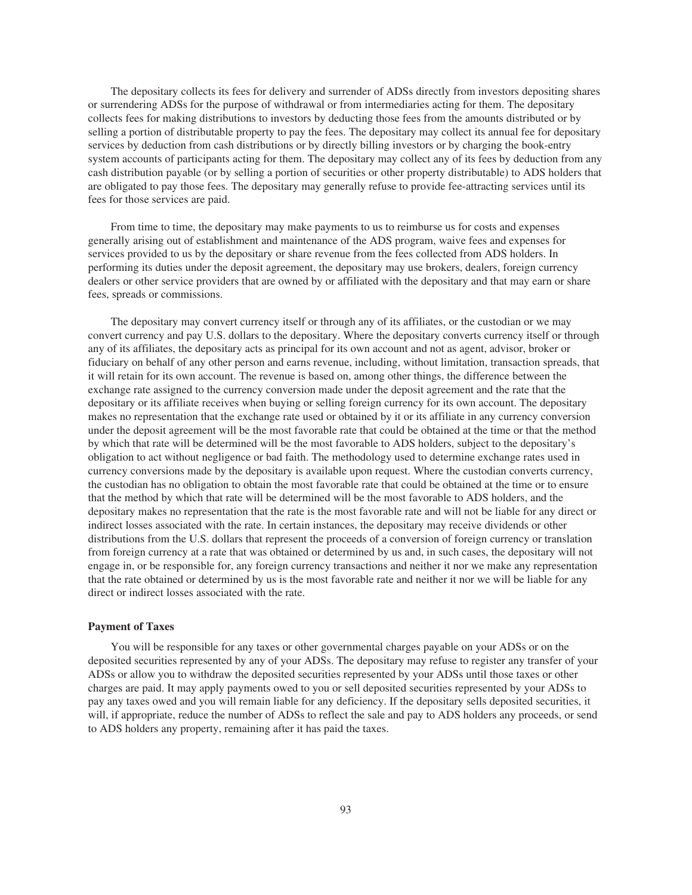The depositary collects its fees for delivery and surrender of ADSs directly from investors depositing shares or surrendering ADSs for the purpose of withdrawal or from intermediaries acting for them. The depositary collects fees for making distributions to investors by deducting those fees from the amounts distributed or by selling a portion of distributable property to pay the fees. The depositary may collect its annual fee for depositary services by deduction from cash distributions or by directly billing investors or by charging the book-entry system accounts of participants acting for them. The depositary may collect any of its fees by deduction from any cash distribution payable (or by selling a portion of securities or other property distributable) to ADS holders that are obligated to pay those fees. The depositary may generally refuse to provide fee-attracting services until its fees for those services are paid.

From time to time, the depositary may make payments to us to reimburse us for costs and expenses generally arising out of establishment and maintenance of the ADS program, waive fees and expenses for services provided to us by the depositary or share revenue from the fees collected from ADS holders. In performing its duties under the deposit agreement, the depositary may use brokers, dealers, foreign currency dealers or other service providers that are owned by or affiliated with the depositary and that may earn or share fees, spreads or commissions.

The depositary may convert currency itself or through any of its affiliates, or the custodian or we may convert currency and pay U.S. dollars to the depositary. Where the depositary converts currency itself or through any of its affiliates, the depositary acts as principal for its own account and not as agent, advisor, broker or fiduciary on behalf of any other person and earns revenue, including, without limitation, transaction spreads, that it will retain for its own account. The revenue is based on, among other things, the difference between the exchange rate assigned to the currency conversion made under the deposit agreement and the rate that the depositary or its affiliate receives when buying or selling foreign currency for its own account. The depositary makes no representation that the exchange rate used or obtained by it or its affiliate in any currency conversion under the deposit agreement will be the most favorable rate that could be obtained at the time or that the method by which that rate will be determined will be the most favorable to ADS holders, subject to the depositary's obligation to act without negligence or bad faith. The methodology used to determine exchange rates used in currency conversions made by the depositary is available upon request. Where the custodian converts currency, the custodian has no obligation to obtain the most favorable rate that could be obtained at the time or to ensure that the method by which that rate will be determined will be the most favorable to ADS holders, and the depositary makes no representation that the rate is the most favorable rate and will not be liable for any direct or indirect losses associated with the rate. In certain instances, the depositary may receive dividends or other distributions from the U.S. dollars that represent the proceeds of a conversion of foreign currency or translation from foreign currency at a rate that was obtained or determined by us and, in such cases, the depositary will not engage in, or be responsible for, any foreign currency transactions and neither it nor we make any representation that the rate obtained or determined by us is the most favorable rate and neither it nor we will be liable for any direct or indirect losses associated with the rate.

## **Payment of Taxes**

You will be responsible for any taxes or other governmental charges payable on your ADSs or on the deposited securities represented by any of your ADSs. The depositary may refuse to register any transfer of your ADSs or allow you to withdraw the deposited securities represented by your ADSs until those taxes or other charges are paid. It may apply payments owed to you or sell deposited securities represented by your ADSs to pay any taxes owed and you will remain liable for any deficiency. If the depositary sells deposited securities, it will, if appropriate, reduce the number of ADSs to reflect the sale and pay to ADS holders any proceeds, or send to ADS holders any property, remaining after it has paid the taxes.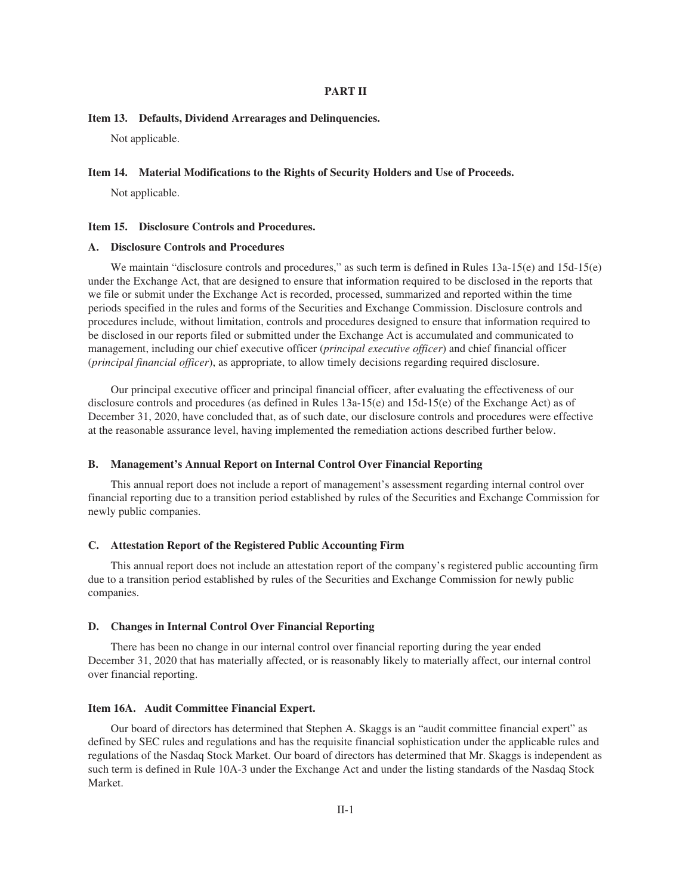## **PART II**

## **Item 13. Defaults, Dividend Arrearages and Delinquencies.**

Not applicable.

## **Item 14. Material Modifications to the Rights of Security Holders and Use of Proceeds.**

Not applicable.

## **Item 15. Disclosure Controls and Procedures.**

## **A. Disclosure Controls and Procedures**

We maintain "disclosure controls and procedures," as such term is defined in Rules 13a-15(e) and 15d-15(e) under the Exchange Act, that are designed to ensure that information required to be disclosed in the reports that we file or submit under the Exchange Act is recorded, processed, summarized and reported within the time periods specified in the rules and forms of the Securities and Exchange Commission. Disclosure controls and procedures include, without limitation, controls and procedures designed to ensure that information required to be disclosed in our reports filed or submitted under the Exchange Act is accumulated and communicated to management, including our chief executive officer (*principal executive officer*) and chief financial officer (*principal financial officer*), as appropriate, to allow timely decisions regarding required disclosure.

Our principal executive officer and principal financial officer, after evaluating the effectiveness of our disclosure controls and procedures (as defined in Rules 13a-15(e) and 15d-15(e) of the Exchange Act) as of December 31, 2020, have concluded that, as of such date, our disclosure controls and procedures were effective at the reasonable assurance level, having implemented the remediation actions described further below.

## **B. Management's Annual Report on Internal Control Over Financial Reporting**

This annual report does not include a report of management's assessment regarding internal control over financial reporting due to a transition period established by rules of the Securities and Exchange Commission for newly public companies.

## **C. Attestation Report of the Registered Public Accounting Firm**

This annual report does not include an attestation report of the company's registered public accounting firm due to a transition period established by rules of the Securities and Exchange Commission for newly public companies.

## **D. Changes in Internal Control Over Financial Reporting**

There has been no change in our internal control over financial reporting during the year ended December 31, 2020 that has materially affected, or is reasonably likely to materially affect, our internal control over financial reporting.

## **Item 16A. Audit Committee Financial Expert.**

Our board of directors has determined that Stephen A. Skaggs is an "audit committee financial expert" as defined by SEC rules and regulations and has the requisite financial sophistication under the applicable rules and regulations of the Nasdaq Stock Market. Our board of directors has determined that Mr. Skaggs is independent as such term is defined in Rule 10A-3 under the Exchange Act and under the listing standards of the Nasdaq Stock Market.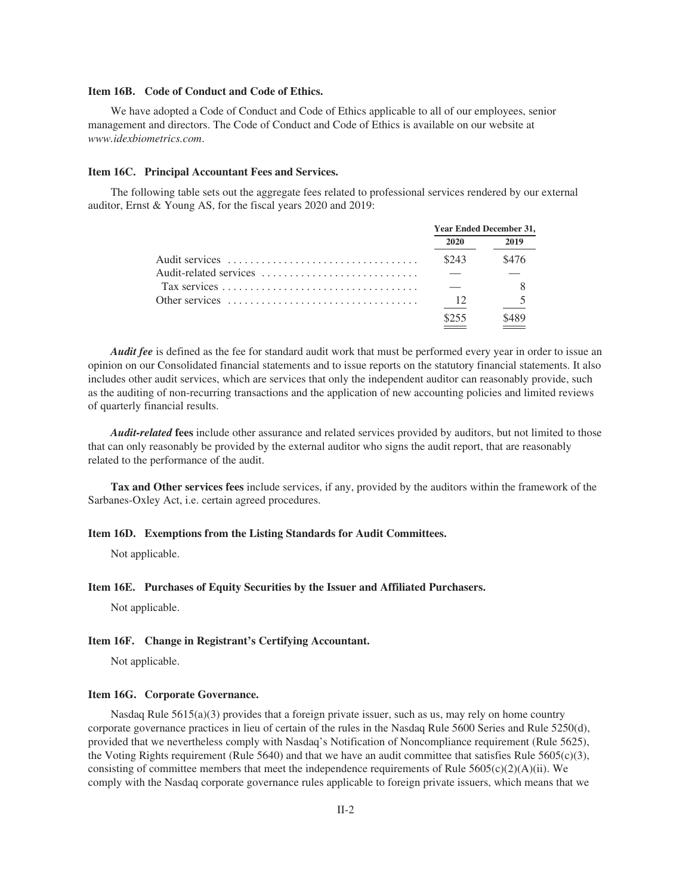## **Item 16B. Code of Conduct and Code of Ethics.**

We have adopted a Code of Conduct and Code of Ethics applicable to all of our employees, senior management and directors. The Code of Conduct and Code of Ethics is available on our website at *www.idexbiometrics.com*.

## **Item 16C. Principal Accountant Fees and Services.**

The following table sets out the aggregate fees related to professional services rendered by our external auditor, Ernst & Young AS, for the fiscal years 2020 and 2019:

|                                                                                         | <b>Year Ended December 31,</b> |       |  |
|-----------------------------------------------------------------------------------------|--------------------------------|-------|--|
|                                                                                         | 2020                           | 2019  |  |
| Audit services                                                                          | \$243                          | \$476 |  |
| Audit-related services $\dots\dots\dots\dots\dots\dots\dots\dots\dots\dots$             |                                |       |  |
|                                                                                         |                                |       |  |
| Other services $\ldots, \ldots, \ldots, \ldots, \ldots, \ldots, \ldots, \ldots, \ldots$ | - 12                           |       |  |
|                                                                                         | \$255                          | \$489 |  |
|                                                                                         |                                |       |  |

*Audit fee* is defined as the fee for standard audit work that must be performed every year in order to issue an opinion on our Consolidated financial statements and to issue reports on the statutory financial statements. It also includes other audit services, which are services that only the independent auditor can reasonably provide, such as the auditing of non-recurring transactions and the application of new accounting policies and limited reviews of quarterly financial results.

*Audit-related* **fees** include other assurance and related services provided by auditors, but not limited to those that can only reasonably be provided by the external auditor who signs the audit report, that are reasonably related to the performance of the audit.

**Tax and Other services fees** include services, if any, provided by the auditors within the framework of the Sarbanes-Oxley Act, i.e. certain agreed procedures.

## **Item 16D. Exemptions from the Listing Standards for Audit Committees.**

Not applicable.

## **Item 16E. Purchases of Equity Securities by the Issuer and Affiliated Purchasers.**

Not applicable.

## **Item 16F. Change in Registrant's Certifying Accountant.**

Not applicable.

## **Item 16G. Corporate Governance.**

Nasdaq Rule  $5615(a)(3)$  provides that a foreign private issuer, such as us, may rely on home country corporate governance practices in lieu of certain of the rules in the Nasdaq Rule 5600 Series and Rule 5250(d), provided that we nevertheless comply with Nasdaq's Notification of Noncompliance requirement (Rule 5625), the Voting Rights requirement (Rule 5640) and that we have an audit committee that satisfies Rule 5605(c)(3), consisting of committee members that meet the independence requirements of Rule  $5605(c)(2)(A)(ii)$ . We comply with the Nasdaq corporate governance rules applicable to foreign private issuers, which means that we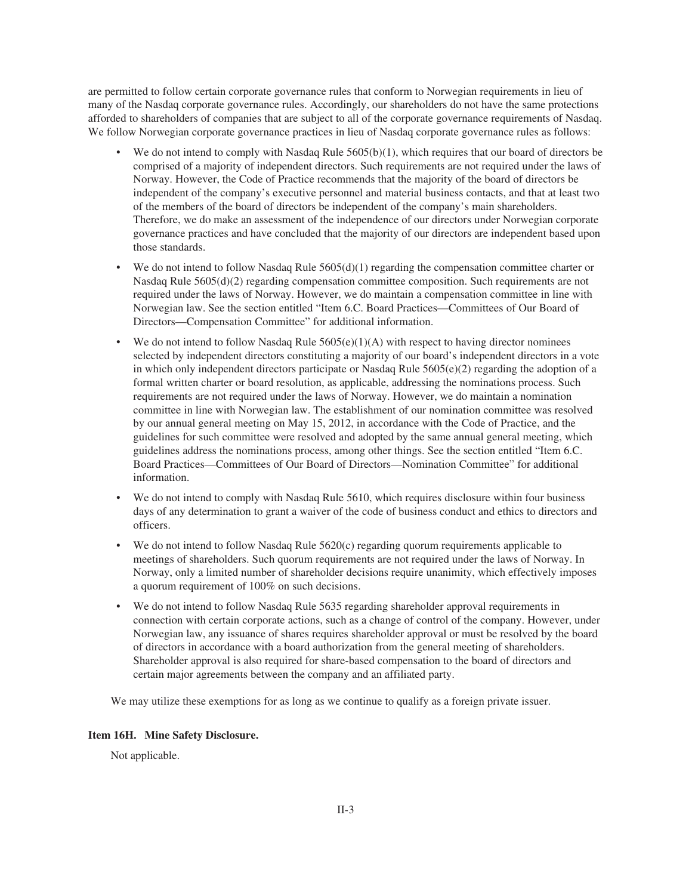are permitted to follow certain corporate governance rules that conform to Norwegian requirements in lieu of many of the Nasdaq corporate governance rules. Accordingly, our shareholders do not have the same protections afforded to shareholders of companies that are subject to all of the corporate governance requirements of Nasdaq. We follow Norwegian corporate governance practices in lieu of Nasdaq corporate governance rules as follows:

- We do not intend to comply with Nasdaq Rule  $5605(b)(1)$ , which requires that our board of directors be comprised of a majority of independent directors. Such requirements are not required under the laws of Norway. However, the Code of Practice recommends that the majority of the board of directors be independent of the company's executive personnel and material business contacts, and that at least two of the members of the board of directors be independent of the company's main shareholders. Therefore, we do make an assessment of the independence of our directors under Norwegian corporate governance practices and have concluded that the majority of our directors are independent based upon those standards.
- We do not intend to follow Nasdaq Rule  $5605(d)(1)$  regarding the compensation committee charter or Nasdaq Rule 5605(d)(2) regarding compensation committee composition. Such requirements are not required under the laws of Norway. However, we do maintain a compensation committee in line with Norwegian law. See the section entitled "Item 6.C. Board Practices—Committees of Our Board of Directors—Compensation Committee" for additional information.
- We do not intend to follow Nasdaq Rule  $5605(e)(1)(A)$  with respect to having director nominees selected by independent directors constituting a majority of our board's independent directors in a vote in which only independent directors participate or Nasdaq Rule  $5605(e)(2)$  regarding the adoption of a formal written charter or board resolution, as applicable, addressing the nominations process. Such requirements are not required under the laws of Norway. However, we do maintain a nomination committee in line with Norwegian law. The establishment of our nomination committee was resolved by our annual general meeting on May 15, 2012, in accordance with the Code of Practice, and the guidelines for such committee were resolved and adopted by the same annual general meeting, which guidelines address the nominations process, among other things. See the section entitled "Item 6.C. Board Practices—Committees of Our Board of Directors—Nomination Committee" for additional information.
- We do not intend to comply with Nasdaq Rule 5610, which requires disclosure within four business days of any determination to grant a waiver of the code of business conduct and ethics to directors and officers.
- We do not intend to follow Nasdaq Rule 5620(c) regarding quorum requirements applicable to meetings of shareholders. Such quorum requirements are not required under the laws of Norway. In Norway, only a limited number of shareholder decisions require unanimity, which effectively imposes a quorum requirement of 100% on such decisions.
- We do not intend to follow Nasdaq Rule 5635 regarding shareholder approval requirements in connection with certain corporate actions, such as a change of control of the company. However, under Norwegian law, any issuance of shares requires shareholder approval or must be resolved by the board of directors in accordance with a board authorization from the general meeting of shareholders. Shareholder approval is also required for share-based compensation to the board of directors and certain major agreements between the company and an affiliated party.

We may utilize these exemptions for as long as we continue to qualify as a foreign private issuer.

## **Item 16H. Mine Safety Disclosure.**

Not applicable.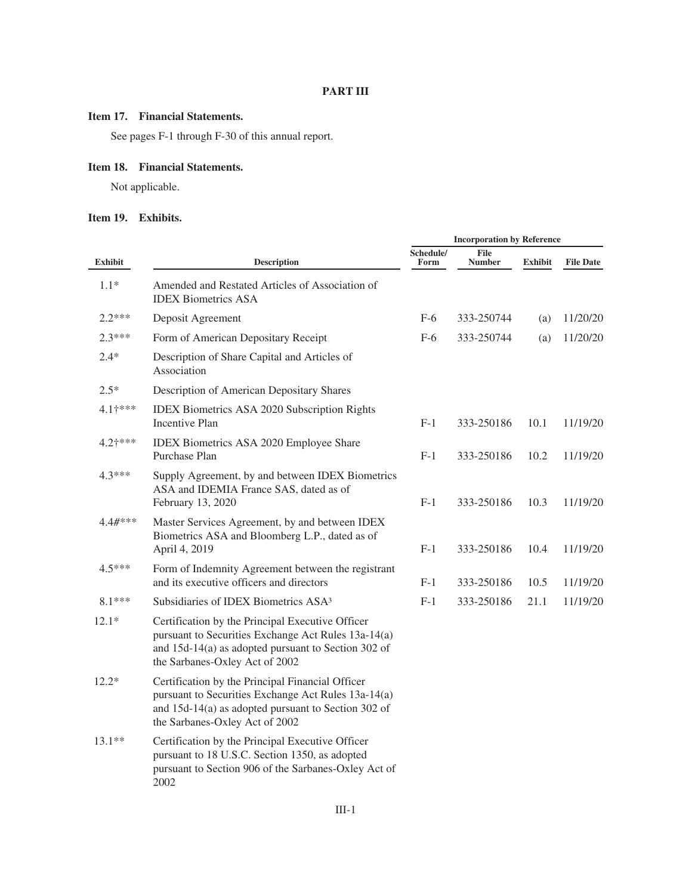# **PART III**

## **Item 17. Financial Statements.**

See pages F-1 through F-30 of this annual report.

# **Item 18. Financial Statements.**

Not applicable.

# **Item 19. Exhibits.**

|                |                                                                                                                                                                                                    |                   | <b>Incorporation by Reference</b> |                |                  |
|----------------|----------------------------------------------------------------------------------------------------------------------------------------------------------------------------------------------------|-------------------|-----------------------------------|----------------|------------------|
| <b>Exhibit</b> | <b>Description</b>                                                                                                                                                                                 | Schedule/<br>Form | <b>File</b><br><b>Number</b>      | <b>Exhibit</b> | <b>File Date</b> |
| $1.1*$         | Amended and Restated Articles of Association of<br><b>IDEX Biometrics ASA</b>                                                                                                                      |                   |                                   |                |                  |
| $2.2***$       | Deposit Agreement                                                                                                                                                                                  | $F-6$             | 333-250744                        | (a)            | 11/20/20         |
| $2.3***$       | Form of American Depositary Receipt                                                                                                                                                                | $F-6$             | 333-250744                        | (a)            | 11/20/20         |
| $2.4*$         | Description of Share Capital and Articles of<br>Association                                                                                                                                        |                   |                                   |                |                  |
| $2.5*$         | Description of American Depositary Shares                                                                                                                                                          |                   |                                   |                |                  |
| 4.1+***        | <b>IDEX Biometrics ASA 2020 Subscription Rights</b><br><b>Incentive Plan</b>                                                                                                                       | $F-1$             | 333-250186                        | 10.1           | 11/19/20         |
| 4.2†***        | IDEX Biometrics ASA 2020 Employee Share<br>Purchase Plan                                                                                                                                           | $F-1$             | 333-250186                        | 10.2           | 11/19/20         |
| $4.3***$       | Supply Agreement, by and between IDEX Biometrics<br>ASA and IDEMIA France SAS, dated as of<br>February 13, 2020                                                                                    | $F-1$             | 333-250186                        | 10.3           | 11/19/20         |
| $4.4\#***$     | Master Services Agreement, by and between IDEX<br>Biometrics ASA and Bloomberg L.P., dated as of<br>April 4, 2019                                                                                  | $F-1$             | 333-250186                        | 10.4           | 11/19/20         |
| $4.5***$       | Form of Indemnity Agreement between the registrant<br>and its executive officers and directors                                                                                                     | $F-1$             | 333-250186                        | 10.5           | 11/19/20         |
| $8.1***$       | Subsidiaries of IDEX Biometrics ASA <sup>3</sup>                                                                                                                                                   | $F-1$             | 333-250186                        | 21.1           | 11/19/20         |
| $12.1*$        | Certification by the Principal Executive Officer<br>pursuant to Securities Exchange Act Rules 13a-14(a)<br>and $15d-14(a)$ as adopted pursuant to Section 302 of<br>the Sarbanes-Oxley Act of 2002 |                   |                                   |                |                  |
| $12.2*$        | Certification by the Principal Financial Officer<br>pursuant to Securities Exchange Act Rules 13a-14(a)<br>and $15d-14(a)$ as adopted pursuant to Section 302 of<br>the Sarbanes-Oxley Act of 2002 |                   |                                   |                |                  |
| $13.1**$       | Certification by the Principal Executive Officer<br>pursuant to 18 U.S.C. Section 1350, as adopted<br>pursuant to Section 906 of the Sarbanes-Oxley Act of<br>2002                                 |                   |                                   |                |                  |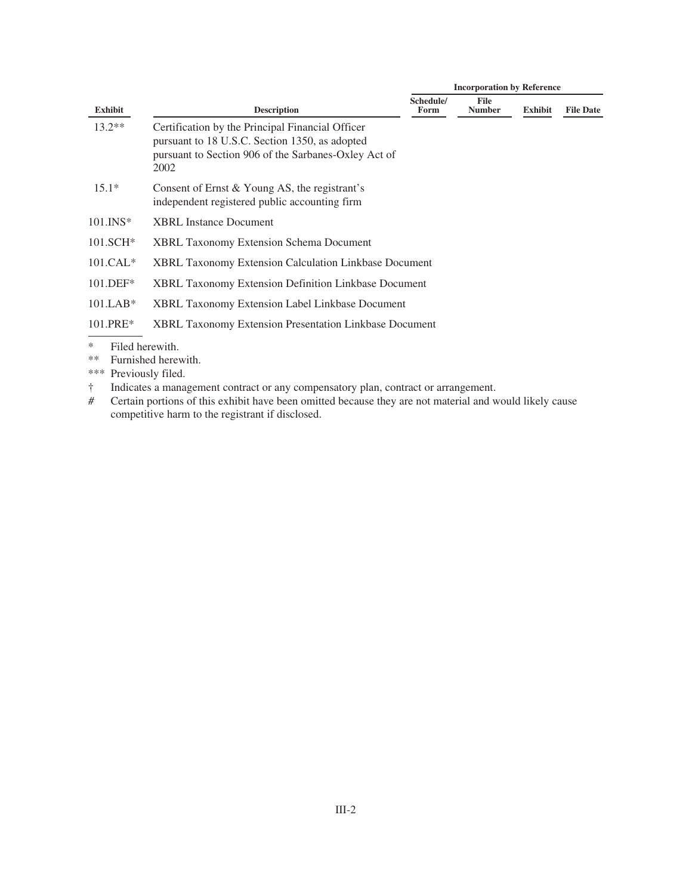|                            |                                                                                                                                                                    |                   | <b>Incorporation by Reference</b> |                |                  |
|----------------------------|--------------------------------------------------------------------------------------------------------------------------------------------------------------------|-------------------|-----------------------------------|----------------|------------------|
| <b>Exhibit</b>             | <b>Description</b>                                                                                                                                                 | Schedule/<br>Form | <b>File</b><br><b>Number</b>      | <b>Exhibit</b> | <b>File Date</b> |
| $13.2**$                   | Certification by the Principal Financial Officer<br>pursuant to 18 U.S.C. Section 1350, as adopted<br>pursuant to Section 906 of the Sarbanes-Oxley Act of<br>2002 |                   |                                   |                |                  |
| $15.1*$                    | Consent of Ernst & Young AS, the registrant's<br>independent registered public accounting firm                                                                     |                   |                                   |                |                  |
| $101.$ INS*                | <b>XBRL Instance Document</b>                                                                                                                                      |                   |                                   |                |                  |
| 101.SCH*                   | <b>XBRL Taxonomy Extension Schema Document</b>                                                                                                                     |                   |                                   |                |                  |
| $101.CAL*$                 | <b>XBRL Taxonomy Extension Calculation Linkbase Document</b>                                                                                                       |                   |                                   |                |                  |
| $101.DEF*$                 | <b>XBRL Taxonomy Extension Definition Linkbase Document</b>                                                                                                        |                   |                                   |                |                  |
| $101.LAB*$                 | <b>XBRL Taxonomy Extension Label Linkbase Document</b>                                                                                                             |                   |                                   |                |                  |
| 101.PRE*                   | <b>XBRL Taxonomy Extension Presentation Linkbase Document</b>                                                                                                      |                   |                                   |                |                  |
| Filed herewith.<br>∗<br>** | Furnished herewith.                                                                                                                                                |                   |                                   |                |                  |

- 
- \*\*\* Previously filed.<br>† Indicates a manag

† Indicates a management contract or any compensatory plan, contract or arrangement.

# Certain portions of this exhibit have been omitted because they are not material and would likely cause competitive harm to the registrant if disclosed.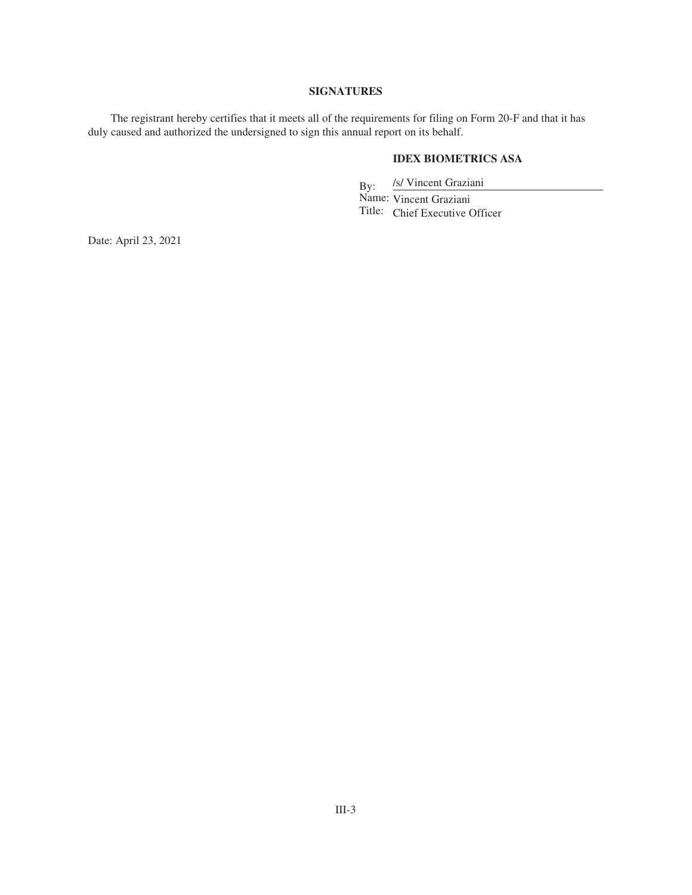## **SIGNATURES**

The registrant hereby certifies that it meets all of the requirements for filing on Form 20-F and that it has duly caused and authorized the undersigned to sign this annual report on its behalf.

# **IDEX BIOMETRICS ASA**

By: /s/ Vincent Graziani

Name: Vincent Graziani Title: Chief Executive Officer

Date: April 23, 2021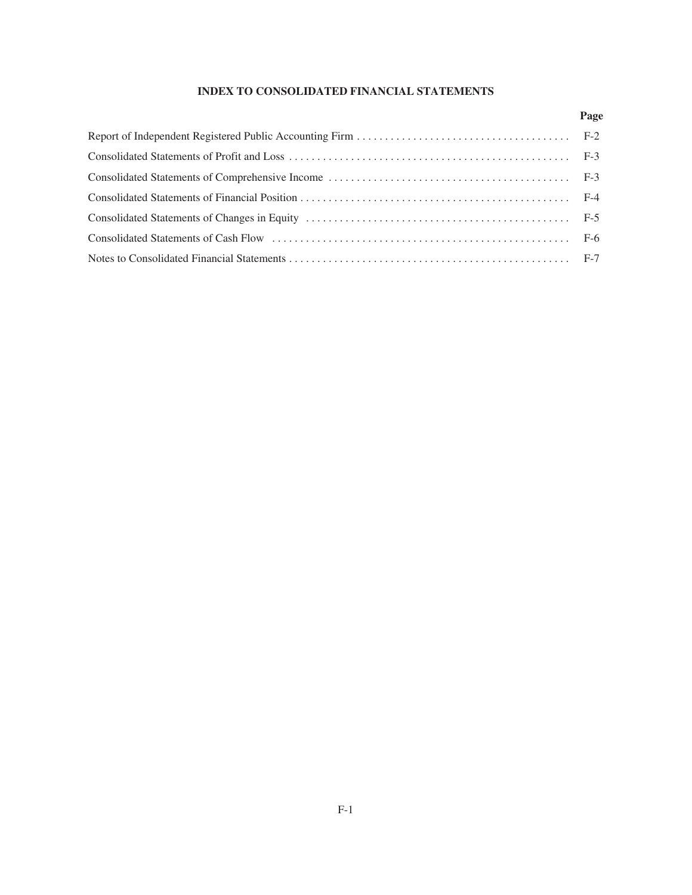# **INDEX TO CONSOLIDATED FINANCIAL STATEMENTS**

| Page |
|------|
|      |
|      |
|      |
|      |
|      |
|      |
|      |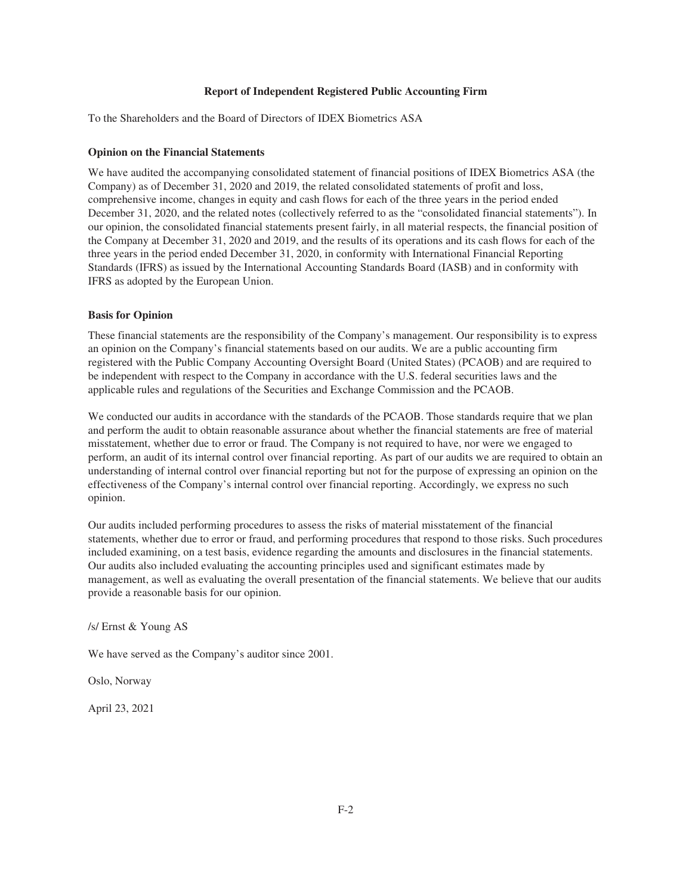## **Report of Independent Registered Public Accounting Firm**

To the Shareholders and the Board of Directors of IDEX Biometrics ASA

## **Opinion on the Financial Statements**

We have audited the accompanying consolidated statement of financial positions of IDEX Biometrics ASA (the Company) as of December 31, 2020 and 2019, the related consolidated statements of profit and loss, comprehensive income, changes in equity and cash flows for each of the three years in the period ended December 31, 2020, and the related notes (collectively referred to as the "consolidated financial statements"). In our opinion, the consolidated financial statements present fairly, in all material respects, the financial position of the Company at December 31, 2020 and 2019, and the results of its operations and its cash flows for each of the three years in the period ended December 31, 2020, in conformity with International Financial Reporting Standards (IFRS) as issued by the International Accounting Standards Board (IASB) and in conformity with IFRS as adopted by the European Union.

## **Basis for Opinion**

These financial statements are the responsibility of the Company's management. Our responsibility is to express an opinion on the Company's financial statements based on our audits. We are a public accounting firm registered with the Public Company Accounting Oversight Board (United States) (PCAOB) and are required to be independent with respect to the Company in accordance with the U.S. federal securities laws and the applicable rules and regulations of the Securities and Exchange Commission and the PCAOB.

We conducted our audits in accordance with the standards of the PCAOB. Those standards require that we plan and perform the audit to obtain reasonable assurance about whether the financial statements are free of material misstatement, whether due to error or fraud. The Company is not required to have, nor were we engaged to perform, an audit of its internal control over financial reporting. As part of our audits we are required to obtain an understanding of internal control over financial reporting but not for the purpose of expressing an opinion on the effectiveness of the Company's internal control over financial reporting. Accordingly, we express no such opinion.

Our audits included performing procedures to assess the risks of material misstatement of the financial statements, whether due to error or fraud, and performing procedures that respond to those risks. Such procedures included examining, on a test basis, evidence regarding the amounts and disclosures in the financial statements. Our audits also included evaluating the accounting principles used and significant estimates made by management, as well as evaluating the overall presentation of the financial statements. We believe that our audits provide a reasonable basis for our opinion.

/s/ Ernst & Young AS

We have served as the Company's auditor since 2001.

Oslo, Norway

April 23, 2021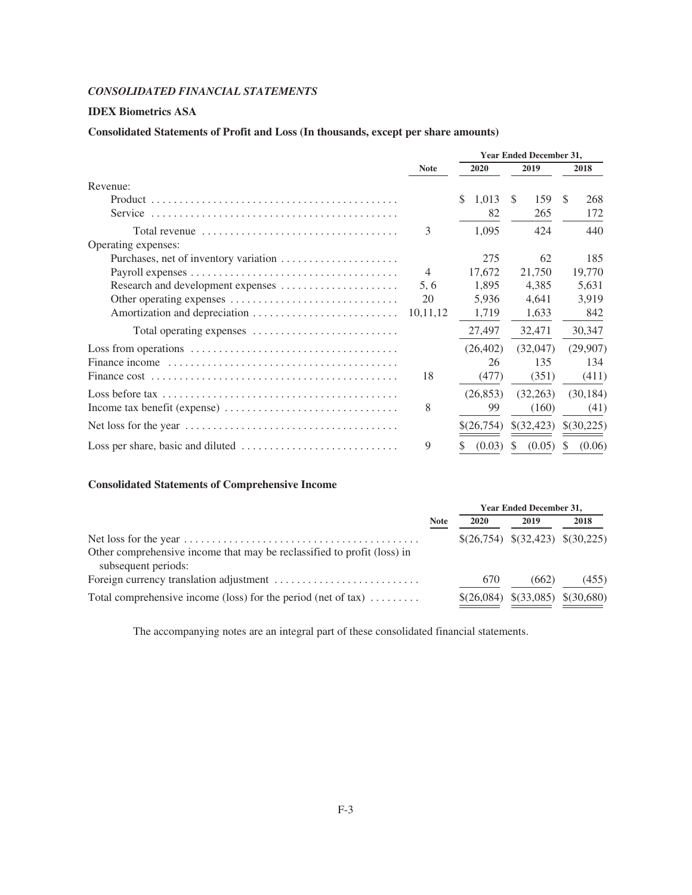# *CONSOLIDATED FINANCIAL STATEMENTS*

# **IDEX Biometrics ASA**

# **Consolidated Statements of Profit and Loss (In thousands, except per share amounts)**

|                                                                                            |                | <b>Year Ended December 31,</b> |                      |            |
|--------------------------------------------------------------------------------------------|----------------|--------------------------------|----------------------|------------|
|                                                                                            | <b>Note</b>    | 2020                           | 2019                 | 2018       |
| Revenue:                                                                                   |                |                                |                      |            |
|                                                                                            |                | 1,013<br>S.                    | <sup>\$</sup><br>159 | 268<br>-S  |
| <b>Service</b>                                                                             |                | 82                             | 265                  | 172        |
| Total revenue $\ldots, \ldots, \ldots, \ldots, \ldots, \ldots, \ldots, \ldots, \ldots$     | 3              | 1,095                          | 424                  | 440        |
| Operating expenses:                                                                        |                |                                |                      |            |
| Purchases, net of inventory variation                                                      |                | 275                            | 62                   | 185        |
|                                                                                            | $\overline{4}$ | 17,672                         | 21,750               | 19,770     |
| Research and development expenses                                                          | 5, 6           | 1,895                          | 4.385                | 5,631      |
|                                                                                            | 20             | 5,936                          | 4.641                | 3.919      |
|                                                                                            | 10,11,12       | 1,719                          | 1,633                | 842        |
| Total operating expenses                                                                   |                | 27,497                         | 32,471               | 30,347     |
|                                                                                            |                | (26, 402)                      | (32,047)             | (29,907)   |
|                                                                                            |                | 26                             | 135                  | 134        |
|                                                                                            | 18             | (477)                          | (351)                | (411)      |
|                                                                                            |                | (26, 853)                      | (32,263)             | (30, 184)  |
| Income tax benefit (expense) $\dots \dots \dots \dots \dots \dots \dots \dots \dots \dots$ | 8              | 99                             | (160)                | (41)       |
|                                                                                            |                | \$(26,754)                     | \$(32,423)           | \$(30,225) |
|                                                                                            | 9              | (0.03)                         | $(0.05)$ \$<br>-S    | (0.06)     |

# **Consolidated Statements of Comprehensive Income**

|                                                                                                |             | <b>Year Ended December 31,</b> |                                   |       |  |
|------------------------------------------------------------------------------------------------|-------------|--------------------------------|-----------------------------------|-------|--|
|                                                                                                | <b>Note</b> | 2020                           | 2019                              | 2018  |  |
|                                                                                                |             |                                | $$(26,754) \$(32,423) \$(30,225)$ |       |  |
| Other comprehensive income that may be reclassified to profit (loss) in<br>subsequent periods: |             |                                |                                   |       |  |
|                                                                                                |             | 670                            | (662)                             | (455) |  |
| Total comprehensive income (loss) for the period (net of tax) $\dots\dots\dots$                |             |                                | $$(26,084) \$(33,085) \$(30,680)$ |       |  |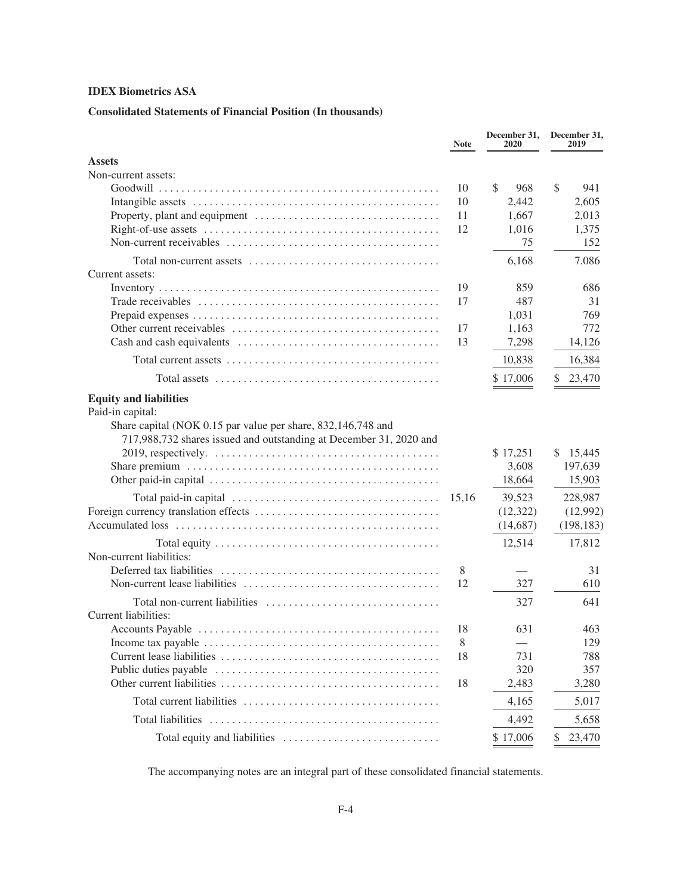# **IDEX Biometrics ASA**

# **Consolidated Statements of Financial Position (In thousands)**

|                                                                                                                                                                                                                                | <b>Note</b> | December 31.<br>2020 | December 31,<br>2019 |
|--------------------------------------------------------------------------------------------------------------------------------------------------------------------------------------------------------------------------------|-------------|----------------------|----------------------|
| <b>Assets</b>                                                                                                                                                                                                                  |             |                      |                      |
| Non-current assets:                                                                                                                                                                                                            |             |                      |                      |
|                                                                                                                                                                                                                                | 10          | \$.<br>968           | \$<br>941            |
|                                                                                                                                                                                                                                | 10          | 2,442                | 2,605                |
|                                                                                                                                                                                                                                | 11          | 1,667                | 2,013                |
|                                                                                                                                                                                                                                | 12          | 1,016                | 1,375<br>152         |
|                                                                                                                                                                                                                                |             | 75                   |                      |
| Current assets:                                                                                                                                                                                                                |             | 6,168                | 7.086                |
|                                                                                                                                                                                                                                | 19          | 859                  | 686                  |
|                                                                                                                                                                                                                                | 17          | 487                  | 31                   |
|                                                                                                                                                                                                                                |             | 1,031                | 769                  |
|                                                                                                                                                                                                                                | 17          | 1,163                | 772                  |
|                                                                                                                                                                                                                                | 13          | 7,298                | 14,126               |
|                                                                                                                                                                                                                                |             | 10,838               | 16,384               |
| Total assets expressions in the contract of the contract of the contract of the contract of the contract of the contract of the contract of the contract of the contract of the contract of the contract of the contract of th |             | \$17,006             | \$<br>23,470         |
| <b>Equity and liabilities</b><br>Paid-in capital:<br>Share capital (NOK 0.15 par value per share, 832,146,748 and<br>717,988,732 shares issued and outstanding at December 31, 2020 and                                        |             |                      |                      |
|                                                                                                                                                                                                                                |             | \$17,251             | S.<br>15.445         |
|                                                                                                                                                                                                                                |             | 3,608                | 197,639              |
|                                                                                                                                                                                                                                |             | 18,664               | 15,903               |
|                                                                                                                                                                                                                                | 15,16       | 39,523               | 228,987              |
|                                                                                                                                                                                                                                |             | (12, 322)            | (12,992)             |
|                                                                                                                                                                                                                                |             | (14,687)             | (198, 183)           |
| Non-current liabilities:                                                                                                                                                                                                       |             | 12,514               | 17,812               |
|                                                                                                                                                                                                                                | 8           |                      | 31                   |
|                                                                                                                                                                                                                                | 12          | 327                  | 610                  |
| Current liabilities:                                                                                                                                                                                                           |             | 327                  | 641                  |
|                                                                                                                                                                                                                                | 18          | 631                  | 463                  |
|                                                                                                                                                                                                                                | 8           |                      | 129                  |
|                                                                                                                                                                                                                                | 18          | 731                  | 788                  |
|                                                                                                                                                                                                                                |             | 320                  | 357                  |
|                                                                                                                                                                                                                                | 18          | 2,483                | 3,280                |
|                                                                                                                                                                                                                                |             | 4,165                | 5,017                |
|                                                                                                                                                                                                                                |             | 4,492                | 5,658                |
|                                                                                                                                                                                                                                |             | \$17,006             | 23,470<br>\$         |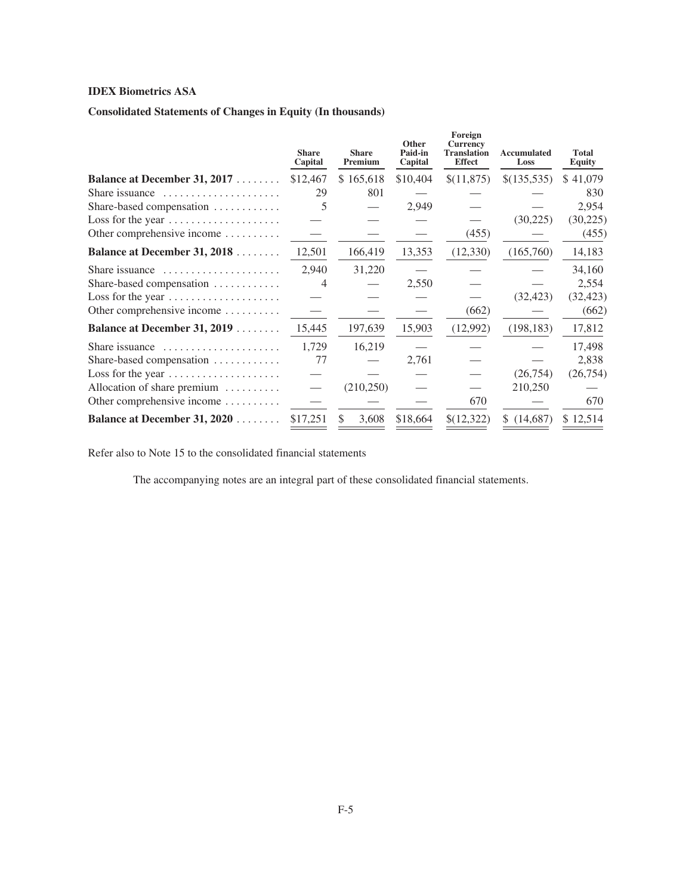# **IDEX Biometrics ASA**

# **Consolidated Statements of Changes in Equity (In thousands)**

|                                                         | <b>Share</b><br>Capital | <b>Share</b><br>Premium | Other<br>Paid-in<br>Capital | Foreign<br>Currency<br><b>Translation</b><br><b>Effect</b> | Accumulated<br>Loss | <b>Total</b><br><b>Equity</b> |
|---------------------------------------------------------|-------------------------|-------------------------|-----------------------------|------------------------------------------------------------|---------------------|-------------------------------|
| Balance at December 31, 2017                            | \$12,467                | \$165,618               | \$10,404                    | \$(11,875)                                                 | \$(135,535)         | \$41,079                      |
| Share issuance                                          | 29                      | 801                     |                             |                                                            |                     | 830                           |
| Share-based compensation                                | 5                       |                         | 2,949                       |                                                            |                     | 2,954                         |
| Loss for the year $\dots \dots \dots \dots \dots \dots$ |                         |                         |                             |                                                            | (30,225)            | (30, 225)                     |
| Other comprehensive income                              |                         |                         |                             | (455)                                                      |                     | (455)                         |
| Balance at December 31, 2018                            | 12,501                  | 166,419                 | 13,353                      | (12,330)                                                   | (165,760)           | 14,183                        |
| Share issuance                                          | 2,940                   | 31,220                  |                             |                                                            |                     | 34,160                        |
| Share-based compensation                                | 4                       |                         | 2,550                       |                                                            |                     | 2,554                         |
| Loss for the year                                       |                         |                         |                             |                                                            | (32, 423)           | (32, 423)                     |
| Other comprehensive income                              |                         |                         |                             | (662)                                                      |                     | (662)                         |
| Balance at December 31, 2019                            | 15,445                  | 197,639                 | 15,903                      | (12,992)                                                   | (198, 183)          | 17,812                        |
| Share issuance                                          | 1,729                   | 16,219                  |                             |                                                            |                     | 17,498                        |
| Share-based compensation                                | 77                      |                         | 2,761                       |                                                            |                     | 2,838                         |
| Loss for the year                                       |                         |                         |                             |                                                            | (26, 754)           | (26, 754)                     |
| Allocation of share premium $\dots\dots\dots$           |                         | (210,250)               |                             |                                                            | 210,250             |                               |
| Other comprehensive income                              |                         |                         |                             | 670                                                        |                     | 670                           |
| Balance at December 31, 2020                            | \$17,251                | 3,608                   | \$18,664                    | \$(12,322)                                                 | (14,687)<br>S.      | \$12,514                      |

Refer also to Note 15 to the consolidated financial statements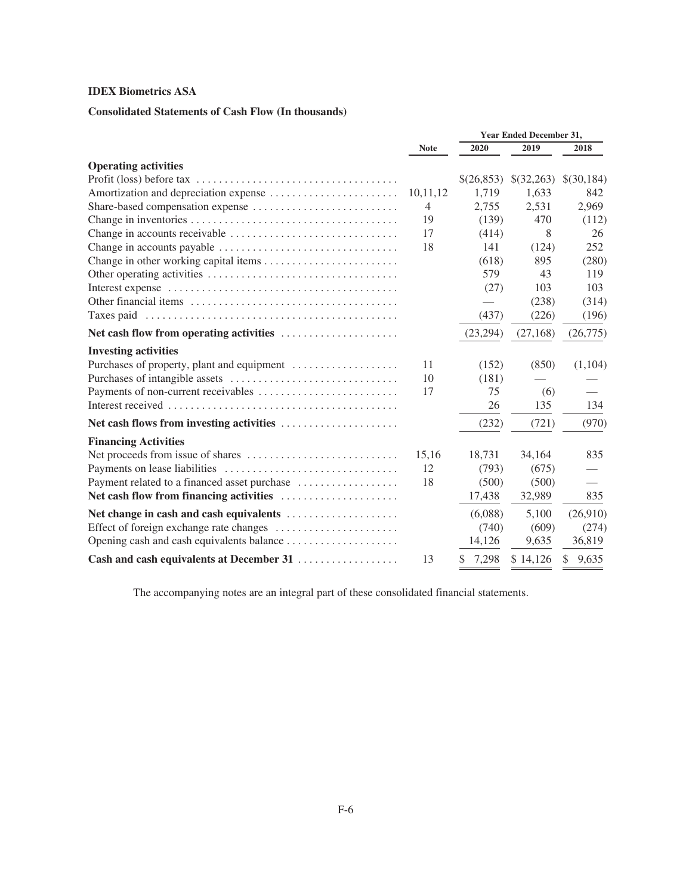# **IDEX Biometrics ASA**

# **Consolidated Statements of Cash Flow (In thousands)**

|                                              |                | <b>Year Ended December 31,</b> |            |            |  |
|----------------------------------------------|----------------|--------------------------------|------------|------------|--|
|                                              | <b>Note</b>    | 2020                           | 2019       | 2018       |  |
| <b>Operating activities</b>                  |                |                                |            |            |  |
|                                              |                | \$(26,853)                     | \$(32,263) | \$(30,184) |  |
| Amortization and depreciation expense        | 10,11,12       | 1,719                          | 1,633      | 842        |  |
|                                              | $\overline{4}$ | 2,755                          | 2,531      | 2,969      |  |
|                                              | 19             | (139)                          | 470        | (112)      |  |
|                                              | 17             | (414)                          | 8          | 26         |  |
|                                              | 18             | 141                            | (124)      | 252        |  |
|                                              |                | (618)                          | 895        | (280)      |  |
|                                              |                | 579                            | 43         | 119        |  |
|                                              |                | (27)                           | 103        | 103        |  |
|                                              |                |                                | (238)      | (314)      |  |
|                                              |                | (437)                          | (226)      | (196)      |  |
| Net cash flow from operating activities      |                | (23, 294)                      | (27, 168)  | (26,775)   |  |
| <b>Investing activities</b>                  |                |                                |            |            |  |
| Purchases of property, plant and equipment   | 11             | (152)                          | (850)      | (1,104)    |  |
|                                              | 10             | (181)                          |            |            |  |
|                                              | 17             | 75                             | (6)        |            |  |
|                                              |                | 26                             | 135        | 134        |  |
| Net cash flows from investing activities     |                | (232)                          | (721)      | (970)      |  |
| <b>Financing Activities</b>                  |                |                                |            |            |  |
|                                              | 15,16          | 18,731                         | 34,164     | 835        |  |
|                                              | 12             | (793)                          | (675)      |            |  |
| Payment related to a financed asset purchase | 18             | (500)                          | (500)      |            |  |
|                                              |                | 17,438                         | 32,989     | 835        |  |
| Net change in cash and cash equivalents      |                | (6,088)                        | 5,100      | (26,910)   |  |
|                                              |                | (740)                          | (609)      | (274)      |  |
|                                              |                | 14,126                         | 9,635      | 36,819     |  |
| Cash and cash equivalents at December 31     | 13             | \$7,298                        | \$14,126   | \$9,635    |  |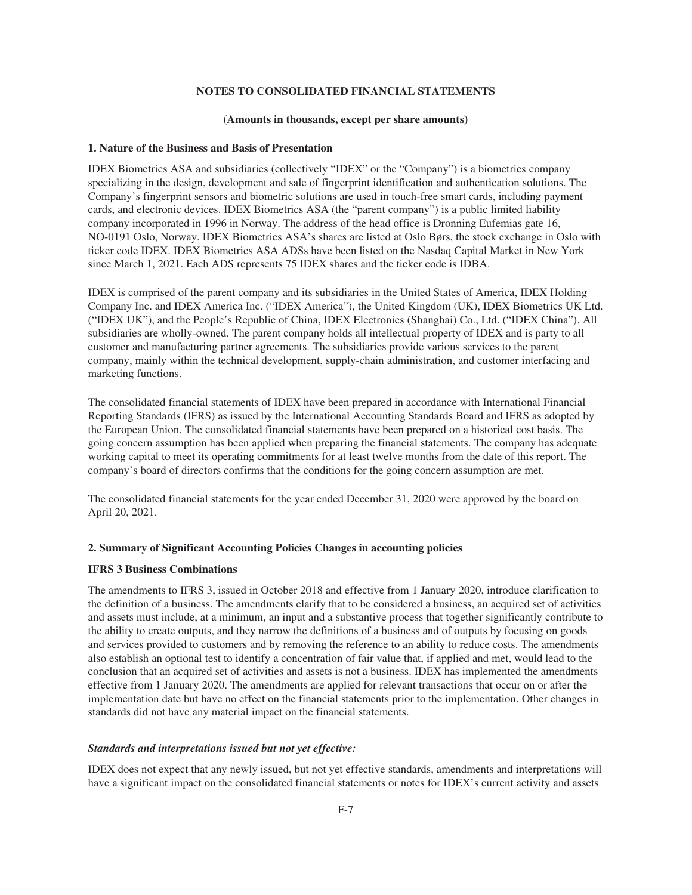## **NOTES TO CONSOLIDATED FINANCIAL STATEMENTS**

## **(Amounts in thousands, except per share amounts)**

### **1. Nature of the Business and Basis of Presentation**

IDEX Biometrics ASA and subsidiaries (collectively "IDEX" or the "Company") is a biometrics company specializing in the design, development and sale of fingerprint identification and authentication solutions. The Company's fingerprint sensors and biometric solutions are used in touch-free smart cards, including payment cards, and electronic devices. IDEX Biometrics ASA (the "parent company") is a public limited liability company incorporated in 1996 in Norway. The address of the head office is Dronning Eufemias gate 16, NO-0191 Oslo, Norway. IDEX Biometrics ASA's shares are listed at Oslo Børs, the stock exchange in Oslo with ticker code IDEX. IDEX Biometrics ASA ADSs have been listed on the Nasdaq Capital Market in New York since March 1, 2021. Each ADS represents 75 IDEX shares and the ticker code is IDBA.

IDEX is comprised of the parent company and its subsidiaries in the United States of America, IDEX Holding Company Inc. and IDEX America Inc. ("IDEX America"), the United Kingdom (UK), IDEX Biometrics UK Ltd. ("IDEX UK"), and the People's Republic of China, IDEX Electronics (Shanghai) Co., Ltd. ("IDEX China"). All subsidiaries are wholly-owned. The parent company holds all intellectual property of IDEX and is party to all customer and manufacturing partner agreements. The subsidiaries provide various services to the parent company, mainly within the technical development, supply-chain administration, and customer interfacing and marketing functions.

The consolidated financial statements of IDEX have been prepared in accordance with International Financial Reporting Standards (IFRS) as issued by the International Accounting Standards Board and IFRS as adopted by the European Union. The consolidated financial statements have been prepared on a historical cost basis. The going concern assumption has been applied when preparing the financial statements. The company has adequate working capital to meet its operating commitments for at least twelve months from the date of this report. The company's board of directors confirms that the conditions for the going concern assumption are met.

The consolidated financial statements for the year ended December 31, 2020 were approved by the board on April 20, 2021.

## **2. Summary of Significant Accounting Policies Changes in accounting policies**

#### **IFRS 3 Business Combinations**

The amendments to IFRS 3, issued in October 2018 and effective from 1 January 2020, introduce clarification to the definition of a business. The amendments clarify that to be considered a business, an acquired set of activities and assets must include, at a minimum, an input and a substantive process that together significantly contribute to the ability to create outputs, and they narrow the definitions of a business and of outputs by focusing on goods and services provided to customers and by removing the reference to an ability to reduce costs. The amendments also establish an optional test to identify a concentration of fair value that, if applied and met, would lead to the conclusion that an acquired set of activities and assets is not a business. IDEX has implemented the amendments effective from 1 January 2020. The amendments are applied for relevant transactions that occur on or after the implementation date but have no effect on the financial statements prior to the implementation. Other changes in standards did not have any material impact on the financial statements.

## *Standards and interpretations issued but not yet effective:*

IDEX does not expect that any newly issued, but not yet effective standards, amendments and interpretations will have a significant impact on the consolidated financial statements or notes for IDEX's current activity and assets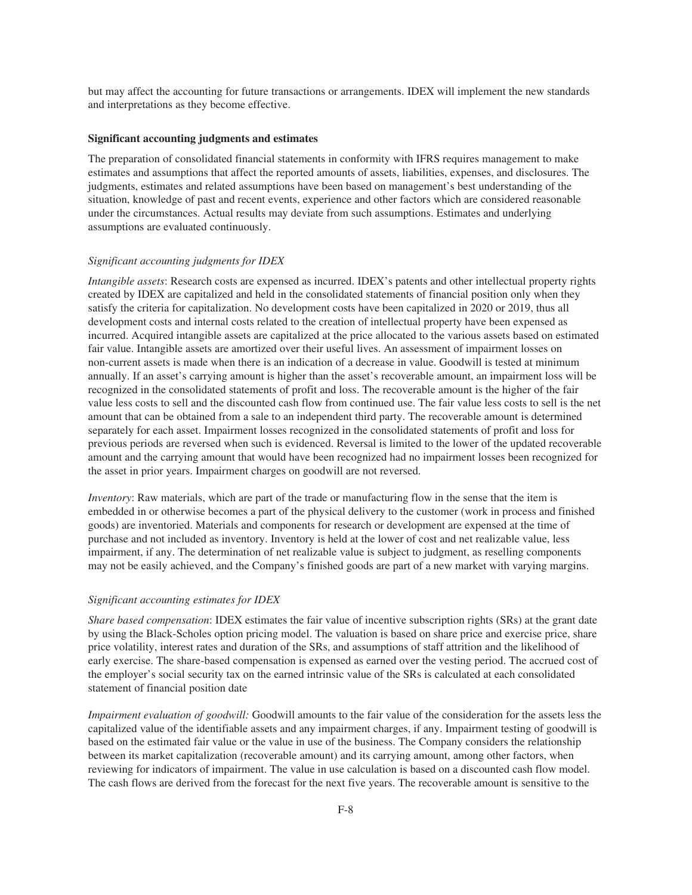but may affect the accounting for future transactions or arrangements. IDEX will implement the new standards and interpretations as they become effective.

## **Significant accounting judgments and estimates**

The preparation of consolidated financial statements in conformity with IFRS requires management to make estimates and assumptions that affect the reported amounts of assets, liabilities, expenses, and disclosures. The judgments, estimates and related assumptions have been based on management's best understanding of the situation, knowledge of past and recent events, experience and other factors which are considered reasonable under the circumstances. Actual results may deviate from such assumptions. Estimates and underlying assumptions are evaluated continuously.

## *Significant accounting judgments for IDEX*

*Intangible assets*: Research costs are expensed as incurred. IDEX's patents and other intellectual property rights created by IDEX are capitalized and held in the consolidated statements of financial position only when they satisfy the criteria for capitalization. No development costs have been capitalized in 2020 or 2019, thus all development costs and internal costs related to the creation of intellectual property have been expensed as incurred. Acquired intangible assets are capitalized at the price allocated to the various assets based on estimated fair value. Intangible assets are amortized over their useful lives. An assessment of impairment losses on non-current assets is made when there is an indication of a decrease in value. Goodwill is tested at minimum annually. If an asset's carrying amount is higher than the asset's recoverable amount, an impairment loss will be recognized in the consolidated statements of profit and loss. The recoverable amount is the higher of the fair value less costs to sell and the discounted cash flow from continued use. The fair value less costs to sell is the net amount that can be obtained from a sale to an independent third party. The recoverable amount is determined separately for each asset. Impairment losses recognized in the consolidated statements of profit and loss for previous periods are reversed when such is evidenced. Reversal is limited to the lower of the updated recoverable amount and the carrying amount that would have been recognized had no impairment losses been recognized for the asset in prior years. Impairment charges on goodwill are not reversed.

*Inventory*: Raw materials, which are part of the trade or manufacturing flow in the sense that the item is embedded in or otherwise becomes a part of the physical delivery to the customer (work in process and finished goods) are inventoried. Materials and components for research or development are expensed at the time of purchase and not included as inventory. Inventory is held at the lower of cost and net realizable value, less impairment, if any. The determination of net realizable value is subject to judgment, as reselling components may not be easily achieved, and the Company's finished goods are part of a new market with varying margins.

## *Significant accounting estimates for IDEX*

*Share based compensation*: IDEX estimates the fair value of incentive subscription rights (SRs) at the grant date by using the Black-Scholes option pricing model. The valuation is based on share price and exercise price, share price volatility, interest rates and duration of the SRs, and assumptions of staff attrition and the likelihood of early exercise. The share-based compensation is expensed as earned over the vesting period. The accrued cost of the employer's social security tax on the earned intrinsic value of the SRs is calculated at each consolidated statement of financial position date

*Impairment evaluation of goodwill:* Goodwill amounts to the fair value of the consideration for the assets less the capitalized value of the identifiable assets and any impairment charges, if any. Impairment testing of goodwill is based on the estimated fair value or the value in use of the business. The Company considers the relationship between its market capitalization (recoverable amount) and its carrying amount, among other factors, when reviewing for indicators of impairment. The value in use calculation is based on a discounted cash flow model. The cash flows are derived from the forecast for the next five years. The recoverable amount is sensitive to the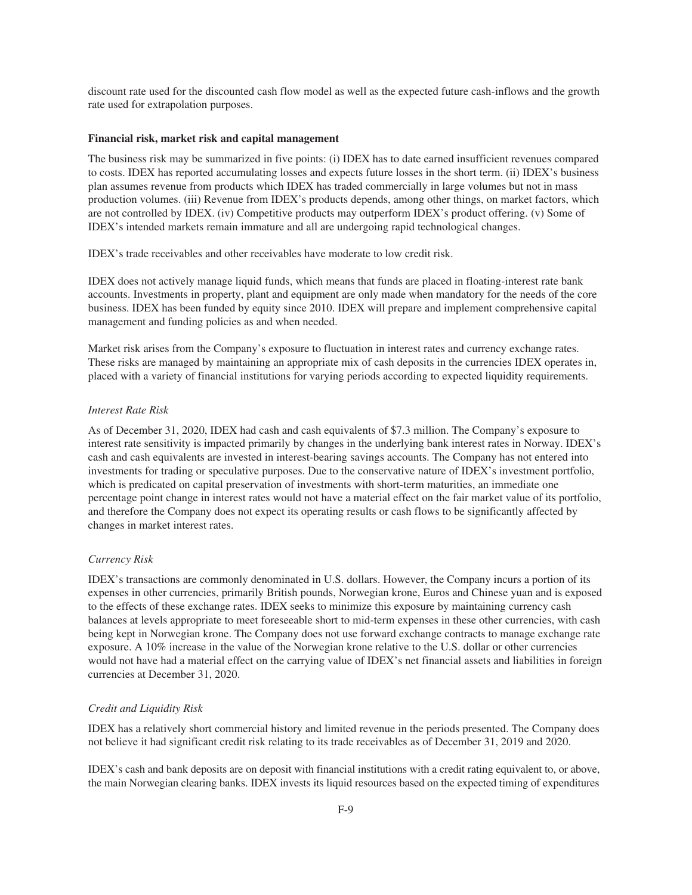discount rate used for the discounted cash flow model as well as the expected future cash-inflows and the growth rate used for extrapolation purposes.

#### **Financial risk, market risk and capital management**

The business risk may be summarized in five points: (i) IDEX has to date earned insufficient revenues compared to costs. IDEX has reported accumulating losses and expects future losses in the short term. (ii) IDEX's business plan assumes revenue from products which IDEX has traded commercially in large volumes but not in mass production volumes. (iii) Revenue from IDEX's products depends, among other things, on market factors, which are not controlled by IDEX. (iv) Competitive products may outperform IDEX's product offering. (v) Some of IDEX's intended markets remain immature and all are undergoing rapid technological changes.

IDEX's trade receivables and other receivables have moderate to low credit risk.

IDEX does not actively manage liquid funds, which means that funds are placed in floating-interest rate bank accounts. Investments in property, plant and equipment are only made when mandatory for the needs of the core business. IDEX has been funded by equity since 2010. IDEX will prepare and implement comprehensive capital management and funding policies as and when needed.

Market risk arises from the Company's exposure to fluctuation in interest rates and currency exchange rates. These risks are managed by maintaining an appropriate mix of cash deposits in the currencies IDEX operates in, placed with a variety of financial institutions for varying periods according to expected liquidity requirements.

## *Interest Rate Risk*

As of December 31, 2020, IDEX had cash and cash equivalents of \$7.3 million. The Company's exposure to interest rate sensitivity is impacted primarily by changes in the underlying bank interest rates in Norway. IDEX's cash and cash equivalents are invested in interest-bearing savings accounts. The Company has not entered into investments for trading or speculative purposes. Due to the conservative nature of IDEX's investment portfolio, which is predicated on capital preservation of investments with short-term maturities, an immediate one percentage point change in interest rates would not have a material effect on the fair market value of its portfolio, and therefore the Company does not expect its operating results or cash flows to be significantly affected by changes in market interest rates.

## *Currency Risk*

IDEX's transactions are commonly denominated in U.S. dollars. However, the Company incurs a portion of its expenses in other currencies, primarily British pounds, Norwegian krone, Euros and Chinese yuan and is exposed to the effects of these exchange rates. IDEX seeks to minimize this exposure by maintaining currency cash balances at levels appropriate to meet foreseeable short to mid-term expenses in these other currencies, with cash being kept in Norwegian krone. The Company does not use forward exchange contracts to manage exchange rate exposure. A 10% increase in the value of the Norwegian krone relative to the U.S. dollar or other currencies would not have had a material effect on the carrying value of IDEX's net financial assets and liabilities in foreign currencies at December 31, 2020.

#### *Credit and Liquidity Risk*

IDEX has a relatively short commercial history and limited revenue in the periods presented. The Company does not believe it had significant credit risk relating to its trade receivables as of December 31, 2019 and 2020.

IDEX's cash and bank deposits are on deposit with financial institutions with a credit rating equivalent to, or above, the main Norwegian clearing banks. IDEX invests its liquid resources based on the expected timing of expenditures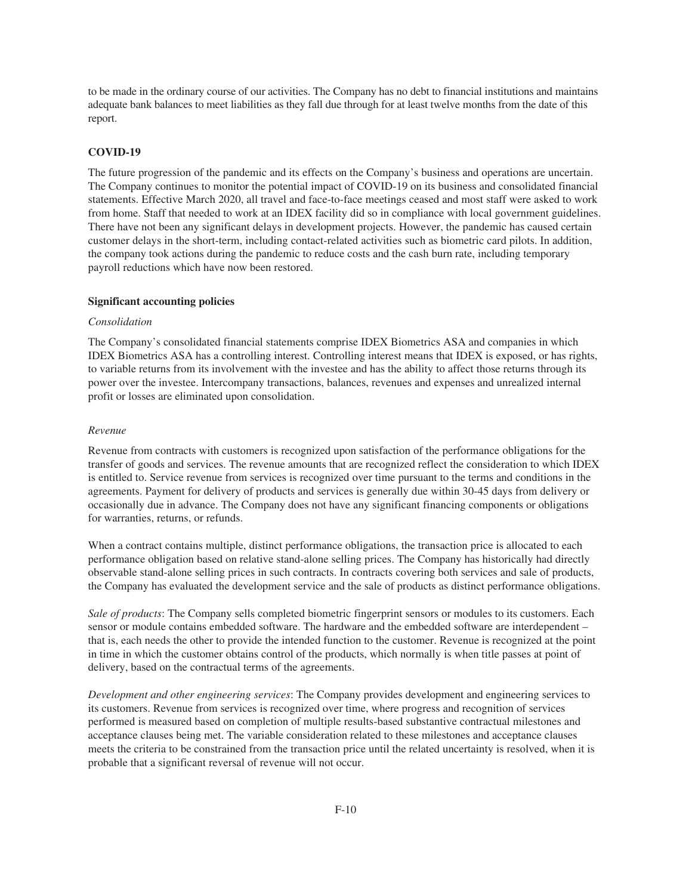to be made in the ordinary course of our activities. The Company has no debt to financial institutions and maintains adequate bank balances to meet liabilities as they fall due through for at least twelve months from the date of this report.

## **COVID-19**

The future progression of the pandemic and its effects on the Company's business and operations are uncertain. The Company continues to monitor the potential impact of COVID-19 on its business and consolidated financial statements. Effective March 2020, all travel and face-to-face meetings ceased and most staff were asked to work from home. Staff that needed to work at an IDEX facility did so in compliance with local government guidelines. There have not been any significant delays in development projects. However, the pandemic has caused certain customer delays in the short-term, including contact-related activities such as biometric card pilots. In addition, the company took actions during the pandemic to reduce costs and the cash burn rate, including temporary payroll reductions which have now been restored.

### **Significant accounting policies**

#### *Consolidation*

The Company's consolidated financial statements comprise IDEX Biometrics ASA and companies in which IDEX Biometrics ASA has a controlling interest. Controlling interest means that IDEX is exposed, or has rights, to variable returns from its involvement with the investee and has the ability to affect those returns through its power over the investee. Intercompany transactions, balances, revenues and expenses and unrealized internal profit or losses are eliminated upon consolidation.

## *Revenue*

Revenue from contracts with customers is recognized upon satisfaction of the performance obligations for the transfer of goods and services. The revenue amounts that are recognized reflect the consideration to which IDEX is entitled to. Service revenue from services is recognized over time pursuant to the terms and conditions in the agreements. Payment for delivery of products and services is generally due within 30-45 days from delivery or occasionally due in advance. The Company does not have any significant financing components or obligations for warranties, returns, or refunds.

When a contract contains multiple, distinct performance obligations, the transaction price is allocated to each performance obligation based on relative stand-alone selling prices. The Company has historically had directly observable stand-alone selling prices in such contracts. In contracts covering both services and sale of products, the Company has evaluated the development service and the sale of products as distinct performance obligations.

*Sale of products*: The Company sells completed biometric fingerprint sensors or modules to its customers. Each sensor or module contains embedded software. The hardware and the embedded software are interdependent – that is, each needs the other to provide the intended function to the customer. Revenue is recognized at the point in time in which the customer obtains control of the products, which normally is when title passes at point of delivery, based on the contractual terms of the agreements.

*Development and other engineering services*: The Company provides development and engineering services to its customers. Revenue from services is recognized over time, where progress and recognition of services performed is measured based on completion of multiple results-based substantive contractual milestones and acceptance clauses being met. The variable consideration related to these milestones and acceptance clauses meets the criteria to be constrained from the transaction price until the related uncertainty is resolved, when it is probable that a significant reversal of revenue will not occur.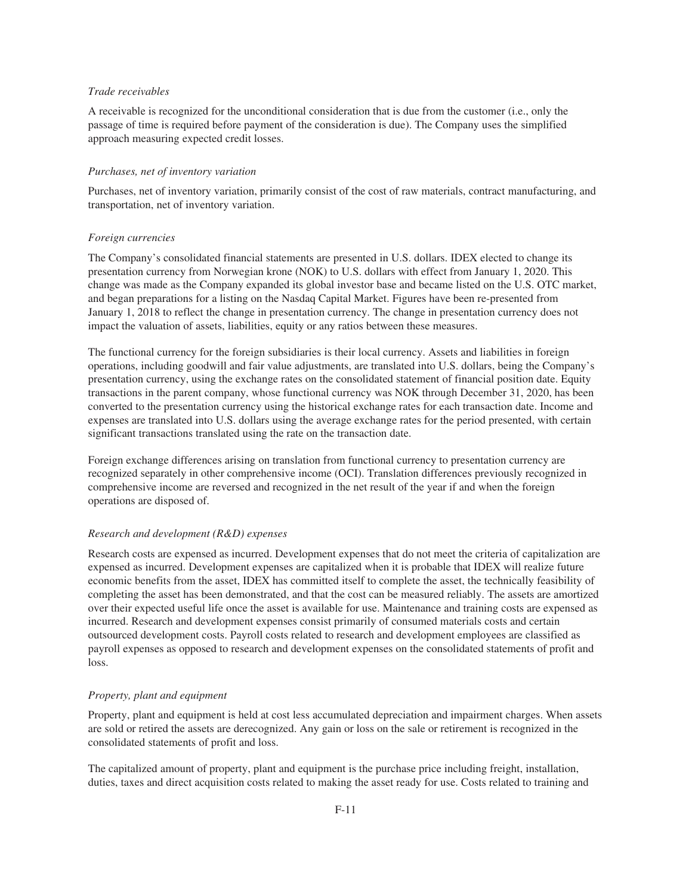## *Trade receivables*

A receivable is recognized for the unconditional consideration that is due from the customer (i.e., only the passage of time is required before payment of the consideration is due). The Company uses the simplified approach measuring expected credit losses.

#### *Purchases, net of inventory variation*

Purchases, net of inventory variation, primarily consist of the cost of raw materials, contract manufacturing, and transportation, net of inventory variation.

#### *Foreign currencies*

The Company's consolidated financial statements are presented in U.S. dollars. IDEX elected to change its presentation currency from Norwegian krone (NOK) to U.S. dollars with effect from January 1, 2020. This change was made as the Company expanded its global investor base and became listed on the U.S. OTC market, and began preparations for a listing on the Nasdaq Capital Market. Figures have been re-presented from January 1, 2018 to reflect the change in presentation currency. The change in presentation currency does not impact the valuation of assets, liabilities, equity or any ratios between these measures.

The functional currency for the foreign subsidiaries is their local currency. Assets and liabilities in foreign operations, including goodwill and fair value adjustments, are translated into U.S. dollars, being the Company's presentation currency, using the exchange rates on the consolidated statement of financial position date. Equity transactions in the parent company, whose functional currency was NOK through December 31, 2020, has been converted to the presentation currency using the historical exchange rates for each transaction date. Income and expenses are translated into U.S. dollars using the average exchange rates for the period presented, with certain significant transactions translated using the rate on the transaction date.

Foreign exchange differences arising on translation from functional currency to presentation currency are recognized separately in other comprehensive income (OCI). Translation differences previously recognized in comprehensive income are reversed and recognized in the net result of the year if and when the foreign operations are disposed of.

### *Research and development (R&D) expenses*

Research costs are expensed as incurred. Development expenses that do not meet the criteria of capitalization are expensed as incurred. Development expenses are capitalized when it is probable that IDEX will realize future economic benefits from the asset, IDEX has committed itself to complete the asset, the technically feasibility of completing the asset has been demonstrated, and that the cost can be measured reliably. The assets are amortized over their expected useful life once the asset is available for use. Maintenance and training costs are expensed as incurred. Research and development expenses consist primarily of consumed materials costs and certain outsourced development costs. Payroll costs related to research and development employees are classified as payroll expenses as opposed to research and development expenses on the consolidated statements of profit and loss.

## *Property, plant and equipment*

Property, plant and equipment is held at cost less accumulated depreciation and impairment charges. When assets are sold or retired the assets are derecognized. Any gain or loss on the sale or retirement is recognized in the consolidated statements of profit and loss.

The capitalized amount of property, plant and equipment is the purchase price including freight, installation, duties, taxes and direct acquisition costs related to making the asset ready for use. Costs related to training and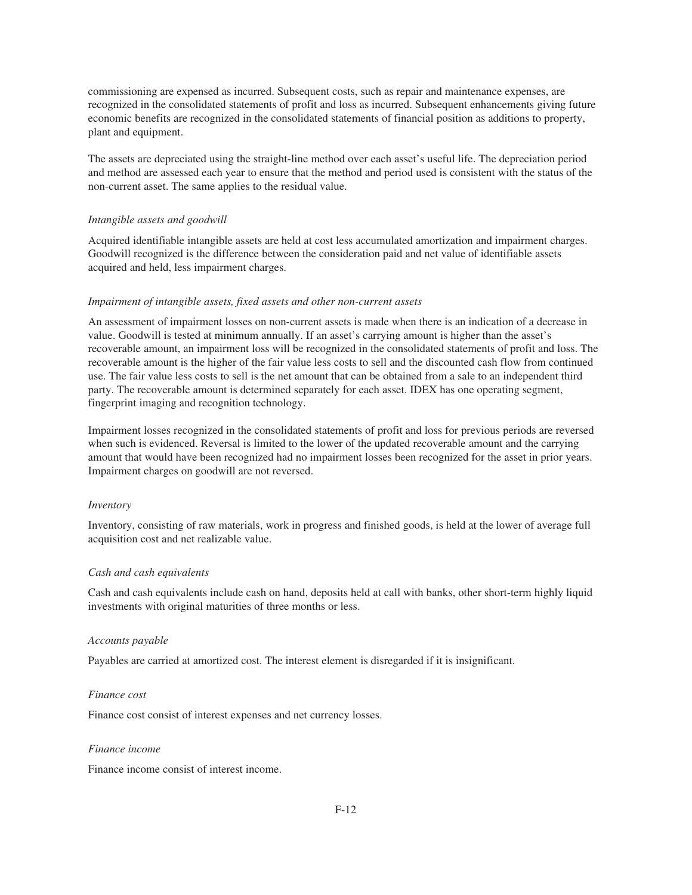commissioning are expensed as incurred. Subsequent costs, such as repair and maintenance expenses, are recognized in the consolidated statements of profit and loss as incurred. Subsequent enhancements giving future economic benefits are recognized in the consolidated statements of financial position as additions to property, plant and equipment.

The assets are depreciated using the straight-line method over each asset's useful life. The depreciation period and method are assessed each year to ensure that the method and period used is consistent with the status of the non-current asset. The same applies to the residual value.

## *Intangible assets and goodwill*

Acquired identifiable intangible assets are held at cost less accumulated amortization and impairment charges. Goodwill recognized is the difference between the consideration paid and net value of identifiable assets acquired and held, less impairment charges.

### *Impairment of intangible assets, fixed assets and other non-current assets*

An assessment of impairment losses on non-current assets is made when there is an indication of a decrease in value. Goodwill is tested at minimum annually. If an asset's carrying amount is higher than the asset's recoverable amount, an impairment loss will be recognized in the consolidated statements of profit and loss. The recoverable amount is the higher of the fair value less costs to sell and the discounted cash flow from continued use. The fair value less costs to sell is the net amount that can be obtained from a sale to an independent third party. The recoverable amount is determined separately for each asset. IDEX has one operating segment, fingerprint imaging and recognition technology.

Impairment losses recognized in the consolidated statements of profit and loss for previous periods are reversed when such is evidenced. Reversal is limited to the lower of the updated recoverable amount and the carrying amount that would have been recognized had no impairment losses been recognized for the asset in prior years. Impairment charges on goodwill are not reversed.

### *Inventory*

Inventory, consisting of raw materials, work in progress and finished goods, is held at the lower of average full acquisition cost and net realizable value.

## *Cash and cash equivalents*

Cash and cash equivalents include cash on hand, deposits held at call with banks, other short-term highly liquid investments with original maturities of three months or less.

### *Accounts payable*

Payables are carried at amortized cost. The interest element is disregarded if it is insignificant.

### *Finance cost*

Finance cost consist of interest expenses and net currency losses.

## *Finance income*

Finance income consist of interest income.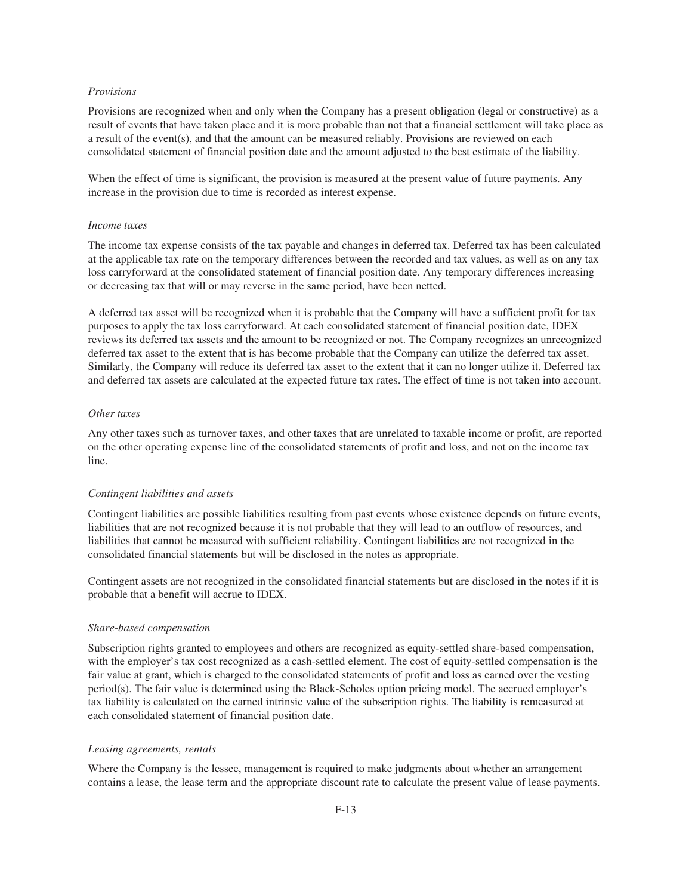## *Provisions*

Provisions are recognized when and only when the Company has a present obligation (legal or constructive) as a result of events that have taken place and it is more probable than not that a financial settlement will take place as a result of the event(s), and that the amount can be measured reliably. Provisions are reviewed on each consolidated statement of financial position date and the amount adjusted to the best estimate of the liability.

When the effect of time is significant, the provision is measured at the present value of future payments. Any increase in the provision due to time is recorded as interest expense.

### *Income taxes*

The income tax expense consists of the tax payable and changes in deferred tax. Deferred tax has been calculated at the applicable tax rate on the temporary differences between the recorded and tax values, as well as on any tax loss carryforward at the consolidated statement of financial position date. Any temporary differences increasing or decreasing tax that will or may reverse in the same period, have been netted.

A deferred tax asset will be recognized when it is probable that the Company will have a sufficient profit for tax purposes to apply the tax loss carryforward. At each consolidated statement of financial position date, IDEX reviews its deferred tax assets and the amount to be recognized or not. The Company recognizes an unrecognized deferred tax asset to the extent that is has become probable that the Company can utilize the deferred tax asset. Similarly, the Company will reduce its deferred tax asset to the extent that it can no longer utilize it. Deferred tax and deferred tax assets are calculated at the expected future tax rates. The effect of time is not taken into account.

## *Other taxes*

Any other taxes such as turnover taxes, and other taxes that are unrelated to taxable income or profit, are reported on the other operating expense line of the consolidated statements of profit and loss, and not on the income tax line.

#### *Contingent liabilities and assets*

Contingent liabilities are possible liabilities resulting from past events whose existence depends on future events, liabilities that are not recognized because it is not probable that they will lead to an outflow of resources, and liabilities that cannot be measured with sufficient reliability. Contingent liabilities are not recognized in the consolidated financial statements but will be disclosed in the notes as appropriate.

Contingent assets are not recognized in the consolidated financial statements but are disclosed in the notes if it is probable that a benefit will accrue to IDEX.

## *Share-based compensation*

Subscription rights granted to employees and others are recognized as equity-settled share-based compensation, with the employer's tax cost recognized as a cash-settled element. The cost of equity-settled compensation is the fair value at grant, which is charged to the consolidated statements of profit and loss as earned over the vesting period(s). The fair value is determined using the Black-Scholes option pricing model. The accrued employer's tax liability is calculated on the earned intrinsic value of the subscription rights. The liability is remeasured at each consolidated statement of financial position date.

#### *Leasing agreements, rentals*

Where the Company is the lessee, management is required to make judgments about whether an arrangement contains a lease, the lease term and the appropriate discount rate to calculate the present value of lease payments.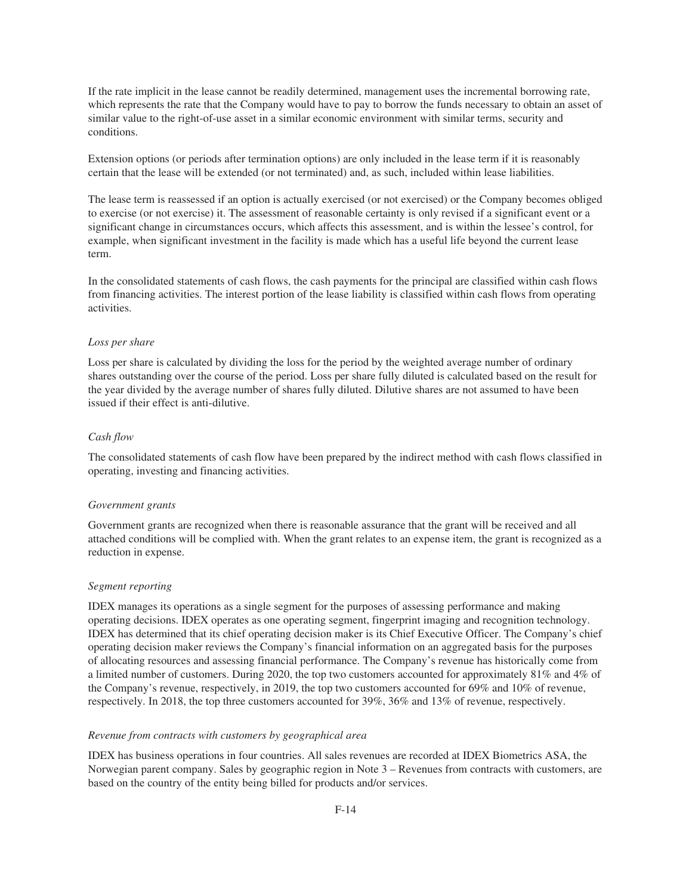If the rate implicit in the lease cannot be readily determined, management uses the incremental borrowing rate, which represents the rate that the Company would have to pay to borrow the funds necessary to obtain an asset of similar value to the right-of-use asset in a similar economic environment with similar terms, security and conditions.

Extension options (or periods after termination options) are only included in the lease term if it is reasonably certain that the lease will be extended (or not terminated) and, as such, included within lease liabilities.

The lease term is reassessed if an option is actually exercised (or not exercised) or the Company becomes obliged to exercise (or not exercise) it. The assessment of reasonable certainty is only revised if a significant event or a significant change in circumstances occurs, which affects this assessment, and is within the lessee's control, for example, when significant investment in the facility is made which has a useful life beyond the current lease term.

In the consolidated statements of cash flows, the cash payments for the principal are classified within cash flows from financing activities. The interest portion of the lease liability is classified within cash flows from operating activities.

## *Loss per share*

Loss per share is calculated by dividing the loss for the period by the weighted average number of ordinary shares outstanding over the course of the period. Loss per share fully diluted is calculated based on the result for the year divided by the average number of shares fully diluted. Dilutive shares are not assumed to have been issued if their effect is anti-dilutive.

## *Cash flow*

The consolidated statements of cash flow have been prepared by the indirect method with cash flows classified in operating, investing and financing activities.

#### *Government grants*

Government grants are recognized when there is reasonable assurance that the grant will be received and all attached conditions will be complied with. When the grant relates to an expense item, the grant is recognized as a reduction in expense.

#### *Segment reporting*

IDEX manages its operations as a single segment for the purposes of assessing performance and making operating decisions. IDEX operates as one operating segment, fingerprint imaging and recognition technology. IDEX has determined that its chief operating decision maker is its Chief Executive Officer. The Company's chief operating decision maker reviews the Company's financial information on an aggregated basis for the purposes of allocating resources and assessing financial performance. The Company's revenue has historically come from a limited number of customers. During 2020, the top two customers accounted for approximately 81% and 4% of the Company's revenue, respectively, in 2019, the top two customers accounted for 69% and 10% of revenue, respectively. In 2018, the top three customers accounted for 39%, 36% and 13% of revenue, respectively.

## *Revenue from contracts with customers by geographical area*

IDEX has business operations in four countries. All sales revenues are recorded at IDEX Biometrics ASA, the Norwegian parent company. Sales by geographic region in Note 3 – Revenues from contracts with customers, are based on the country of the entity being billed for products and/or services.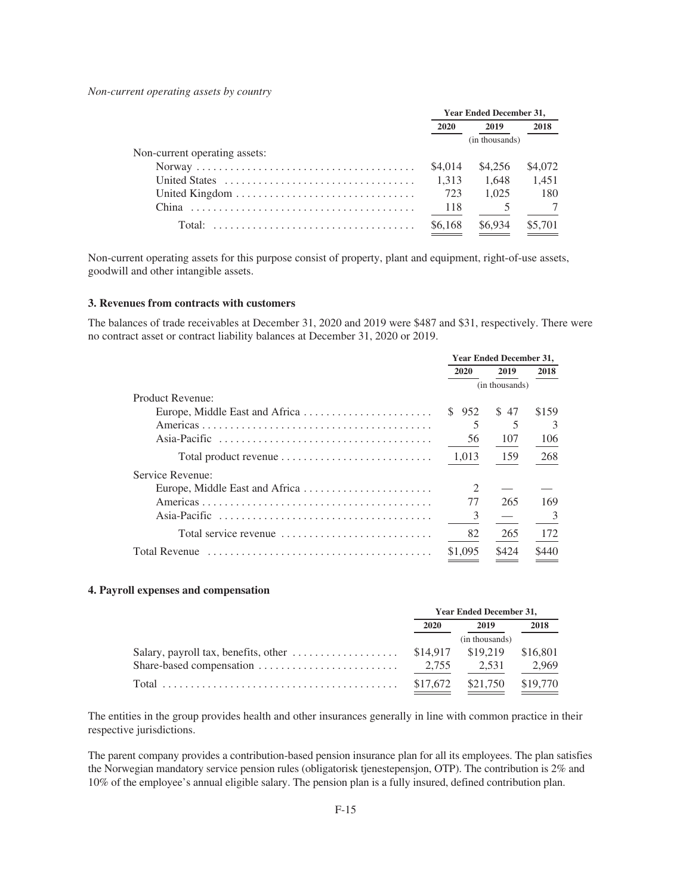*Non-current operating assets by country*

|                               | <b>Year Ended December 31,</b> |         |         |  |
|-------------------------------|--------------------------------|---------|---------|--|
|                               | 2020<br>2019                   |         |         |  |
|                               |                                |         |         |  |
| Non-current operating assets: |                                |         |         |  |
|                               | \$4,014                        | \$4,256 | \$4,072 |  |
| United States                 | 1.313                          | 1.648   | 1.451   |  |
|                               | 723                            | 1.025   | 180     |  |
| China                         | 118                            |         |         |  |
| Total·                        | \$6,168                        | \$6,934 | \$5,701 |  |
|                               |                                |         |         |  |

Non-current operating assets for this purpose consist of property, plant and equipment, right-of-use assets, goodwill and other intangible assets.

## **3. Revenues from contracts with customers**

The balances of trade receivables at December 31, 2020 and 2019 were \$487 and \$31, respectively. There were no contract asset or contract liability balances at December 31, 2020 or 2019.

|                                | <b>Year Ended December 31,</b> |                |       |
|--------------------------------|--------------------------------|----------------|-------|
|                                | 2020                           | 2019           | 2018  |
|                                |                                | (in thousands) |       |
| <b>Product Revenue:</b>        |                                |                |       |
| Europe, Middle East and Africa | \$952                          | \$47           | \$159 |
|                                |                                | 5              | 3     |
| Asia-Pacific                   | 56                             | 107            | 106   |
|                                | 1.013                          | 159            | 268   |
| Service Revenue:               |                                |                |       |
| Europe, Middle East and Africa | $\mathcal{D}_{\mathcal{L}}$    |                |       |
|                                | 77                             | 265            | 169   |
|                                | 3                              |                | 3     |
| Total service revenue          | 82                             | 265            | 172   |
| <b>Total Revenue</b>           | \$1,095                        | \$424          | \$440 |

## **4. Payroll expenses and compensation**

|                                                                       | <b>Year Ended December 31,</b> |                     |          |  |
|-----------------------------------------------------------------------|--------------------------------|---------------------|----------|--|
|                                                                       | 2020                           | 2019                | 2018     |  |
|                                                                       |                                | (in thousands)      |          |  |
| Salary, payroll tax, benefits, other $\dots\dots\dots\dots\dots\dots$ |                                | $$14.917$ $$19.219$ | \$16.801 |  |
|                                                                       | 2.755                          | 2.531               | 2.969    |  |
|                                                                       | \$17.672                       | \$21,750            | \$19,770 |  |

The entities in the group provides health and other insurances generally in line with common practice in their respective jurisdictions.

The parent company provides a contribution-based pension insurance plan for all its employees. The plan satisfies the Norwegian mandatory service pension rules (obligatorisk tjenestepensjon, OTP). The contribution is 2% and 10% of the employee's annual eligible salary. The pension plan is a fully insured, defined contribution plan.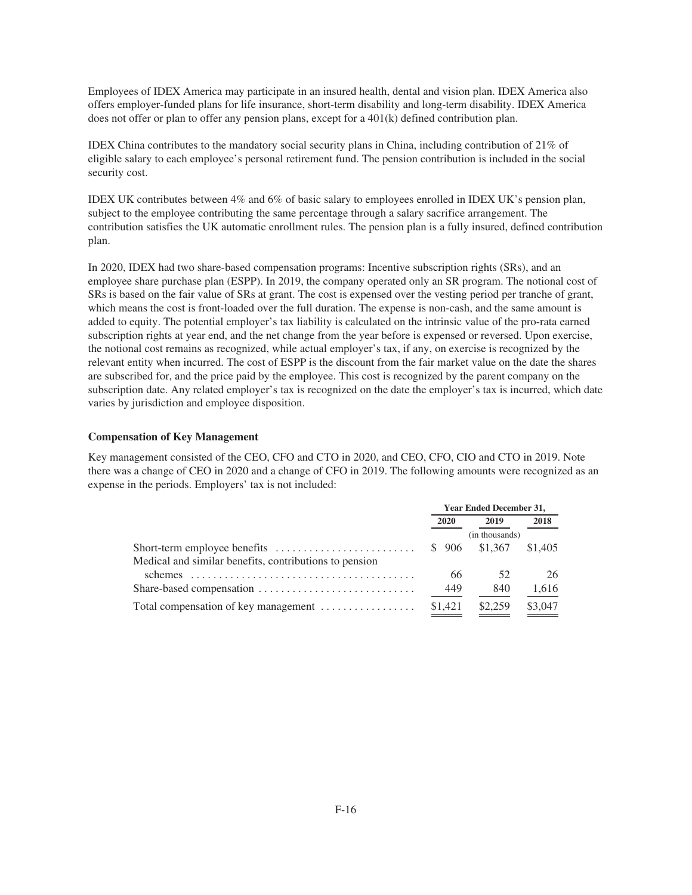Employees of IDEX America may participate in an insured health, dental and vision plan. IDEX America also offers employer-funded plans for life insurance, short-term disability and long-term disability. IDEX America does not offer or plan to offer any pension plans, except for a 401(k) defined contribution plan.

IDEX China contributes to the mandatory social security plans in China, including contribution of 21% of eligible salary to each employee's personal retirement fund. The pension contribution is included in the social security cost.

IDEX UK contributes between 4% and 6% of basic salary to employees enrolled in IDEX UK's pension plan, subject to the employee contributing the same percentage through a salary sacrifice arrangement. The contribution satisfies the UK automatic enrollment rules. The pension plan is a fully insured, defined contribution plan.

In 2020, IDEX had two share-based compensation programs: Incentive subscription rights (SRs), and an employee share purchase plan (ESPP). In 2019, the company operated only an SR program. The notional cost of SRs is based on the fair value of SRs at grant. The cost is expensed over the vesting period per tranche of grant, which means the cost is front-loaded over the full duration. The expense is non-cash, and the same amount is added to equity. The potential employer's tax liability is calculated on the intrinsic value of the pro-rata earned subscription rights at year end, and the net change from the year before is expensed or reversed. Upon exercise, the notional cost remains as recognized, while actual employer's tax, if any, on exercise is recognized by the relevant entity when incurred. The cost of ESPP is the discount from the fair market value on the date the shares are subscribed for, and the price paid by the employee. This cost is recognized by the parent company on the subscription date. Any related employer's tax is recognized on the date the employer's tax is incurred, which date varies by jurisdiction and employee disposition.

## **Compensation of Key Management**

Key management consisted of the CEO, CFO and CTO in 2020, and CEO, CFO, CIO and CTO in 2019. Note there was a change of CEO in 2020 and a change of CFO in 2019. The following amounts were recognized as an expense in the periods. Employers' tax is not included:

|                                                                                        | <b>Year Ended December 31,</b> |         |                |         |  |
|----------------------------------------------------------------------------------------|--------------------------------|---------|----------------|---------|--|
|                                                                                        | 2020                           |         | 2019           | 2018    |  |
|                                                                                        |                                |         | (in thousands) |         |  |
|                                                                                        |                                | \$906   | \$1.367        | \$1.405 |  |
| Medical and similar benefits, contributions to pension                                 |                                |         |                |         |  |
| schemes $\ldots \ldots \ldots \ldots \ldots \ldots \ldots \ldots \ldots \ldots \ldots$ |                                | 66      | 52             | 26      |  |
|                                                                                        |                                | 449     | 840            | 1,616   |  |
| Total compensation of key management                                                   |                                | \$1,421 | \$2.259        | \$3,047 |  |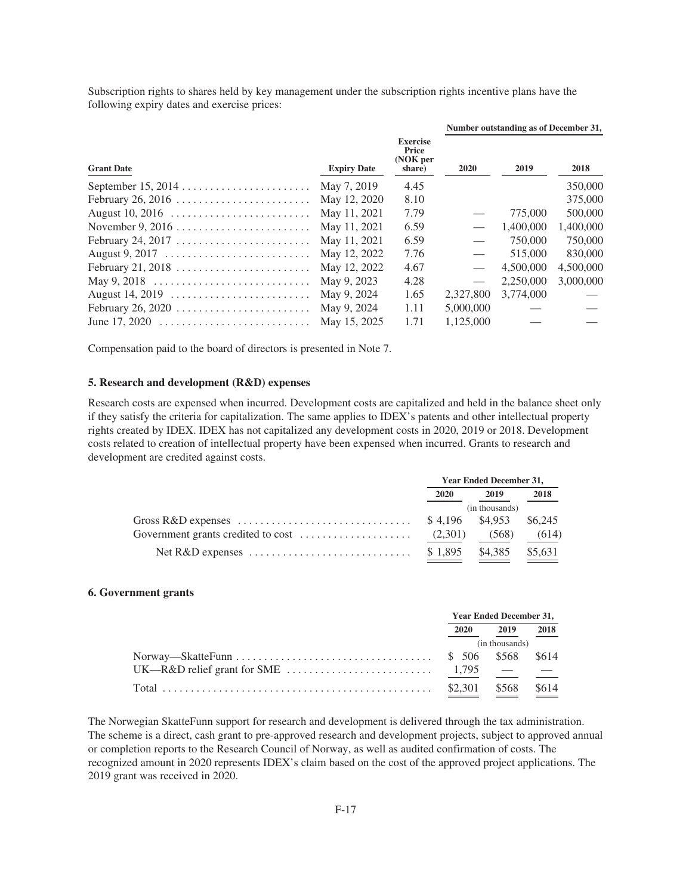Subscription rights to shares held by key management under the subscription rights incentive plans have the following expiry dates and exercise prices:

|                                                                         |                    |                                                | Number outstanding as of December 31, |           |           |  |
|-------------------------------------------------------------------------|--------------------|------------------------------------------------|---------------------------------------|-----------|-----------|--|
| <b>Grant Date</b>                                                       | <b>Expiry Date</b> | <b>Exercise</b><br>Price<br>(NOK per<br>share) | 2020                                  | 2019      | 2018      |  |
|                                                                         | May 7, 2019        | 4.45                                           |                                       |           | 350,000   |  |
|                                                                         | May 12, 2020       | 8.10                                           |                                       |           | 375,000   |  |
| August 10, 2016                                                         | May 11, 2021       | 7.79                                           |                                       | 775,000   | 500,000   |  |
|                                                                         | May 11, 2021       | 6.59                                           |                                       | 1.400.000 | 1,400,000 |  |
|                                                                         | May 11, 2021       | 6.59                                           | $\hspace{0.05cm}$                     | 750,000   | 750,000   |  |
|                                                                         | May 12, 2022       | 7.76                                           |                                       | 515,000   | 830,000   |  |
|                                                                         | May 12, 2022       | 4.67                                           |                                       | 4.500,000 | 4,500,000 |  |
| May $9, 2018$                                                           | May 9, 2023        | 4.28                                           | $\overbrace{\phantom{aaaaa}}$         | 2,250,000 | 3,000,000 |  |
| August 14, 2019                                                         | May 9, 2024        | 1.65                                           | 2,327,800                             | 3,774,000 |           |  |
| February 26, 2020 $\ldots \ldots \ldots \ldots \ldots \ldots \ldots$    | May 9, 2024        | 1.11                                           | 5,000,000                             |           |           |  |
| June 17, 2020 $\ldots \ldots \ldots \ldots \ldots \ldots \ldots \ldots$ | May 15, 2025       | 1.71                                           | 1,125,000                             |           |           |  |

Compensation paid to the board of directors is presented in Note 7.

## **5. Research and development (R&D) expenses**

Research costs are expensed when incurred. Development costs are capitalized and held in the balance sheet only if they satisfy the criteria for capitalization. The same applies to IDEX's patents and other intellectual property rights created by IDEX. IDEX has not capitalized any development costs in 2020, 2019 or 2018. Development costs related to creation of intellectual property have been expensed when incurred. Grants to research and development are credited against costs.

|                                                                             | Year Ended December 31, |         |         |
|-----------------------------------------------------------------------------|-------------------------|---------|---------|
|                                                                             | 2020<br>2019            |         | 2018    |
|                                                                             | (in thousands)          |         |         |
|                                                                             |                         |         |         |
|                                                                             | (2,301)                 | (568)   | (614)   |
| Net R&D expenses $\dots \dots \dots \dots \dots \dots \dots \dots$ \$ 1,895 |                         | \$4.385 | \$5,631 |

## **6. Government grants**

| <b>Year Ended December 31,</b> |      |      |  |
|--------------------------------|------|------|--|
| 2020                           | 2019 | 2018 |  |
| (in thousands)                 |      |      |  |
|                                |      |      |  |
|                                |      |      |  |
| \$2,301 \$568 \$614            |      |      |  |

The Norwegian SkatteFunn support for research and development is delivered through the tax administration. The scheme is a direct, cash grant to pre-approved research and development projects, subject to approved annual or completion reports to the Research Council of Norway, as well as audited confirmation of costs. The recognized amount in 2020 represents IDEX's claim based on the cost of the approved project applications. The 2019 grant was received in 2020.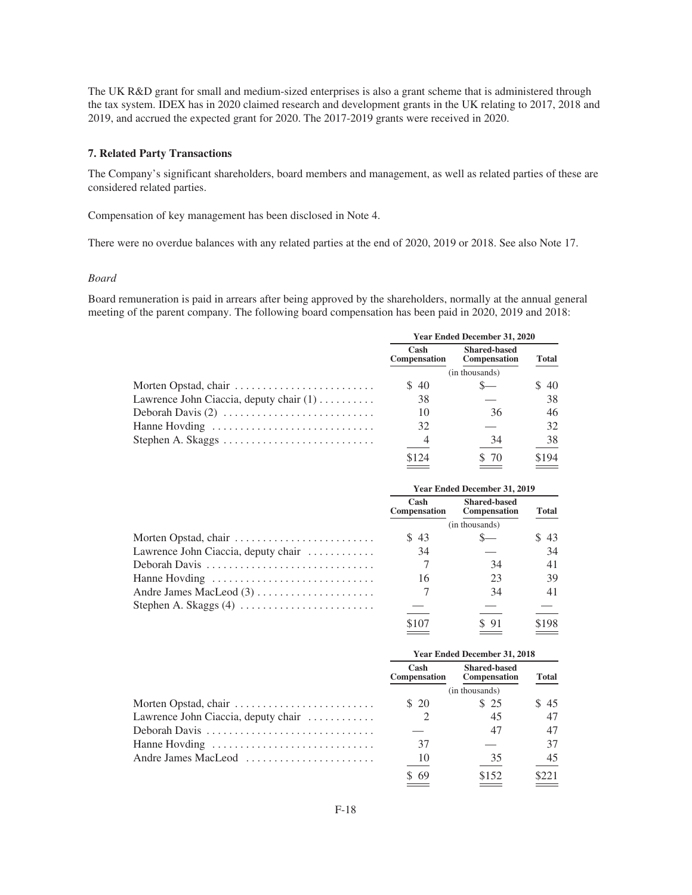The UK R&D grant for small and medium-sized enterprises is also a grant scheme that is administered through the tax system. IDEX has in 2020 claimed research and development grants in the UK relating to 2017, 2018 and 2019, and accrued the expected grant for 2020. The 2017-2019 grants were received in 2020.

## **7. Related Party Transactions**

The Company's significant shareholders, board members and management, as well as related parties of these are considered related parties.

Compensation of key management has been disclosed in Note 4.

There were no overdue balances with any related parties at the end of 2020, 2019 or 2018. See also Note 17.

## *Board*

Board remuneration is paid in arrears after being approved by the shareholders, normally at the annual general meeting of the parent company. The following board compensation has been paid in 2020, 2019 and 2018:

| <b>Year Ended December 31, 2020</b> |                                            |                        |  |
|-------------------------------------|--------------------------------------------|------------------------|--|
| Cash<br>Compensation                | <b>Shared-based</b><br><b>Compensation</b> | Total                  |  |
|                                     |                                            |                        |  |
| \$40                                |                                            | \$40                   |  |
| 38                                  |                                            | 38                     |  |
| 10                                  | 36                                         | 46                     |  |
| 32                                  |                                            | 32                     |  |
| 4                                   | 34                                         | 38                     |  |
| \$124                               | \$ 70                                      | \$194<br>$\sim$ $\sim$ |  |
|                                     |                                            | (in thousands)         |  |

|                                     | <b>Year Ended December 31, 2019</b> |                                            |       |  |
|-------------------------------------|-------------------------------------|--------------------------------------------|-------|--|
|                                     | Cash<br><b>Compensation</b>         | <b>Shared-based</b><br><b>Compensation</b> | Total |  |
|                                     |                                     | (in thousands)                             |       |  |
|                                     | \$43                                |                                            | \$43  |  |
| Lawrence John Ciaccia, deputy chair | 34                                  |                                            | 34    |  |
| Deborah Davis                       |                                     | 34                                         | 41    |  |
| Hanne Hovding                       | 16                                  | 23                                         | 39    |  |
| Andre James MacLeod (3)             |                                     | 34                                         | 41    |  |
|                                     |                                     |                                            |       |  |
|                                     | \$107                               | \$91                                       | \$198 |  |
|                                     |                                     |                                            |       |  |

|                                     | Year Ended December 31, 2018 |                                            |       |  |
|-------------------------------------|------------------------------|--------------------------------------------|-------|--|
|                                     | Cash<br><b>Compensation</b>  | <b>Shared-based</b><br><b>Compensation</b> | Total |  |
|                                     |                              | (in thousands)                             |       |  |
|                                     | \$ 20                        | \$ 25                                      | \$45  |  |
| Lawrence John Ciaccia, deputy chair | $\mathcal{D}$                | 45                                         | 47    |  |
| Deborah Davis                       |                              | 47                                         | 47    |  |
| Hanne Hovding                       | 37                           |                                            | 37    |  |
| Andre James MacLeod                 | 10                           | 35                                         | 45    |  |
|                                     | \$69                         | \$152                                      | \$221 |  |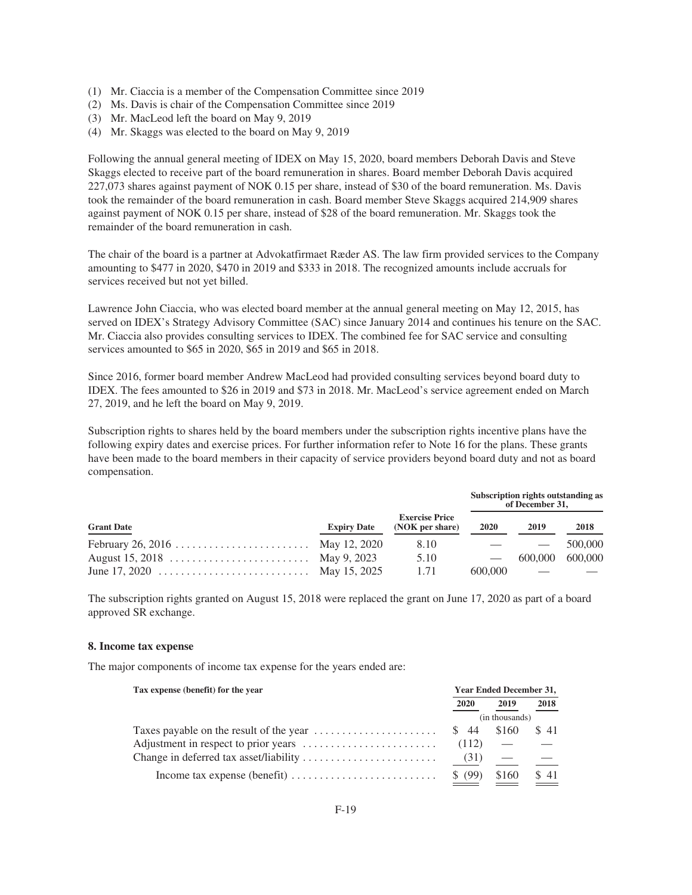- (1) Mr. Ciaccia is a member of the Compensation Committee since 2019
- (2) Ms. Davis is chair of the Compensation Committee since 2019
- (3) Mr. MacLeod left the board on May 9, 2019
- (4) Mr. Skaggs was elected to the board on May 9, 2019

Following the annual general meeting of IDEX on May 15, 2020, board members Deborah Davis and Steve Skaggs elected to receive part of the board remuneration in shares. Board member Deborah Davis acquired 227,073 shares against payment of NOK 0.15 per share, instead of \$30 of the board remuneration. Ms. Davis took the remainder of the board remuneration in cash. Board member Steve Skaggs acquired 214,909 shares against payment of NOK 0.15 per share, instead of \$28 of the board remuneration. Mr. Skaggs took the remainder of the board remuneration in cash.

The chair of the board is a partner at Advokatfirmaet Ræder AS. The law firm provided services to the Company amounting to \$477 in 2020, \$470 in 2019 and \$333 in 2018. The recognized amounts include accruals for services received but not yet billed.

Lawrence John Ciaccia, who was elected board member at the annual general meeting on May 12, 2015, has served on IDEX's Strategy Advisory Committee (SAC) since January 2014 and continues his tenure on the SAC. Mr. Ciaccia also provides consulting services to IDEX. The combined fee for SAC service and consulting services amounted to \$65 in 2020, \$65 in 2019 and \$65 in 2018.

Since 2016, former board member Andrew MacLeod had provided consulting services beyond board duty to IDEX. The fees amounted to \$26 in 2019 and \$73 in 2018. Mr. MacLeod's service agreement ended on March 27, 2019, and he left the board on May 9, 2019.

Subscription rights to shares held by the board members under the subscription rights incentive plans have the following expiry dates and exercise prices. For further information refer to Note 16 for the plans. These grants have been made to the board members in their capacity of service providers beyond board duty and not as board compensation.

|                              |                    |                                          |         | Subscription rights outstanding as<br>of December 31. |         |
|------------------------------|--------------------|------------------------------------------|---------|-------------------------------------------------------|---------|
| <b>Grant Date</b>            | <b>Expiry Date</b> | <b>Exercise Price</b><br>(NOK per share) | 2020    | 2019                                                  | 2018    |
|                              |                    | 8.10                                     |         |                                                       | 500,000 |
| August 15, 2018  May 9, 2023 |                    | 5.10                                     |         | 600,000                                               | 600,000 |
|                              |                    | 1.71                                     | 600,000 |                                                       |         |

The subscription rights granted on August 15, 2018 were replaced the grant on June 17, 2020 as part of a board approved SR exchange.

## **8. Income tax expense**

The major components of income tax expense for the years ended are:

| Tax expense (benefit) for the year |       | <b>Year Ended December 31,</b> |      |  |
|------------------------------------|-------|--------------------------------|------|--|
|                                    | 2020  | 2019                           | 2018 |  |
|                                    |       | (in thousands)                 |      |  |
|                                    |       | \$160                          | \$41 |  |
|                                    | (112) | $\overline{\phantom{m}}$       |      |  |
|                                    | (31)  |                                |      |  |
|                                    |       | \$160                          | \$41 |  |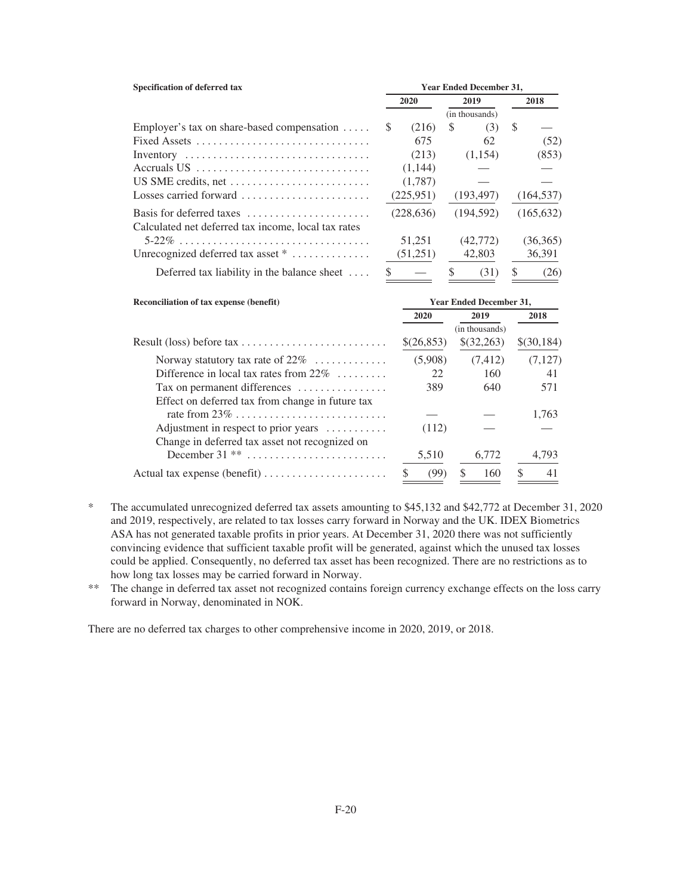| <b>Specification of deferred tax</b>                | <b>Year Ended December 31,</b> |                     |                       |
|-----------------------------------------------------|--------------------------------|---------------------|-----------------------|
|                                                     | 2020                           | 2019                | 2018                  |
|                                                     |                                | (in thousands)      |                       |
| Employer's tax on share-based compensation          | (216)<br>S                     | <sup>S</sup><br>(3) | -S                    |
|                                                     | 675                            | 62                  | (52)                  |
| Inventory                                           | (213)                          | (1,154)             | (853)                 |
| Accruals US                                         | (1,144)                        |                     |                       |
| US SME credits, net                                 | (1,787)                        |                     |                       |
| Losses carried forward                              | (225, 951)                     | (193, 497)          | (164, 537)            |
| Basis for deferred taxes                            | (228.636)                      | (194.592)           | (165, 632)            |
| Calculated net deferred tax income, local tax rates |                                |                     |                       |
| $5\n-22\%$                                          | 51,251                         | (42,772)            | (36,365)              |
| Unrecognized deferred tax asset $*$                 | (51,251)                       | 42,803              | 36,391                |
| Deferred tax liability in the balance sheet $\dots$ |                                | (31)                | <sup>\$</sup><br>(26) |

| Reconciliation of tax expense (benefit)          | <b>Year Ended December 31,</b> |                              |            |
|--------------------------------------------------|--------------------------------|------------------------------|------------|
|                                                  | 2020                           | 2019                         | 2018       |
|                                                  | \$(26,853)                     | (in thousands)<br>\$(32,263) | \$(30,184) |
| Norway statutory tax rate of $22\%$              | (5,908)                        | (7, 412)                     | (7,127)    |
| Difference in local tax rates from $22\%$        | 22                             | 160                          | 41         |
| Tax on permanent differences                     | 389                            | 640                          | 571        |
| Effect on deferred tax from change in future tax |                                |                              | 1,763      |
| Adjustment in respect to prior years             | (112)                          |                              |            |
| Change in deferred tax asset not recognized on   | 5,510                          | 6,772                        | 4,793      |
|                                                  | (99)                           | \$<br>160                    | S.<br>41   |

- \* The accumulated unrecognized deferred tax assets amounting to \$45,132 and \$42,772 at December 31, 2020 and 2019, respectively, are related to tax losses carry forward in Norway and the UK. IDEX Biometrics ASA has not generated taxable profits in prior years. At December 31, 2020 there was not sufficiently convincing evidence that sufficient taxable profit will be generated, against which the unused tax losses could be applied. Consequently, no deferred tax asset has been recognized. There are no restrictions as to how long tax losses may be carried forward in Norway.
- \*\* The change in deferred tax asset not recognized contains foreign currency exchange effects on the loss carry forward in Norway, denominated in NOK.

There are no deferred tax charges to other comprehensive income in 2020, 2019, or 2018.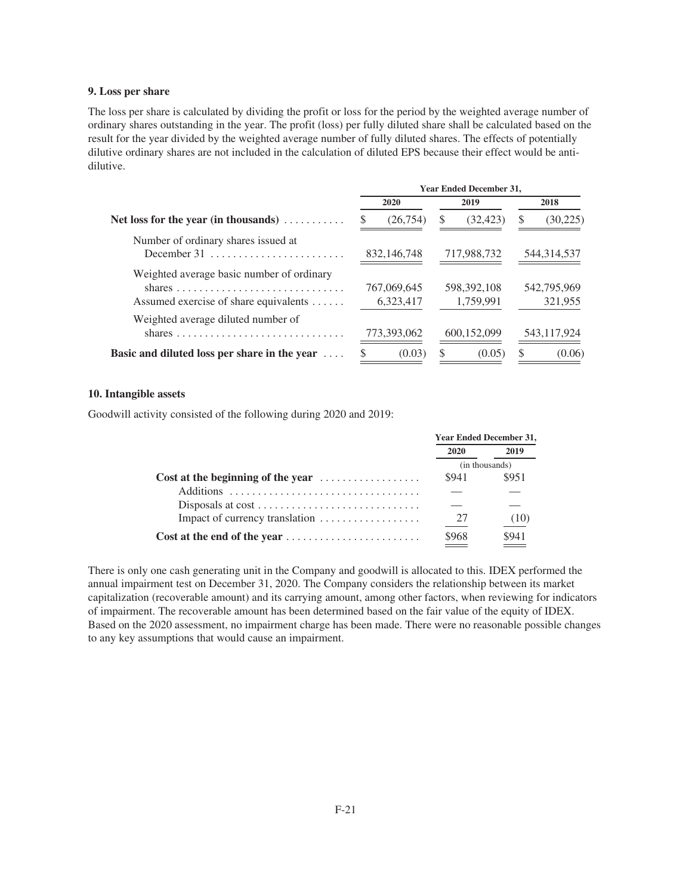## **9. Loss per share**

The loss per share is calculated by dividing the profit or loss for the period by the weighted average number of ordinary shares outstanding in the year. The profit (loss) per fully diluted share shall be calculated based on the result for the year divided by the weighted average number of fully diluted shares. The effects of potentially dilutive ordinary shares are not included in the calculation of diluted EPS because their effect would be antidilutive.

|                                                               | <b>Year Ended December 31,</b> |                |               |
|---------------------------------------------------------------|--------------------------------|----------------|---------------|
|                                                               | 2020                           | 2019           | 2018          |
| Net loss for the year (in thousands) $\dots \dots$            | (26, 754)                      | (32, 423)<br>S | (30,225)      |
| Number of ordinary shares issued at                           |                                |                |               |
| December 31 $\dots \dots \dots \dots \dots \dots \dots \dots$ | 832, 146, 748                  | 717,988,732    | 544, 314, 537 |
| Weighted average basic number of ordinary                     |                                |                |               |
|                                                               | 767,069,645                    | 598.392.108    | 542,795,969   |
| Assumed exercise of share equivalents                         | 6,323,417                      | 1,759,991      | 321,955       |
| Weighted average diluted number of                            |                                |                |               |
|                                                               | 773,393,062                    | 600,152,099    | 543,117,924   |
| Basic and diluted loss per share in the year                  | (0.03)                         | £.<br>(0.05)   | (0.06)        |

## **10. Intangible assets**

Goodwill activity consisted of the following during 2020 and 2019:

|                                   |       | <b>Year Ended December 31,</b> |  |
|-----------------------------------|-------|--------------------------------|--|
|                                   | 2020  | 2019                           |  |
|                                   |       | (in thousands)                 |  |
| Cost at the beginning of the year | \$941 | \$951                          |  |
| Additions                         |       |                                |  |
|                                   |       |                                |  |
| Impact of currency translation    | - 27  | (10)                           |  |
|                                   | \$968 | \$941                          |  |

There is only one cash generating unit in the Company and goodwill is allocated to this. IDEX performed the annual impairment test on December 31, 2020. The Company considers the relationship between its market capitalization (recoverable amount) and its carrying amount, among other factors, when reviewing for indicators of impairment. The recoverable amount has been determined based on the fair value of the equity of IDEX. Based on the 2020 assessment, no impairment charge has been made. There were no reasonable possible changes to any key assumptions that would cause an impairment.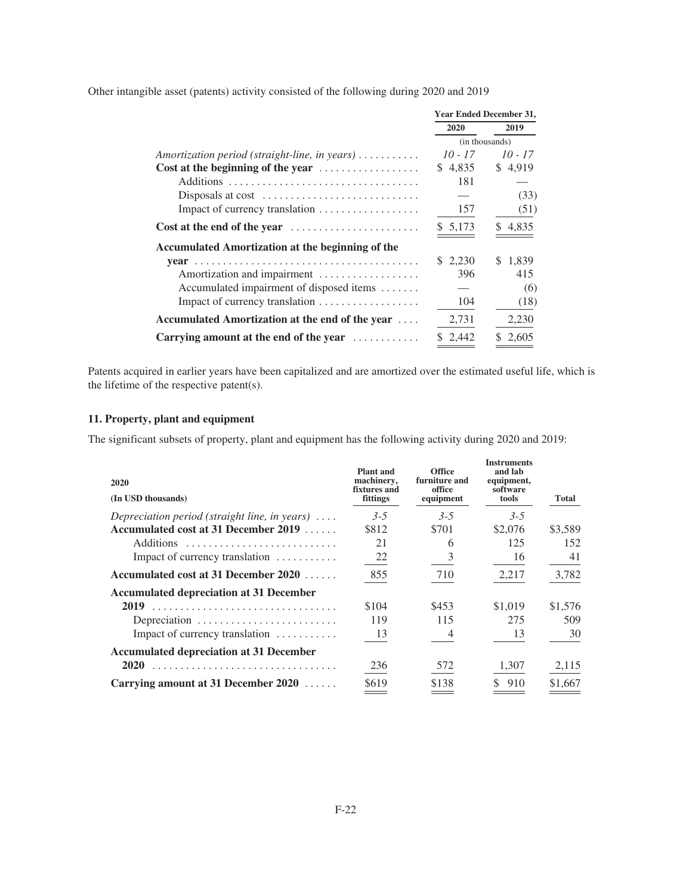Other intangible asset (patents) activity consisted of the following during 2020 and 2019

|                                                                 | Year Ended December 31, |                |  |
|-----------------------------------------------------------------|-------------------------|----------------|--|
|                                                                 | 2020                    | 2019           |  |
|                                                                 |                         | (in thousands) |  |
| Amortization period (straight-line, in years) $\dots\dots\dots$ | $10 - 17$               | $10 - 17$      |  |
| Cost at the beginning of the year                               | \$4,835                 | \$4,919        |  |
|                                                                 | 181                     |                |  |
|                                                                 |                         | (33)           |  |
|                                                                 | 157                     | (51)           |  |
|                                                                 | \$5,173                 | \$4,835        |  |
| Accumulated Amortization at the beginning of the                |                         |                |  |
|                                                                 | \$2,230                 | \$1,839        |  |
| Amortization and impairment                                     | 396                     | 415            |  |
| Accumulated impairment of disposed items                        |                         | (6)            |  |
|                                                                 | 104                     | (18)           |  |
| Accumulated Amortization at the end of the year                 | 2,731                   | 2,230          |  |
| Carrying amount at the end of the year                          | \$ 2.442                | 2.605<br>S.    |  |

Patents acquired in earlier years have been capitalized and are amortized over the estimated useful life, which is the lifetime of the respective patent(s).

# **11. Property, plant and equipment**

The significant subsets of property, plant and equipment has the following activity during 2020 and 2019:

| 2020<br>(In USD thousands)                            | <b>Plant</b> and<br>machinery,<br>fixtures and<br>fittings | <b>Office</b><br>furniture and<br>office<br>equipment | <b>Instruments</b><br>and lab<br>equipment,<br>software<br>tools | <b>Total</b> |
|-------------------------------------------------------|------------------------------------------------------------|-------------------------------------------------------|------------------------------------------------------------------|--------------|
| Depreciation period (straight line, in years) $\dots$ | $3 - 5$                                                    | $3 - 5$                                               | $3 - 5$                                                          |              |
| Accumulated cost at 31 December 2019                  | \$812                                                      | \$701                                                 | \$2,076                                                          | \$3,589      |
| Additions                                             | 21                                                         | 6                                                     | 125                                                              | 152          |
| Impact of currency translation                        | 22                                                         |                                                       | 16                                                               | 41           |
| Accumulated cost at 31 December 2020                  | 855                                                        | 710                                                   | 2,217                                                            | 3,782        |
| <b>Accumulated depreciation at 31 December</b>        |                                                            |                                                       |                                                                  |              |
| 2019                                                  | \$104                                                      | \$453                                                 | \$1,019                                                          | \$1,576      |
| Depreciation                                          | 119                                                        | 115                                                   | 275                                                              | 509          |
| Impact of currency translation                        | 13                                                         | $\overline{4}$                                        | 13                                                               | 30           |
| <b>Accumulated depreciation at 31 December</b>        |                                                            |                                                       |                                                                  |              |
| 2020                                                  | 236                                                        | 572                                                   | 1,307                                                            | 2,115        |
| Carrying amount at 31 December $2020$                 | \$619                                                      | \$138                                                 | S.<br>910                                                        | \$1,667      |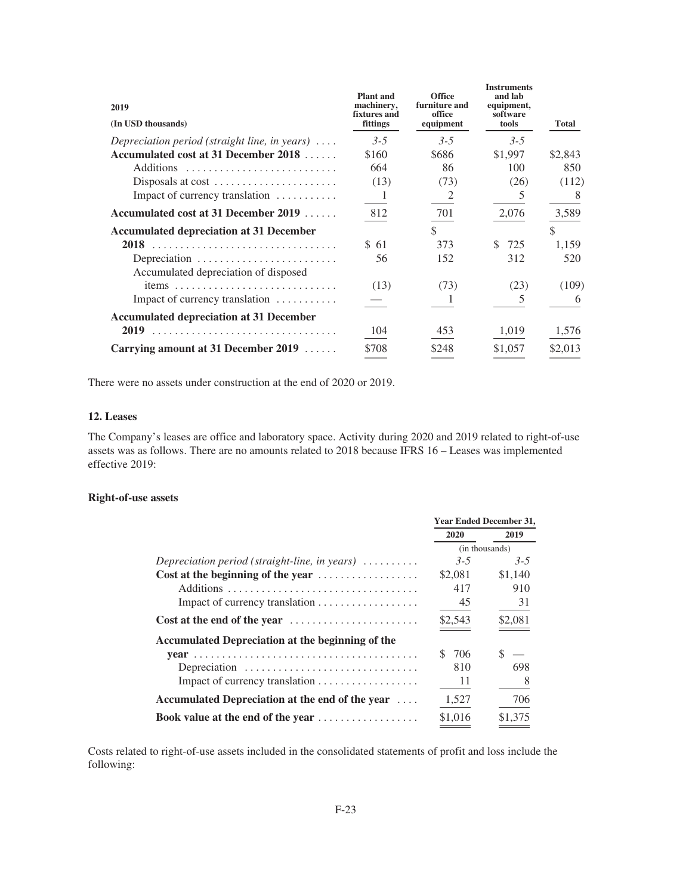| 2019<br>(In USD thousands)                                      | <b>Plant</b> and<br>machinery,<br>fixtures and<br>fittings | <b>Office</b><br>furniture and<br>office<br>equipment | <b>Instruments</b><br>and lab<br>equipment,<br>software<br>tools | Total   |
|-----------------------------------------------------------------|------------------------------------------------------------|-------------------------------------------------------|------------------------------------------------------------------|---------|
| Depreciation period (straight line, in years) $\dots$           | $3 - 5$                                                    | $3 - 5$                                               | $3 - 5$                                                          |         |
| Accumulated cost at 31 December 2018                            | \$160                                                      | \$686                                                 | \$1,997                                                          | \$2,843 |
| Additions                                                       | 664                                                        | 86                                                    | 100                                                              | 850     |
|                                                                 | (13)                                                       | (73)                                                  | (26)                                                             | (112)   |
| Impact of currency translation $\dots \dots \dots$              | -1                                                         |                                                       | 5                                                                | 8       |
| Accumulated cost at 31 December 2019                            | 812                                                        | 701                                                   | 2,076                                                            | 3,589   |
| <b>Accumulated depreciation at 31 December</b>                  |                                                            | \$                                                    |                                                                  |         |
|                                                                 | \$61                                                       | 373                                                   | 725<br>S.                                                        | 1,159   |
| Depreciation $\ldots \ldots \ldots \ldots \ldots \ldots \ldots$ | 56                                                         | 152                                                   | 312                                                              | 520     |
| Accumulated depreciation of disposed                            |                                                            |                                                       |                                                                  |         |
|                                                                 | (13)                                                       | (73)                                                  | (23)                                                             | (109)   |
| Impact of currency translation $\dots \dots \dots$              |                                                            | T                                                     | 5                                                                | 6       |
| <b>Accumulated depreciation at 31 December</b>                  |                                                            |                                                       |                                                                  |         |
| 2019                                                            | 104                                                        | 453                                                   | 1,019                                                            | 1,576   |
| Carrying amount at 31 December 2019 $\ldots$                    | \$708                                                      | \$248                                                 | \$1,057                                                          | \$2,013 |

There were no assets under construction at the end of 2020 or 2019.

# **12. Leases**

The Company's leases are office and laboratory space. Activity during 2020 and 2019 related to right-of-use assets was as follows. There are no amounts related to 2018 because IFRS 16 – Leases was implemented effective 2019:

## **Right-of-use assets**

|                                                                      | <b>Year Ended December 31,</b> |                |  |
|----------------------------------------------------------------------|--------------------------------|----------------|--|
|                                                                      | 2020                           | 2019           |  |
|                                                                      |                                | (in thousands) |  |
| Depreciation period (straight-line, in years) $\ldots \ldots \ldots$ | $3 - 5$                        | $3 - 5$        |  |
| Cost at the beginning of the year                                    | \$2,081                        | \$1,140        |  |
|                                                                      | 417                            | 910            |  |
|                                                                      | 45                             | 31             |  |
|                                                                      | \$2,543                        | \$2,081        |  |
| Accumulated Depreciation at the beginning of the                     |                                |                |  |
|                                                                      | 706<br>S.                      |                |  |
| Depreciation                                                         | 810                            | 698            |  |
|                                                                      | 11                             |                |  |
| Accumulated Depreciation at the end of the year                      | 1,527                          | 706            |  |
| Book value at the end of the year                                    | \$1,016                        | \$1,375        |  |

Costs related to right-of-use assets included in the consolidated statements of profit and loss include the following: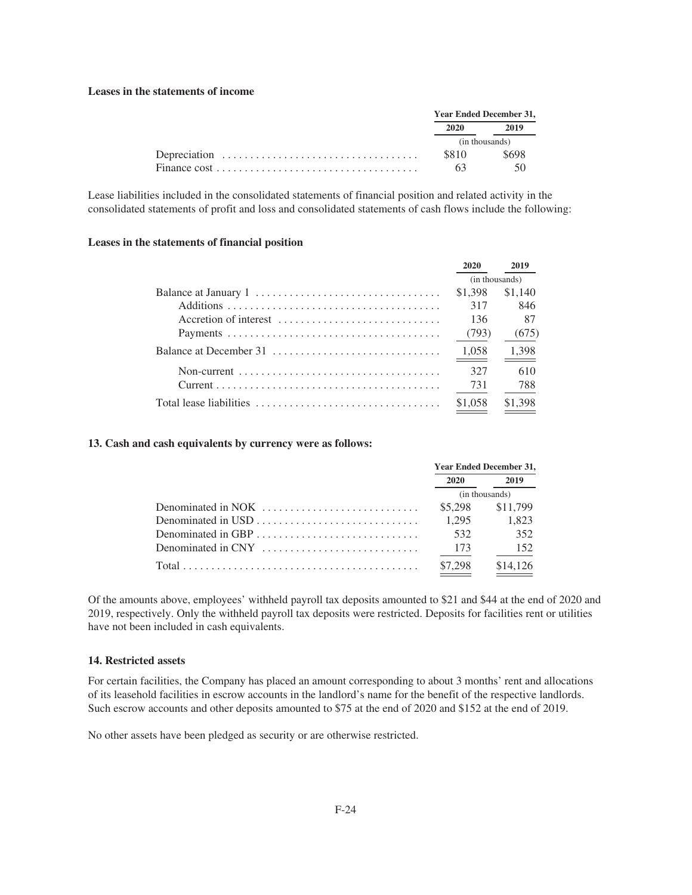## **Leases in the statements of income**

|                | <b>Year Ended December 31,</b> |  |
|----------------|--------------------------------|--|
| 2020           | 2019                           |  |
| (in thousands) |                                |  |
| \$810          | \$698                          |  |
| 63             | 50                             |  |

Lease liabilities included in the consolidated statements of financial position and related activity in the consolidated statements of profit and loss and consolidated statements of cash flows include the following:

## **Leases in the statements of financial position**

|                                                                                     | 2020    | 2019           |
|-------------------------------------------------------------------------------------|---------|----------------|
|                                                                                     |         | (in thousands) |
|                                                                                     | \$1,398 | \$1,140        |
|                                                                                     | 317     | 846            |
| Accretion of interest $\ldots, \ldots, \ldots, \ldots, \ldots, \ldots, \ldots$      | 136     | 87             |
|                                                                                     | (793)   | (675)          |
| Balance at December 31                                                              | 1,058   | 1.398          |
| Non-current $\ldots \ldots \ldots \ldots \ldots \ldots \ldots \ldots \ldots \ldots$ | 327     | 610            |
|                                                                                     | 731     | 788            |
|                                                                                     | \$1,058 | \$1,398        |

## **13. Cash and cash equivalents by currency were as follows:**

| <b>Year Ended December 31,</b> |                |  |
|--------------------------------|----------------|--|
|                                | 2020 2019      |  |
|                                | (in thousands) |  |
|                                |                |  |
|                                |                |  |
|                                | 352            |  |
|                                | 152            |  |
|                                |                |  |

Of the amounts above, employees' withheld payroll tax deposits amounted to \$21 and \$44 at the end of 2020 and 2019, respectively. Only the withheld payroll tax deposits were restricted. Deposits for facilities rent or utilities have not been included in cash equivalents.

## **14. Restricted assets**

For certain facilities, the Company has placed an amount corresponding to about 3 months' rent and allocations of its leasehold facilities in escrow accounts in the landlord's name for the benefit of the respective landlords. Such escrow accounts and other deposits amounted to \$75 at the end of 2020 and \$152 at the end of 2019.

No other assets have been pledged as security or are otherwise restricted.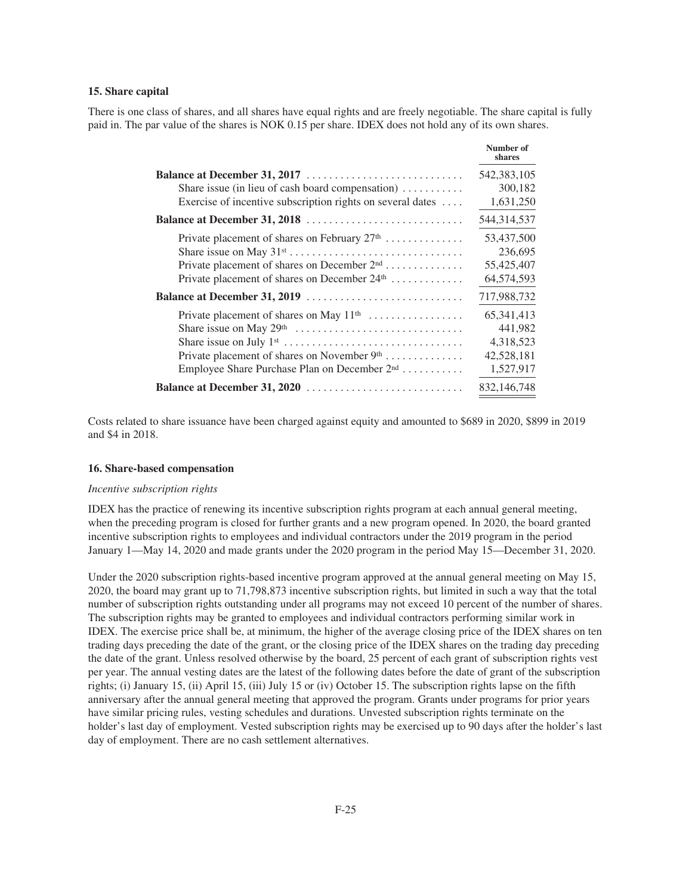## **15. Share capital**

There is one class of shares, and all shares have equal rights and are freely negotiable. The share capital is fully paid in. The par value of the shares is NOK 0.15 per share. IDEX does not hold any of its own shares.

|                                                                | Number of<br>shares |
|----------------------------------------------------------------|---------------------|
|                                                                | 542,383,105         |
| Share issue (in lieu of cash board compensation) $\dots \dots$ | 300,182             |
| Exercise of incentive subscription rights on several dates     | 1,631,250           |
|                                                                | 544,314,537         |
| Private placement of shares on February 27 <sup>th</sup>       | 53,437,500          |
|                                                                | 236,695             |
| Private placement of shares on December $2nd$                  | 55,425,407          |
| Private placement of shares on December 24 <sup>th</sup>       | 64,574,593          |
|                                                                | 717,988,732         |
| Private placement of shares on May 11 <sup>th</sup>            | 65, 341, 413        |
|                                                                | 441,982             |
|                                                                | 4,318,523           |
| Private placement of shares on November 9th                    | 42,528,181          |
| Employee Share Purchase Plan on December 2 <sup>nd</sup>       | 1,527,917           |
|                                                                | 832,146,748         |

Costs related to share issuance have been charged against equity and amounted to \$689 in 2020, \$899 in 2019 and \$4 in 2018.

### **16. Share-based compensation**

## *Incentive subscription rights*

IDEX has the practice of renewing its incentive subscription rights program at each annual general meeting, when the preceding program is closed for further grants and a new program opened. In 2020, the board granted incentive subscription rights to employees and individual contractors under the 2019 program in the period January 1—May 14, 2020 and made grants under the 2020 program in the period May 15—December 31, 2020.

Under the 2020 subscription rights-based incentive program approved at the annual general meeting on May 15, 2020, the board may grant up to 71,798,873 incentive subscription rights, but limited in such a way that the total number of subscription rights outstanding under all programs may not exceed 10 percent of the number of shares. The subscription rights may be granted to employees and individual contractors performing similar work in IDEX. The exercise price shall be, at minimum, the higher of the average closing price of the IDEX shares on ten trading days preceding the date of the grant, or the closing price of the IDEX shares on the trading day preceding the date of the grant. Unless resolved otherwise by the board, 25 percent of each grant of subscription rights vest per year. The annual vesting dates are the latest of the following dates before the date of grant of the subscription rights; (i) January 15, (ii) April 15, (iii) July 15 or (iv) October 15. The subscription rights lapse on the fifth anniversary after the annual general meeting that approved the program. Grants under programs for prior years have similar pricing rules, vesting schedules and durations. Unvested subscription rights terminate on the holder's last day of employment. Vested subscription rights may be exercised up to 90 days after the holder's last day of employment. There are no cash settlement alternatives.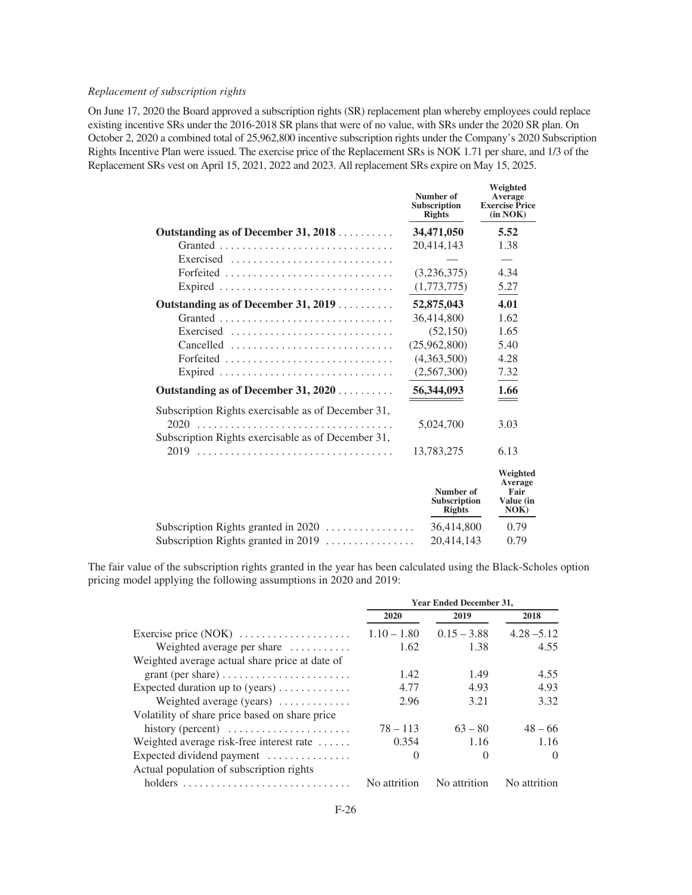## *Replacement of subscription rights*

On June 17, 2020 the Board approved a subscription rights (SR) replacement plan whereby employees could replace existing incentive SRs under the 2016-2018 SR plans that were of no value, with SRs under the 2020 SR plan. On October 2, 2020 a combined total of 25,962,800 incentive subscription rights under the Company's 2020 Subscription Rights Incentive Plan were issued. The exercise price of the Replacement SRs is NOK 1.71 per share, and 1/3 of the Replacement SRs vest on April 15, 2021, 2022 and 2023. All replacement SRs expire on May 15, 2025.

|                                                    | Number of<br><b>Subscription</b><br><b>Rights</b> | Weighted<br>Average<br><b>Exercise Price</b><br>(in NOK) |
|----------------------------------------------------|---------------------------------------------------|----------------------------------------------------------|
| Outstanding as of December 31, 2018                | 34,471,050                                        | 5.52                                                     |
|                                                    | 20,414,143                                        | 1.38                                                     |
| Exercised                                          |                                                   |                                                          |
| Forfeited                                          | (3,236,375)                                       | 4.34                                                     |
| Expired                                            | (1,773,775)                                       | 5.27                                                     |
| Outstanding as of December 31, 2019                | 52,875,043                                        | 4.01                                                     |
|                                                    | 36,414,800                                        | 1.62                                                     |
| Exercised                                          | (52, 150)                                         | 1.65                                                     |
| Cancelled                                          | (25,962,800)                                      | 5.40                                                     |
| Forfeited                                          | (4,363,500)                                       | 4.28                                                     |
| Expired                                            | (2,567,300)                                       | 7.32                                                     |
| Outstanding as of December 31, 2020                | 56,344,093                                        | 1.66                                                     |
| Subscription Rights exercisable as of December 31, |                                                   |                                                          |
|                                                    | 5,024,700                                         | 3.03                                                     |
| Subscription Rights exercisable as of December 31, |                                                   |                                                          |
|                                                    | 13,783,275                                        | 6.13                                                     |
|                                                    | Number of<br>Subscription<br><b>Rights</b>        | Weighted<br>Average<br>Fair<br>Value (in<br>NOK          |
| Subscription Rights granted in $2020$              | 36,414,800                                        | 0.79                                                     |
| Subscription Rights granted in 2019                | 20.414.143                                        | 0.79                                                     |

The fair value of the subscription rights granted in the year has been calculated using the Black-Scholes option pricing model applying the following assumptions in 2020 and 2019:

|                                                                            | <b>Year Ended December 31,</b> |               |                  |  |
|----------------------------------------------------------------------------|--------------------------------|---------------|------------------|--|
|                                                                            | 2020                           | 2019          | 2018             |  |
| Exercise price (NOK)                                                       | $1.10 - 1.80$                  | $0.15 - 3.88$ | $4.28 - 5.12$    |  |
| Weighted average per share                                                 | 1.62                           | 1.38          | 4.55             |  |
| Weighted average actual share price at date of                             |                                |               |                  |  |
| $\text{grant (per share)} \dots \dots \dots \dots \dots \dots \dots \dots$ | 1.42                           | 1.49          | 4.55             |  |
| Expected duration up to (years)                                            | 4.77                           | 4.93          | 4.93             |  |
| Weighted average (years)                                                   | 2.96                           | 3.21          | 3.32             |  |
| Volatility of share price based on share price                             |                                |               |                  |  |
| history (percent) $\dots \dots \dots \dots \dots \dots$                    | $78 - 113$                     | $63 - 80$     | $48 - 66$        |  |
| Weighted average risk-free interest rate                                   | 0.354                          | 1.16          | 1.16             |  |
| Expected dividend payment                                                  | $\theta$                       | $\theta$      | $\left( \right)$ |  |
| Actual population of subscription rights                                   |                                |               |                  |  |
| holders                                                                    | No attrition                   | No attrition  | No attrition     |  |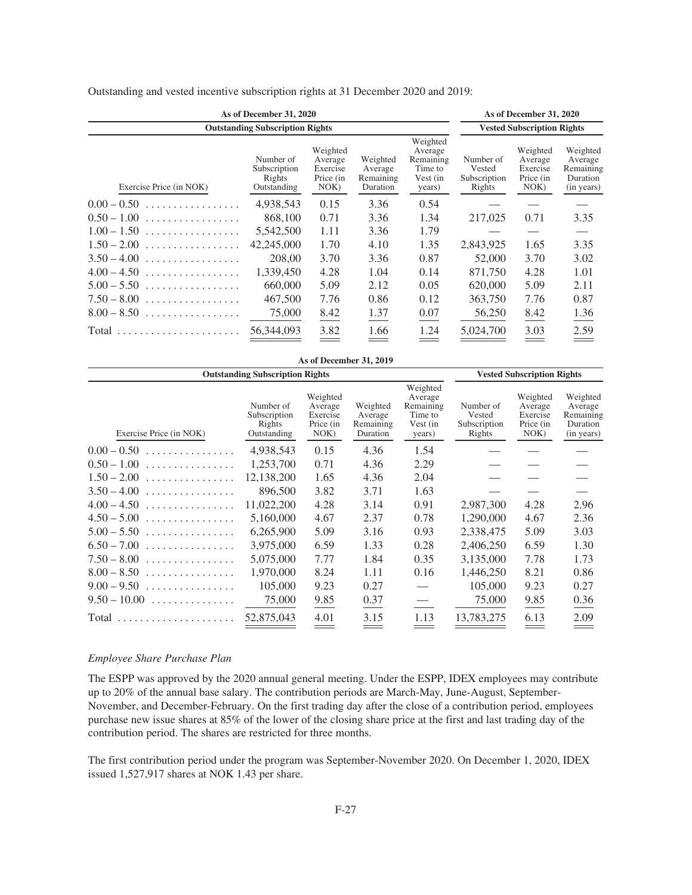| As of December 31, 2020                |                                                    |                                                         |                                              |                                                                   | As of December 31, 2020                       |                                                         |                                                            |  |  |
|----------------------------------------|----------------------------------------------------|---------------------------------------------------------|----------------------------------------------|-------------------------------------------------------------------|-----------------------------------------------|---------------------------------------------------------|------------------------------------------------------------|--|--|
| <b>Outstanding Subscription Rights</b> |                                                    |                                                         |                                              |                                                                   |                                               | <b>Vested Subscription Rights</b>                       |                                                            |  |  |
| Exercise Price (in NOK)                | Number of<br>Subscription<br>Rights<br>Outstanding | Weighted<br>Average<br>Exercise<br>Price (in<br>$NOK$ ) | Weighted<br>Average<br>Remaining<br>Duration | Weighted<br>Average<br>Remaining<br>Time to<br>Vest (in<br>years) | Number of<br>Vested<br>Subscription<br>Rights | Weighted<br>Average<br>Exercise<br>Price (in<br>$NOK$ ) | Weighted<br>Average<br>Remaining<br>Duration<br>(in years) |  |  |
| $0.00 - 0.50$<br>.                     | 4,938,543                                          | 0.15                                                    | 3.36                                         | 0.54                                                              |                                               |                                                         |                                                            |  |  |
| $0.50 - 1.00$                          | 868,100                                            | 0.71                                                    | 3.36                                         | 1.34                                                              | 217,025                                       | 0.71                                                    | 3.35                                                       |  |  |
| $1.00 - 1.50$                          | 5,542,500                                          | 1.11                                                    | 3.36                                         | 1.79                                                              |                                               |                                                         |                                                            |  |  |
| $1.50 - 2.00$                          | 42,245,000                                         | 1.70                                                    | 4.10                                         | 1.35                                                              | 2,843,925                                     | 1.65                                                    | 3.35                                                       |  |  |
| $3.50 - 4.00$                          | 208,00                                             | 3.70                                                    | 3.36                                         | 0.87                                                              | 52,000                                        | 3.70                                                    | 3.02                                                       |  |  |
| $4.00 - 4.50$                          | 1,339,450                                          | 4.28                                                    | 1.04                                         | 0.14                                                              | 871,750                                       | 4.28                                                    | 1.01                                                       |  |  |
| $5.00 - 5.50$                          | 660,000                                            | 5.09                                                    | 2.12                                         | 0.05                                                              | 620,000                                       | 5.09                                                    | 2.11                                                       |  |  |
| $7.50 - 8.00$                          | 467,500                                            | 7.76                                                    | 0.86                                         | 0.12                                                              | 363,750                                       | 7.76                                                    | 0.87                                                       |  |  |
| $8.00 - 8.50$                          | 75,000                                             | 8.42                                                    | 1.37                                         | 0.07                                                              | 56,250                                        | 8.42                                                    | 1.36                                                       |  |  |
|                                        | 56,344,093                                         | 3.82                                                    | 1.66                                         | 1.24                                                              | 5,024,700                                     | 3.03                                                    | 2.59                                                       |  |  |

Outstanding and vested incentive subscription rights at 31 December 2020 and 2019:

| As of December 31, 2019                |                                                    |                                                         |                                              |                                                                   |                                               |                                                         |                                                            |  |
|----------------------------------------|----------------------------------------------------|---------------------------------------------------------|----------------------------------------------|-------------------------------------------------------------------|-----------------------------------------------|---------------------------------------------------------|------------------------------------------------------------|--|
| <b>Outstanding Subscription Rights</b> |                                                    |                                                         |                                              |                                                                   |                                               | <b>Vested Subscription Rights</b>                       |                                                            |  |
| Exercise Price (in NOK)                | Number of<br>Subscription<br>Rights<br>Outstanding | Weighted<br>Average<br>Exercise<br>Price (in<br>$NOK$ ) | Weighted<br>Average<br>Remaining<br>Duration | Weighted<br>Average<br>Remaining<br>Time to<br>Vest (in<br>years) | Number of<br>Vested<br>Subscription<br>Rights | Weighted<br>Average<br>Exercise<br>Price (in<br>$NOK$ ) | Weighted<br>Average<br>Remaining<br>Duration<br>(in years) |  |
| $0.00 - 0.50$<br>.                     | 4,938,543                                          | 0.15                                                    | 4.36                                         | 1.54                                                              |                                               |                                                         |                                                            |  |
| $0.50 - 1.00$<br>.                     | 1,253,700                                          | 0.71                                                    | 4.36                                         | 2.29                                                              |                                               |                                                         |                                                            |  |
| $1.50 - 2.00$                          | 12,138,200                                         | 1.65                                                    | 4.36                                         | 2.04                                                              |                                               |                                                         |                                                            |  |
| $3.50 - 4.00$                          | 896,500                                            | 3.82                                                    | 3.71                                         | 1.63                                                              |                                               |                                                         |                                                            |  |
| $4.00 - 4.50$                          | 11,022,200                                         | 4.28                                                    | 3.14                                         | 0.91                                                              | 2,987,300                                     | 4.28                                                    | 2.96                                                       |  |
| $4.50 - 5.00$                          | 5,160,000                                          | 4.67                                                    | 2.37                                         | 0.78                                                              | 1,290,000                                     | 4.67                                                    | 2.36                                                       |  |
| $5.00 - 5.50$                          | 6,265,900                                          | 5.09                                                    | 3.16                                         | 0.93                                                              | 2,338,475                                     | 5.09                                                    | 3.03                                                       |  |
| $6.50 - 7.00$                          | 3,975,000                                          | 6.59                                                    | 1.33                                         | 0.28                                                              | 2,406,250                                     | 6.59                                                    | 1.30                                                       |  |
| $7.50 - 8.00$                          | 5,075,000                                          | 7.77                                                    | 1.84                                         | 0.35                                                              | 3,135,000                                     | 7.78                                                    | 1.73                                                       |  |
| $8.00 - 8.50$                          | 1,970,000                                          | 8.24                                                    | 1.11                                         | 0.16                                                              | 1,446,250                                     | 8.21                                                    | 0.86                                                       |  |
| $9.00 - 9.50$                          | 105,000                                            | 9.23                                                    | 0.27                                         |                                                                   | 105,000                                       | 9.23                                                    | 0.27                                                       |  |
| $9.50 - 10.00$                         | 75,000                                             | 9.85                                                    | 0.37                                         |                                                                   | 75,000                                        | 9.85                                                    | 0.36                                                       |  |
| Total                                  | 52,875,043                                         | 4.01                                                    | 3.15                                         | 1.13                                                              | 13,783,275                                    | 6.13                                                    | 2.09                                                       |  |

## *Employee Share Purchase Plan*

The ESPP was approved by the 2020 annual general meeting. Under the ESPP, IDEX employees may contribute up to 20% of the annual base salary. The contribution periods are March-May, June-August, September-November, and December-February. On the first trading day after the close of a contribution period, employees purchase new issue shares at 85% of the lower of the closing share price at the first and last trading day of the contribution period. The shares are restricted for three months.

The first contribution period under the program was September-November 2020. On December 1, 2020, IDEX issued 1,527,917 shares at NOK 1.43 per share.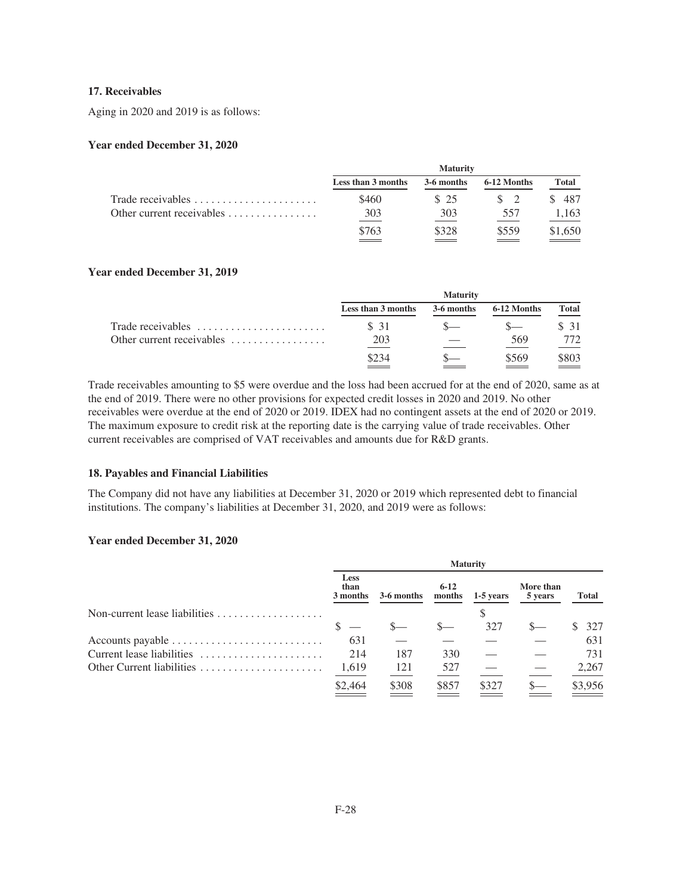## **17. Receivables**

Aging in 2020 and 2019 is as follows:

## **Year ended December 31, 2020**

|                                                       | <b>Maturity</b>    |            |             |              |  |
|-------------------------------------------------------|--------------------|------------|-------------|--------------|--|
|                                                       | Less than 3 months | 3-6 months | 6-12 Months | <b>Total</b> |  |
| Trade receivables                                     | \$460              | \$25       | $S^2$       | \$ 487       |  |
| Other current receivables $\dots\dots\dots\dots\dots$ | 303                | 303        | 557         | 1,163        |  |
|                                                       | \$763              | \$328      | \$559       | \$1,650      |  |

### **Year ended December 31, 2019**

| <b>Maturity</b>    |            |             |       |
|--------------------|------------|-------------|-------|
| Less than 3 months | 3-6 months | 6-12 Months | Total |
| \$ 31              |            |             | \$31  |
| 203                |            | 569         | 772.  |
| \$234              |            | \$569       | \$803 |
|                    |            |             |       |

Trade receivables amounting to \$5 were overdue and the loss had been accrued for at the end of 2020, same as at the end of 2019. There were no other provisions for expected credit losses in 2020 and 2019. No other receivables were overdue at the end of 2020 or 2019. IDEX had no contingent assets at the end of 2020 or 2019. The maximum exposure to credit risk at the reporting date is the carrying value of trade receivables. Other current receivables are comprised of VAT receivables and amounts due for R&D grants.

## **18. Payables and Financial Liabilities**

The Company did not have any liabilities at December 31, 2020 or 2019 which represented debt to financial institutions. The company's liabilities at December 31, 2020, and 2019 were as follows:

## **Year ended December 31, 2020**

|                                                                | <b>Maturity</b>          |            |                    |           |                      |              |
|----------------------------------------------------------------|--------------------------|------------|--------------------|-----------|----------------------|--------------|
|                                                                | Less<br>than<br>3 months | 3-6 months | $6 - 12$<br>months | 1-5 years | More than<br>5 years | <b>Total</b> |
| Non-current lease liabilities $\dots\dots\dots\dots\dots\dots$ |                          |            |                    |           |                      |              |
|                                                                |                          |            |                    | 327       |                      | 327          |
|                                                                | 631                      |            |                    |           |                      | 631          |
| Current lease liabilities                                      | 214                      | 187        | 330                |           |                      | 731          |
|                                                                | 1,619                    | 121        | 527                |           |                      | 2,267        |
|                                                                | \$2,464                  | \$308      | \$857              | \$327     |                      | \$3,956      |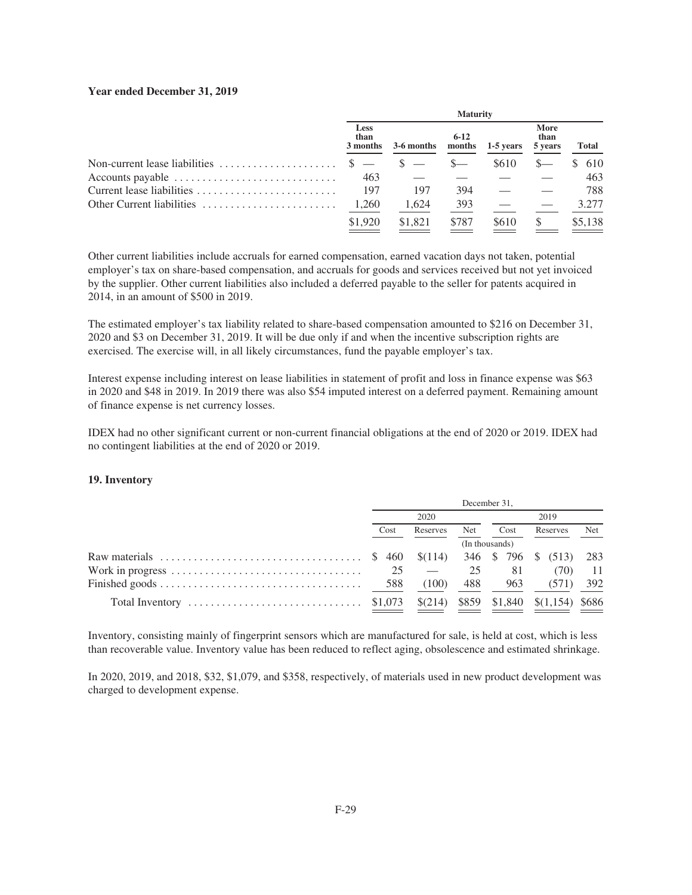## **Year ended December 31, 2019**

|                                                                                        | <b>Maturity</b>                 |            |                  |           |                         |              |
|----------------------------------------------------------------------------------------|---------------------------------|------------|------------------|-----------|-------------------------|--------------|
|                                                                                        | <b>Less</b><br>than<br>3 months | 3-6 months | $6-12$<br>months | 1-5 years | More<br>than<br>5 years | <b>Total</b> |
| Non-current lease liabilities $\ldots, \ldots, \ldots, \ldots,$ \$                     |                                 |            |                  | \$610     |                         | 610          |
| $Accounts \text{ payable} \dots \dots \dots \dots \dots \dots \dots \dots \dots \dots$ | 463                             |            |                  |           |                         | 463          |
|                                                                                        | 197                             | 197        | 394              |           |                         | 788          |
| Other Current liabilities                                                              | 1.260                           | 1.624      | 393              |           |                         | 3.277        |
|                                                                                        | \$1,920                         | \$1,821    | \$787            | \$610     |                         | \$5,138      |

Other current liabilities include accruals for earned compensation, earned vacation days not taken, potential employer's tax on share-based compensation, and accruals for goods and services received but not yet invoiced by the supplier. Other current liabilities also included a deferred payable to the seller for patents acquired in 2014, in an amount of \$500 in 2019.

The estimated employer's tax liability related to share-based compensation amounted to \$216 on December 31, 2020 and \$3 on December 31, 2019. It will be due only if and when the incentive subscription rights are exercised. The exercise will, in all likely circumstances, fund the payable employer's tax.

Interest expense including interest on lease liabilities in statement of profit and loss in finance expense was \$63 in 2020 and \$48 in 2019. In 2019 there was also \$54 imputed interest on a deferred payment. Remaining amount of finance expense is net currency losses.

IDEX had no other significant current or non-current financial obligations at the end of 2020 or 2019. IDEX had no contingent liabilities at the end of 2020 or 2019.

### **19. Inventory**

|                                                                                 | December 31,     |       |     |                |                                           |      |
|---------------------------------------------------------------------------------|------------------|-------|-----|----------------|-------------------------------------------|------|
|                                                                                 |                  | 2020  |     | 2019           |                                           |      |
|                                                                                 | Reserves<br>Cost |       | Net | Cost           | Reserves                                  | Net  |
|                                                                                 |                  |       |     | (In thousands) |                                           |      |
|                                                                                 |                  |       |     |                |                                           |      |
|                                                                                 |                  |       | 25  | -81            | (70)                                      | - 11 |
|                                                                                 | 588              | (100) |     | 488 963        | $(571)$ 392                               |      |
| Total Inventory $\dots \dots \dots \dots \dots \dots \dots \dots \dots$ \$1,073 |                  |       |     |                | $\frac{$(214) $859 $1,840 $(1,154) $686}$ |      |

Inventory, consisting mainly of fingerprint sensors which are manufactured for sale, is held at cost, which is less than recoverable value. Inventory value has been reduced to reflect aging, obsolescence and estimated shrinkage.

In 2020, 2019, and 2018, \$32, \$1,079, and \$358, respectively, of materials used in new product development was charged to development expense.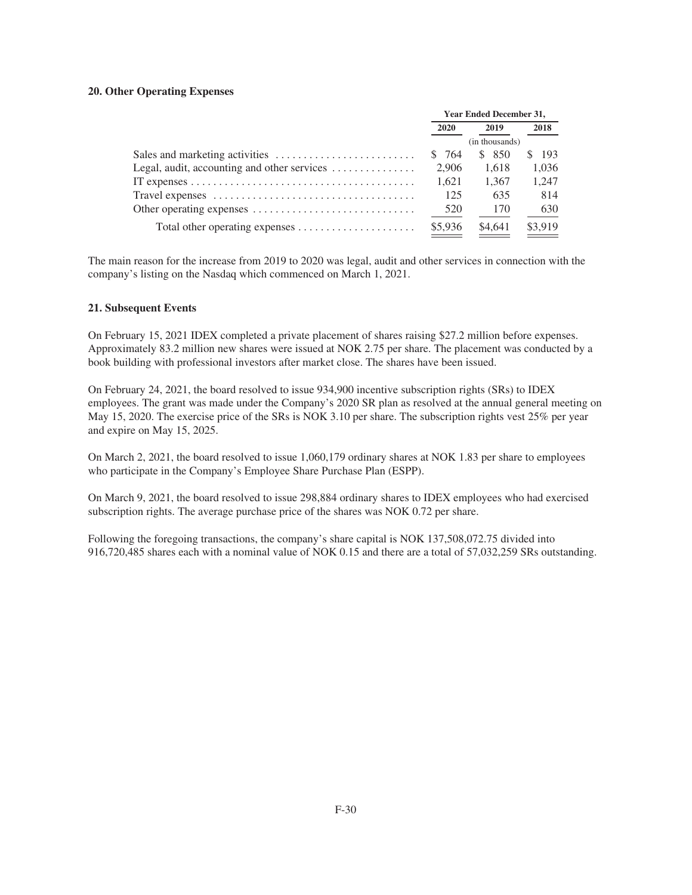## **20. Other Operating Expenses**

|                                                                         | Year Ended December 31, |                |             |  |
|-------------------------------------------------------------------------|-------------------------|----------------|-------------|--|
|                                                                         | 2019<br>2020            |                | 2018        |  |
|                                                                         |                         | (in thousands) |             |  |
|                                                                         | \$ 764                  | \$ 850         | - 193<br>S. |  |
| Legal, audit, accounting and other services $\dots\dots\dots\dots\dots$ | 2.906                   | 1.618          | 1,036       |  |
|                                                                         | 1.621                   | 1,367          | 1.247       |  |
|                                                                         | 125                     | 635            | 814         |  |
|                                                                         | 520                     | 170            | 630         |  |
|                                                                         | \$5,936                 | \$4,641        | \$3,919     |  |

The main reason for the increase from 2019 to 2020 was legal, audit and other services in connection with the company's listing on the Nasdaq which commenced on March 1, 2021.

## **21. Subsequent Events**

On February 15, 2021 IDEX completed a private placement of shares raising \$27.2 million before expenses. Approximately 83.2 million new shares were issued at NOK 2.75 per share. The placement was conducted by a book building with professional investors after market close. The shares have been issued.

On February 24, 2021, the board resolved to issue 934,900 incentive subscription rights (SRs) to IDEX employees. The grant was made under the Company's 2020 SR plan as resolved at the annual general meeting on May 15, 2020. The exercise price of the SRs is NOK 3.10 per share. The subscription rights vest 25% per year and expire on May 15, 2025.

On March 2, 2021, the board resolved to issue 1,060,179 ordinary shares at NOK 1.83 per share to employees who participate in the Company's Employee Share Purchase Plan (ESPP).

On March 9, 2021, the board resolved to issue 298,884 ordinary shares to IDEX employees who had exercised subscription rights. The average purchase price of the shares was NOK 0.72 per share.

Following the foregoing transactions, the company's share capital is NOK 137,508,072.75 divided into 916,720,485 shares each with a nominal value of NOK 0.15 and there are a total of 57,032,259 SRs outstanding.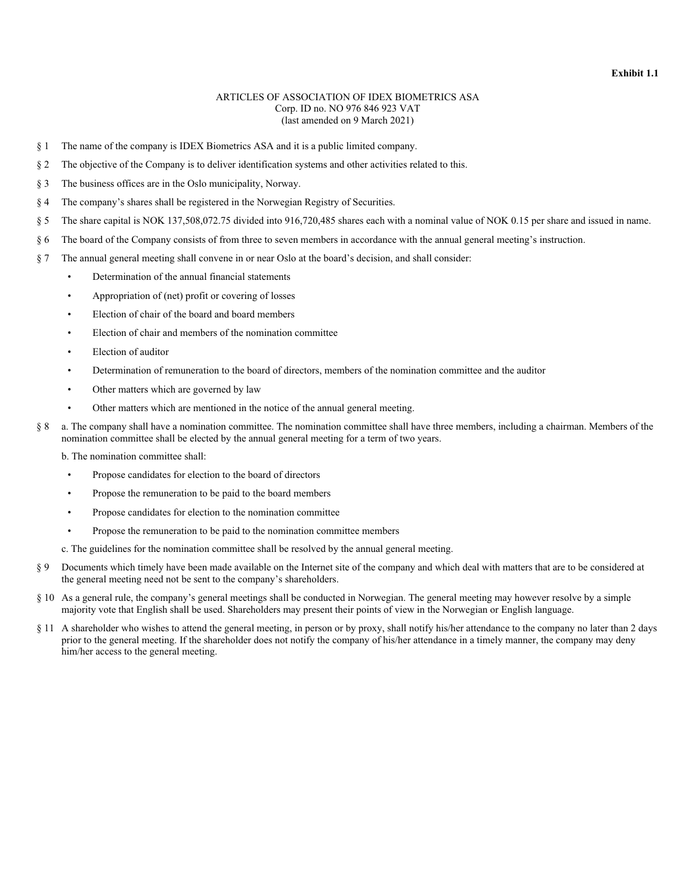## **Exhibit 1.1**

## ARTICLES OF ASSOCIATION OF IDEX BIOMETRICS ASA Corp. ID no. NO 976 846 923 VAT (last amended on 9 March 2021)

- § 1 The name of the company is IDEX Biometrics ASA and it is a public limited company.
- § 2 The objective of the Company is to deliver identification systems and other activities related to this.
- § 3 The business offices are in the Oslo municipality, Norway.
- § 4 The company's shares shall be registered in the Norwegian Registry of Securities.
- § 5 The share capital is NOK 137,508,072.75 divided into 916,720,485 shares each with a nominal value of NOK 0.15 per share and issued in name.
- § 6 The board of the Company consists of from three to seven members in accordance with the annual general meeting's instruction.
- § 7 The annual general meeting shall convene in or near Oslo at the board's decision, and shall consider:
	- Determination of the annual financial statements
	- Appropriation of (net) profit or covering of losses
	- Election of chair of the board and board members
	- Election of chair and members of the nomination committee
	- Election of auditor
	- Determination of remuneration to the board of directors, members of the nomination committee and the auditor
	- Other matters which are governed by law
	- Other matters which are mentioned in the notice of the annual general meeting.
- § 8 a. The company shall have a nomination committee. The nomination committee shall have three members, including a chairman. Members of the nomination committee shall be elected by the annual general meeting for a term of two years.
	- b. The nomination committee shall:
	- Propose candidates for election to the board of directors
	- Propose the remuneration to be paid to the board members
	- Propose candidates for election to the nomination committee
	- Propose the remuneration to be paid to the nomination committee members
	- c. The guidelines for the nomination committee shall be resolved by the annual general meeting.
- § 9 Documents which timely have been made available on the Internet site of the company and which deal with matters that are to be considered at the general meeting need not be sent to the company's shareholders.
- § 10 As a general rule, the company's general meetings shall be conducted in Norwegian. The general meeting may however resolve by a simple majority vote that English shall be used. Shareholders may present their points of view in the Norwegian or English language.
- § 11 A shareholder who wishes to attend the general meeting, in person or by proxy, shall notify his/her attendance to the company no later than 2 days prior to the general meeting. If the shareholder does not notify the company of his/her attendance in a timely manner, the company may deny him/her access to the general meeting.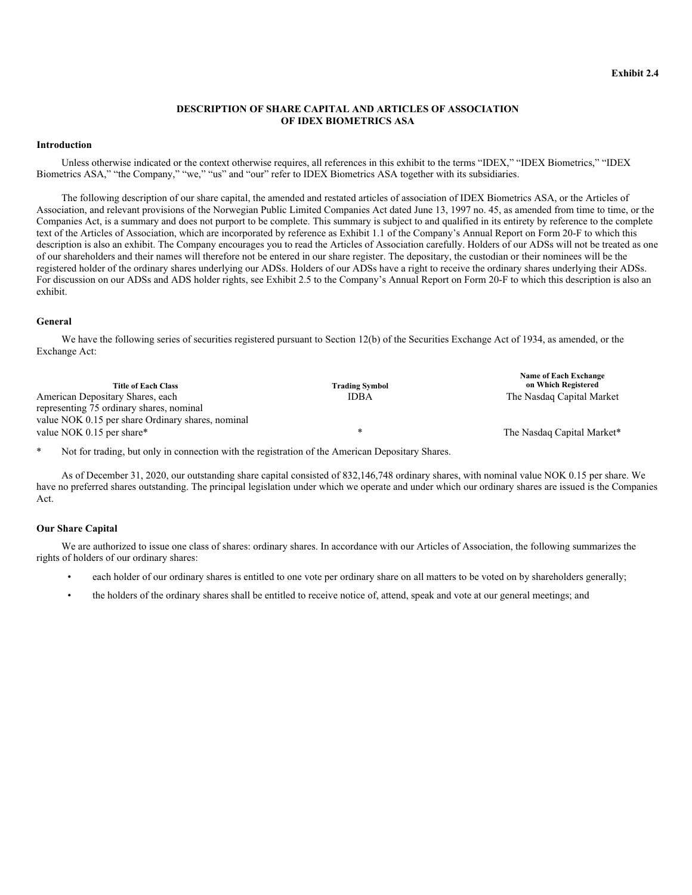**Name of Each Exchange**

## **DESCRIPTION OF SHARE CAPITAL AND ARTICLES OF ASSOCIATION OF IDEX BIOMETRICS ASA**

#### **Introduction**

Unless otherwise indicated or the context otherwise requires, all references in this exhibit to the terms "IDEX," "IDEX Biometrics," "IDEX Biometrics ASA," "the Company," "we," "us" and "our" refer to IDEX Biometrics ASA together with its subsidiaries.

The following description of our share capital, the amended and restated articles of association of IDEX Biometrics ASA, or the Articles of Association, and relevant provisions of the Norwegian Public Limited Companies Act dated June 13, 1997 no. 45, as amended from time to time, or the Companies Act, is a summary and does not purport to be complete. This summary is subject to and qualified in its entirety by reference to the complete text of the Articles of Association, which are incorporated by reference as Exhibit 1.1 of the Company's Annual Report on Form 20-F to which this description is also an exhibit. The Company encourages you to read the Articles of Association carefully. Holders of our ADSs will not be treated as one of our shareholders and their names will therefore not be entered in our share register. The depositary, the custodian or their nominees will be the registered holder of the ordinary shares underlying our ADSs. Holders of our ADSs have a right to receive the ordinary shares underlying their ADSs. For discussion on our ADSs and ADS holder rights, see Exhibit 2.5 to the Company's Annual Report on Form 20-F to which this description is also an exhibit.

#### **General**

We have the following series of securities registered pursuant to Section 12(b) of the Securities Exchange Act of 1934, as amended, or the Exchange Act:

| <b>Title of Each Class</b>                        | <b>Trading Symbol</b> | on Which Registered        |
|---------------------------------------------------|-----------------------|----------------------------|
| American Depositary Shares, each                  | IDBA                  | The Nasdag Capital Market  |
| representing 75 ordinary shares, nominal          |                       |                            |
| value NOK 0.15 per share Ordinary shares, nominal |                       |                            |
| value NOK 0.15 per share*                         | ∗                     | The Nasdaq Capital Market* |

Not for trading, but only in connection with the registration of the American Depositary Shares.

As of December 31, 2020, our outstanding share capital consisted of 832,146,748 ordinary shares, with nominal value NOK 0.15 per share. We have no preferred shares outstanding. The principal legislation under which we operate and under which our ordinary shares are issued is the Companies Act.

## **Our Share Capital**

We are authorized to issue one class of shares: ordinary shares. In accordance with our Articles of Association, the following summarizes the rights of holders of our ordinary shares:

- each holder of our ordinary shares is entitled to one vote per ordinary share on all matters to be voted on by shareholders generally;
- the holders of the ordinary shares shall be entitled to receive notice of, attend, speak and vote at our general meetings; and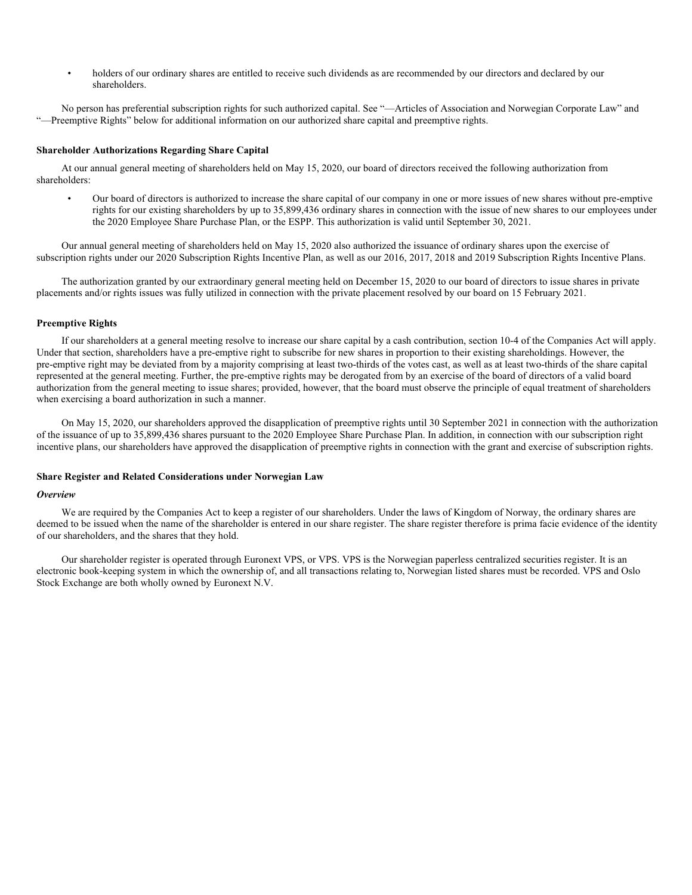• holders of our ordinary shares are entitled to receive such dividends as are recommended by our directors and declared by our shareholders.

No person has preferential subscription rights for such authorized capital. See "—Articles of Association and Norwegian Corporate Law" and "—Preemptive Rights" below for additional information on our authorized share capital and preemptive rights.

## **Shareholder Authorizations Regarding Share Capital**

At our annual general meeting of shareholders held on May 15, 2020, our board of directors received the following authorization from shareholders:

• Our board of directors is authorized to increase the share capital of our company in one or more issues of new shares without pre-emptive rights for our existing shareholders by up to 35,899,436 ordinary shares in connection with the issue of new shares to our employees under the 2020 Employee Share Purchase Plan, or the ESPP. This authorization is valid until September 30, 2021.

Our annual general meeting of shareholders held on May 15, 2020 also authorized the issuance of ordinary shares upon the exercise of subscription rights under our 2020 Subscription Rights Incentive Plan, as well as our 2016, 2017, 2018 and 2019 Subscription Rights Incentive Plans.

The authorization granted by our extraordinary general meeting held on December 15, 2020 to our board of directors to issue shares in private placements and/or rights issues was fully utilized in connection with the private placement resolved by our board on 15 February 2021.

### **Preemptive Rights**

If our shareholders at a general meeting resolve to increase our share capital by a cash contribution, section 10-4 of the Companies Act will apply. Under that section, shareholders have a pre-emptive right to subscribe for new shares in proportion to their existing shareholdings. However, the pre-emptive right may be deviated from by a majority comprising at least two-thirds of the votes cast, as well as at least two-thirds of the share capital represented at the general meeting. Further, the pre-emptive rights may be derogated from by an exercise of the board of directors of a valid board authorization from the general meeting to issue shares; provided, however, that the board must observe the principle of equal treatment of shareholders when exercising a board authorization in such a manner.

On May 15, 2020, our shareholders approved the disapplication of preemptive rights until 30 September 2021 in connection with the authorization of the issuance of up to 35,899,436 shares pursuant to the 2020 Employee Share Purchase Plan. In addition, in connection with our subscription right incentive plans, our shareholders have approved the disapplication of preemptive rights in connection with the grant and exercise of subscription rights.

#### **Share Register and Related Considerations under Norwegian Law**

#### *Overview*

We are required by the Companies Act to keep a register of our shareholders. Under the laws of Kingdom of Norway, the ordinary shares are deemed to be issued when the name of the shareholder is entered in our share register. The share register therefore is prima facie evidence of the identity of our shareholders, and the shares that they hold.

Our shareholder register is operated through Euronext VPS, or VPS. VPS is the Norwegian paperless centralized securities register. It is an electronic book-keeping system in which the ownership of, and all transactions relating to, Norwegian listed shares must be recorded. VPS and Oslo Stock Exchange are both wholly owned by Euronext N.V.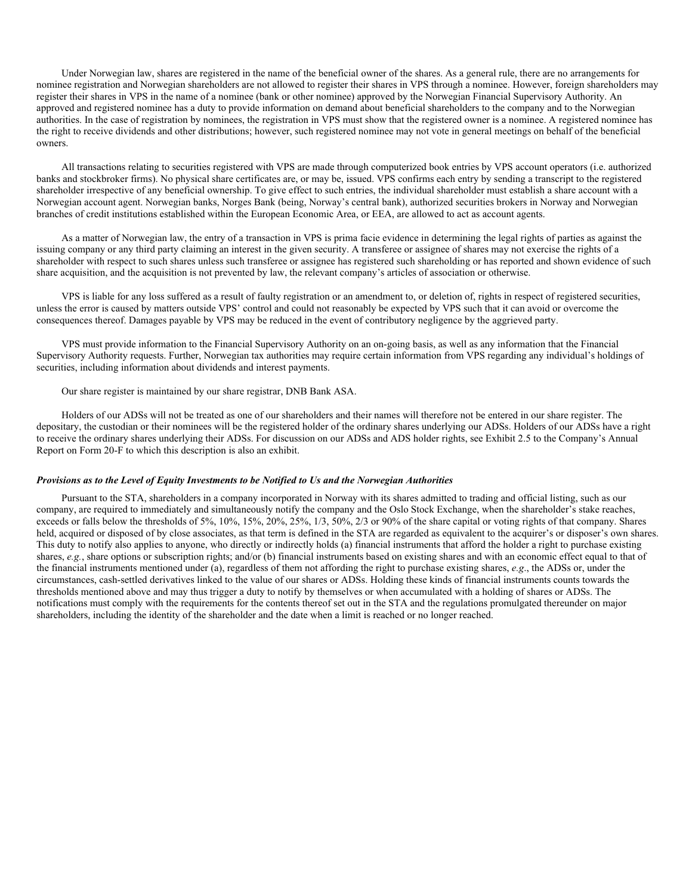Under Norwegian law, shares are registered in the name of the beneficial owner of the shares. As a general rule, there are no arrangements for nominee registration and Norwegian shareholders are not allowed to register their shares in VPS through a nominee. However, foreign shareholders may register their shares in VPS in the name of a nominee (bank or other nominee) approved by the Norwegian Financial Supervisory Authority. An approved and registered nominee has a duty to provide information on demand about beneficial shareholders to the company and to the Norwegian authorities. In the case of registration by nominees, the registration in VPS must show that the registered owner is a nominee. A registered nominee has the right to receive dividends and other distributions; however, such registered nominee may not vote in general meetings on behalf of the beneficial owners.

All transactions relating to securities registered with VPS are made through computerized book entries by VPS account operators (i.e. authorized banks and stockbroker firms). No physical share certificates are, or may be, issued. VPS confirms each entry by sending a transcript to the registered shareholder irrespective of any beneficial ownership. To give effect to such entries, the individual shareholder must establish a share account with a Norwegian account agent. Norwegian banks, Norges Bank (being, Norway's central bank), authorized securities brokers in Norway and Norwegian branches of credit institutions established within the European Economic Area, or EEA, are allowed to act as account agents.

As a matter of Norwegian law, the entry of a transaction in VPS is prima facie evidence in determining the legal rights of parties as against the issuing company or any third party claiming an interest in the given security. A transferee or assignee of shares may not exercise the rights of a shareholder with respect to such shares unless such transferee or assignee has registered such shareholding or has reported and shown evidence of such share acquisition, and the acquisition is not prevented by law, the relevant company's articles of association or otherwise.

VPS is liable for any loss suffered as a result of faulty registration or an amendment to, or deletion of, rights in respect of registered securities, unless the error is caused by matters outside VPS' control and could not reasonably be expected by VPS such that it can avoid or overcome the consequences thereof. Damages payable by VPS may be reduced in the event of contributory negligence by the aggrieved party.

VPS must provide information to the Financial Supervisory Authority on an on-going basis, as well as any information that the Financial Supervisory Authority requests. Further, Norwegian tax authorities may require certain information from VPS regarding any individual's holdings of securities, including information about dividends and interest payments.

Our share register is maintained by our share registrar, DNB Bank ASA.

Holders of our ADSs will not be treated as one of our shareholders and their names will therefore not be entered in our share register. The depositary, the custodian or their nominees will be the registered holder of the ordinary shares underlying our ADSs. Holders of our ADSs have a right to receive the ordinary shares underlying their ADSs. For discussion on our ADSs and ADS holder rights, see Exhibit 2.5 to the Company's Annual Report on Form 20-F to which this description is also an exhibit.

## *Provisions as to the Level of Equity Investments to be Notified to Us and the Norwegian Authorities*

Pursuant to the STA, shareholders in a company incorporated in Norway with its shares admitted to trading and official listing, such as our company, are required to immediately and simultaneously notify the company and the Oslo Stock Exchange, when the shareholder's stake reaches, exceeds or falls below the thresholds of 5%, 10%, 15%, 20%, 25%, 1/3, 50%, 2/3 or 90% of the share capital or voting rights of that company. Shares held, acquired or disposed of by close associates, as that term is defined in the STA are regarded as equivalent to the acquirer's or disposer's own shares. This duty to notify also applies to anyone, who directly or indirectly holds (a) financial instruments that afford the holder a right to purchase existing shares, *e.g.*, share options or subscription rights; and/or (b) financial instruments based on existing shares and with an economic effect equal to that of the financial instruments mentioned under (a), regardless of them not affording the right to purchase existing shares, *e.g*., the ADSs or, under the circumstances, cash-settled derivatives linked to the value of our shares or ADSs. Holding these kinds of financial instruments counts towards the thresholds mentioned above and may thus trigger a duty to notify by themselves or when accumulated with a holding of shares or ADSs. The notifications must comply with the requirements for the contents thereof set out in the STA and the regulations promulgated thereunder on major shareholders, including the identity of the shareholder and the date when a limit is reached or no longer reached.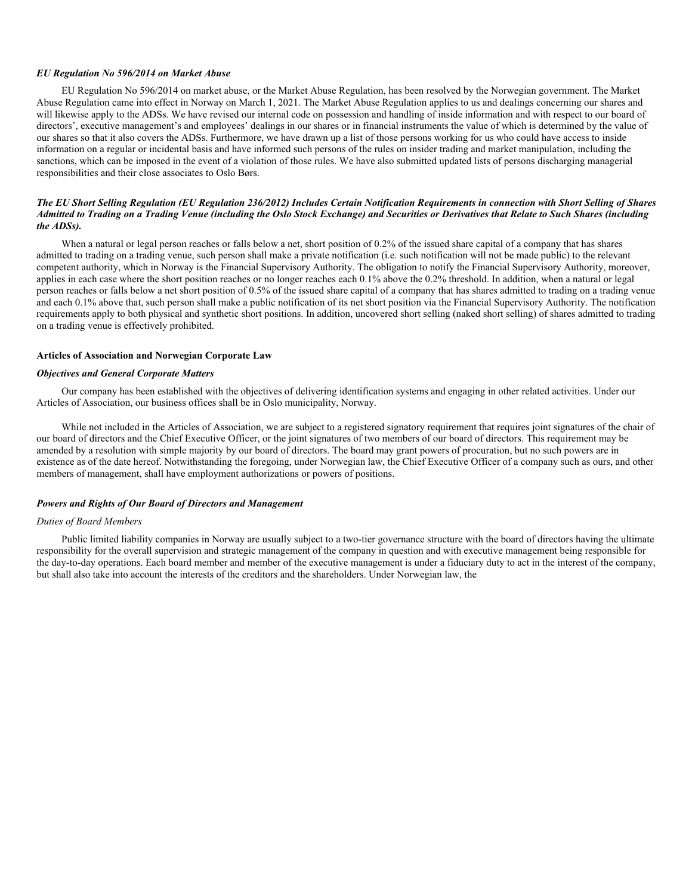#### *EU Regulation No 596/2014 on Market Abuse*

EU Regulation No 596/2014 on market abuse, or the Market Abuse Regulation, has been resolved by the Norwegian government. The Market Abuse Regulation came into effect in Norway on March 1, 2021. The Market Abuse Regulation applies to us and dealings concerning our shares and will likewise apply to the ADSs. We have revised our internal code on possession and handling of inside information and with respect to our board of directors', executive management's and employees' dealings in our shares or in financial instruments the value of which is determined by the value of our shares so that it also covers the ADSs. Furthermore, we have drawn up a list of those persons working for us who could have access to inside information on a regular or incidental basis and have informed such persons of the rules on insider trading and market manipulation, including the sanctions, which can be imposed in the event of a violation of those rules. We have also submitted updated lists of persons discharging managerial responsibilities and their close associates to Oslo Børs.

## *The EU Short Selling Regulation (EU Regulation 236/2012) Includes Certain Notification Requirements in connection with Short Selling of Shares Admitted to Trading on a Trading Venue (including the Oslo Stock Exchange) and Securities or Derivatives that Relate to Such Shares (including the ADSs).*

When a natural or legal person reaches or falls below a net, short position of 0.2% of the issued share capital of a company that has shares admitted to trading on a trading venue, such person shall make a private notification (i.e. such notification will not be made public) to the relevant competent authority, which in Norway is the Financial Supervisory Authority. The obligation to notify the Financial Supervisory Authority, moreover, applies in each case where the short position reaches or no longer reaches each 0.1% above the 0.2% threshold. In addition, when a natural or legal person reaches or falls below a net short position of 0.5% of the issued share capital of a company that has shares admitted to trading on a trading venue and each 0.1% above that, such person shall make a public notification of its net short position via the Financial Supervisory Authority. The notification requirements apply to both physical and synthetic short positions. In addition, uncovered short selling (naked short selling) of shares admitted to trading on a trading venue is effectively prohibited.

## **Articles of Association and Norwegian Corporate Law**

## *Objectives and General Corporate Matters*

Our company has been established with the objectives of delivering identification systems and engaging in other related activities. Under our Articles of Association, our business offices shall be in Oslo municipality, Norway.

While not included in the Articles of Association, we are subject to a registered signatory requirement that requires joint signatures of the chair of our board of directors and the Chief Executive Officer, or the joint signatures of two members of our board of directors. This requirement may be amended by a resolution with simple majority by our board of directors. The board may grant powers of procuration, but no such powers are in existence as of the date hereof. Notwithstanding the foregoing, under Norwegian law, the Chief Executive Officer of a company such as ours, and other members of management, shall have employment authorizations or powers of positions.

### *Powers and Rights of Our Board of Directors and Management*

#### *Duties of Board Members*

Public limited liability companies in Norway are usually subject to a two-tier governance structure with the board of directors having the ultimate responsibility for the overall supervision and strategic management of the company in question and with executive management being responsible for the day-to-day operations. Each board member and member of the executive management is under a fiduciary duty to act in the interest of the company, but shall also take into account the interests of the creditors and the shareholders. Under Norwegian law, the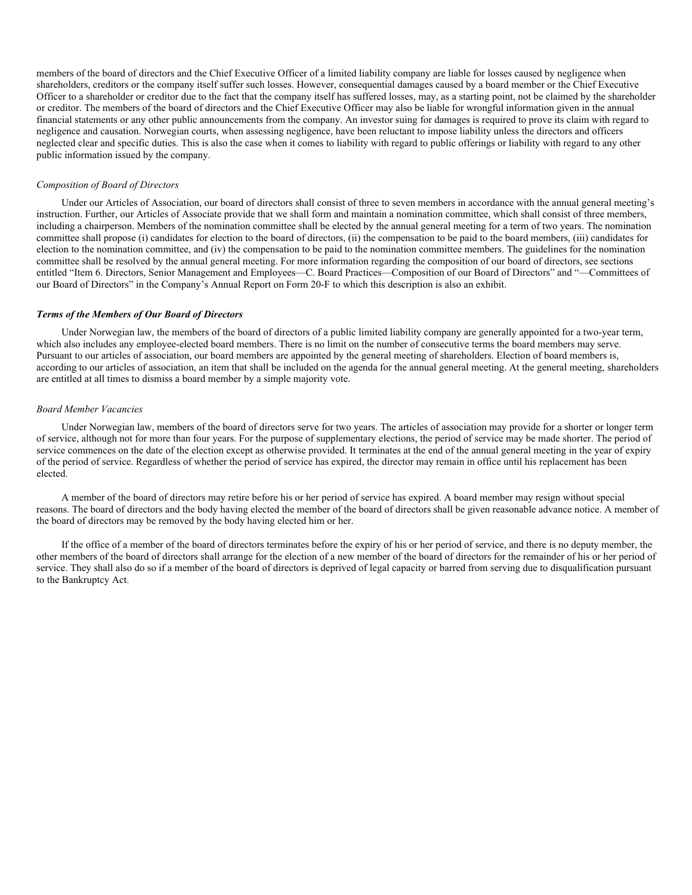members of the board of directors and the Chief Executive Officer of a limited liability company are liable for losses caused by negligence when shareholders, creditors or the company itself suffer such losses. However, consequential damages caused by a board member or the Chief Executive Officer to a shareholder or creditor due to the fact that the company itself has suffered losses, may, as a starting point, not be claimed by the shareholder or creditor. The members of the board of directors and the Chief Executive Officer may also be liable for wrongful information given in the annual financial statements or any other public announcements from the company. An investor suing for damages is required to prove its claim with regard to negligence and causation. Norwegian courts, when assessing negligence, have been reluctant to impose liability unless the directors and officers neglected clear and specific duties. This is also the case when it comes to liability with regard to public offerings or liability with regard to any other public information issued by the company.

#### *Composition of Board of Directors*

Under our Articles of Association, our board of directors shall consist of three to seven members in accordance with the annual general meeting's instruction. Further, our Articles of Associate provide that we shall form and maintain a nomination committee, which shall consist of three members, including a chairperson. Members of the nomination committee shall be elected by the annual general meeting for a term of two years. The nomination committee shall propose (i) candidates for election to the board of directors, (ii) the compensation to be paid to the board members, (iii) candidates for election to the nomination committee, and (iv) the compensation to be paid to the nomination committee members. The guidelines for the nomination committee shall be resolved by the annual general meeting. For more information regarding the composition of our board of directors, see sections entitled "Item 6. Directors, Senior Management and Employees—C. Board Practices—Composition of our Board of Directors" and "—Committees of our Board of Directors" in the Company's Annual Report on Form 20-F to which this description is also an exhibit.

#### *Terms of the Members of Our Board of Directors*

Under Norwegian law, the members of the board of directors of a public limited liability company are generally appointed for a two-year term, which also includes any employee-elected board members. There is no limit on the number of consecutive terms the board members may serve. Pursuant to our articles of association, our board members are appointed by the general meeting of shareholders. Election of board members is, according to our articles of association, an item that shall be included on the agenda for the annual general meeting. At the general meeting, shareholders are entitled at all times to dismiss a board member by a simple majority vote.

#### *Board Member Vacancies*

Under Norwegian law, members of the board of directors serve for two years. The articles of association may provide for a shorter or longer term of service, although not for more than four years. For the purpose of supplementary elections, the period of service may be made shorter. The period of service commences on the date of the election except as otherwise provided. It terminates at the end of the annual general meeting in the year of expiry of the period of service. Regardless of whether the period of service has expired, the director may remain in office until his replacement has been elected.

A member of the board of directors may retire before his or her period of service has expired. A board member may resign without special reasons. The board of directors and the body having elected the member of the board of directors shall be given reasonable advance notice. A member of the board of directors may be removed by the body having elected him or her.

If the office of a member of the board of directors terminates before the expiry of his or her period of service, and there is no deputy member, the other members of the board of directors shall arrange for the election of a new member of the board of directors for the remainder of his or her period of service. They shall also do so if a member of the board of directors is deprived of legal capacity or barred from serving due to disqualification pursuant to the Bankruptcy Act.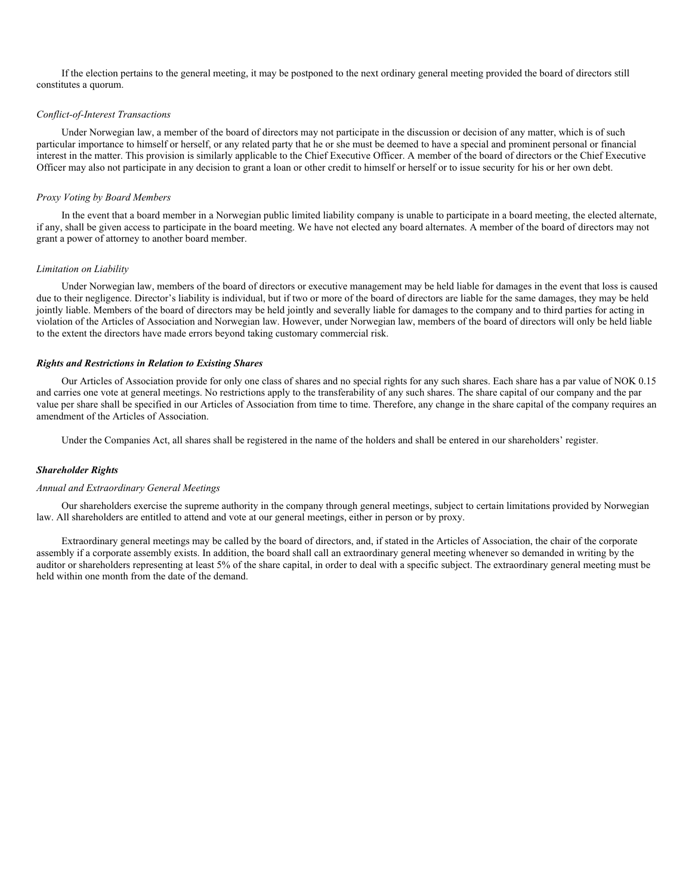If the election pertains to the general meeting, it may be postponed to the next ordinary general meeting provided the board of directors still constitutes a quorum.

#### *Conflict-of-Interest Transactions*

Under Norwegian law, a member of the board of directors may not participate in the discussion or decision of any matter, which is of such particular importance to himself or herself, or any related party that he or she must be deemed to have a special and prominent personal or financial interest in the matter. This provision is similarly applicable to the Chief Executive Officer. A member of the board of directors or the Chief Executive Officer may also not participate in any decision to grant a loan or other credit to himself or herself or to issue security for his or her own debt.

#### *Proxy Voting by Board Members*

In the event that a board member in a Norwegian public limited liability company is unable to participate in a board meeting, the elected alternate, if any, shall be given access to participate in the board meeting. We have not elected any board alternates. A member of the board of directors may not grant a power of attorney to another board member.

#### *Limitation on Liability*

Under Norwegian law, members of the board of directors or executive management may be held liable for damages in the event that loss is caused due to their negligence. Director's liability is individual, but if two or more of the board of directors are liable for the same damages, they may be held jointly liable. Members of the board of directors may be held jointly and severally liable for damages to the company and to third parties for acting in violation of the Articles of Association and Norwegian law. However, under Norwegian law, members of the board of directors will only be held liable to the extent the directors have made errors beyond taking customary commercial risk.

#### *Rights and Restrictions in Relation to Existing Shares*

Our Articles of Association provide for only one class of shares and no special rights for any such shares. Each share has a par value of NOK 0.15 and carries one vote at general meetings. No restrictions apply to the transferability of any such shares. The share capital of our company and the par value per share shall be specified in our Articles of Association from time to time. Therefore, any change in the share capital of the company requires an amendment of the Articles of Association.

Under the Companies Act, all shares shall be registered in the name of the holders and shall be entered in our shareholders' register.

#### *Shareholder Rights*

#### *Annual and Extraordinary General Meetings*

Our shareholders exercise the supreme authority in the company through general meetings, subject to certain limitations provided by Norwegian law. All shareholders are entitled to attend and vote at our general meetings, either in person or by proxy.

Extraordinary general meetings may be called by the board of directors, and, if stated in the Articles of Association, the chair of the corporate assembly if a corporate assembly exists. In addition, the board shall call an extraordinary general meeting whenever so demanded in writing by the auditor or shareholders representing at least 5% of the share capital, in order to deal with a specific subject. The extraordinary general meeting must be held within one month from the date of the demand.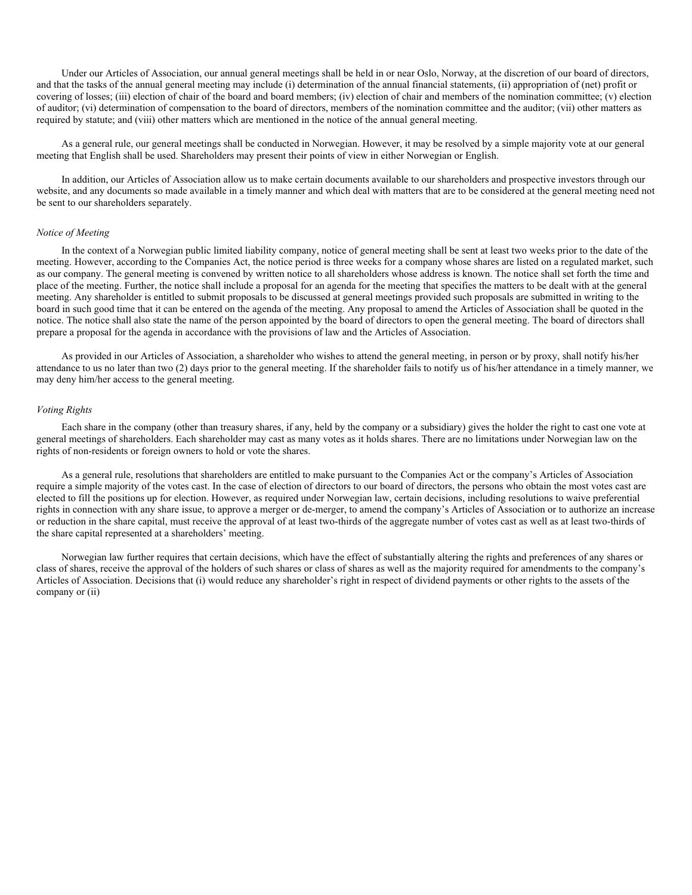Under our Articles of Association, our annual general meetings shall be held in or near Oslo, Norway, at the discretion of our board of directors, and that the tasks of the annual general meeting may include (i) determination of the annual financial statements, (ii) appropriation of (net) profit or covering of losses; (iii) election of chair of the board and board members; (iv) election of chair and members of the nomination committee; (v) election of auditor; (vi) determination of compensation to the board of directors, members of the nomination committee and the auditor; (vii) other matters as required by statute; and (viii) other matters which are mentioned in the notice of the annual general meeting.

As a general rule, our general meetings shall be conducted in Norwegian. However, it may be resolved by a simple majority vote at our general meeting that English shall be used. Shareholders may present their points of view in either Norwegian or English.

In addition, our Articles of Association allow us to make certain documents available to our shareholders and prospective investors through our website, and any documents so made available in a timely manner and which deal with matters that are to be considered at the general meeting need not be sent to our shareholders separately.

#### *Notice of Meeting*

In the context of a Norwegian public limited liability company, notice of general meeting shall be sent at least two weeks prior to the date of the meeting. However, according to the Companies Act, the notice period is three weeks for a company whose shares are listed on a regulated market, such as our company. The general meeting is convened by written notice to all shareholders whose address is known. The notice shall set forth the time and place of the meeting. Further, the notice shall include a proposal for an agenda for the meeting that specifies the matters to be dealt with at the general meeting. Any shareholder is entitled to submit proposals to be discussed at general meetings provided such proposals are submitted in writing to the board in such good time that it can be entered on the agenda of the meeting. Any proposal to amend the Articles of Association shall be quoted in the notice. The notice shall also state the name of the person appointed by the board of directors to open the general meeting. The board of directors shall prepare a proposal for the agenda in accordance with the provisions of law and the Articles of Association.

As provided in our Articles of Association, a shareholder who wishes to attend the general meeting, in person or by proxy, shall notify his/her attendance to us no later than two (2) days prior to the general meeting. If the shareholder fails to notify us of his/her attendance in a timely manner, we may deny him/her access to the general meeting.

## *Voting Rights*

Each share in the company (other than treasury shares, if any, held by the company or a subsidiary) gives the holder the right to cast one vote at general meetings of shareholders. Each shareholder may cast as many votes as it holds shares. There are no limitations under Norwegian law on the rights of non-residents or foreign owners to hold or vote the shares.

As a general rule, resolutions that shareholders are entitled to make pursuant to the Companies Act or the company's Articles of Association require a simple majority of the votes cast. In the case of election of directors to our board of directors, the persons who obtain the most votes cast are elected to fill the positions up for election. However, as required under Norwegian law, certain decisions, including resolutions to waive preferential rights in connection with any share issue, to approve a merger or de-merger, to amend the company's Articles of Association or to authorize an increase or reduction in the share capital, must receive the approval of at least two-thirds of the aggregate number of votes cast as well as at least two-thirds of the share capital represented at a shareholders' meeting.

Norwegian law further requires that certain decisions, which have the effect of substantially altering the rights and preferences of any shares or class of shares, receive the approval of the holders of such shares or class of shares as well as the majority required for amendments to the company's Articles of Association. Decisions that (i) would reduce any shareholder's right in respect of dividend payments or other rights to the assets of the company or (ii)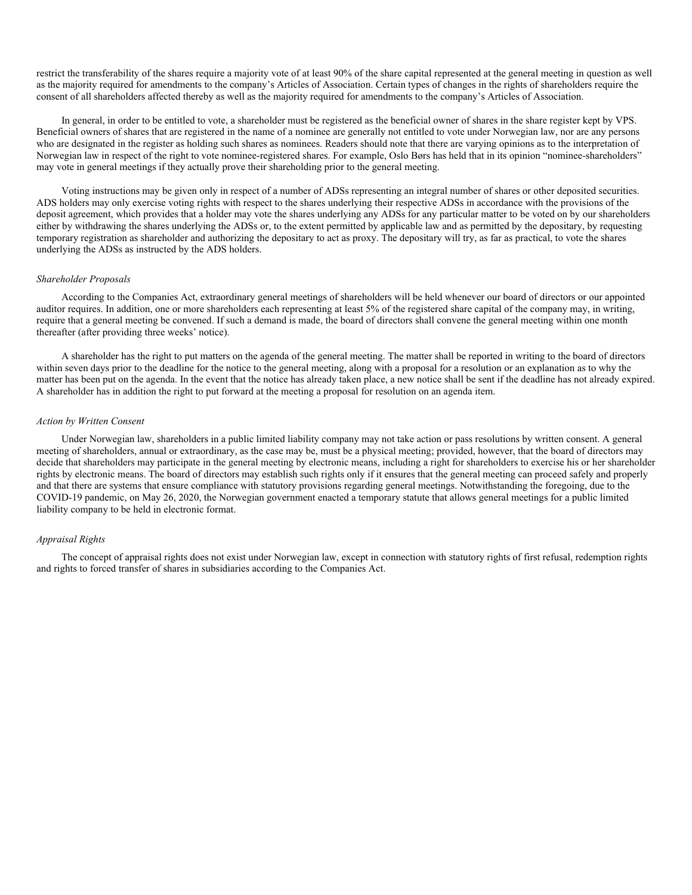restrict the transferability of the shares require a majority vote of at least 90% of the share capital represented at the general meeting in question as well as the majority required for amendments to the company's Articles of Association. Certain types of changes in the rights of shareholders require the consent of all shareholders affected thereby as well as the majority required for amendments to the company's Articles of Association.

In general, in order to be entitled to vote, a shareholder must be registered as the beneficial owner of shares in the share register kept by VPS. Beneficial owners of shares that are registered in the name of a nominee are generally not entitled to vote under Norwegian law, nor are any persons who are designated in the register as holding such shares as nominees. Readers should note that there are varying opinions as to the interpretation of Norwegian law in respect of the right to vote nominee-registered shares. For example, Oslo Børs has held that in its opinion "nominee-shareholders" may vote in general meetings if they actually prove their shareholding prior to the general meeting.

Voting instructions may be given only in respect of a number of ADSs representing an integral number of shares or other deposited securities. ADS holders may only exercise voting rights with respect to the shares underlying their respective ADSs in accordance with the provisions of the deposit agreement, which provides that a holder may vote the shares underlying any ADSs for any particular matter to be voted on by our shareholders either by withdrawing the shares underlying the ADSs or, to the extent permitted by applicable law and as permitted by the depositary, by requesting temporary registration as shareholder and authorizing the depositary to act as proxy. The depositary will try, as far as practical, to vote the shares underlying the ADSs as instructed by the ADS holders.

### *Shareholder Proposals*

According to the Companies Act, extraordinary general meetings of shareholders will be held whenever our board of directors or our appointed auditor requires. In addition, one or more shareholders each representing at least 5% of the registered share capital of the company may, in writing, require that a general meeting be convened. If such a demand is made, the board of directors shall convene the general meeting within one month thereafter (after providing three weeks' notice).

A shareholder has the right to put matters on the agenda of the general meeting. The matter shall be reported in writing to the board of directors within seven days prior to the deadline for the notice to the general meeting, along with a proposal for a resolution or an explanation as to why the matter has been put on the agenda. In the event that the notice has already taken place, a new notice shall be sent if the deadline has not already expired. A shareholder has in addition the right to put forward at the meeting a proposal for resolution on an agenda item.

#### *Action by Written Consent*

Under Norwegian law, shareholders in a public limited liability company may not take action or pass resolutions by written consent. A general meeting of shareholders, annual or extraordinary, as the case may be, must be a physical meeting; provided, however, that the board of directors may decide that shareholders may participate in the general meeting by electronic means, including a right for shareholders to exercise his or her shareholder rights by electronic means. The board of directors may establish such rights only if it ensures that the general meeting can proceed safely and properly and that there are systems that ensure compliance with statutory provisions regarding general meetings. Notwithstanding the foregoing, due to the COVID-19 pandemic, on May 26, 2020, the Norwegian government enacted a temporary statute that allows general meetings for a public limited liability company to be held in electronic format.

## *Appraisal Rights*

The concept of appraisal rights does not exist under Norwegian law, except in connection with statutory rights of first refusal, redemption rights and rights to forced transfer of shares in subsidiaries according to the Companies Act.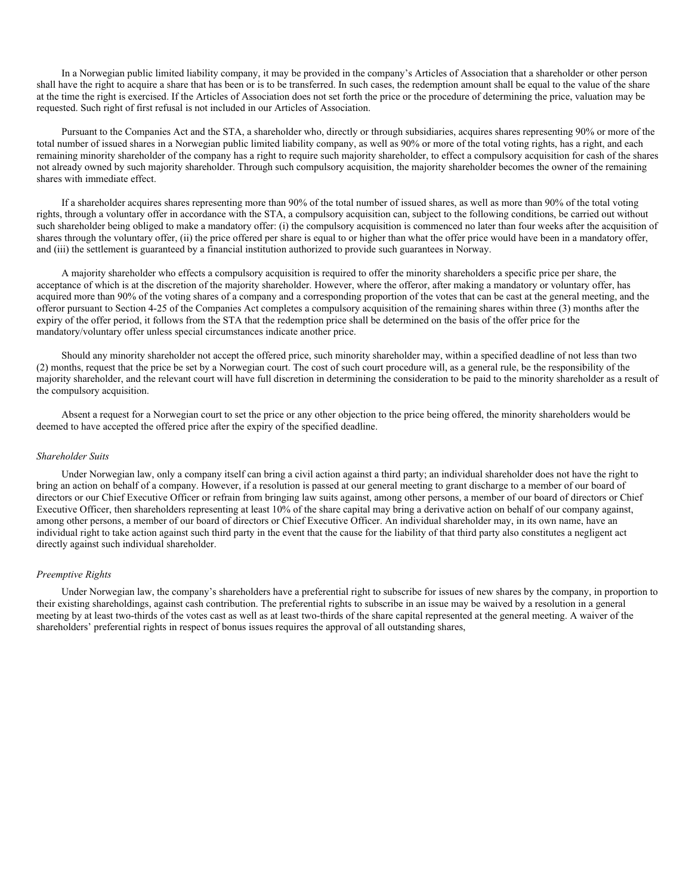In a Norwegian public limited liability company, it may be provided in the company's Articles of Association that a shareholder or other person shall have the right to acquire a share that has been or is to be transferred. In such cases, the redemption amount shall be equal to the value of the share at the time the right is exercised. If the Articles of Association does not set forth the price or the procedure of determining the price, valuation may be requested. Such right of first refusal is not included in our Articles of Association.

Pursuant to the Companies Act and the STA, a shareholder who, directly or through subsidiaries, acquires shares representing 90% or more of the total number of issued shares in a Norwegian public limited liability company, as well as 90% or more of the total voting rights, has a right, and each remaining minority shareholder of the company has a right to require such majority shareholder, to effect a compulsory acquisition for cash of the shares not already owned by such majority shareholder. Through such compulsory acquisition, the majority shareholder becomes the owner of the remaining shares with immediate effect.

If a shareholder acquires shares representing more than 90% of the total number of issued shares, as well as more than 90% of the total voting rights, through a voluntary offer in accordance with the STA, a compulsory acquisition can, subject to the following conditions, be carried out without such shareholder being obliged to make a mandatory offer: (i) the compulsory acquisition is commenced no later than four weeks after the acquisition of shares through the voluntary offer, (ii) the price offered per share is equal to or higher than what the offer price would have been in a mandatory offer, and (iii) the settlement is guaranteed by a financial institution authorized to provide such guarantees in Norway.

A majority shareholder who effects a compulsory acquisition is required to offer the minority shareholders a specific price per share, the acceptance of which is at the discretion of the majority shareholder. However, where the offeror, after making a mandatory or voluntary offer, has acquired more than 90% of the voting shares of a company and a corresponding proportion of the votes that can be cast at the general meeting, and the offeror pursuant to Section 4-25 of the Companies Act completes a compulsory acquisition of the remaining shares within three (3) months after the expiry of the offer period, it follows from the STA that the redemption price shall be determined on the basis of the offer price for the mandatory/voluntary offer unless special circumstances indicate another price.

Should any minority shareholder not accept the offered price, such minority shareholder may, within a specified deadline of not less than two (2) months, request that the price be set by a Norwegian court. The cost of such court procedure will, as a general rule, be the responsibility of the majority shareholder, and the relevant court will have full discretion in determining the consideration to be paid to the minority shareholder as a result of the compulsory acquisition.

Absent a request for a Norwegian court to set the price or any other objection to the price being offered, the minority shareholders would be deemed to have accepted the offered price after the expiry of the specified deadline.

#### *Shareholder Suits*

Under Norwegian law, only a company itself can bring a civil action against a third party; an individual shareholder does not have the right to bring an action on behalf of a company. However, if a resolution is passed at our general meeting to grant discharge to a member of our board of directors or our Chief Executive Officer or refrain from bringing law suits against, among other persons, a member of our board of directors or Chief Executive Officer, then shareholders representing at least 10% of the share capital may bring a derivative action on behalf of our company against, among other persons, a member of our board of directors or Chief Executive Officer. An individual shareholder may, in its own name, have an individual right to take action against such third party in the event that the cause for the liability of that third party also constitutes a negligent act directly against such individual shareholder.

#### *Preemptive Rights*

Under Norwegian law, the company's shareholders have a preferential right to subscribe for issues of new shares by the company, in proportion to their existing shareholdings, against cash contribution. The preferential rights to subscribe in an issue may be waived by a resolution in a general meeting by at least two-thirds of the votes cast as well as at least two-thirds of the share capital represented at the general meeting. A waiver of the shareholders' preferential rights in respect of bonus issues requires the approval of all outstanding shares,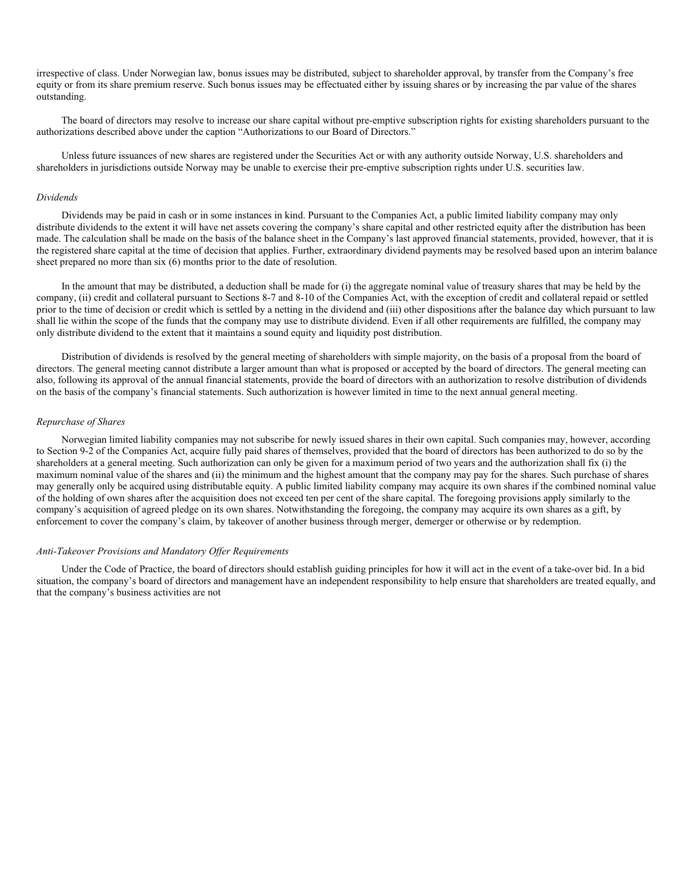irrespective of class. Under Norwegian law, bonus issues may be distributed, subject to shareholder approval, by transfer from the Company's free equity or from its share premium reserve. Such bonus issues may be effectuated either by issuing shares or by increasing the par value of the shares outstanding.

The board of directors may resolve to increase our share capital without pre-emptive subscription rights for existing shareholders pursuant to the authorizations described above under the caption "Authorizations to our Board of Directors."

Unless future issuances of new shares are registered under the Securities Act or with any authority outside Norway, U.S. shareholders and shareholders in jurisdictions outside Norway may be unable to exercise their pre-emptive subscription rights under U.S. securities law.

### *Dividends*

Dividends may be paid in cash or in some instances in kind. Pursuant to the Companies Act, a public limited liability company may only distribute dividends to the extent it will have net assets covering the company's share capital and other restricted equity after the distribution has been made. The calculation shall be made on the basis of the balance sheet in the Company's last approved financial statements, provided, however, that it is the registered share capital at the time of decision that applies. Further, extraordinary dividend payments may be resolved based upon an interim balance sheet prepared no more than six (6) months prior to the date of resolution.

In the amount that may be distributed, a deduction shall be made for (i) the aggregate nominal value of treasury shares that may be held by the company, (ii) credit and collateral pursuant to Sections 8-7 and 8-10 of the Companies Act, with the exception of credit and collateral repaid or settled prior to the time of decision or credit which is settled by a netting in the dividend and (iii) other dispositions after the balance day which pursuant to law shall lie within the scope of the funds that the company may use to distribute dividend. Even if all other requirements are fulfilled, the company may only distribute dividend to the extent that it maintains a sound equity and liquidity post distribution.

Distribution of dividends is resolved by the general meeting of shareholders with simple majority, on the basis of a proposal from the board of directors. The general meeting cannot distribute a larger amount than what is proposed or accepted by the board of directors. The general meeting can also, following its approval of the annual financial statements, provide the board of directors with an authorization to resolve distribution of dividends on the basis of the company's financial statements. Such authorization is however limited in time to the next annual general meeting.

#### *Repurchase of Shares*

Norwegian limited liability companies may not subscribe for newly issued shares in their own capital. Such companies may, however, according to Section 9-2 of the Companies Act, acquire fully paid shares of themselves, provided that the board of directors has been authorized to do so by the shareholders at a general meeting. Such authorization can only be given for a maximum period of two years and the authorization shall fix (i) the maximum nominal value of the shares and (ii) the minimum and the highest amount that the company may pay for the shares. Such purchase of shares may generally only be acquired using distributable equity. A public limited liability company may acquire its own shares if the combined nominal value of the holding of own shares after the acquisition does not exceed ten per cent of the share capital. The foregoing provisions apply similarly to the company's acquisition of agreed pledge on its own shares. Notwithstanding the foregoing, the company may acquire its own shares as a gift, by enforcement to cover the company's claim, by takeover of another business through merger, demerger or otherwise or by redemption.

#### *Anti-Takeover Provisions and Mandatory Offer Requirements*

Under the Code of Practice, the board of directors should establish guiding principles for how it will act in the event of a take-over bid. In a bid situation, the company's board of directors and management have an independent responsibility to help ensure that shareholders are treated equally, and that the company's business activities are not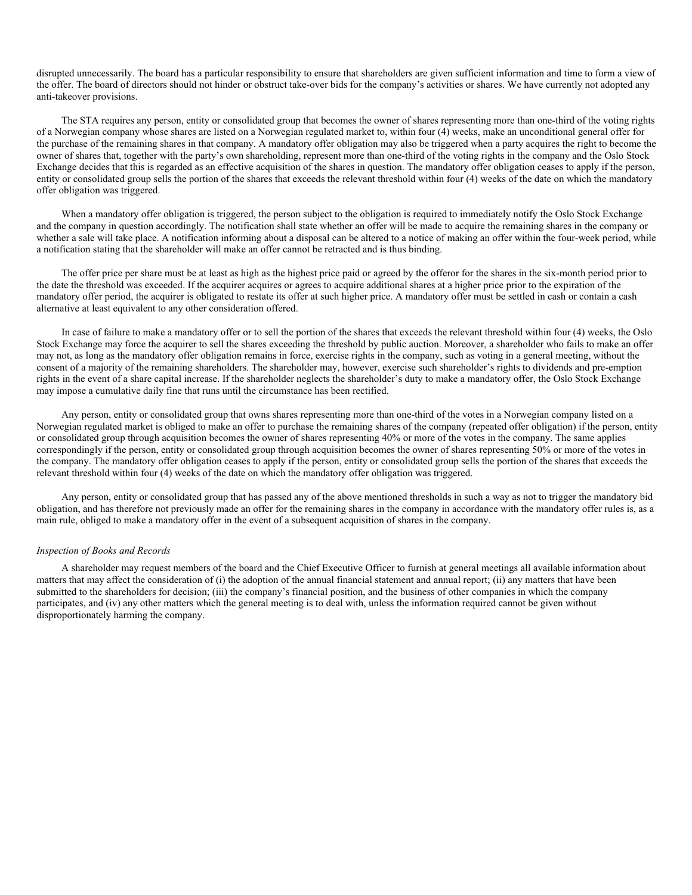disrupted unnecessarily. The board has a particular responsibility to ensure that shareholders are given sufficient information and time to form a view of the offer. The board of directors should not hinder or obstruct take-over bids for the company's activities or shares. We have currently not adopted any anti-takeover provisions.

The STA requires any person, entity or consolidated group that becomes the owner of shares representing more than one-third of the voting rights of a Norwegian company whose shares are listed on a Norwegian regulated market to, within four (4) weeks, make an unconditional general offer for the purchase of the remaining shares in that company. A mandatory offer obligation may also be triggered when a party acquires the right to become the owner of shares that, together with the party's own shareholding, represent more than one-third of the voting rights in the company and the Oslo Stock Exchange decides that this is regarded as an effective acquisition of the shares in question. The mandatory offer obligation ceases to apply if the person, entity or consolidated group sells the portion of the shares that exceeds the relevant threshold within four (4) weeks of the date on which the mandatory offer obligation was triggered.

When a mandatory offer obligation is triggered, the person subject to the obligation is required to immediately notify the Oslo Stock Exchange and the company in question accordingly. The notification shall state whether an offer will be made to acquire the remaining shares in the company or whether a sale will take place. A notification informing about a disposal can be altered to a notice of making an offer within the four-week period, while a notification stating that the shareholder will make an offer cannot be retracted and is thus binding.

The offer price per share must be at least as high as the highest price paid or agreed by the offeror for the shares in the six-month period prior to the date the threshold was exceeded. If the acquirer acquires or agrees to acquire additional shares at a higher price prior to the expiration of the mandatory offer period, the acquirer is obligated to restate its offer at such higher price. A mandatory offer must be settled in cash or contain a cash alternative at least equivalent to any other consideration offered.

In case of failure to make a mandatory offer or to sell the portion of the shares that exceeds the relevant threshold within four (4) weeks, the Oslo Stock Exchange may force the acquirer to sell the shares exceeding the threshold by public auction. Moreover, a shareholder who fails to make an offer may not, as long as the mandatory offer obligation remains in force, exercise rights in the company, such as voting in a general meeting, without the consent of a majority of the remaining shareholders. The shareholder may, however, exercise such shareholder's rights to dividends and pre-emption rights in the event of a share capital increase. If the shareholder neglects the shareholder's duty to make a mandatory offer, the Oslo Stock Exchange may impose a cumulative daily fine that runs until the circumstance has been rectified.

Any person, entity or consolidated group that owns shares representing more than one-third of the votes in a Norwegian company listed on a Norwegian regulated market is obliged to make an offer to purchase the remaining shares of the company (repeated offer obligation) if the person, entity or consolidated group through acquisition becomes the owner of shares representing 40% or more of the votes in the company. The same applies correspondingly if the person, entity or consolidated group through acquisition becomes the owner of shares representing 50% or more of the votes in the company. The mandatory offer obligation ceases to apply if the person, entity or consolidated group sells the portion of the shares that exceeds the relevant threshold within four (4) weeks of the date on which the mandatory offer obligation was triggered.

Any person, entity or consolidated group that has passed any of the above mentioned thresholds in such a way as not to trigger the mandatory bid obligation, and has therefore not previously made an offer for the remaining shares in the company in accordance with the mandatory offer rules is, as a main rule, obliged to make a mandatory offer in the event of a subsequent acquisition of shares in the company.

#### *Inspection of Books and Records*

A shareholder may request members of the board and the Chief Executive Officer to furnish at general meetings all available information about matters that may affect the consideration of (i) the adoption of the annual financial statement and annual report; (ii) any matters that have been submitted to the shareholders for decision; (iii) the company's financial position, and the business of other companies in which the company participates, and (iv) any other matters which the general meeting is to deal with, unless the information required cannot be given without disproportionately harming the company.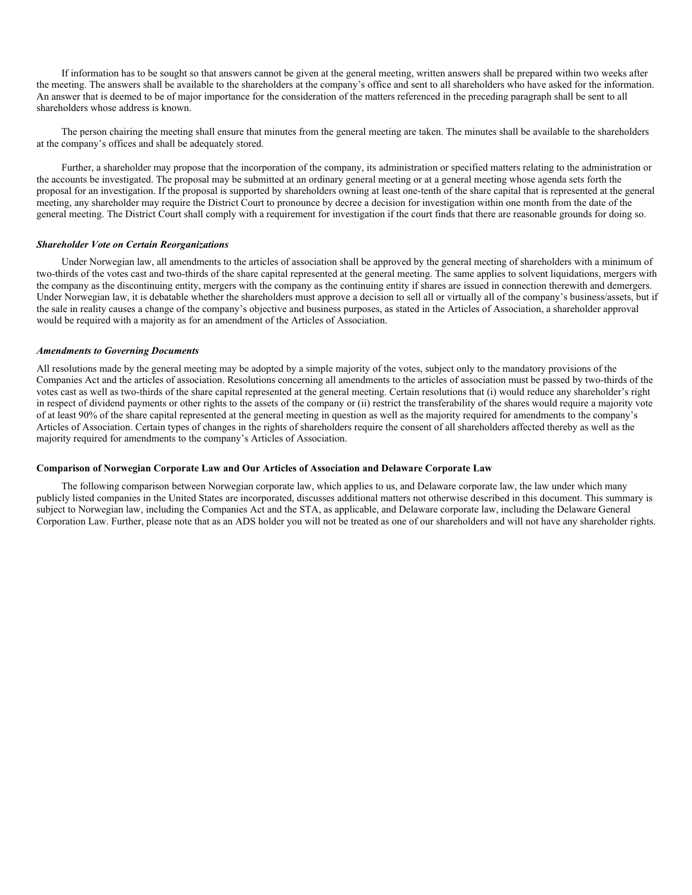If information has to be sought so that answers cannot be given at the general meeting, written answers shall be prepared within two weeks after the meeting. The answers shall be available to the shareholders at the company's office and sent to all shareholders who have asked for the information. An answer that is deemed to be of major importance for the consideration of the matters referenced in the preceding paragraph shall be sent to all shareholders whose address is known.

The person chairing the meeting shall ensure that minutes from the general meeting are taken. The minutes shall be available to the shareholders at the company's offices and shall be adequately stored.

Further, a shareholder may propose that the incorporation of the company, its administration or specified matters relating to the administration or the accounts be investigated. The proposal may be submitted at an ordinary general meeting or at a general meeting whose agenda sets forth the proposal for an investigation. If the proposal is supported by shareholders owning at least one-tenth of the share capital that is represented at the general meeting, any shareholder may require the District Court to pronounce by decree a decision for investigation within one month from the date of the general meeting. The District Court shall comply with a requirement for investigation if the court finds that there are reasonable grounds for doing so.

#### *Shareholder Vote on Certain Reorganizations*

Under Norwegian law, all amendments to the articles of association shall be approved by the general meeting of shareholders with a minimum of two-thirds of the votes cast and two-thirds of the share capital represented at the general meeting. The same applies to solvent liquidations, mergers with the company as the discontinuing entity, mergers with the company as the continuing entity if shares are issued in connection therewith and demergers. Under Norwegian law, it is debatable whether the shareholders must approve a decision to sell all or virtually all of the company's business/assets, but if the sale in reality causes a change of the company's objective and business purposes, as stated in the Articles of Association, a shareholder approval would be required with a majority as for an amendment of the Articles of Association.

#### *Amendments to Governing Documents*

All resolutions made by the general meeting may be adopted by a simple majority of the votes, subject only to the mandatory provisions of the Companies Act and the articles of association. Resolutions concerning all amendments to the articles of association must be passed by two-thirds of the votes cast as well as two-thirds of the share capital represented at the general meeting. Certain resolutions that (i) would reduce any shareholder's right in respect of dividend payments or other rights to the assets of the company or (ii) restrict the transferability of the shares would require a majority vote of at least 90% of the share capital represented at the general meeting in question as well as the majority required for amendments to the company's Articles of Association. Certain types of changes in the rights of shareholders require the consent of all shareholders affected thereby as well as the majority required for amendments to the company's Articles of Association.

#### **Comparison of Norwegian Corporate Law and Our Articles of Association and Delaware Corporate Law**

The following comparison between Norwegian corporate law, which applies to us, and Delaware corporate law, the law under which many publicly listed companies in the United States are incorporated, discusses additional matters not otherwise described in this document. This summary is subject to Norwegian law, including the Companies Act and the STA, as applicable, and Delaware corporate law, including the Delaware General Corporation Law. Further, please note that as an ADS holder you will not be treated as one of our shareholders and will not have any shareholder rights.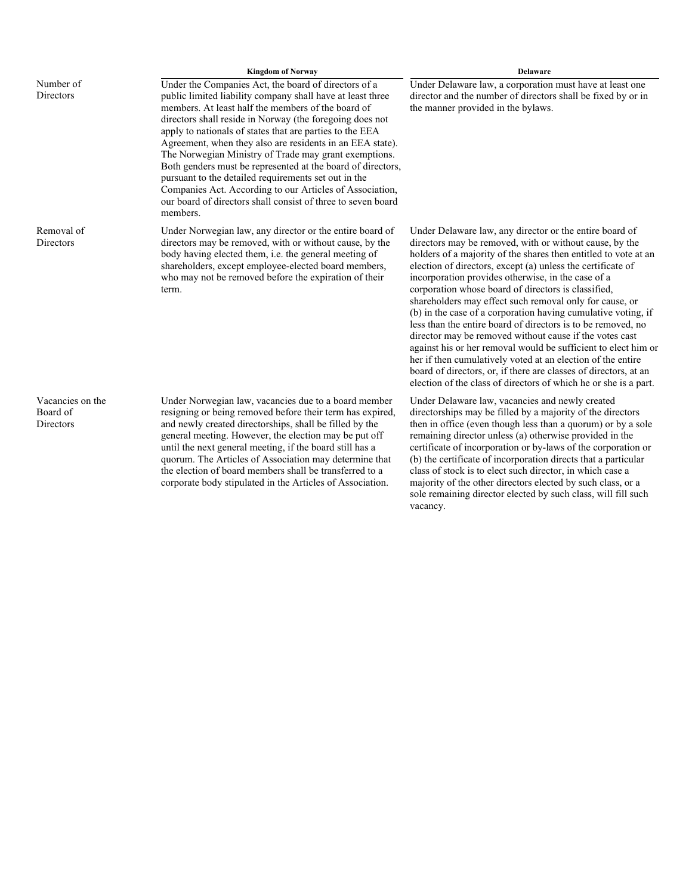|                                           | <b>Kingdom of Norway</b>                                                                                                                                                                                                                                                                                                                                                                                                                                                                                                                                                                                                                                                              | <b>Delaware</b>                                                                                                                                                                                                                                                                                                                                                                                                                                                                                                                                                                                                                                                                                                                                                                                                                                                                                   |
|-------------------------------------------|---------------------------------------------------------------------------------------------------------------------------------------------------------------------------------------------------------------------------------------------------------------------------------------------------------------------------------------------------------------------------------------------------------------------------------------------------------------------------------------------------------------------------------------------------------------------------------------------------------------------------------------------------------------------------------------|---------------------------------------------------------------------------------------------------------------------------------------------------------------------------------------------------------------------------------------------------------------------------------------------------------------------------------------------------------------------------------------------------------------------------------------------------------------------------------------------------------------------------------------------------------------------------------------------------------------------------------------------------------------------------------------------------------------------------------------------------------------------------------------------------------------------------------------------------------------------------------------------------|
| Number of<br>Directors                    | Under the Companies Act, the board of directors of a<br>public limited liability company shall have at least three<br>members. At least half the members of the board of<br>directors shall reside in Norway (the foregoing does not<br>apply to nationals of states that are parties to the EEA<br>Agreement, when they also are residents in an EEA state).<br>The Norwegian Ministry of Trade may grant exemptions.<br>Both genders must be represented at the board of directors,<br>pursuant to the detailed requirements set out in the<br>Companies Act. According to our Articles of Association,<br>our board of directors shall consist of three to seven board<br>members. | Under Delaware law, a corporation must have at least one<br>director and the number of directors shall be fixed by or in<br>the manner provided in the bylaws.                                                                                                                                                                                                                                                                                                                                                                                                                                                                                                                                                                                                                                                                                                                                    |
| Removal of<br>Directors                   | Under Norwegian law, any director or the entire board of<br>directors may be removed, with or without cause, by the<br>body having elected them, i.e. the general meeting of<br>shareholders, except employee-elected board members,<br>who may not be removed before the expiration of their<br>term.                                                                                                                                                                                                                                                                                                                                                                                | Under Delaware law, any director or the entire board of<br>directors may be removed, with or without cause, by the<br>holders of a majority of the shares then entitled to vote at an<br>election of directors, except (a) unless the certificate of<br>incorporation provides otherwise, in the case of a<br>corporation whose board of directors is classified,<br>shareholders may effect such removal only for cause, or<br>(b) in the case of a corporation having cumulative voting, if<br>less than the entire board of directors is to be removed, no<br>director may be removed without cause if the votes cast<br>against his or her removal would be sufficient to elect him or<br>her if then cumulatively voted at an election of the entire<br>board of directors, or, if there are classes of directors, at an<br>election of the class of directors of which he or she is a part. |
| Vacancies on the<br>Board of<br>Directors | Under Norwegian law, vacancies due to a board member<br>resigning or being removed before their term has expired,<br>and newly created directorships, shall be filled by the<br>general meeting. However, the election may be put off<br>until the next general meeting, if the board still has a<br>quorum. The Articles of Association may determine that<br>the election of board members shall be transferred to a<br>corporate body stipulated in the Articles of Association.                                                                                                                                                                                                   | Under Delaware law, vacancies and newly created<br>directorships may be filled by a majority of the directors<br>then in office (even though less than a quorum) or by a sole<br>remaining director unless (a) otherwise provided in the<br>certificate of incorporation or by-laws of the corporation or<br>(b) the certificate of incorporation directs that a particular<br>class of stock is to elect such director, in which case a<br>majority of the other directors elected by such class, or a                                                                                                                                                                                                                                                                                                                                                                                           |

sole remaining director elected by such class, will fill such

vacancy.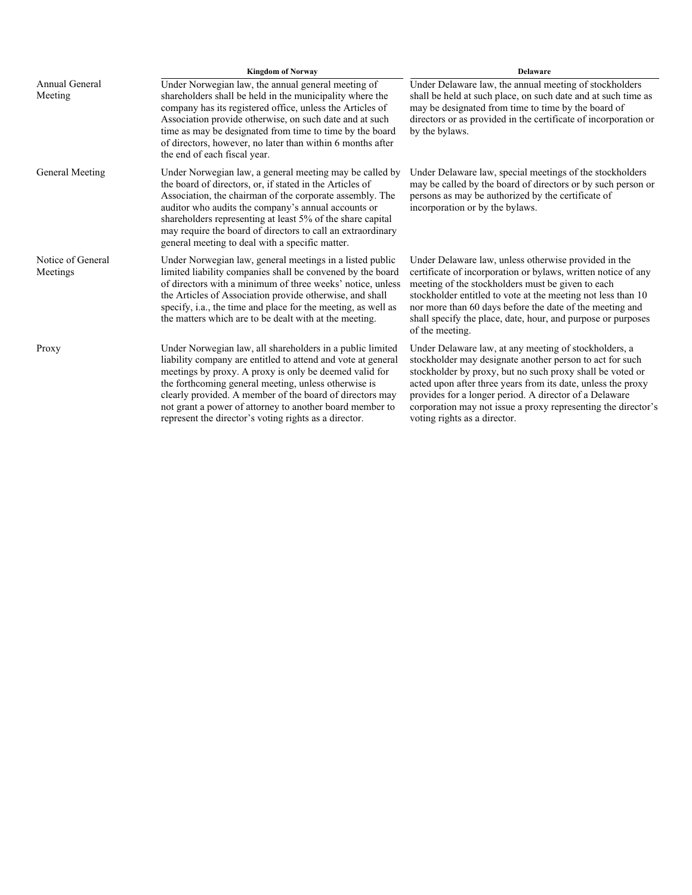|                                                                                                                                                                                                                                                                                                                                                                                                                              | <b>Delaware</b>                                                                                                                                                                                                                                                                                                                                                                                           |
|------------------------------------------------------------------------------------------------------------------------------------------------------------------------------------------------------------------------------------------------------------------------------------------------------------------------------------------------------------------------------------------------------------------------------|-----------------------------------------------------------------------------------------------------------------------------------------------------------------------------------------------------------------------------------------------------------------------------------------------------------------------------------------------------------------------------------------------------------|
| Under Norwegian law, the annual general meeting of<br>shareholders shall be held in the municipality where the<br>company has its registered office, unless the Articles of<br>Association provide otherwise, on such date and at such<br>time as may be designated from time to time by the board<br>of directors, however, no later than within 6 months after<br>the end of each fiscal year.                             | Under Delaware law, the annual meeting of stockholders<br>shall be held at such place, on such date and at such time as<br>may be designated from time to time by the board of<br>directors or as provided in the certificate of incorporation or<br>by the bylaws.                                                                                                                                       |
| Under Norwegian law, a general meeting may be called by<br>the board of directors, or, if stated in the Articles of<br>Association, the chairman of the corporate assembly. The<br>auditor who audits the company's annual accounts or<br>shareholders representing at least 5% of the share capital<br>may require the board of directors to call an extraordinary<br>general meeting to deal with a specific matter.       | Under Delaware law, special meetings of the stockholders<br>may be called by the board of directors or by such person or<br>persons as may be authorized by the certificate of<br>incorporation or by the bylaws.                                                                                                                                                                                         |
| Under Norwegian law, general meetings in a listed public<br>limited liability companies shall be convened by the board<br>of directors with a minimum of three weeks' notice, unless<br>the Articles of Association provide otherwise, and shall<br>specify, i.a., the time and place for the meeting, as well as<br>the matters which are to be dealt with at the meeting.                                                  | Under Delaware law, unless otherwise provided in the<br>certificate of incorporation or bylaws, written notice of any<br>meeting of the stockholders must be given to each<br>stockholder entitled to vote at the meeting not less than 10<br>nor more than 60 days before the date of the meeting and<br>shall specify the place, date, hour, and purpose or purposes<br>of the meeting.                 |
| Under Norwegian law, all shareholders in a public limited<br>liability company are entitled to attend and vote at general<br>meetings by proxy. A proxy is only be deemed valid for<br>the forthcoming general meeting, unless otherwise is<br>clearly provided. A member of the board of directors may<br>not grant a power of attorney to another board member to<br>represent the director's voting rights as a director. | Under Delaware law, at any meeting of stockholders, a<br>stockholder may designate another person to act for such<br>stockholder by proxy, but no such proxy shall be voted or<br>acted upon after three years from its date, unless the proxy<br>provides for a longer period. A director of a Delaware<br>corporation may not issue a proxy representing the director's<br>voting rights as a director. |
|                                                                                                                                                                                                                                                                                                                                                                                                                              | <b>Kingdom of Norway</b>                                                                                                                                                                                                                                                                                                                                                                                  |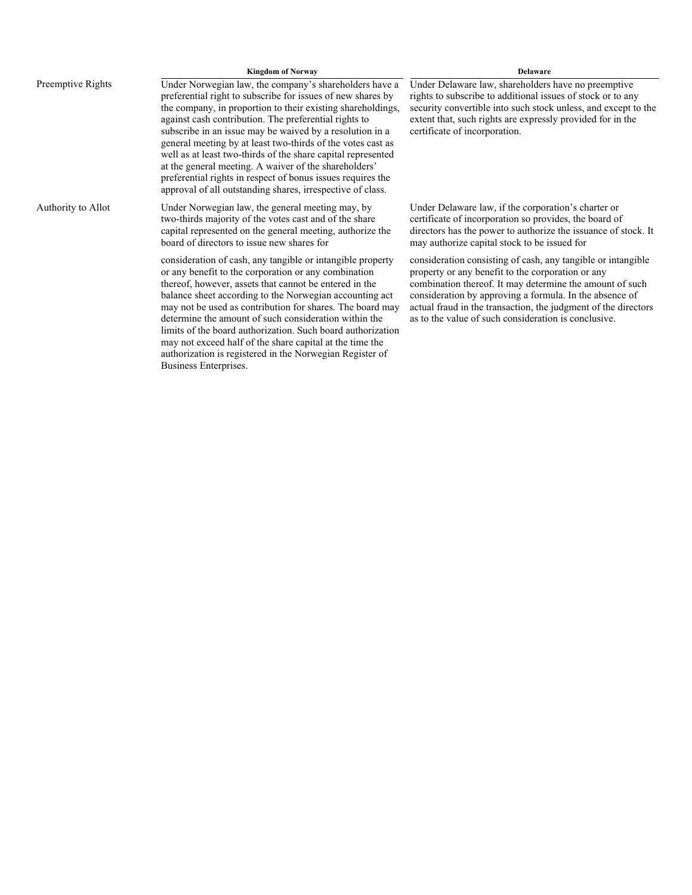|                    | <b>Kingdom of Norway</b>                                                                                                                                                                                                                                                                                                                                                                                                                                                                                                                                                                                                       | <b>Delaware</b>                                                                                                                                                                                                                                                                                                                                                    |
|--------------------|--------------------------------------------------------------------------------------------------------------------------------------------------------------------------------------------------------------------------------------------------------------------------------------------------------------------------------------------------------------------------------------------------------------------------------------------------------------------------------------------------------------------------------------------------------------------------------------------------------------------------------|--------------------------------------------------------------------------------------------------------------------------------------------------------------------------------------------------------------------------------------------------------------------------------------------------------------------------------------------------------------------|
| Preemptive Rights  | Under Norwegian law, the company's shareholders have a<br>preferential right to subscribe for issues of new shares by<br>the company, in proportion to their existing shareholdings,<br>against cash contribution. The preferential rights to<br>subscribe in an issue may be waived by a resolution in a<br>general meeting by at least two-thirds of the votes cast as<br>well as at least two-thirds of the share capital represented<br>at the general meeting. A waiver of the shareholders'<br>preferential rights in respect of bonus issues requires the<br>approval of all outstanding shares, irrespective of class. | Under Delaware law, shareholders have no preemptive<br>rights to subscribe to additional issues of stock or to any<br>security convertible into such stock unless, and except to the<br>extent that, such rights are expressly provided for in the<br>certificate of incorporation.                                                                                |
| Authority to Allot | Under Norwegian law, the general meeting may, by<br>two-thirds majority of the votes cast and of the share<br>capital represented on the general meeting, authorize the<br>board of directors to issue new shares for                                                                                                                                                                                                                                                                                                                                                                                                          | Under Delaware law, if the corporation's charter or<br>certificate of incorporation so provides, the board of<br>directors has the power to authorize the issuance of stock. It<br>may authorize capital stock to be issued for                                                                                                                                    |
|                    | consideration of cash, any tangible or intangible property<br>or any benefit to the corporation or any combination<br>thereof, however, assets that cannot be entered in the<br>balance sheet according to the Norwegian accounting act<br>may not be used as contribution for shares. The board may<br>determine the amount of such consideration within the<br>limits of the board authorization. Such board authorization<br>may not exceed half of the share capital at the time the<br>authorization is registered in the Norwegian Register of<br>Business Enterprises.                                                  | consideration consisting of cash, any tangible or intangible<br>property or any benefit to the corporation or any<br>combination thereof. It may determine the amount of such<br>consideration by approving a formula. In the absence of<br>actual fraud in the transaction, the judgment of the directors<br>as to the value of such consideration is conclusive. |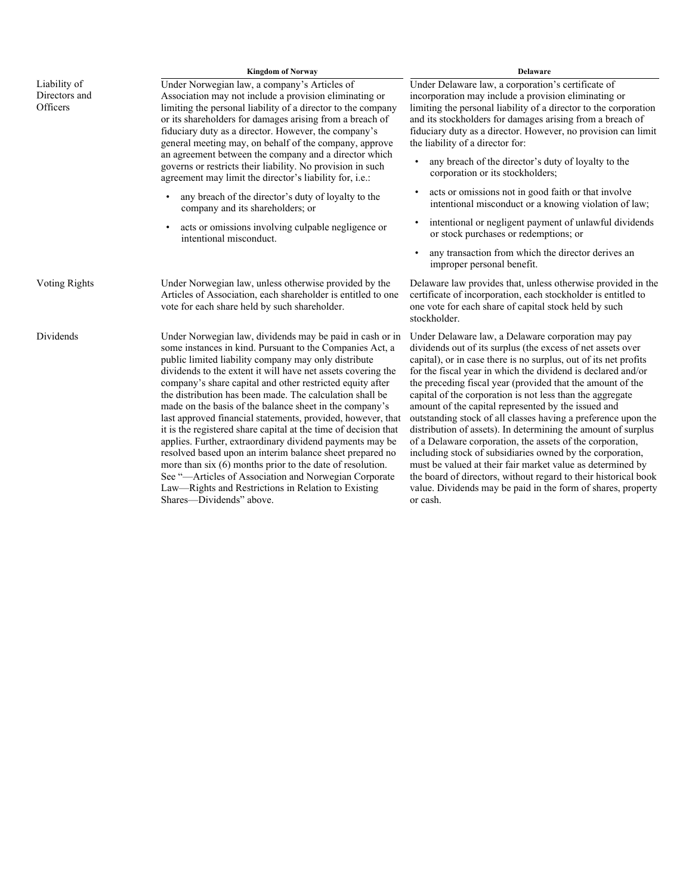|                                           | <b>Kingdom of Norway</b>                                                                                                                                                                                                                                                                                                                                                                                                                                                                                                                                                                                                                                                                                                                                                                                                                                                                             | <b>Delaware</b>                                                                                                                                                                                                                                                                                                                                                                                                                                                                                                                                                                                                                                                                                                                                                                                                                                                                                                  |
|-------------------------------------------|------------------------------------------------------------------------------------------------------------------------------------------------------------------------------------------------------------------------------------------------------------------------------------------------------------------------------------------------------------------------------------------------------------------------------------------------------------------------------------------------------------------------------------------------------------------------------------------------------------------------------------------------------------------------------------------------------------------------------------------------------------------------------------------------------------------------------------------------------------------------------------------------------|------------------------------------------------------------------------------------------------------------------------------------------------------------------------------------------------------------------------------------------------------------------------------------------------------------------------------------------------------------------------------------------------------------------------------------------------------------------------------------------------------------------------------------------------------------------------------------------------------------------------------------------------------------------------------------------------------------------------------------------------------------------------------------------------------------------------------------------------------------------------------------------------------------------|
| Liability of<br>Directors and<br>Officers | Under Norwegian law, a company's Articles of<br>Association may not include a provision eliminating or<br>limiting the personal liability of a director to the company<br>or its shareholders for damages arising from a breach of<br>fiduciary duty as a director. However, the company's<br>general meeting may, on behalf of the company, approve<br>an agreement between the company and a director which                                                                                                                                                                                                                                                                                                                                                                                                                                                                                        | Under Delaware law, a corporation's certificate of<br>incorporation may include a provision eliminating or<br>limiting the personal liability of a director to the corporation<br>and its stockholders for damages arising from a breach of<br>fiduciary duty as a director. However, no provision can limit<br>the liability of a director for:                                                                                                                                                                                                                                                                                                                                                                                                                                                                                                                                                                 |
|                                           | governs or restricts their liability. No provision in such<br>agreement may limit the director's liability for, i.e.:                                                                                                                                                                                                                                                                                                                                                                                                                                                                                                                                                                                                                                                                                                                                                                                | any breach of the director's duty of loyalty to the<br>$\bullet$<br>corporation or its stockholders;                                                                                                                                                                                                                                                                                                                                                                                                                                                                                                                                                                                                                                                                                                                                                                                                             |
|                                           | any breach of the director's duty of loyalty to the<br>company and its shareholders; or                                                                                                                                                                                                                                                                                                                                                                                                                                                                                                                                                                                                                                                                                                                                                                                                              | acts or omissions not in good faith or that involve<br>intentional misconduct or a knowing violation of law;                                                                                                                                                                                                                                                                                                                                                                                                                                                                                                                                                                                                                                                                                                                                                                                                     |
|                                           | acts or omissions involving culpable negligence or<br>$\bullet$<br>intentional misconduct.                                                                                                                                                                                                                                                                                                                                                                                                                                                                                                                                                                                                                                                                                                                                                                                                           | intentional or negligent payment of unlawful dividends<br>$\bullet$<br>or stock purchases or redemptions; or                                                                                                                                                                                                                                                                                                                                                                                                                                                                                                                                                                                                                                                                                                                                                                                                     |
|                                           |                                                                                                                                                                                                                                                                                                                                                                                                                                                                                                                                                                                                                                                                                                                                                                                                                                                                                                      | any transaction from which the director derives an<br>$\bullet$<br>improper personal benefit.                                                                                                                                                                                                                                                                                                                                                                                                                                                                                                                                                                                                                                                                                                                                                                                                                    |
| Voting Rights                             | Under Norwegian law, unless otherwise provided by the<br>Articles of Association, each shareholder is entitled to one<br>vote for each share held by such shareholder.                                                                                                                                                                                                                                                                                                                                                                                                                                                                                                                                                                                                                                                                                                                               | Delaware law provides that, unless otherwise provided in the<br>certificate of incorporation, each stockholder is entitled to<br>one vote for each share of capital stock held by such<br>stockholder.                                                                                                                                                                                                                                                                                                                                                                                                                                                                                                                                                                                                                                                                                                           |
| Dividends                                 | Under Norwegian law, dividends may be paid in cash or in<br>some instances in kind. Pursuant to the Companies Act, a<br>public limited liability company may only distribute<br>dividends to the extent it will have net assets covering the<br>company's share capital and other restricted equity after<br>the distribution has been made. The calculation shall be<br>made on the basis of the balance sheet in the company's<br>last approved financial statements, provided, however, that<br>it is the registered share capital at the time of decision that<br>applies. Further, extraordinary dividend payments may be<br>resolved based upon an interim balance sheet prepared no<br>more than $six(6)$ months prior to the date of resolution.<br>See "-Articles of Association and Norwegian Corporate<br>Law-Rights and Restrictions in Relation to Existing<br>Shares—Dividends" above. | Under Delaware law, a Delaware corporation may pay<br>dividends out of its surplus (the excess of net assets over<br>capital), or in case there is no surplus, out of its net profits<br>for the fiscal year in which the dividend is declared and/or<br>the preceding fiscal year (provided that the amount of the<br>capital of the corporation is not less than the aggregate<br>amount of the capital represented by the issued and<br>outstanding stock of all classes having a preference upon the<br>distribution of assets). In determining the amount of surplus<br>of a Delaware corporation, the assets of the corporation,<br>including stock of subsidiaries owned by the corporation,<br>must be valued at their fair market value as determined by<br>the board of directors, without regard to their historical book<br>value. Dividends may be paid in the form of shares, property<br>or cash. |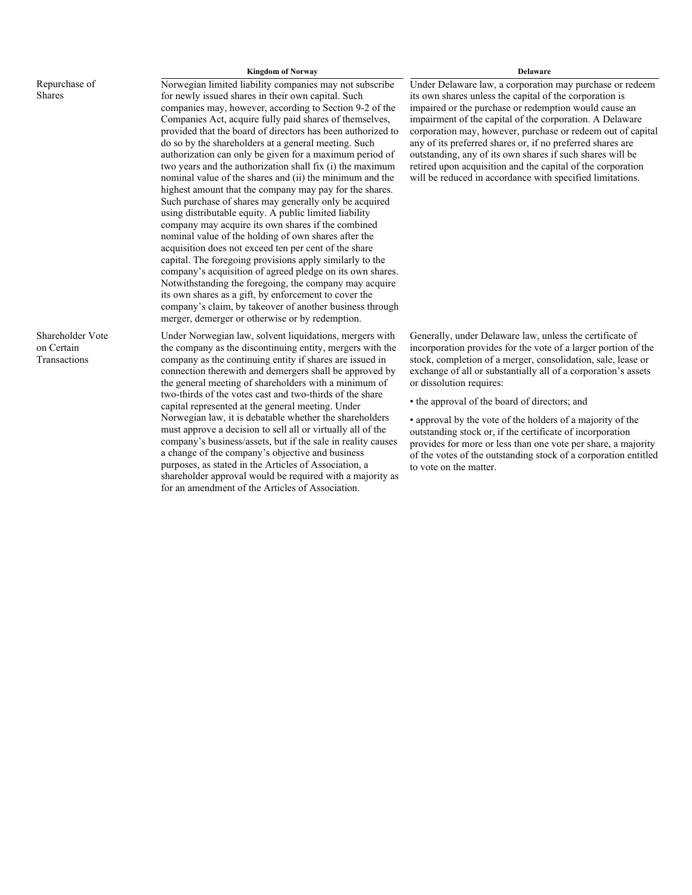Repurchase of Shares

Shareholder Vote on Certain Transactions

#### **Kingdom of Norway Delaware**

Norwegian limited liability companies may not subscribe for newly issued shares in their own capital. Such companies may, however, according to Section 9-2 of the Companies Act, acquire fully paid shares of themselves, provided that the board of directors has been authorized to do so by the shareholders at a general meeting. Such authorization can only be given for a maximum period of two years and the authorization shall fix (i) the maximum nominal value of the shares and (ii) the minimum and the highest amount that the company may pay for the shares. Such purchase of shares may generally only be acquired using distributable equity. A public limited liability company may acquire its own shares if the combined nominal value of the holding of own shares after the acquisition does not exceed ten per cent of the share capital. The foregoing provisions apply similarly to the company's acquisition of agreed pledge on its own shares. Notwithstanding the foregoing, the company may acquire its own shares as a gift, by enforcement to cover the company's claim, by takeover of another business through merger, demerger or otherwise or by redemption.

Under Norwegian law, solvent liquidations, mergers with the company as the discontinuing entity, mergers with the company as the continuing entity if shares are issued in connection therewith and demergers shall be approved by the general meeting of shareholders with a minimum of two-thirds of the votes cast and two-thirds of the share capital represented at the general meeting. Under Norwegian law, it is debatable whether the shareholders must approve a decision to sell all or virtually all of the company's business/assets, but if the sale in reality causes a change of the company's objective and business purposes, as stated in the Articles of Association, a shareholder approval would be required with a majority as for an amendment of the Articles of Association.

Under Delaware law, a corporation may purchase or redeem its own shares unless the capital of the corporation is impaired or the purchase or redemption would cause an impairment of the capital of the corporation. A Delaware corporation may, however, purchase or redeem out of capital any of its preferred shares or, if no preferred shares are outstanding, any of its own shares if such shares will be retired upon acquisition and the capital of the corporation will be reduced in accordance with specified limitations.

Generally, under Delaware law, unless the certificate of incorporation provides for the vote of a larger portion of the stock, completion of a merger, consolidation, sale, lease or exchange of all or substantially all of a corporation's assets or dissolution requires:

• the approval of the board of directors; and

• approval by the vote of the holders of a majority of the outstanding stock or, if the certificate of incorporation provides for more or less than one vote per share, a majority of the votes of the outstanding stock of a corporation entitled to vote on the matter.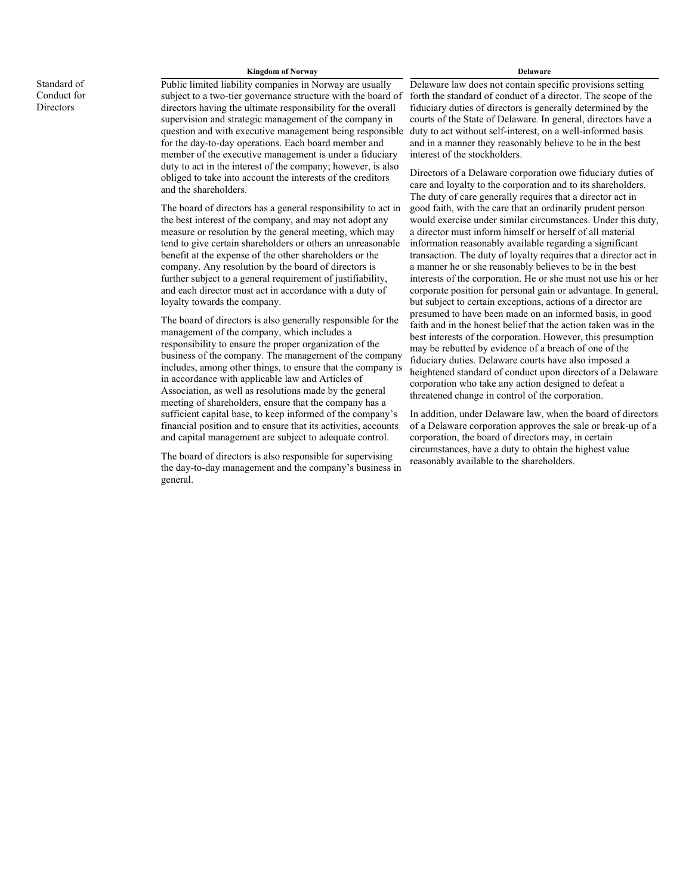Standard of Conduct for **Directors** 

#### **Kingdom of Norway Delaware Delaware Delaware**

Public limited liability companies in Norway are usually subject to a two-tier governance structure with the board of directors having the ultimate responsibility for the overall supervision and strategic management of the company in question and with executive management being responsible for the day-to-day operations. Each board member and member of the executive management is under a fiduciary duty to act in the interest of the company; however, is also obliged to take into account the interests of the creditors and the shareholders.

The board of directors has a general responsibility to act in the best interest of the company, and may not adopt any measure or resolution by the general meeting, which may tend to give certain shareholders or others an unreasonable benefit at the expense of the other shareholders or the company. Any resolution by the board of directors is further subject to a general requirement of justifiability, and each director must act in accordance with a duty of loyalty towards the company.

The board of directors is also generally responsible for the management of the company, which includes a responsibility to ensure the proper organization of the business of the company. The management of the company includes, among other things, to ensure that the company is in accordance with applicable law and Articles of Association, as well as resolutions made by the general meeting of shareholders, ensure that the company has a sufficient capital base, to keep informed of the company's financial position and to ensure that its activities, accounts and capital management are subject to adequate control.

The board of directors is also responsible for supervising the day-to-day management and the company's business in general.

Delaware law does not contain specific provisions setting forth the standard of conduct of a director. The scope of the fiduciary duties of directors is generally determined by the courts of the State of Delaware. In general, directors have a duty to act without self-interest, on a well-informed basis and in a manner they reasonably believe to be in the best interest of the stockholders.

Directors of a Delaware corporation owe fiduciary duties of care and loyalty to the corporation and to its shareholders. The duty of care generally requires that a director act in good faith, with the care that an ordinarily prudent person would exercise under similar circumstances. Under this duty, a director must inform himself or herself of all material information reasonably available regarding a significant transaction. The duty of loyalty requires that a director act in a manner he or she reasonably believes to be in the best interests of the corporation. He or she must not use his or her corporate position for personal gain or advantage. In general, but subject to certain exceptions, actions of a director are presumed to have been made on an informed basis, in good faith and in the honest belief that the action taken was in the best interests of the corporation. However, this presumption may be rebutted by evidence of a breach of one of the fiduciary duties. Delaware courts have also imposed a heightened standard of conduct upon directors of a Delaware corporation who take any action designed to defeat a threatened change in control of the corporation.

In addition, under Delaware law, when the board of directors of a Delaware corporation approves the sale or break-up of a corporation, the board of directors may, in certain circumstances, have a duty to obtain the highest value reasonably available to the shareholders.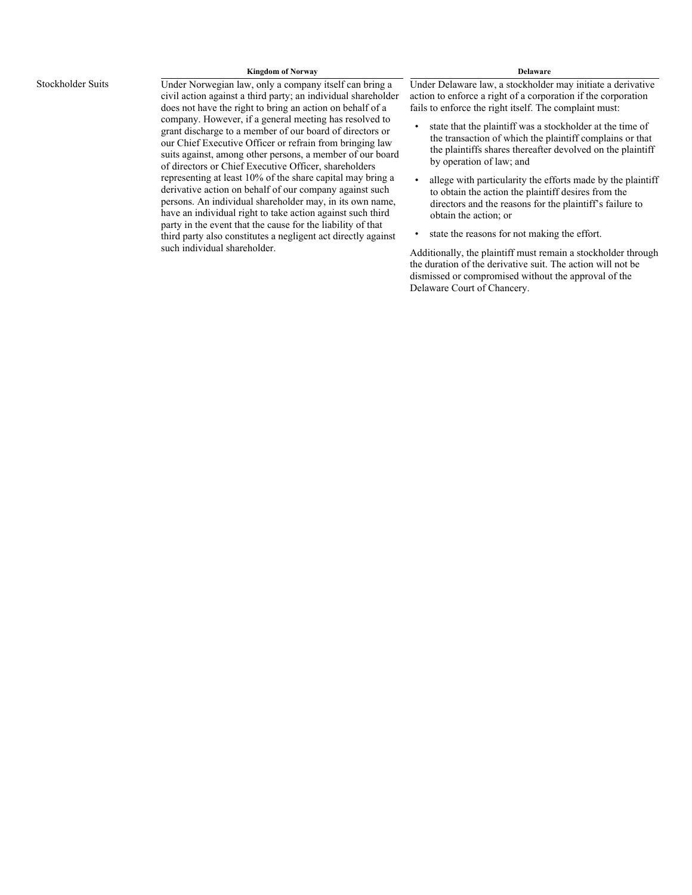#### **Kingdom of Norway Delaware**

Stockholder Suits Under Norwegian law, only a company itself can bring a civil action against a third party; an individual shareholder does not have the right to bring an action on behalf of a company. However, if a general meeting has resolved to grant discharge to a member of our board of directors or our Chief Executive Officer or refrain from bringing law suits against, among other persons, a member of our board of directors or Chief Executive Officer, shareholders representing at least 10% of the share capital may bring a derivative action on behalf of our company against such persons. An individual shareholder may, in its own name, have an individual right to take action against such third party in the event that the cause for the liability of that third party also constitutes a negligent act directly against such individual shareholder.

Under Delaware law, a stockholder may initiate a derivative action to enforce a right of a corporation if the corporation fails to enforce the right itself. The complaint must:

- state that the plaintiff was a stockholder at the time of the transaction of which the plaintiff complains or that the plaintiffs shares thereafter devolved on the plaintiff by operation of law; and
- allege with particularity the efforts made by the plaintiff to obtain the action the plaintiff desires from the directors and the reasons for the plaintiff's failure to obtain the action; or
- state the reasons for not making the effort.

Additionally, the plaintiff must remain a stockholder through the duration of the derivative suit. The action will not be dismissed or compromised without the approval of the Delaware Court of Chancery.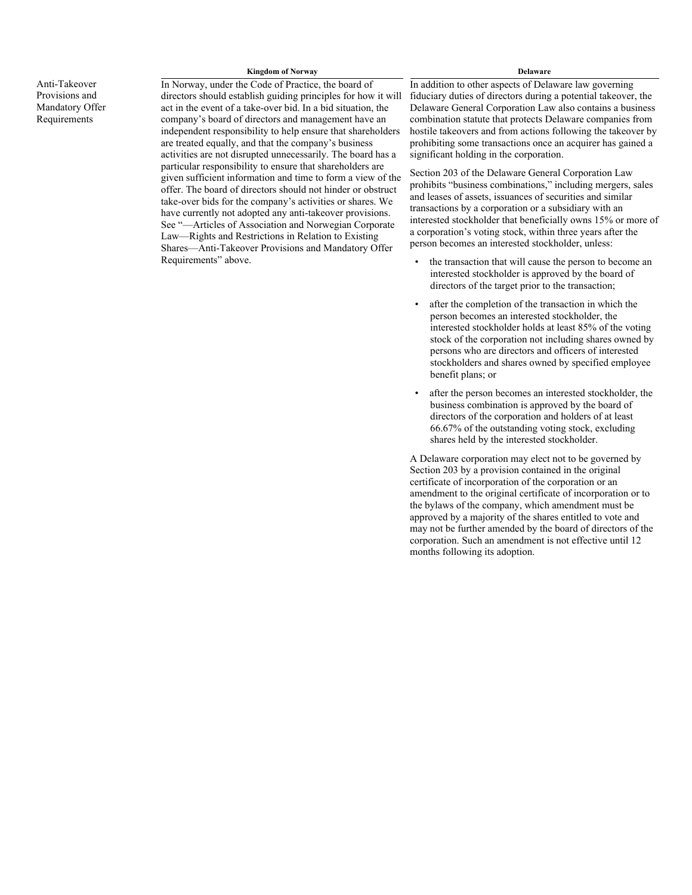Anti-Takeover Provisions and Mandatory Offer Requirements

#### **Kingdom of Norway Delaware Delaware Delaware**

In Norway, under the Code of Practice, the board of directors should establish guiding principles for how it will act in the event of a take-over bid. In a bid situation, the company's board of directors and management have an independent responsibility to help ensure that shareholders are treated equally, and that the company's business activities are not disrupted unnecessarily. The board has a particular responsibility to ensure that shareholders are given sufficient information and time to form a view of the offer. The board of directors should not hinder or obstruct take-over bids for the company's activities or shares. We have currently not adopted any anti-takeover provisions. See "—Articles of Association and Norwegian Corporate Law—Rights and Restrictions in Relation to Existing Shares—Anti-Takeover Provisions and Mandatory Offer Requirements" above.

In addition to other aspects of Delaware law governing fiduciary duties of directors during a potential takeover, the Delaware General Corporation Law also contains a business combination statute that protects Delaware companies from hostile takeovers and from actions following the takeover by prohibiting some transactions once an acquirer has gained a significant holding in the corporation.

Section 203 of the Delaware General Corporation Law prohibits "business combinations," including mergers, sales and leases of assets, issuances of securities and similar transactions by a corporation or a subsidiary with an interested stockholder that beneficially owns 15% or more of a corporation's voting stock, within three years after the person becomes an interested stockholder, unless:

- the transaction that will cause the person to become an interested stockholder is approved by the board of directors of the target prior to the transaction;
- after the completion of the transaction in which the person becomes an interested stockholder, the interested stockholder holds at least 85% of the voting stock of the corporation not including shares owned by persons who are directors and officers of interested stockholders and shares owned by specified employee benefit plans; or
- after the person becomes an interested stockholder, the business combination is approved by the board of directors of the corporation and holders of at least 66.67% of the outstanding voting stock, excluding shares held by the interested stockholder.

A Delaware corporation may elect not to be governed by Section 203 by a provision contained in the original certificate of incorporation of the corporation or an amendment to the original certificate of incorporation or to the bylaws of the company, which amendment must be approved by a majority of the shares entitled to vote and may not be further amended by the board of directors of the corporation. Such an amendment is not effective until 12 months following its adoption.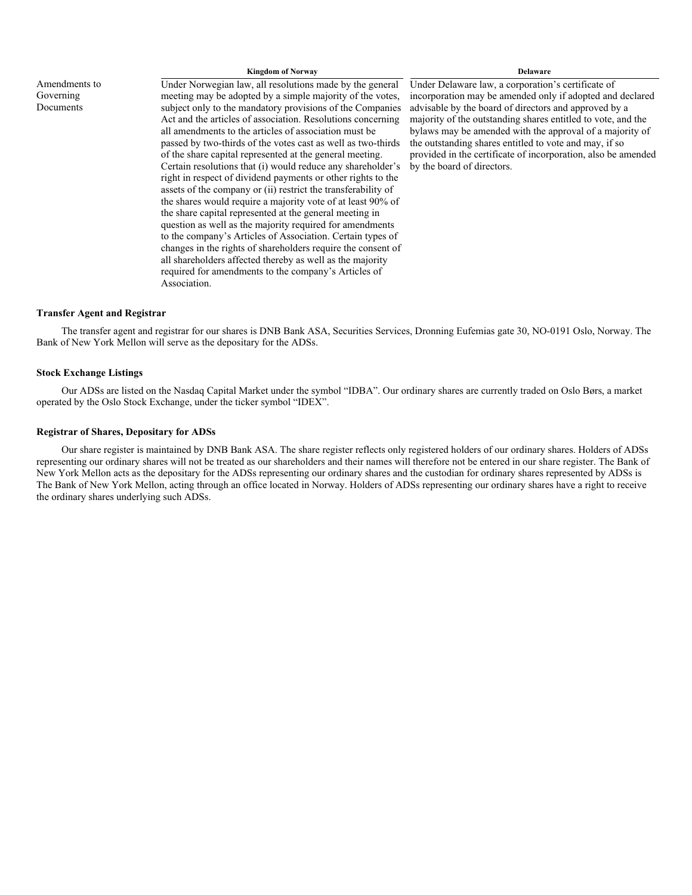Amendments to Governing Documents

#### **Kingdom of Norway Delaware Delaware Delaware**

Under Norwegian law, all resolutions made by the general meeting may be adopted by a simple majority of the votes, subject only to the mandatory provisions of the Companies Act and the articles of association. Resolutions concerning all amendments to the articles of association must be passed by two-thirds of the votes cast as well as two-thirds of the share capital represented at the general meeting. Certain resolutions that (i) would reduce any shareholder's right in respect of dividend payments or other rights to the assets of the company or (ii) restrict the transferability of the shares would require a majority vote of at least 90% of the share capital represented at the general meeting in question as well as the majority required for amendments to the company's Articles of Association. Certain types of changes in the rights of shareholders require the consent of all shareholders affected thereby as well as the majority required for amendments to the company's Articles of Association.

Under Delaware law, a corporation's certificate of incorporation may be amended only if adopted and declared advisable by the board of directors and approved by a majority of the outstanding shares entitled to vote, and the bylaws may be amended with the approval of a majority of the outstanding shares entitled to vote and may, if so provided in the certificate of incorporation, also be amended by the board of directors.

#### **Transfer Agent and Registrar**

The transfer agent and registrar for our shares is DNB Bank ASA, Securities Services, Dronning Eufemias gate 30, NO-0191 Oslo, Norway. The Bank of New York Mellon will serve as the depositary for the ADSs.

# **Stock Exchange Listings**

Our ADSs are listed on the Nasdaq Capital Market under the symbol "IDBA". Our ordinary shares are currently traded on Oslo Børs, a market operated by the Oslo Stock Exchange, under the ticker symbol "IDEX".

#### **Registrar of Shares, Depositary for ADSs**

Our share register is maintained by DNB Bank ASA. The share register reflects only registered holders of our ordinary shares. Holders of ADSs representing our ordinary shares will not be treated as our shareholders and their names will therefore not be entered in our share register. The Bank of New York Mellon acts as the depositary for the ADSs representing our ordinary shares and the custodian for ordinary shares represented by ADSs is The Bank of New York Mellon, acting through an office located in Norway. Holders of ADSs representing our ordinary shares have a right to receive the ordinary shares underlying such ADSs.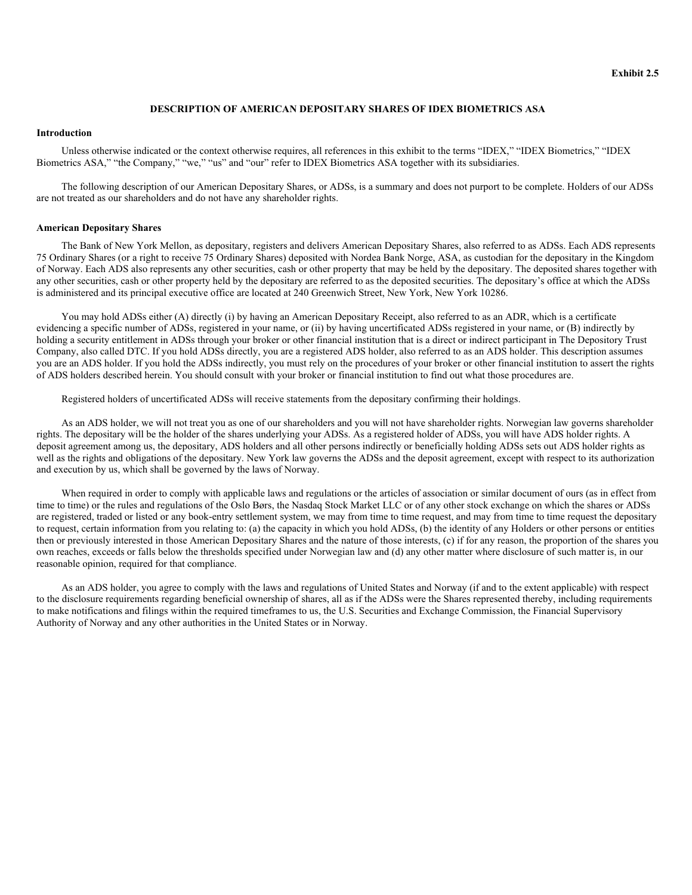### **DESCRIPTION OF AMERICAN DEPOSITARY SHARES OF IDEX BIOMETRICS ASA**

## **Introduction**

Unless otherwise indicated or the context otherwise requires, all references in this exhibit to the terms "IDEX," "IDEX Biometrics," "IDEX Biometrics ASA," "the Company," "we," "us" and "our" refer to IDEX Biometrics ASA together with its subsidiaries.

The following description of our American Depositary Shares, or ADSs, is a summary and does not purport to be complete. Holders of our ADSs are not treated as our shareholders and do not have any shareholder rights.

#### **American Depositary Shares**

The Bank of New York Mellon, as depositary, registers and delivers American Depositary Shares, also referred to as ADSs. Each ADS represents 75 Ordinary Shares (or a right to receive 75 Ordinary Shares) deposited with Nordea Bank Norge, ASA, as custodian for the depositary in the Kingdom of Norway. Each ADS also represents any other securities, cash or other property that may be held by the depositary. The deposited shares together with any other securities, cash or other property held by the depositary are referred to as the deposited securities. The depositary's office at which the ADSs is administered and its principal executive office are located at 240 Greenwich Street, New York, New York 10286.

You may hold ADSs either (A) directly (i) by having an American Depositary Receipt, also referred to as an ADR, which is a certificate evidencing a specific number of ADSs, registered in your name, or (ii) by having uncertificated ADSs registered in your name, or (B) indirectly by holding a security entitlement in ADSs through your broker or other financial institution that is a direct or indirect participant in The Depository Trust Company, also called DTC. If you hold ADSs directly, you are a registered ADS holder, also referred to as an ADS holder. This description assumes you are an ADS holder. If you hold the ADSs indirectly, you must rely on the procedures of your broker or other financial institution to assert the rights of ADS holders described herein. You should consult with your broker or financial institution to find out what those procedures are.

Registered holders of uncertificated ADSs will receive statements from the depositary confirming their holdings.

As an ADS holder, we will not treat you as one of our shareholders and you will not have shareholder rights. Norwegian law governs shareholder rights. The depositary will be the holder of the shares underlying your ADSs. As a registered holder of ADSs, you will have ADS holder rights. A deposit agreement among us, the depositary, ADS holders and all other persons indirectly or beneficially holding ADSs sets out ADS holder rights as well as the rights and obligations of the depositary. New York law governs the ADSs and the deposit agreement, except with respect to its authorization and execution by us, which shall be governed by the laws of Norway.

When required in order to comply with applicable laws and regulations or the articles of association or similar document of ours (as in effect from time to time) or the rules and regulations of the Oslo Børs, the Nasdaq Stock Market LLC or of any other stock exchange on which the shares or ADSs are registered, traded or listed or any book-entry settlement system, we may from time to time request, and may from time to time request the depositary to request, certain information from you relating to: (a) the capacity in which you hold ADSs, (b) the identity of any Holders or other persons or entities then or previously interested in those American Depositary Shares and the nature of those interests, (c) if for any reason, the proportion of the shares you own reaches, exceeds or falls below the thresholds specified under Norwegian law and (d) any other matter where disclosure of such matter is, in our reasonable opinion, required for that compliance.

As an ADS holder, you agree to comply with the laws and regulations of United States and Norway (if and to the extent applicable) with respect to the disclosure requirements regarding beneficial ownership of shares, all as if the ADSs were the Shares represented thereby, including requirements to make notifications and filings within the required timeframes to us, the U.S. Securities and Exchange Commission, the Financial Supervisory Authority of Norway and any other authorities in the United States or in Norway.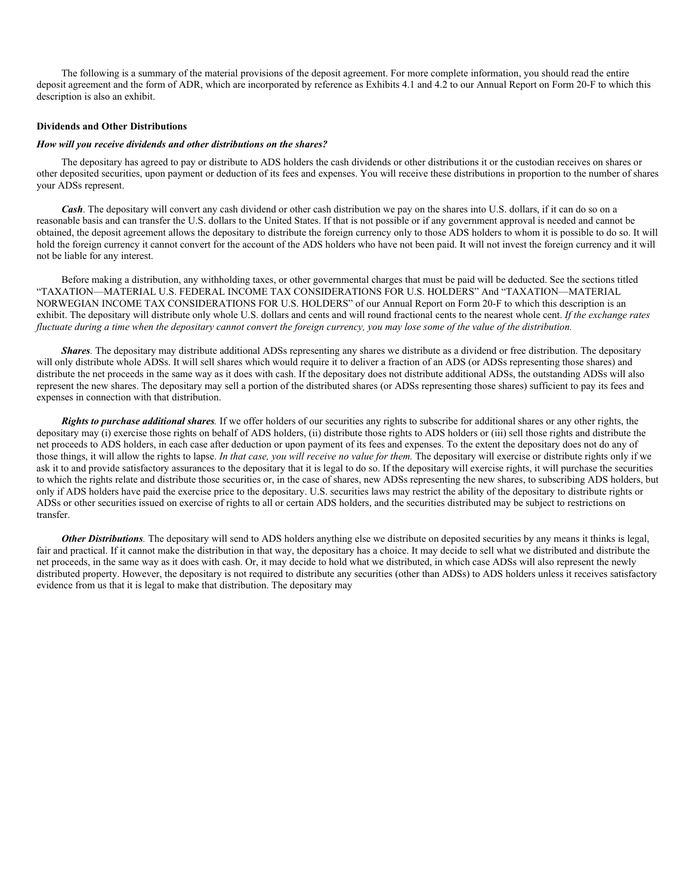The following is a summary of the material provisions of the deposit agreement. For more complete information, you should read the entire deposit agreement and the form of ADR, which are incorporated by reference as Exhibits 4.1 and 4.2 to our Annual Report on Form 20-F to which this description is also an exhibit.

#### **Dividends and Other Distributions**

## *How will you receive dividends and other distributions on the shares?*

The depositary has agreed to pay or distribute to ADS holders the cash dividends or other distributions it or the custodian receives on shares or other deposited securities, upon payment or deduction of its fees and expenses. You will receive these distributions in proportion to the number of shares your ADSs represent.

*Cash.* The depositary will convert any cash dividend or other cash distribution we pay on the shares into U.S. dollars, if it can do so on a reasonable basis and can transfer the U.S. dollars to the United States. If that is not possible or if any government approval is needed and cannot be obtained, the deposit agreement allows the depositary to distribute the foreign currency only to those ADS holders to whom it is possible to do so. It will hold the foreign currency it cannot convert for the account of the ADS holders who have not been paid. It will not invest the foreign currency and it will not be liable for any interest.

Before making a distribution, any withholding taxes, or other governmental charges that must be paid will be deducted. See the sections titled "TAXATION—MATERIAL U.S. FEDERAL INCOME TAX CONSIDERATIONS FOR U.S. HOLDERS" And "TAXATION—MATERIAL NORWEGIAN INCOME TAX CONSIDERATIONS FOR U.S. HOLDERS" of our Annual Report on Form 20-F to which this description is an exhibit. The depositary will distribute only whole U.S. dollars and cents and will round fractional cents to the nearest whole cent. *If the exchange rates fluctuate during a time when the depositary cannot convert the foreign currency, you may lose some of the value of the distribution.*

*Shares.* The depositary may distribute additional ADSs representing any shares we distribute as a dividend or free distribution. The depositary will only distribute whole ADSs. It will sell shares which would require it to deliver a fraction of an ADS (or ADSs representing those shares) and distribute the net proceeds in the same way as it does with cash. If the depositary does not distribute additional ADSs, the outstanding ADSs will also represent the new shares. The depositary may sell a portion of the distributed shares (or ADSs representing those shares) sufficient to pay its fees and expenses in connection with that distribution.

*Rights to purchase additional shares.* If we offer holders of our securities any rights to subscribe for additional shares or any other rights, the depositary may (i) exercise those rights on behalf of ADS holders, (ii) distribute those rights to ADS holders or (iii) sell those rights and distribute the net proceeds to ADS holders, in each case after deduction or upon payment of its fees and expenses. To the extent the depositary does not do any of those things, it will allow the rights to lapse. *In that case, you will receive no value for them.* The depositary will exercise or distribute rights only if we ask it to and provide satisfactory assurances to the depositary that it is legal to do so. If the depositary will exercise rights, it will purchase the securities to which the rights relate and distribute those securities or, in the case of shares, new ADSs representing the new shares, to subscribing ADS holders, but only if ADS holders have paid the exercise price to the depositary. U.S. securities laws may restrict the ability of the depositary to distribute rights or ADSs or other securities issued on exercise of rights to all or certain ADS holders, and the securities distributed may be subject to restrictions on transfer.

*Other Distributions.* The depositary will send to ADS holders anything else we distribute on deposited securities by any means it thinks is legal, fair and practical. If it cannot make the distribution in that way, the depositary has a choice. It may decide to sell what we distributed and distribute the net proceeds, in the same way as it does with cash. Or, it may decide to hold what we distributed, in which case ADSs will also represent the newly distributed property. However, the depositary is not required to distribute any securities (other than ADSs) to ADS holders unless it receives satisfactory evidence from us that it is legal to make that distribution. The depositary may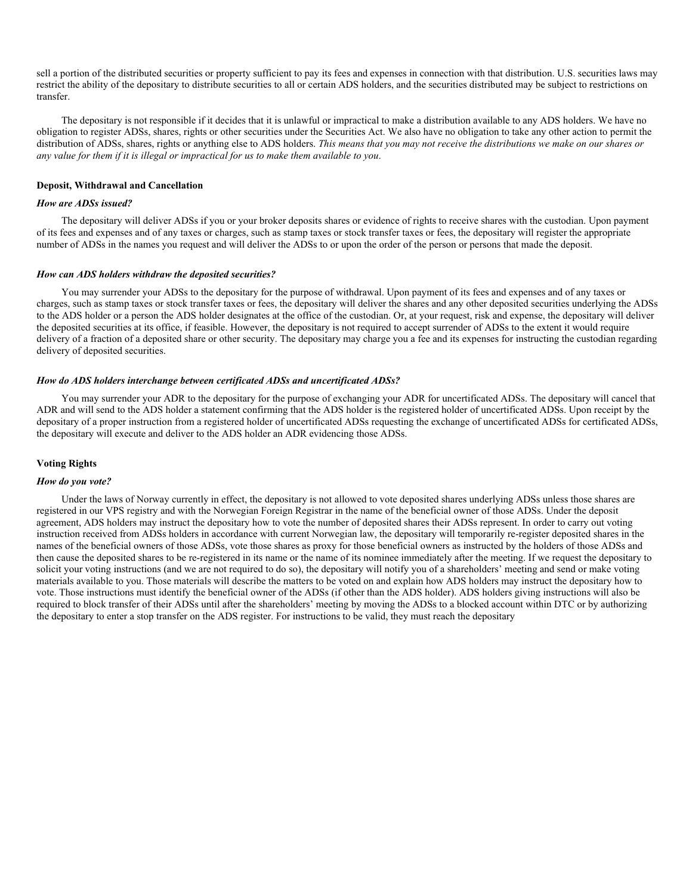sell a portion of the distributed securities or property sufficient to pay its fees and expenses in connection with that distribution. U.S. securities laws may restrict the ability of the depositary to distribute securities to all or certain ADS holders, and the securities distributed may be subject to restrictions on transfer.

The depositary is not responsible if it decides that it is unlawful or impractical to make a distribution available to any ADS holders. We have no obligation to register ADSs, shares, rights or other securities under the Securities Act. We also have no obligation to take any other action to permit the distribution of ADSs, shares, rights or anything else to ADS holders. *This means that you may not receive the distributions we make on our shares or any value for them if it is illegal or impractical for us to make them available to you*.

# **Deposit, Withdrawal and Cancellation**

# *How are ADSs issued?*

The depositary will deliver ADSs if you or your broker deposits shares or evidence of rights to receive shares with the custodian. Upon payment of its fees and expenses and of any taxes or charges, such as stamp taxes or stock transfer taxes or fees, the depositary will register the appropriate number of ADSs in the names you request and will deliver the ADSs to or upon the order of the person or persons that made the deposit.

#### *How can ADS holders withdraw the deposited securities?*

You may surrender your ADSs to the depositary for the purpose of withdrawal. Upon payment of its fees and expenses and of any taxes or charges, such as stamp taxes or stock transfer taxes or fees, the depositary will deliver the shares and any other deposited securities underlying the ADSs to the ADS holder or a person the ADS holder designates at the office of the custodian. Or, at your request, risk and expense, the depositary will deliver the deposited securities at its office, if feasible. However, the depositary is not required to accept surrender of ADSs to the extent it would require delivery of a fraction of a deposited share or other security. The depositary may charge you a fee and its expenses for instructing the custodian regarding delivery of deposited securities.

#### *How do ADS holders interchange between certificated ADSs and uncertificated ADSs?*

You may surrender your ADR to the depositary for the purpose of exchanging your ADR for uncertificated ADSs. The depositary will cancel that ADR and will send to the ADS holder a statement confirming that the ADS holder is the registered holder of uncertificated ADSs. Upon receipt by the depositary of a proper instruction from a registered holder of uncertificated ADSs requesting the exchange of uncertificated ADSs for certificated ADSs, the depositary will execute and deliver to the ADS holder an ADR evidencing those ADSs.

#### **Voting Rights**

#### *How do you vote?*

Under the laws of Norway currently in effect, the depositary is not allowed to vote deposited shares underlying ADSs unless those shares are registered in our VPS registry and with the Norwegian Foreign Registrar in the name of the beneficial owner of those ADSs. Under the deposit agreement, ADS holders may instruct the depositary how to vote the number of deposited shares their ADSs represent. In order to carry out voting instruction received from ADSs holders in accordance with current Norwegian law, the depositary will temporarily re-register deposited shares in the names of the beneficial owners of those ADSs, vote those shares as proxy for those beneficial owners as instructed by the holders of those ADSs and then cause the deposited shares to be re-registered in its name or the name of its nominee immediately after the meeting. If we request the depositary to solicit your voting instructions (and we are not required to do so), the depositary will notify you of a shareholders' meeting and send or make voting materials available to you. Those materials will describe the matters to be voted on and explain how ADS holders may instruct the depositary how to vote. Those instructions must identify the beneficial owner of the ADSs (if other than the ADS holder). ADS holders giving instructions will also be required to block transfer of their ADSs until after the shareholders' meeting by moving the ADSs to a blocked account within DTC or by authorizing the depositary to enter a stop transfer on the ADS register. For instructions to be valid, they must reach the depositary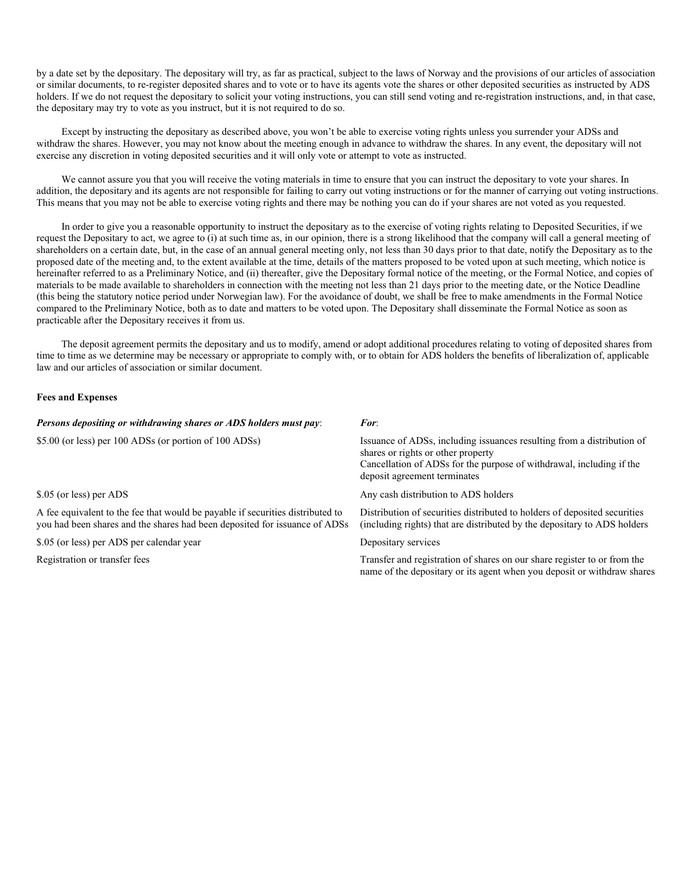by a date set by the depositary. The depositary will try, as far as practical, subject to the laws of Norway and the provisions of our articles of association or similar documents, to re-register deposited shares and to vote or to have its agents vote the shares or other deposited securities as instructed by ADS holders. If we do not request the depositary to solicit your voting instructions, you can still send voting and re-registration instructions, and, in that case, the depositary may try to vote as you instruct, but it is not required to do so.

Except by instructing the depositary as described above, you won't be able to exercise voting rights unless you surrender your ADSs and withdraw the shares. However, you may not know about the meeting enough in advance to withdraw the shares. In any event, the depositary will not exercise any discretion in voting deposited securities and it will only vote or attempt to vote as instructed.

We cannot assure you that you will receive the voting materials in time to ensure that you can instruct the depositary to vote your shares. In addition, the depositary and its agents are not responsible for failing to carry out voting instructions or for the manner of carrying out voting instructions. This means that you may not be able to exercise voting rights and there may be nothing you can do if your shares are not voted as you requested.

In order to give you a reasonable opportunity to instruct the depositary as to the exercise of voting rights relating to Deposited Securities, if we request the Depositary to act, we agree to (i) at such time as, in our opinion, there is a strong likelihood that the company will call a general meeting of shareholders on a certain date, but, in the case of an annual general meeting only, not less than 30 days prior to that date, notify the Depositary as to the proposed date of the meeting and, to the extent available at the time, details of the matters proposed to be voted upon at such meeting, which notice is hereinafter referred to as a Preliminary Notice, and (ii) thereafter, give the Depositary formal notice of the meeting, or the Formal Notice, and copies of materials to be made available to shareholders in connection with the meeting not less than 21 days prior to the meeting date, or the Notice Deadline (this being the statutory notice period under Norwegian law). For the avoidance of doubt, we shall be free to make amendments in the Formal Notice compared to the Preliminary Notice, both as to date and matters to be voted upon. The Depositary shall disseminate the Formal Notice as soon as practicable after the Depositary receives it from us.

The deposit agreement permits the depositary and us to modify, amend or adopt additional procedures relating to voting of deposited shares from time to time as we determine may be necessary or appropriate to comply with, or to obtain for ADS holders the benefits of liberalization of, applicable law and our articles of association or similar document.

# **Fees and Expenses**

| Persons depositing or withdrawing shares or ADS holders must pay:                                                                                            | For:                                                                                                                                                                                                                 |
|--------------------------------------------------------------------------------------------------------------------------------------------------------------|----------------------------------------------------------------------------------------------------------------------------------------------------------------------------------------------------------------------|
| \$5.00 (or less) per 100 ADSs (or portion of 100 ADSs)                                                                                                       | Issuance of ADSs, including issuances resulting from a distribution of<br>shares or rights or other property<br>Cancellation of ADSs for the purpose of withdrawal, including if the<br>deposit agreement terminates |
| \$.05 (or less) per ADS                                                                                                                                      | Any cash distribution to ADS holders                                                                                                                                                                                 |
| A fee equivalent to the fee that would be payable if securities distributed to<br>you had been shares and the shares had been deposited for issuance of ADSs | Distribution of securities distributed to holders of deposited securities<br>(including rights) that are distributed by the depositary to ADS holders                                                                |
| \$.05 (or less) per ADS per calendar year                                                                                                                    | Depositary services                                                                                                                                                                                                  |
| Registration or transfer fees                                                                                                                                | Transfer and registration of shares on our share register to or from the<br>name of the depositary or its agent when you deposit or withdraw shares                                                                  |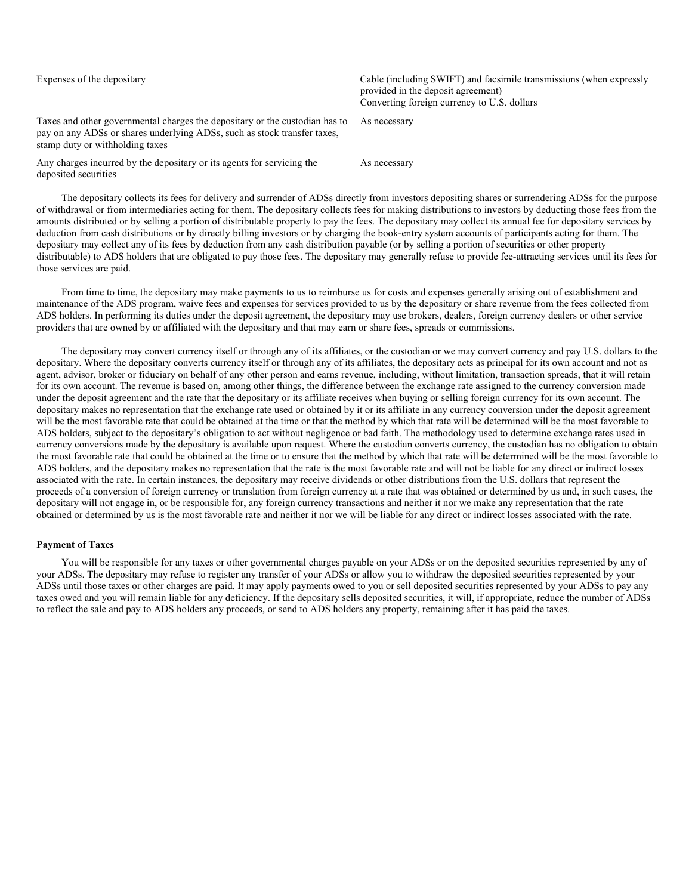| Expenses of the depositary                                                                                                                                                                 | Cable (including SWIFT) and facsimile transmissions (when expressly<br>provided in the deposit agreement)<br>Converting foreign currency to U.S. dollars |
|--------------------------------------------------------------------------------------------------------------------------------------------------------------------------------------------|----------------------------------------------------------------------------------------------------------------------------------------------------------|
| Taxes and other governmental charges the depositary or the custodian has to<br>pay on any ADSs or shares underlying ADSs, such as stock transfer taxes,<br>stamp duty or withholding taxes | As necessary                                                                                                                                             |
| Any charges incurred by the depositary or its agents for servicing the<br>deposited securities                                                                                             | As necessary                                                                                                                                             |

The depositary collects its fees for delivery and surrender of ADSs directly from investors depositing shares or surrendering ADSs for the purpose of withdrawal or from intermediaries acting for them. The depositary collects fees for making distributions to investors by deducting those fees from the amounts distributed or by selling a portion of distributable property to pay the fees. The depositary may collect its annual fee for depositary services by deduction from cash distributions or by directly billing investors or by charging the book-entry system accounts of participants acting for them. The depositary may collect any of its fees by deduction from any cash distribution payable (or by selling a portion of securities or other property distributable) to ADS holders that are obligated to pay those fees. The depositary may generally refuse to provide fee-attracting services until its fees for those services are paid.

From time to time, the depositary may make payments to us to reimburse us for costs and expenses generally arising out of establishment and maintenance of the ADS program, waive fees and expenses for services provided to us by the depositary or share revenue from the fees collected from ADS holders. In performing its duties under the deposit agreement, the depositary may use brokers, dealers, foreign currency dealers or other service providers that are owned by or affiliated with the depositary and that may earn or share fees, spreads or commissions.

The depositary may convert currency itself or through any of its affiliates, or the custodian or we may convert currency and pay U.S. dollars to the depositary. Where the depositary converts currency itself or through any of its affiliates, the depositary acts as principal for its own account and not as agent, advisor, broker or fiduciary on behalf of any other person and earns revenue, including, without limitation, transaction spreads, that it will retain for its own account. The revenue is based on, among other things, the difference between the exchange rate assigned to the currency conversion made under the deposit agreement and the rate that the depositary or its affiliate receives when buying or selling foreign currency for its own account. The depositary makes no representation that the exchange rate used or obtained by it or its affiliate in any currency conversion under the deposit agreement will be the most favorable rate that could be obtained at the time or that the method by which that rate will be determined will be the most favorable to ADS holders, subject to the depositary's obligation to act without negligence or bad faith. The methodology used to determine exchange rates used in currency conversions made by the depositary is available upon request. Where the custodian converts currency, the custodian has no obligation to obtain the most favorable rate that could be obtained at the time or to ensure that the method by which that rate will be determined will be the most favorable to ADS holders, and the depositary makes no representation that the rate is the most favorable rate and will not be liable for any direct or indirect losses associated with the rate. In certain instances, the depositary may receive dividends or other distributions from the U.S. dollars that represent the proceeds of a conversion of foreign currency or translation from foreign currency at a rate that was obtained or determined by us and, in such cases, the depositary will not engage in, or be responsible for, any foreign currency transactions and neither it nor we make any representation that the rate obtained or determined by us is the most favorable rate and neither it nor we will be liable for any direct or indirect losses associated with the rate.

# **Payment of Taxes**

You will be responsible for any taxes or other governmental charges payable on your ADSs or on the deposited securities represented by any of your ADSs. The depositary may refuse to register any transfer of your ADSs or allow you to withdraw the deposited securities represented by your ADSs until those taxes or other charges are paid. It may apply payments owed to you or sell deposited securities represented by your ADSs to pay any taxes owed and you will remain liable for any deficiency. If the depositary sells deposited securities, it will, if appropriate, reduce the number of ADSs to reflect the sale and pay to ADS holders any proceeds, or send to ADS holders any property, remaining after it has paid the taxes.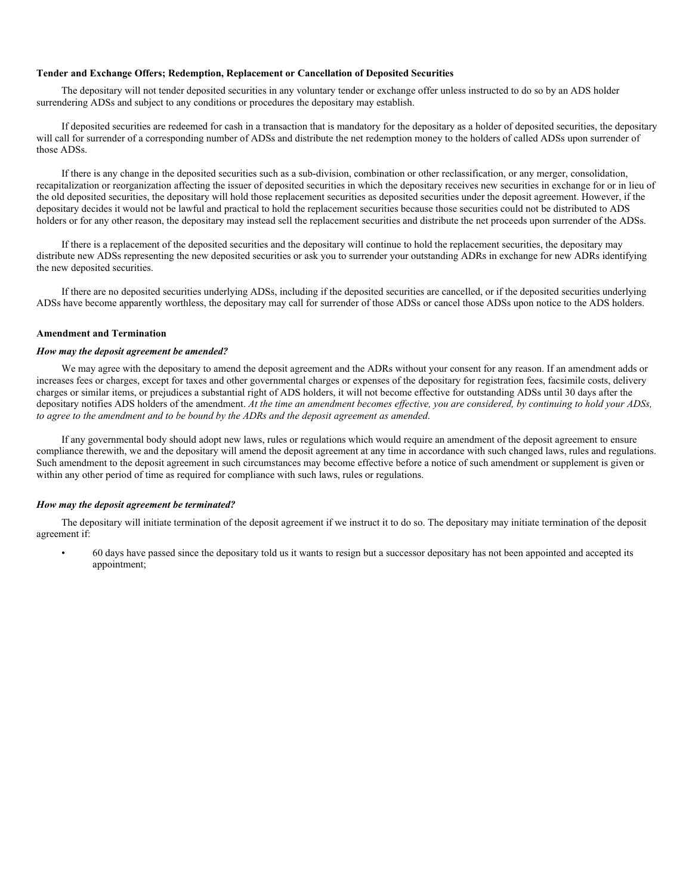# **Tender and Exchange Offers; Redemption, Replacement or Cancellation of Deposited Securities**

The depositary will not tender deposited securities in any voluntary tender or exchange offer unless instructed to do so by an ADS holder surrendering ADSs and subject to any conditions or procedures the depositary may establish.

If deposited securities are redeemed for cash in a transaction that is mandatory for the depositary as a holder of deposited securities, the depositary will call for surrender of a corresponding number of ADSs and distribute the net redemption money to the holders of called ADSs upon surrender of those ADSs.

If there is any change in the deposited securities such as a sub-division, combination or other reclassification, or any merger, consolidation, recapitalization or reorganization affecting the issuer of deposited securities in which the depositary receives new securities in exchange for or in lieu of the old deposited securities, the depositary will hold those replacement securities as deposited securities under the deposit agreement. However, if the depositary decides it would not be lawful and practical to hold the replacement securities because those securities could not be distributed to ADS holders or for any other reason, the depositary may instead sell the replacement securities and distribute the net proceeds upon surrender of the ADSs.

If there is a replacement of the deposited securities and the depositary will continue to hold the replacement securities, the depositary may distribute new ADSs representing the new deposited securities or ask you to surrender your outstanding ADRs in exchange for new ADRs identifying the new deposited securities.

If there are no deposited securities underlying ADSs, including if the deposited securities are cancelled, or if the deposited securities underlying ADSs have become apparently worthless, the depositary may call for surrender of those ADSs or cancel those ADSs upon notice to the ADS holders.

#### **Amendment and Termination**

#### *How may the deposit agreement be amended?*

We may agree with the depositary to amend the deposit agreement and the ADRs without your consent for any reason. If an amendment adds or increases fees or charges, except for taxes and other governmental charges or expenses of the depositary for registration fees, facsimile costs, delivery charges or similar items, or prejudices a substantial right of ADS holders, it will not become effective for outstanding ADSs until 30 days after the depositary notifies ADS holders of the amendment. *At the time an amendment becomes effective, you are considered, by continuing to hold your ADSs, to agree to the amendment and to be bound by the ADRs and the deposit agreement as amended*.

If any governmental body should adopt new laws, rules or regulations which would require an amendment of the deposit agreement to ensure compliance therewith, we and the depositary will amend the deposit agreement at any time in accordance with such changed laws, rules and regulations. Such amendment to the deposit agreement in such circumstances may become effective before a notice of such amendment or supplement is given or within any other period of time as required for compliance with such laws, rules or regulations.

# *How may the deposit agreement be terminated?*

The depositary will initiate termination of the deposit agreement if we instruct it to do so. The depositary may initiate termination of the deposit agreement if:

• 60 days have passed since the depositary told us it wants to resign but a successor depositary has not been appointed and accepted its appointment;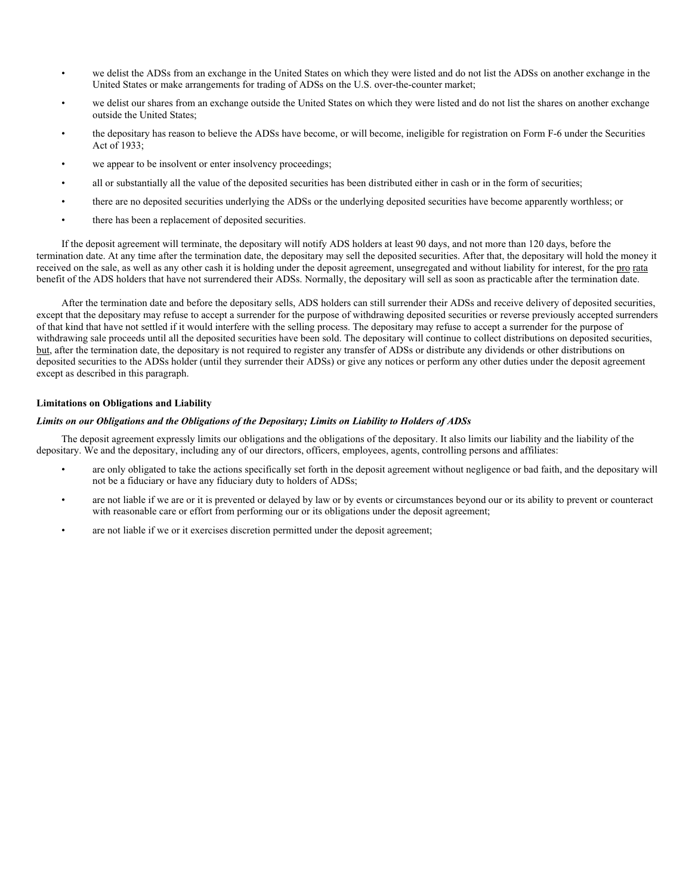- we delist the ADSs from an exchange in the United States on which they were listed and do not list the ADSs on another exchange in the United States or make arrangements for trading of ADSs on the U.S. over-the-counter market;
- we delist our shares from an exchange outside the United States on which they were listed and do not list the shares on another exchange outside the United States;
- the depositary has reason to believe the ADSs have become, or will become, ineligible for registration on Form F-6 under the Securities Act of 1933;
- we appear to be insolvent or enter insolvency proceedings;
- all or substantially all the value of the deposited securities has been distributed either in cash or in the form of securities;
- there are no deposited securities underlying the ADSs or the underlying deposited securities have become apparently worthless; or
- there has been a replacement of deposited securities.

If the deposit agreement will terminate, the depositary will notify ADS holders at least 90 days, and not more than 120 days, before the termination date. At any time after the termination date, the depositary may sell the deposited securities. After that, the depositary will hold the money it received on the sale, as well as any other cash it is holding under the deposit agreement, unsegregated and without liability for interest, for the pro rata benefit of the ADS holders that have not surrendered their ADSs. Normally, the depositary will sell as soon as practicable after the termination date.

After the termination date and before the depositary sells, ADS holders can still surrender their ADSs and receive delivery of deposited securities, except that the depositary may refuse to accept a surrender for the purpose of withdrawing deposited securities or reverse previously accepted surrenders of that kind that have not settled if it would interfere with the selling process. The depositary may refuse to accept a surrender for the purpose of withdrawing sale proceeds until all the deposited securities have been sold. The depositary will continue to collect distributions on deposited securities, but, after the termination date, the depositary is not required to register any transfer of ADSs or distribute any dividends or other distributions on deposited securities to the ADSs holder (until they surrender their ADSs) or give any notices or perform any other duties under the deposit agreement except as described in this paragraph.

# **Limitations on Obligations and Liability**

# *Limits on our Obligations and the Obligations of the Depositary; Limits on Liability to Holders of ADSs*

The deposit agreement expressly limits our obligations and the obligations of the depositary. It also limits our liability and the liability of the depositary. We and the depositary, including any of our directors, officers, employees, agents, controlling persons and affiliates:

- are only obligated to take the actions specifically set forth in the deposit agreement without negligence or bad faith, and the depositary will not be a fiduciary or have any fiduciary duty to holders of ADSs;
- are not liable if we are or it is prevented or delayed by law or by events or circumstances beyond our or its ability to prevent or counteract with reasonable care or effort from performing our or its obligations under the deposit agreement;
- are not liable if we or it exercises discretion permitted under the deposit agreement;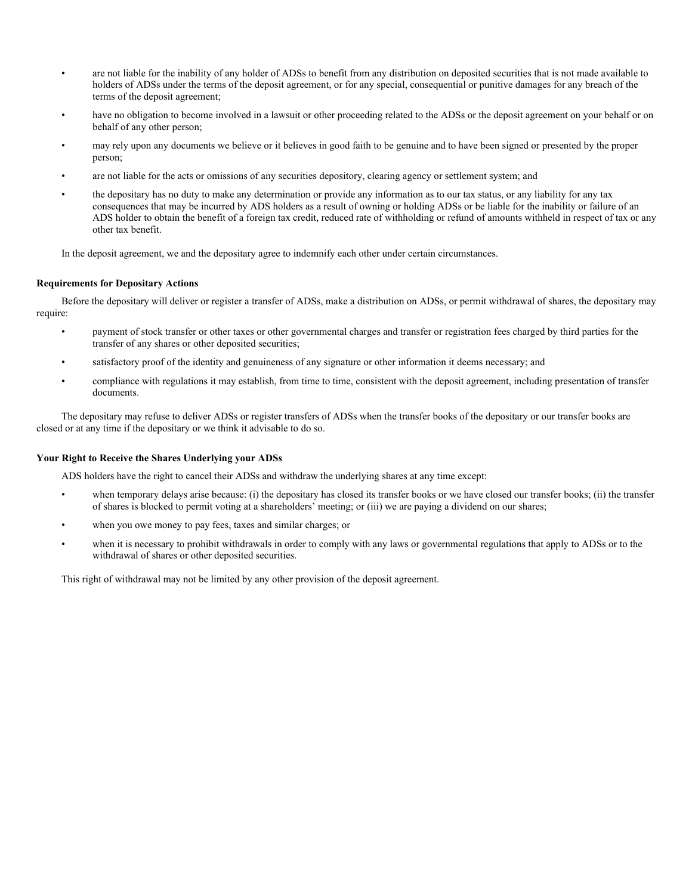- are not liable for the inability of any holder of ADSs to benefit from any distribution on deposited securities that is not made available to holders of ADSs under the terms of the deposit agreement, or for any special, consequential or punitive damages for any breach of the terms of the deposit agreement;
- have no obligation to become involved in a lawsuit or other proceeding related to the ADSs or the deposit agreement on your behalf or on behalf of any other person;
- may rely upon any documents we believe or it believes in good faith to be genuine and to have been signed or presented by the proper person;
- are not liable for the acts or omissions of any securities depository, clearing agency or settlement system; and
- the depositary has no duty to make any determination or provide any information as to our tax status, or any liability for any tax consequences that may be incurred by ADS holders as a result of owning or holding ADSs or be liable for the inability or failure of an ADS holder to obtain the benefit of a foreign tax credit, reduced rate of withholding or refund of amounts withheld in respect of tax or any other tax benefit.

In the deposit agreement, we and the depositary agree to indemnify each other under certain circumstances.

# **Requirements for Depositary Actions**

Before the depositary will deliver or register a transfer of ADSs, make a distribution on ADSs, or permit withdrawal of shares, the depositary may require:

- payment of stock transfer or other taxes or other governmental charges and transfer or registration fees charged by third parties for the transfer of any shares or other deposited securities;
- satisfactory proof of the identity and genuineness of any signature or other information it deems necessary; and
- compliance with regulations it may establish, from time to time, consistent with the deposit agreement, including presentation of transfer documents.

The depositary may refuse to deliver ADSs or register transfers of ADSs when the transfer books of the depositary or our transfer books are closed or at any time if the depositary or we think it advisable to do so.

### **Your Right to Receive the Shares Underlying your ADSs**

ADS holders have the right to cancel their ADSs and withdraw the underlying shares at any time except:

- when temporary delays arise because: (i) the depositary has closed its transfer books or we have closed our transfer books; (ii) the transfer of shares is blocked to permit voting at a shareholders' meeting; or (iii) we are paying a dividend on our shares;
- when you owe money to pay fees, taxes and similar charges; or
- when it is necessary to prohibit withdrawals in order to comply with any laws or governmental regulations that apply to ADSs or to the withdrawal of shares or other deposited securities.

This right of withdrawal may not be limited by any other provision of the deposit agreement.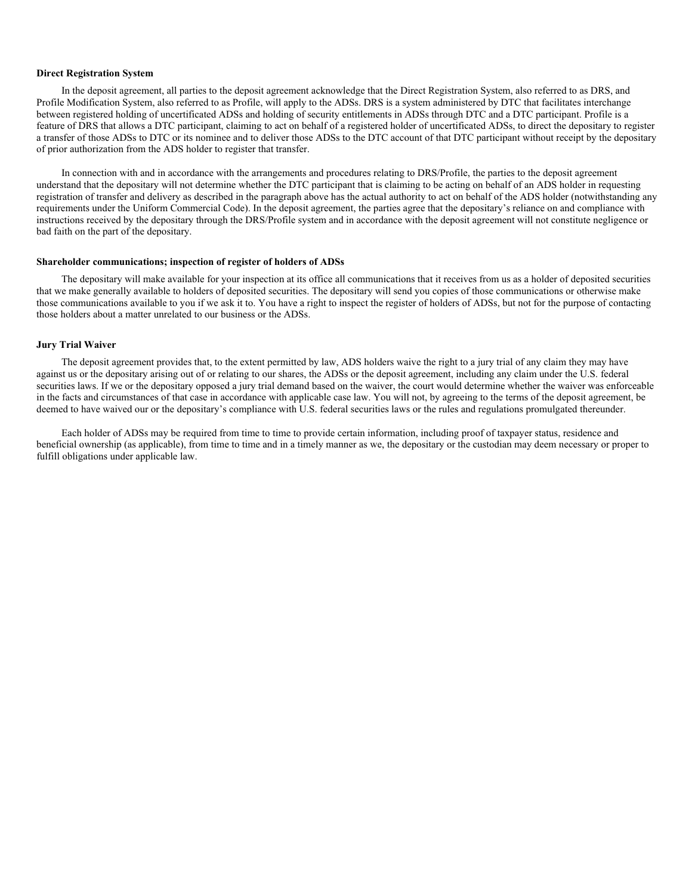# **Direct Registration System**

In the deposit agreement, all parties to the deposit agreement acknowledge that the Direct Registration System, also referred to as DRS, and Profile Modification System, also referred to as Profile, will apply to the ADSs. DRS is a system administered by DTC that facilitates interchange between registered holding of uncertificated ADSs and holding of security entitlements in ADSs through DTC and a DTC participant. Profile is a feature of DRS that allows a DTC participant, claiming to act on behalf of a registered holder of uncertificated ADSs, to direct the depositary to register a transfer of those ADSs to DTC or its nominee and to deliver those ADSs to the DTC account of that DTC participant without receipt by the depositary of prior authorization from the ADS holder to register that transfer.

In connection with and in accordance with the arrangements and procedures relating to DRS/Profile, the parties to the deposit agreement understand that the depositary will not determine whether the DTC participant that is claiming to be acting on behalf of an ADS holder in requesting registration of transfer and delivery as described in the paragraph above has the actual authority to act on behalf of the ADS holder (notwithstanding any requirements under the Uniform Commercial Code). In the deposit agreement, the parties agree that the depositary's reliance on and compliance with instructions received by the depositary through the DRS/Profile system and in accordance with the deposit agreement will not constitute negligence or bad faith on the part of the depositary.

#### **Shareholder communications; inspection of register of holders of ADSs**

The depositary will make available for your inspection at its office all communications that it receives from us as a holder of deposited securities that we make generally available to holders of deposited securities. The depositary will send you copies of those communications or otherwise make those communications available to you if we ask it to. You have a right to inspect the register of holders of ADSs, but not for the purpose of contacting those holders about a matter unrelated to our business or the ADSs.

# **Jury Trial Waiver**

The deposit agreement provides that, to the extent permitted by law, ADS holders waive the right to a jury trial of any claim they may have against us or the depositary arising out of or relating to our shares, the ADSs or the deposit agreement, including any claim under the U.S. federal securities laws. If we or the depositary opposed a jury trial demand based on the waiver, the court would determine whether the waiver was enforceable in the facts and circumstances of that case in accordance with applicable case law. You will not, by agreeing to the terms of the deposit agreement, be deemed to have waived our or the depositary's compliance with U.S. federal securities laws or the rules and regulations promulgated thereunder.

Each holder of ADSs may be required from time to time to provide certain information, including proof of taxpayer status, residence and beneficial ownership (as applicable), from time to time and in a timely manner as we, the depositary or the custodian may deem necessary or proper to fulfill obligations under applicable law.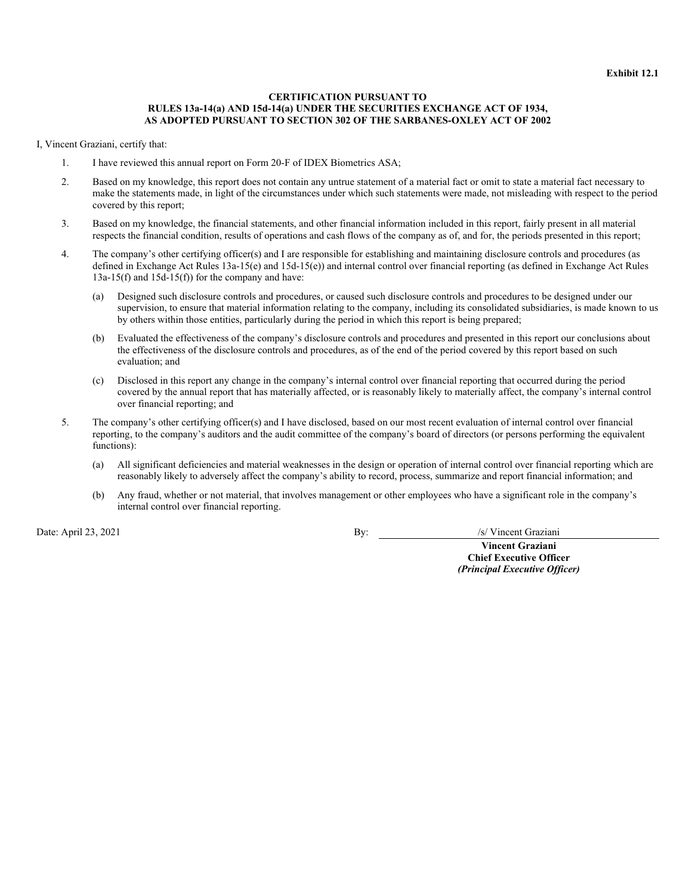# **CERTIFICATION PURSUANT TO RULES 13a-14(a) AND 15d-14(a) UNDER THE SECURITIES EXCHANGE ACT OF 1934, AS ADOPTED PURSUANT TO SECTION 302 OF THE SARBANES-OXLEY ACT OF 2002**

### I, Vincent Graziani, certify that:

- 1. I have reviewed this annual report on Form 20-F of IDEX Biometrics ASA;
- 2. Based on my knowledge, this report does not contain any untrue statement of a material fact or omit to state a material fact necessary to make the statements made, in light of the circumstances under which such statements were made, not misleading with respect to the period covered by this report;
- 3. Based on my knowledge, the financial statements, and other financial information included in this report, fairly present in all material respects the financial condition, results of operations and cash flows of the company as of, and for, the periods presented in this report;
- 4. The company's other certifying officer(s) and I are responsible for establishing and maintaining disclosure controls and procedures (as defined in Exchange Act Rules 13a-15(e) and 15d-15(e)) and internal control over financial reporting (as defined in Exchange Act Rules 13a-15(f) and 15d-15(f)) for the company and have:
	- (a) Designed such disclosure controls and procedures, or caused such disclosure controls and procedures to be designed under our supervision, to ensure that material information relating to the company, including its consolidated subsidiaries, is made known to us by others within those entities, particularly during the period in which this report is being prepared;
	- (b) Evaluated the effectiveness of the company's disclosure controls and procedures and presented in this report our conclusions about the effectiveness of the disclosure controls and procedures, as of the end of the period covered by this report based on such evaluation; and
	- (c) Disclosed in this report any change in the company's internal control over financial reporting that occurred during the period covered by the annual report that has materially affected, or is reasonably likely to materially affect, the company's internal control over financial reporting; and
- 5. The company's other certifying officer(s) and I have disclosed, based on our most recent evaluation of internal control over financial reporting, to the company's auditors and the audit committee of the company's board of directors (or persons performing the equivalent functions):
	- (a) All significant deficiencies and material weaknesses in the design or operation of internal control over financial reporting which are reasonably likely to adversely affect the company's ability to record, process, summarize and report financial information; and
	- (b) Any fraud, whether or not material, that involves management or other employees who have a significant role in the company's internal control over financial reporting.

Date: April 23, 2021 By: /s/ Vincent Graziani

**Vincent Graziani Chief Executive Officer** *(Principal Executive Officer)*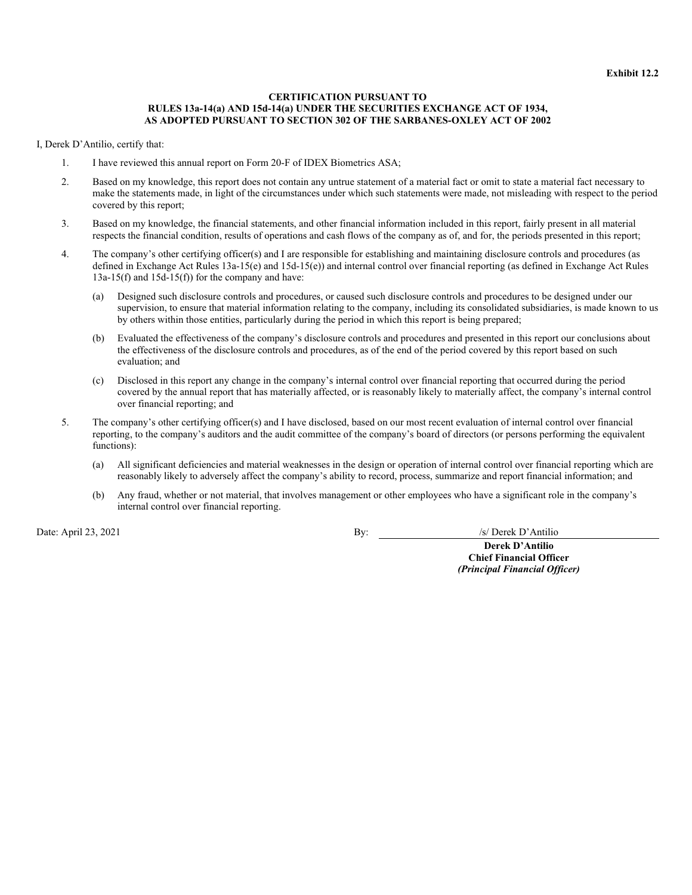# **CERTIFICATION PURSUANT TO RULES 13a-14(a) AND 15d-14(a) UNDER THE SECURITIES EXCHANGE ACT OF 1934, AS ADOPTED PURSUANT TO SECTION 302 OF THE SARBANES-OXLEY ACT OF 2002**

### I, Derek D'Antilio, certify that:

- 1. I have reviewed this annual report on Form 20-F of IDEX Biometrics ASA;
- 2. Based on my knowledge, this report does not contain any untrue statement of a material fact or omit to state a material fact necessary to make the statements made, in light of the circumstances under which such statements were made, not misleading with respect to the period covered by this report;
- 3. Based on my knowledge, the financial statements, and other financial information included in this report, fairly present in all material respects the financial condition, results of operations and cash flows of the company as of, and for, the periods presented in this report;
- 4. The company's other certifying officer(s) and I are responsible for establishing and maintaining disclosure controls and procedures (as defined in Exchange Act Rules 13a-15(e) and 15d-15(e)) and internal control over financial reporting (as defined in Exchange Act Rules 13a-15(f) and 15d-15(f)) for the company and have:
	- (a) Designed such disclosure controls and procedures, or caused such disclosure controls and procedures to be designed under our supervision, to ensure that material information relating to the company, including its consolidated subsidiaries, is made known to us by others within those entities, particularly during the period in which this report is being prepared;
	- (b) Evaluated the effectiveness of the company's disclosure controls and procedures and presented in this report our conclusions about the effectiveness of the disclosure controls and procedures, as of the end of the period covered by this report based on such evaluation; and
	- (c) Disclosed in this report any change in the company's internal control over financial reporting that occurred during the period covered by the annual report that has materially affected, or is reasonably likely to materially affect, the company's internal control over financial reporting; and
- 5. The company's other certifying officer(s) and I have disclosed, based on our most recent evaluation of internal control over financial reporting, to the company's auditors and the audit committee of the company's board of directors (or persons performing the equivalent functions):
	- (a) All significant deficiencies and material weaknesses in the design or operation of internal control over financial reporting which are reasonably likely to adversely affect the company's ability to record, process, summarize and report financial information; and
	- (b) Any fraud, whether or not material, that involves management or other employees who have a significant role in the company's internal control over financial reporting.

Date: April 23, 2021 **By:** *Simulation* By: *Alternative By: <i>Alternative By: By: Antilio* By: *By: Antilio By: By: By: By: By: By: By: By: By: By: By: By: By: By: By: By: By: By:* 

**Derek D'Antilio Chief Financial Officer** *(Principal Financial Officer)*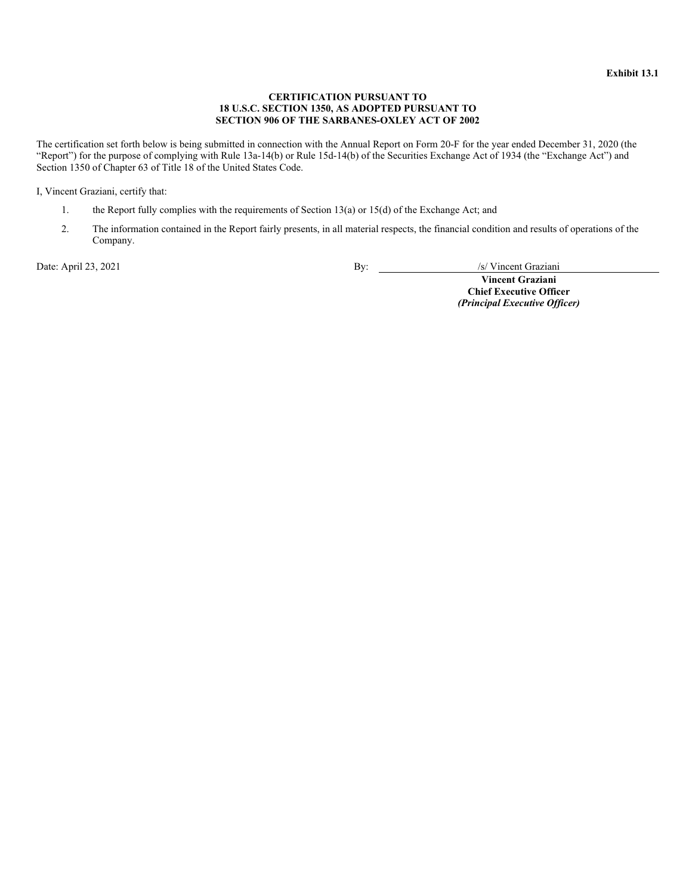# **CERTIFICATION PURSUANT TO 18 U.S.C. SECTION 1350, AS ADOPTED PURSUANT TO SECTION 906 OF THE SARBANES-OXLEY ACT OF 2002**

The certification set forth below is being submitted in connection with the Annual Report on Form 20-F for the year ended December 31, 2020 (the "Report") for the purpose of complying with Rule 13a-14(b) or Rule 15d-14(b) of the Securities Exchange Act of 1934 (the "Exchange Act") and Section 1350 of Chapter 63 of Title 18 of the United States Code.

I, Vincent Graziani, certify that:

- 1. the Report fully complies with the requirements of Section 13(a) or 15(d) of the Exchange Act; and
- 2. The information contained in the Report fairly presents, in all material respects, the financial condition and results of operations of the Company.

Date: April 23, 2021 By: /s/ Vincent Graziani

**Vincent Graziani Chief Executive Officer** *(Principal Executive Officer)*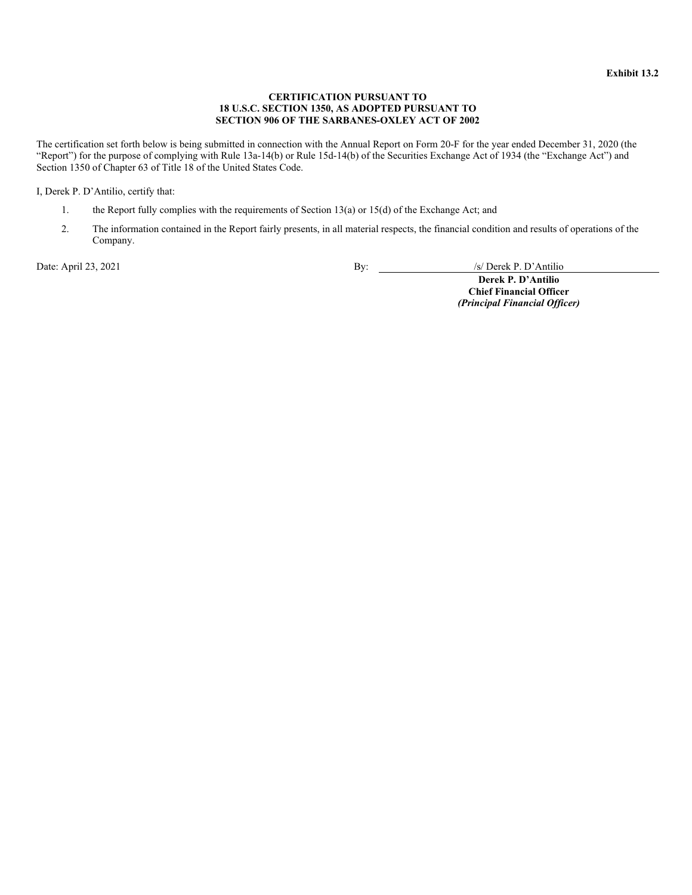# **CERTIFICATION PURSUANT TO 18 U.S.C. SECTION 1350, AS ADOPTED PURSUANT TO SECTION 906 OF THE SARBANES-OXLEY ACT OF 2002**

The certification set forth below is being submitted in connection with the Annual Report on Form 20-F for the year ended December 31, 2020 (the "Report") for the purpose of complying with Rule 13a-14(b) or Rule 15d-14(b) of the Securities Exchange Act of 1934 (the "Exchange Act") and Section 1350 of Chapter 63 of Title 18 of the United States Code.

I, Derek P. D'Antilio, certify that:

- 1. the Report fully complies with the requirements of Section 13(a) or 15(d) of the Exchange Act; and
- 2. The information contained in the Report fairly presents, in all material respects, the financial condition and results of operations of the Company.

Date: April 23, 2021 By: /s/ Derek P. D'Antilio

**Derek P. D'Antilio Chief Financial Officer** *(Principal Financial Officer)*